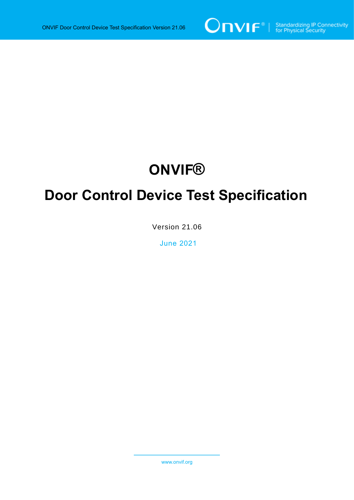

# **ONVIF®**

# **Door Control Device Test Specification**

Version 21.06

June 2021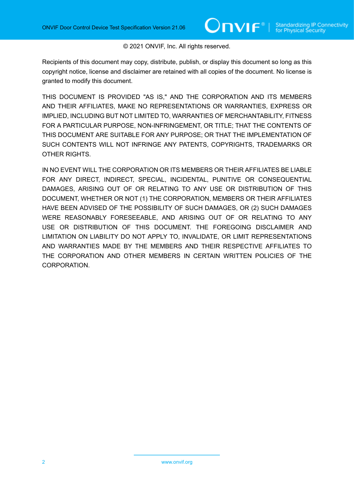#### © 2021 ONVIF, Inc. All rights reserved.

Recipients of this document may copy, distribute, publish, or display this document so long as this copyright notice, license and disclaimer are retained with all copies of the document. No license is granted to modify this document.

THIS DOCUMENT IS PROVIDED "AS IS," AND THE CORPORATION AND ITS MEMBERS AND THEIR AFFILIATES, MAKE NO REPRESENTATIONS OR WARRANTIES, EXPRESS OR IMPLIED, INCLUDING BUT NOT LIMITED TO, WARRANTIES OF MERCHANTABILITY, FITNESS FOR A PARTICULAR PURPOSE, NON-INFRINGEMENT, OR TITLE; THAT THE CONTENTS OF THIS DOCUMENT ARE SUITABLE FOR ANY PURPOSE; OR THAT THE IMPLEMENTATION OF SUCH CONTENTS WILL NOT INFRINGE ANY PATENTS, COPYRIGHTS, TRADEMARKS OR OTHER RIGHTS.

IN NO EVENT WILL THE CORPORATION OR ITS MEMBERS OR THEIR AFFILIATES BE LIABLE FOR ANY DIRECT, INDIRECT, SPECIAL, INCIDENTAL, PUNITIVE OR CONSEQUENTIAL DAMAGES, ARISING OUT OF OR RELATING TO ANY USE OR DISTRIBUTION OF THIS DOCUMENT, WHETHER OR NOT (1) THE CORPORATION, MEMBERS OR THEIR AFFILIATES HAVE BEEN ADVISED OF THE POSSIBILITY OF SUCH DAMAGES, OR (2) SUCH DAMAGES WERE REASONABLY FORESEEABLE, AND ARISING OUT OF OR RELATING TO ANY USE OR DISTRIBUTION OF THIS DOCUMENT. THE FOREGOING DISCLAIMER AND LIMITATION ON LIABILITY DO NOT APPLY TO, INVALIDATE, OR LIMIT REPRESENTATIONS AND WARRANTIES MADE BY THE MEMBERS AND THEIR RESPECTIVE AFFILIATES TO THE CORPORATION AND OTHER MEMBERS IN CERTAIN WRITTEN POLICIES OF THE CORPORATION.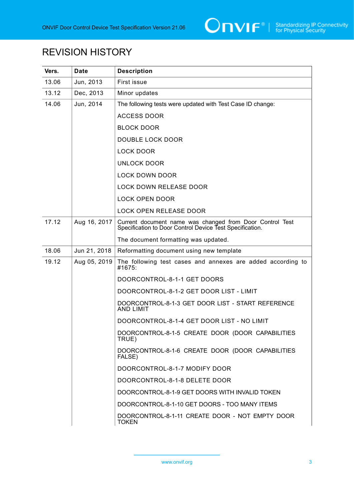

# REVISION HISTORY

| Vers. | <b>Date</b>  | <b>Description</b>                                                                                                   |
|-------|--------------|----------------------------------------------------------------------------------------------------------------------|
| 13.06 | Jun, 2013    | First issue                                                                                                          |
| 13.12 | Dec, 2013    | Minor updates                                                                                                        |
| 14.06 | Jun, 2014    | The following tests were updated with Test Case ID change:                                                           |
|       |              | <b>ACCESS DOOR</b>                                                                                                   |
|       |              | <b>BLOCK DOOR</b>                                                                                                    |
|       |              | <b>DOUBLE LOCK DOOR</b>                                                                                              |
|       |              | <b>LOCK DOOR</b>                                                                                                     |
|       |              | <b>UNLOCK DOOR</b>                                                                                                   |
|       |              | <b>LOCK DOWN DOOR</b>                                                                                                |
|       |              | <b>LOCK DOWN RELEASE DOOR</b>                                                                                        |
|       |              | <b>LOCK OPEN DOOR</b>                                                                                                |
|       |              | <b>LOCK OPEN RELEASE DOOR</b>                                                                                        |
| 17.12 | Aug 16, 2017 | Current document name was changed from Door Control Test<br>Specification to Door Control Device Test Specification. |
|       |              | The document formatting was updated.                                                                                 |
| 18.06 | Jun 21, 2018 | Reformatting document using new template                                                                             |
| 19.12 | Aug 05, 2019 | The following test cases and annexes are added according to<br>#1675:                                                |
|       |              | DOORCONTROL-8-1-1 GET DOORS                                                                                          |
|       |              | DOORCONTROL-8-1-2 GET DOOR LIST - LIMIT                                                                              |
|       |              | DOORCONTROL-8-1-3 GET DOOR LIST - START REFERENCE<br><b>AND LIMIT</b>                                                |
|       |              | DOORCONTROL-8-1-4 GET DOOR LIST - NO LIMIT                                                                           |
|       |              | DOORCONTROL-8-1-5 CREATE DOOR (DOOR CAPABILITIES<br>TRUE)                                                            |
|       |              | DOORCONTROL-8-1-6 CREATE DOOR (DOOR CAPABILITIES<br>FALSE)                                                           |
|       |              | DOORCONTROL-8-1-7 MODIFY DOOR                                                                                        |
|       |              | DOORCONTROL-8-1-8 DELETE DOOR                                                                                        |
|       |              | DOORCONTROL-8-1-9 GET DOORS WITH INVALID TOKEN                                                                       |
|       |              | DOORCONTROL-8-1-10 GET DOORS - TOO MANY ITEMS                                                                        |
|       |              | DOORCONTROL-8-1-11 CREATE DOOR - NOT EMPTY DOOR<br><b>TOKEN</b>                                                      |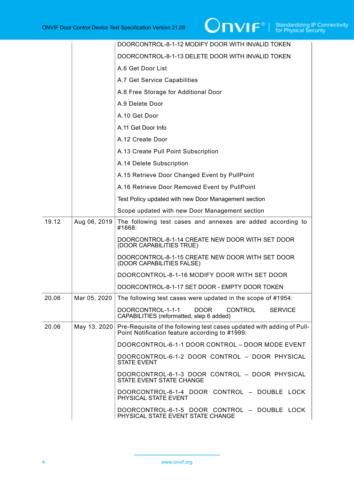|       |              | DOORCONTROL-8-1-12 MODIFY DOOR WITH INVALID TOKEN                                                                        |
|-------|--------------|--------------------------------------------------------------------------------------------------------------------------|
|       |              | DOORCONTROL-8-1-13 DELETE DOOR WITH INVALID TOKEN                                                                        |
|       |              | A.6 Get Door List                                                                                                        |
|       |              | A.7 Get Service Capabilities                                                                                             |
|       |              | A.8 Free Storage for Additional Door                                                                                     |
|       |              | A.9 Delete Door                                                                                                          |
|       |              | A.10 Get Door                                                                                                            |
|       |              | A.11 Get Door Info                                                                                                       |
|       |              | A.12 Create Door                                                                                                         |
|       |              | A.13 Create Pull Point Subscription                                                                                      |
|       |              | A.14 Delete Subscription                                                                                                 |
|       |              | A.15 Retrieve Door Changed Event by PullPoint                                                                            |
|       |              | A.16 Retrieve Door Removed Event by PullPoint                                                                            |
|       |              | Test Policy updated with new Door Management section                                                                     |
|       |              | Scope updated with new Door Management section                                                                           |
| 19.12 | Aug 06, 2019 | The following test cases and annexes are added according to<br>#1668:                                                    |
|       |              | DOORCONTROL-8-1-14 CREATE NEW DOOR WITH SET DOOR<br>(DOOR CAPABILITIES TRUE)                                             |
|       |              | DOORCONTROL-8-1-15 CREATE NEW DOOR WITH SET DOOR<br>(DOOR CAPABILITIES FALSE)                                            |
|       |              | DOORCONTROL-8-1-16 MODIFY DOOR WITH SET DOOR                                                                             |
|       |              | DOORCONTROL-8-1-17 SET DOOR - EMPTY DOOR TOKEN                                                                           |
| 20.06 | Mar 05, 2020 | The following test cases were updated in the scope of #1954:                                                             |
|       |              | DOORCONTROL-1-1-1<br>DOOR<br><b>CONTROL</b><br><b>SERVICE</b><br>CAPABILITIES (reformatted, step 6 added)                |
| 20.06 | May 13, 2020 | Pre-Requisite of the following test cases updated with adding of Pull-<br>Point Notification feature according to #1999: |
|       |              | DOORCONTROL-6-1-1 DOOR CONTROL - DOOR MODE EVENT                                                                         |
|       |              | DOORCONTROL-6-1-2 DOOR CONTROL - DOOR PHYSICAL<br><b>STATE EVENT</b>                                                     |
|       |              | DOORCONTROL-6-1-3 DOOR CONTROL - DOOR PHYSICAL<br>STATE EVENT STATE CHANGE                                               |
|       |              | DOORCONTROL-6-1-4 DOOR CONTROL - DOUBLE LOCK<br>PHYSICAL STATE EVENT                                                     |
|       |              | DOORCONTROL-6-1-5 DOOR CONTROL - DOUBLE LOCK<br>PHYSICAL STATE EVENT STATE CHANGE                                        |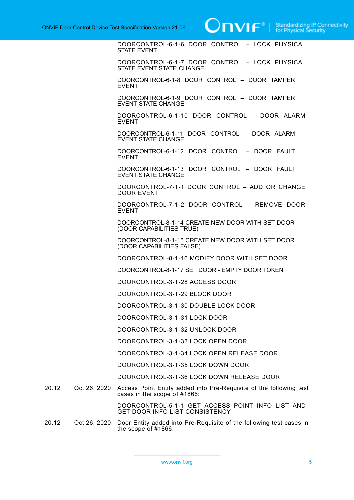

|       |              | DOORCONTROL-6-1-6 DOOR CONTROL - LOCK PHYSICAL<br><b>STATE EVENT</b>                               |
|-------|--------------|----------------------------------------------------------------------------------------------------|
|       |              | DOORCONTROL-6-1-7 DOOR CONTROL - LOCK PHYSICAL<br>STATE EVENT STATE CHANGE                         |
|       |              | DOORCONTROL-6-1-8 DOOR CONTROL - DOOR TAMPER<br><b>EVENT</b>                                       |
|       |              | DOORCONTROL-6-1-9 DOOR CONTROL - DOOR TAMPER<br><b>EVENT STATE CHANGE</b>                          |
|       |              | DOORCONTROL-6-1-10 DOOR CONTROL - DOOR ALARM<br><b>EVENT</b>                                       |
|       |              | DOORCONTROL-6-1-11 DOOR CONTROL - DOOR ALARM<br><b>EVENT STATE CHANGE</b>                          |
|       |              | DOORCONTROL-6-1-12 DOOR CONTROL - DOOR FAULT<br><b>EVENT</b>                                       |
|       |              | DOORCONTROL-6-1-13 DOOR CONTROL - DOOR FAULT<br><b>EVENT STATE CHANGE</b>                          |
|       |              | DOORCONTROL-7-1-1 DOOR CONTROL - ADD OR CHANGE<br><b>DOOR EVENT</b>                                |
|       |              | DOORCONTROL-7-1-2 DOOR CONTROL - REMOVE DOOR<br><b>EVENT</b>                                       |
|       |              | DOORCONTROL-8-1-14 CREATE NEW DOOR WITH SET DOOR<br>(DOOR CAPABILITIES TRUE)                       |
|       |              | DOORCONTROL-8-1-15 CREATE NEW DOOR WITH SET DOOR<br>(DOOR CAPABILITIES FALSE)                      |
|       |              | DOORCONTROL-8-1-16 MODIFY DOOR WITH SET DOOR                                                       |
|       |              | DOORCONTROL-8-1-17 SET DOOR - EMPTY DOOR TOKEN                                                     |
|       |              | DOORCONTROL-3-1-28 ACCESS DOOR                                                                     |
|       |              | DOORCONTROL-3-1-29 BLOCK DOOR                                                                      |
|       |              | DOORCONTROL-3-1-30 DOUBLE LOCK DOOR                                                                |
|       |              | DOORCONTROL-3-1-31 LOCK DOOR                                                                       |
|       |              | DOORCONTROL-3-1-32 UNLOCK DOOR                                                                     |
|       |              | DOORCONTROL-3-1-33 LOCK OPEN DOOR                                                                  |
|       |              | DOORCONTROL-3-1-34 LOCK OPEN RELEASE DOOR                                                          |
|       |              | DOORCONTROL-3-1-35 LOCK DOWN DOOR                                                                  |
|       |              | DOORCONTROL-3-1-36 LOCK DOWN RELEASE DOOR                                                          |
| 20.12 | Oct 26, 2020 | Access Point Entity added into Pre-Requisite of the following test<br>cases in the scope of #1866: |
|       |              | DOORCONTROL-5-1-1 GET ACCESS POINT INFO LIST AND<br>GET DOOR INFO LIST CONSISTENCY                 |
| 20.12 | Oct 26, 2020 | Door Entity added into Pre-Requisite of the following test cases in<br>the scope of $#1866$ :      |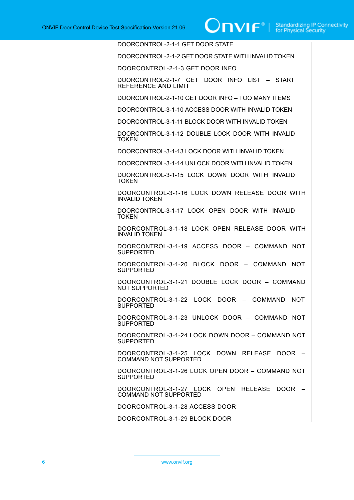| DOORCONTROL-2-1-1 GET DOOR STATE                                            |
|-----------------------------------------------------------------------------|
| DOORCONTROL-2-1-2 GET DOOR STATE WITH INVALID TOKEN                         |
| DOORCONTROL-2-1-3 GET DOOR INFO                                             |
| DOORCONTROL-2-1-7 GET DOOR INFO LIST - START<br>REFERENCE AND LIMIT         |
| DOORCONTROL-2-1-10 GET DOOR INFO - TOO MANY ITEMS                           |
| DOORCONTROL-3-1-10 ACCESS DOOR WITH INVALID TOKEN                           |
| DOORCONTROL-3-1-11 BLOCK DOOR WITH INVALID TOKEN                            |
| DOORCONTROL-3-1-12 DOUBLE LOCK DOOR WITH INVALID<br><b>TOKEN</b>            |
| DOORCONTROL-3-1-13 LOCK DOOR WITH INVALID TOKEN                             |
| DOORCONTROL-3-1-14 UNLOCK DOOR WITH INVALID TOKEN                           |
| DOORCONTROL-3-1-15 LOCK DOWN DOOR WITH INVALID<br><b>TOKEN</b>              |
| DOORCONTROL-3-1-16 LOCK DOWN RELEASE DOOR WITH<br><b>INVALID TOKEN</b>      |
| DOORCONTROL-3-1-17 LOCK OPEN DOOR WITH INVALID<br><b>TOKEN</b>              |
| DOORCONTROL-3-1-18 LOCK OPEN RELEASE DOOR WITH<br><b>INVALID TOKEN</b>      |
| DOORCONTROL-3-1-19 ACCESS DOOR - COMMAND NOT<br><b>SUPPORTED</b>            |
| DOORCONTROL-3-1-20 BLOCK DOOR - COMMAND NOT<br><b>SUPPORTED</b>             |
| DOORCONTROL-3-1-21 DOUBLE LOCK DOOR - COMMAND<br>NOT SUPPORTED              |
| DOORCONTROL-3-1-22 LOCK DOOR - COMMAND<br><b>NOT</b><br><b>SUPPORTED</b>    |
| DOORCONTROL-3-1-23 UNLOCK DOOR - COMMAND NOT<br><b>SUPPORTED</b>            |
| DOORCONTROL-3-1-24 LOCK DOWN DOOR - COMMAND NOT<br><b>SUPPORTED</b>         |
| DOORCONTROL-3-1-25 LOCK DOWN RELEASE DOOR -<br><b>COMMAND NOT SUPPORTED</b> |
| DOORCONTROL-3-1-26 LOCK OPEN DOOR - COMMAND NOT<br><b>SUPPORTED</b>         |
| DOORCONTROL-3-1-27 LOCK OPEN RELEASE DOOR -<br><b>COMMAND NOT SUPPORTED</b> |
| DOORCONTROL-3-1-28 ACCESS DOOR                                              |
| DOORCONTROL-3-1-29 BLOCK DOOR                                               |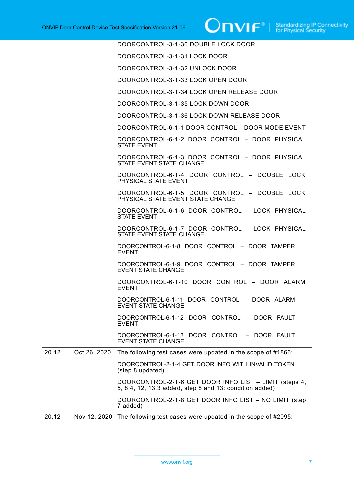|       |              | DOORCONTROL-3-1-30 DOUBLE LOCK DOOR                                                                               |
|-------|--------------|-------------------------------------------------------------------------------------------------------------------|
|       |              | DOORCONTROL-3-1-31 LOCK DOOR                                                                                      |
|       |              | DOORCONTROL-3-1-32 UNLOCK DOOR                                                                                    |
|       |              | DOORCONTROL-3-1-33 LOCK OPEN DOOR                                                                                 |
|       |              | DOORCONTROL-3-1-34 LOCK OPEN RELEASE DOOR                                                                         |
|       |              | DOORCONTROL-3-1-35 LOCK DOWN DOOR                                                                                 |
|       |              | DOORCONTROL-3-1-36 LOCK DOWN RELEASE DOOR                                                                         |
|       |              | DOORCONTROL-6-1-1 DOOR CONTROL - DOOR MODE EVENT                                                                  |
|       |              | DOORCONTROL-6-1-2 DOOR CONTROL - DOOR PHYSICAL<br><b>STATE EVENT</b>                                              |
|       |              | DOORCONTROL-6-1-3 DOOR CONTROL - DOOR PHYSICAL<br>STATE EVENT STATE CHANGE                                        |
|       |              | DOORCONTROL-6-1-4 DOOR CONTROL - DOUBLE LOCK<br>PHYSICAL STATE EVENT                                              |
|       |              | DOORCONTROL-6-1-5 DOOR CONTROL - DOUBLE LOCK<br>PHYSICAL STATE EVENT STATE CHANGE                                 |
|       |              | DOORCONTROL-6-1-6 DOOR CONTROL - LOCK PHYSICAL<br><b>STATE EVENT</b>                                              |
|       |              | DOORCONTROL-6-1-7 DOOR CONTROL - LOCK PHYSICAL<br>STATE EVENT STATE CHANGE                                        |
|       |              | DOORCONTROL-6-1-8 DOOR CONTROL - DOOR TAMPER<br><b>EVENT</b>                                                      |
|       |              | DOORCONTROL-6-1-9 DOOR CONTROL - DOOR TAMPER<br><b>EVENT STATE CHANGE</b>                                         |
|       |              | DOORCONTROL-6-1-10 DOOR CONTROL - DOOR ALARM<br><b>EVENT</b>                                                      |
|       |              | DOORCONTROL-6-1-11 DOOR CONTROL - DOOR ALARM<br><b>EVENT STATE CHANGE</b>                                         |
|       |              | DOORCONTROL-6-1-12 DOOR CONTROL - DOOR FAULT<br><b>EVENT</b>                                                      |
|       |              | DOORCONTROL-6-1-13 DOOR CONTROL - DOOR FAULT<br><b>EVENT STATE CHANGE</b>                                         |
| 20.12 | Oct 26, 2020 | The following test cases were updated in the scope of #1866:                                                      |
|       |              | DOORCONTROL-2-1-4 GET DOOR INFO WITH INVALID TOKEN<br>(step 8 updated)                                            |
|       |              | DOORCONTROL-2-1-6 GET DOOR INFO LIST - LIMIT (steps 4,<br>5, 8.4, 12, 13.3 added, step 8 and 13: condition added) |
|       |              | DOORCONTROL-2-1-8 GET DOOR INFO LIST - NO LIMIT (step<br>7 added)                                                 |
| 20.12 |              | Nov 12, 2020 The following test cases were updated in the scope of #2095:                                         |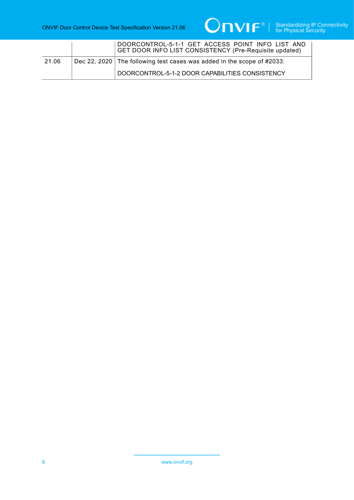

|       | DOORCONTROL-5-1-1 GET ACCESS POINT INFO LIST AND<br>GET DOOR INFO LIST CONSISTENCY (Pre-Requisite updated) |
|-------|------------------------------------------------------------------------------------------------------------|
| 21.06 | Dec 22, 2020 The following test cases was added in the scope of $\#2033$ :                                 |
|       | DOORCONTROL-5-1-2 DOOR CAPABILITIES CONSISTENCY                                                            |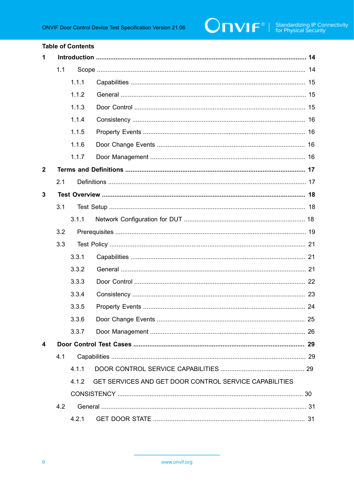#### **Table of Contents**

| 1            |     |       |                                                        |  |
|--------------|-----|-------|--------------------------------------------------------|--|
|              | 1.1 |       |                                                        |  |
|              |     | 1.1.1 |                                                        |  |
|              |     | 1.1.2 |                                                        |  |
|              |     | 1.1.3 |                                                        |  |
|              |     | 1.1.4 |                                                        |  |
|              |     | 1.1.5 |                                                        |  |
|              |     | 1.1.6 |                                                        |  |
|              |     | 1.1.7 |                                                        |  |
| $\mathbf{2}$ |     |       |                                                        |  |
|              | 2.1 |       |                                                        |  |
| 3            |     |       |                                                        |  |
|              | 3.1 |       |                                                        |  |
|              |     | 3.1.1 |                                                        |  |
|              | 3.2 |       |                                                        |  |
|              | 3.3 |       |                                                        |  |
|              |     | 3.3.1 |                                                        |  |
|              |     | 3.3.2 |                                                        |  |
|              |     | 3.3.3 |                                                        |  |
|              |     | 3.3.4 |                                                        |  |
|              |     | 3.3.5 |                                                        |  |
|              |     | 3.3.6 |                                                        |  |
|              |     | 3.3.7 |                                                        |  |
| 4            |     |       |                                                        |  |
|              | 4.1 |       |                                                        |  |
|              |     | 4.1.1 |                                                        |  |
|              |     | 412   | GET SERVICES AND GET DOOR CONTROL SERVICE CAPABILITIES |  |
|              |     |       |                                                        |  |
|              | 4.2 |       |                                                        |  |
|              |     | 4.2.1 |                                                        |  |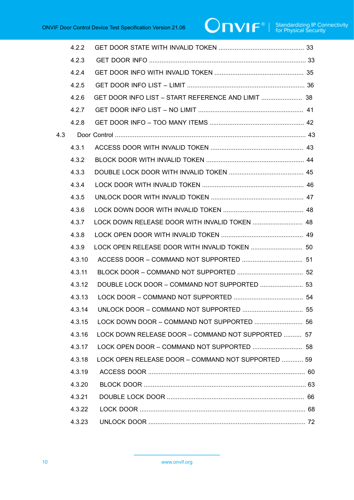# $\boxed{\color{red} \bigcap \textbf{VIF}^{\textcolor{red}{\circ}} \; | \; \; \substack{\textnormal{Standardizing IP Connectivity} \\ \textnormal{for Physical Security}}}$

|     | 4.2.2  |                                                    |  |
|-----|--------|----------------------------------------------------|--|
|     | 4.2.3  |                                                    |  |
|     | 4.2.4  |                                                    |  |
|     | 4.2.5  |                                                    |  |
|     | 4.2.6  | GET DOOR INFO LIST - START REFERENCE AND LIMIT  38 |  |
|     | 4.2.7  |                                                    |  |
|     | 4.2.8  |                                                    |  |
| 4.3 |        |                                                    |  |
|     | 4.3.1  |                                                    |  |
|     | 4.3.2  |                                                    |  |
|     | 4.3.3  |                                                    |  |
|     | 4.3.4  |                                                    |  |
|     | 4.3.5  |                                                    |  |
|     | 4.3.6  |                                                    |  |
|     | 4.3.7  | LOCK DOWN RELEASE DOOR WITH INVALID TOKEN  48      |  |
|     | 4.3.8  |                                                    |  |
|     | 4.3.9  | LOCK OPEN RELEASE DOOR WITH INVALID TOKEN  50      |  |
|     | 4.3.10 |                                                    |  |
|     | 4.3.11 |                                                    |  |
|     | 4.3.12 | DOUBLE LOCK DOOR - COMMAND NOT SUPPORTED  53       |  |
|     | 4.3.13 |                                                    |  |
|     |        |                                                    |  |
|     | 4.3.15 |                                                    |  |
|     | 4.3.16 | LOCK DOWN RELEASE DOOR - COMMAND NOT SUPPORTED  57 |  |
|     | 4.3.17 | LOCK OPEN DOOR - COMMAND NOT SUPPORTED  58         |  |
|     | 4.3.18 | LOCK OPEN RELEASE DOOR - COMMAND NOT SUPPORTED  59 |  |
|     | 4.3.19 |                                                    |  |
|     | 4.3.20 |                                                    |  |
|     | 4.3.21 |                                                    |  |
|     | 4.3.22 |                                                    |  |
|     | 4.3.23 |                                                    |  |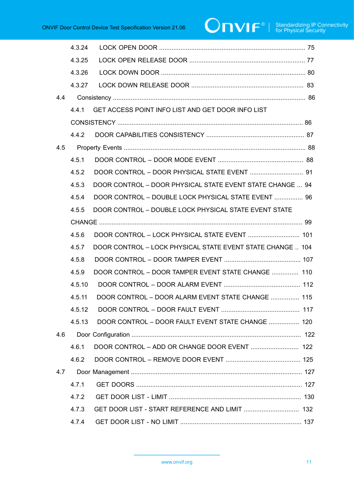# $\boxed{\color{red} \bigcap \textbf{VIF}^{\textcolor{red}{\circ}} \; | \; \; \substack{\textnormal{Standardizing IP Connectivity} \\ \textnormal{for Physical Security}}}$

|     | 4.3.24 |                                                            |  |
|-----|--------|------------------------------------------------------------|--|
|     | 4.3.25 |                                                            |  |
|     | 4.3.26 |                                                            |  |
|     | 4.3.27 |                                                            |  |
| 4.4 |        |                                                            |  |
|     | 4.4.1  | GET ACCESS POINT INFO LIST AND GET DOOR INFO LIST          |  |
|     |        |                                                            |  |
|     | 4.4.2  |                                                            |  |
| 4.5 |        |                                                            |  |
|     | 4.5.1  |                                                            |  |
|     | 4.5.2  |                                                            |  |
|     | 4.5.3  | DOOR CONTROL - DOOR PHYSICAL STATE EVENT STATE CHANGE  94  |  |
|     | 4.5.4  | DOOR CONTROL - DOUBLE LOCK PHYSICAL STATE EVENT  96        |  |
|     | 4.5.5  | DOOR CONTROL - DOUBLE LOCK PHYSICAL STATE EVENT STATE      |  |
|     |        |                                                            |  |
|     | 4.5.6  |                                                            |  |
|     | 4.5.7  | DOOR CONTROL - LOCK PHYSICAL STATE EVENT STATE CHANGE  104 |  |
|     | 4.5.8  |                                                            |  |
|     | 4.5.9  | DOOR CONTROL - DOOR TAMPER EVENT STATE CHANGE  110         |  |
|     | 4.5.10 |                                                            |  |
|     | 4.5.11 | DOOR CONTROL - DOOR ALARM EVENT STATE CHANGE  115          |  |
|     |        |                                                            |  |
|     | 4.5.13 | DOOR CONTROL - DOOR FAULT EVENT STATE CHANGE  120          |  |
| 4.6 |        |                                                            |  |
|     | 4.6.1  |                                                            |  |
|     | 4.6.2  |                                                            |  |
| 4.7 |        |                                                            |  |
|     | 4.7.1  |                                                            |  |
|     | 4.7.2  |                                                            |  |
|     | 4.7.3  | GET DOOR LIST - START REFERENCE AND LIMIT  132             |  |
|     | 4.7.4  |                                                            |  |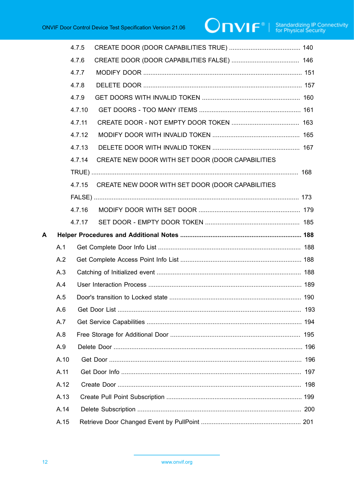|   |      | 4.7.5  |                                                  |  |
|---|------|--------|--------------------------------------------------|--|
|   |      | 4.7.6  |                                                  |  |
|   |      | 4.7.7  |                                                  |  |
|   |      | 4.7.8  |                                                  |  |
|   |      | 4.7.9  |                                                  |  |
|   |      | 4.7.10 |                                                  |  |
|   |      | 4.7.11 |                                                  |  |
|   |      | 4.7.12 |                                                  |  |
|   |      | 4.7.13 |                                                  |  |
|   |      | 4.7.14 | CREATE NEW DOOR WITH SET DOOR (DOOR CAPABILITIES |  |
|   |      |        |                                                  |  |
|   |      | 4.7.15 | CREATE NEW DOOR WITH SET DOOR (DOOR CAPABILITIES |  |
|   |      |        |                                                  |  |
|   |      | 4.7.16 |                                                  |  |
|   |      | 4.7.17 |                                                  |  |
| A |      |        |                                                  |  |
|   | A.1  |        |                                                  |  |
|   | A.2  |        |                                                  |  |
|   | A.3  |        |                                                  |  |
|   | A.4  |        |                                                  |  |
|   | A.5  |        |                                                  |  |
|   | A.6  |        |                                                  |  |
|   | A.7  |        |                                                  |  |
|   | A.8  |        |                                                  |  |
|   | A.9  |        |                                                  |  |
|   | A.10 |        |                                                  |  |
|   | A.11 |        |                                                  |  |
|   | A.12 |        |                                                  |  |
|   | A.13 |        |                                                  |  |
|   | A.14 |        |                                                  |  |
|   | A.15 |        |                                                  |  |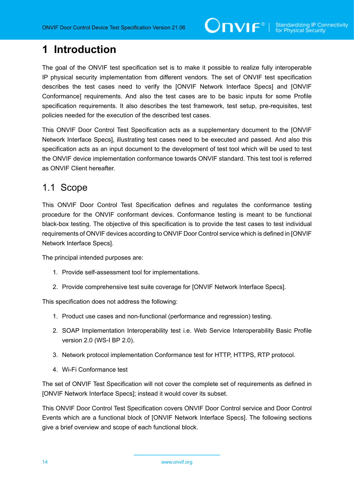# <span id="page-13-0"></span>**1 Introduction**

The goal of the ONVIF test specification set is to make it possible to realize fully interoperable IP physical security implementation from different vendors. The set of ONVIF test specification describes the test cases need to verify the [ONVIF Network Interface Specs] and [ONVIF Conformance] requirements. And also the test cases are to be basic inputs for some Profile specification requirements. It also describes the test framework, test setup, pre-requisites, test policies needed for the execution of the described test cases.

This ONVIF Door Control Test Specification acts as a supplementary document to the [ONVIF Network Interface Specs], illustrating test cases need to be executed and passed. And also this specification acts as an input document to the development of test tool which will be used to test the ONVIF device implementation conformance towards ONVIF standard. This test tool is referred as ONVIF Client hereafter.

### <span id="page-13-1"></span>1.1 Scope

This ONVIF Door Control Test Specification defines and regulates the conformance testing procedure for the ONVIF conformant devices. Conformance testing is meant to be functional black-box testing. The objective of this specification is to provide the test cases to test individual requirements of ONVIF devices according to ONVIF Door Control service which is defined in [ONVIF Network Interface Specs].

The principal intended purposes are:

- 1. Provide self-assessment tool for implementations.
- 2. Provide comprehensive test suite coverage for [ONVIF Network Interface Specs].

This specification does not address the following:

- 1. Product use cases and non-functional (performance and regression) testing.
- 2. SOAP Implementation Interoperability test i.e. Web Service Interoperability Basic Profile version 2.0 (WS-I BP 2.0).
- 3. Network protocol implementation Conformance test for HTTP, HTTPS, RTP protocol.
- 4. Wi-Fi Conformance test

The set of ONVIF Test Specification will not cover the complete set of requirements as defined in [ONVIF Network Interface Specs]; instead it would cover its subset.

This ONVIF Door Control Test Specification covers ONVIF Door Control service and Door Control Events which are a functional block of [ONVIF Network Interface Specs]. The following sections give a brief overview and scope of each functional block.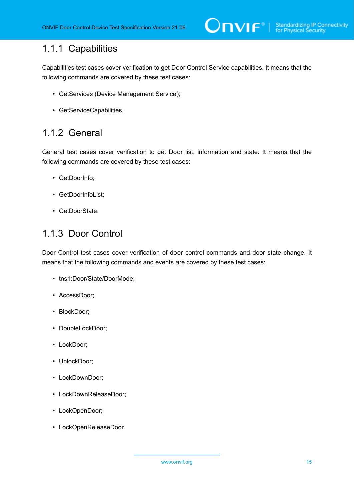# <span id="page-14-0"></span>1.1.1 Capabilities

Capabilities test cases cover verification to get Door Control Service capabilities. It means that the following commands are covered by these test cases:

- GetServices (Device Management Service);
- GetServiceCapabilities.

# <span id="page-14-1"></span>1.1.2 General

General test cases cover verification to get Door list, information and state. It means that the following commands are covered by these test cases:

- GetDoorInfo;
- GetDoorInfoList;
- GetDoorState.

# <span id="page-14-2"></span>1.1.3 Door Control

Door Control test cases cover verification of door control commands and door state change. It means that the following commands and events are covered by these test cases:

- tns1:Door/State/DoorMode;
- AccessDoor;
- BlockDoor;
- DoubleLockDoor;
- LockDoor;
- UnlockDoor;
- LockDownDoor;
- LockDownReleaseDoor;
- LockOpenDoor;
- LockOpenReleaseDoor.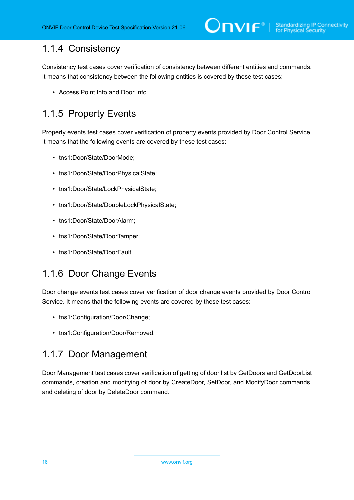# <span id="page-15-0"></span>1.1.4 Consistency

Consistency test cases cover verification of consistency between different entities and commands. It means that consistency between the following entities is covered by these test cases:

• Access Point Info and Door Info.

# <span id="page-15-1"></span>1.1.5 Property Events

Property events test cases cover verification of property events provided by Door Control Service. It means that the following events are covered by these test cases:

- tns1:Door/State/DoorMode;
- tns1:Door/State/DoorPhysicalState;
- tns1:Door/State/LockPhysicalState;
- tns1:Door/State/DoubleLockPhysicalState;
- tns1:Door/State/DoorAlarm;
- tns1:Door/State/DoorTamper;
- tns1:Door/State/DoorFault

# <span id="page-15-2"></span>1.1.6 Door Change Events

Door change events test cases cover verification of door change events provided by Door Control Service. It means that the following events are covered by these test cases:

- tns1:Configuration/Door/Change;
- tns1:Configuration/Door/Removed.

# <span id="page-15-3"></span>1.1.7 Door Management

Door Management test cases cover verification of getting of door list by GetDoors and GetDoorList commands, creation and modifying of door by CreateDoor, SetDoor, and ModifyDoor commands, and deleting of door by DeleteDoor command.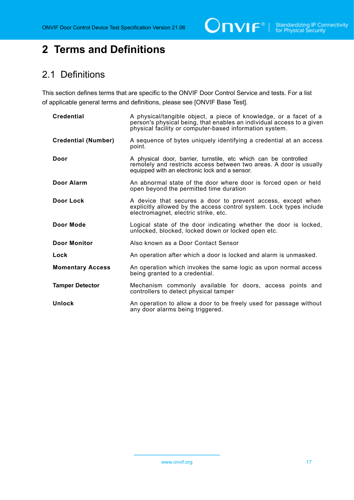$\bigcirc$   $\bigcap$   $\bigvee$   $\bigcap$   $\bigcirc$   $\bigcirc$   $\bigcirc$   $\bigcirc$   $\bigcirc$   $\bigcirc$   $\bigcirc$   $\bigcirc$   $\bigcirc$   $\bigcirc$   $\bigcirc$   $\bigcirc$   $\bigcirc$   $\bigcirc$   $\bigcirc$   $\bigcirc$   $\bigcirc$   $\bigcirc$   $\bigcirc$   $\bigcirc$   $\bigcirc$   $\bigcirc$   $\bigcirc$   $\bigcirc$   $\bigcirc$   $\bigcirc$   $\bigcirc$   $\bigcirc$   $\bigcirc$   $\bigcirc$   $\bigcirc$   $\bigcirc$   $\bigcirc$ 

# <span id="page-16-0"></span>**2 Terms and Definitions**

# <span id="page-16-1"></span>2.1 Definitions

This section defines terms that are specific to the ONVIF Door Control Service and tests. For a list of applicable general terms and definitions, please see [ONVIF Base Test].

| <b>Credential</b>          | A physical/tangible object, a piece of knowledge, or a facet of a<br>person's physical being, that enables an individual access to a given<br>physical facility or computer-based information system. |
|----------------------------|-------------------------------------------------------------------------------------------------------------------------------------------------------------------------------------------------------|
| <b>Credential (Number)</b> | A sequence of bytes uniquely identifying a credential at an access<br>point.                                                                                                                          |
| Door                       | A physical door, barrier, turnstile, etc which can be controlled<br>remotely and restricts access between two areas. A door is usually<br>equipped with an electronic lock and a sensor.              |
| Door Alarm                 | An abnormal state of the door where door is forced open or held<br>open beyond the permitted time duration                                                                                            |
| Door Lock                  | A device that secures a door to prevent access, except when<br>explicitly allowed by the access control system. Lock types include<br>electromagnet, electric strike, etc.                            |
| Door Mode                  | Logical state of the door indicating whether the door is locked,<br>unlocked, blocked, locked down or locked open etc.                                                                                |
| <b>Door Monitor</b>        | Also known as a Door Contact Sensor                                                                                                                                                                   |
| Lock                       | An operation after which a door is locked and alarm is unmasked.                                                                                                                                      |
| <b>Momentary Access</b>    | An operation which invokes the same logic as upon normal access<br>being granted to a credential.                                                                                                     |
| <b>Tamper Detector</b>     | Mechanism commonly available for doors, access points and<br>controllers to detect physical tamper                                                                                                    |
| Unlock                     | An operation to allow a door to be freely used for passage without<br>any door alarms being triggered.                                                                                                |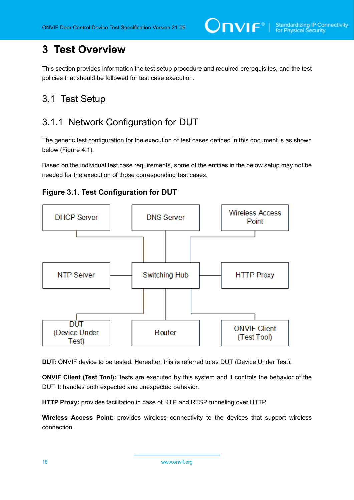# <span id="page-17-0"></span>**3 Test Overview**

This section provides information the test setup procedure and required prerequisites, and the test policies that should be followed for test case execution.

# <span id="page-17-1"></span>3.1 Test Setup

# <span id="page-17-2"></span>3.1.1 Network Configuration for DUT

The generic test configuration for the execution of test cases defined in this document is as shown below (Figure 4.1).

Based on the individual test case requirements, some of the entities in the below setup may not be needed for the execution of those corresponding test cases.





**DUT:** ONVIF device to be tested. Hereafter, this is referred to as DUT (Device Under Test).

**ONVIF Client (Test Tool):** Tests are executed by this system and it controls the behavior of the DUT. It handles both expected and unexpected behavior.

**HTTP Proxy:** provides facilitation in case of RTP and RTSP tunneling over HTTP.

**Wireless Access Point:** provides wireless connectivity to the devices that support wireless connection.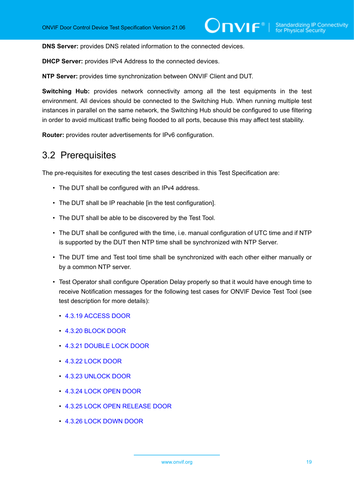**DNS Server:** provides DNS related information to the connected devices.

**DHCP Server:** provides IPv4 Address to the connected devices.

**NTP Server:** provides time synchronization between ONVIF Client and DUT.

**Switching Hub:** provides network connectivity among all the test equipments in the test environment. All devices should be connected to the Switching Hub. When running multiple test instances in parallel on the same network, the Switching Hub should be configured to use filtering in order to avoid multicast traffic being flooded to all ports, because this may affect test stability.

<span id="page-18-0"></span>**Router:** provides router advertisements for IPv6 configuration.

### 3.2 Prerequisites

The pre-requisites for executing the test cases described in this Test Specification are:

- The DUT shall be configured with an IPv4 address.
- The DUT shall be IP reachable [in the test configuration].
- The DUT shall be able to be discovered by the Test Tool.
- The DUT shall be configured with the time, i.e. manual configuration of UTC time and if NTP is supported by the DUT then NTP time shall be synchronized with NTP Server.
- The DUT time and Test tool time shall be synchronized with each other either manually or by a common NTP server.
- Test Operator shall configure Operation Delay properly so that it would have enough time to receive Notification messages for the following test cases for ONVIF Device Test Tool (see test description for more details):
	- [4.3.19 ACCESS DOOR](#page-59-0)
	- [4.3.20 BLOCK DOOR](#page-62-0)
	- [4.3.21 DOUBLE LOCK DOOR](#page-65-0)
	- [4.3.22 LOCK DOOR](#page-67-0)
	- [4.3.23 UNLOCK DOOR](#page-71-0)
	- [4.3.24 LOCK OPEN DOOR](#page-74-0)
	- [4.3.25 LOCK OPEN RELEASE DOOR](#page-76-0)
	- [4.3.26 LOCK DOWN DOOR](#page-79-0)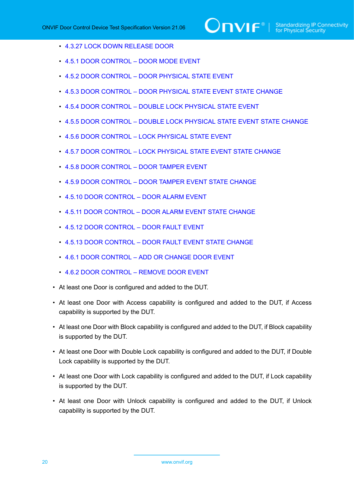- [4.3.27 LOCK DOWN RELEASE DOOR](#page-82-0)
- [4.5.1 DOOR CONTROL DOOR MODE EVENT](#page-87-1)
- 4.5.2 DOOR CONTROL DOOR [PHYSICAL](#page-90-0) STATE EVENT
- 4.5.3 DOOR CONTROL DOOR [PHYSICAL](#page-93-0) STATE EVENT STATE CHANGE
- 4.5.4 DOOR CONTROL DOUBLE LOCK [PHYSICAL](#page-95-0) STATE EVENT
- 4.5.5 DOOR CONTROL DOUBLE LOCK [PHYSICAL](#page-98-0) STATE EVENT STATE CHANGE
- 4.5.6 DOOR CONTROL LOCK [PHYSICAL](#page-100-0) STATE EVENT
- 4.5.7 DOOR CONTROL LOCK [PHYSICAL](#page-103-0) STATE EVENT STATE CHANGE
- 4.5.8 DOOR [CONTROL](#page-106-0) DOOR TAMPER EVENT
- 4.5.9 DOOR [CONTROL](#page-109-0) DOOR TAMPER EVENT STATE CHANGE
- [4.5.10 DOOR CONTROL DOOR ALARM EVENT](#page-111-0)
- 4.5.11 DOOR [CONTROL](#page-114-0) DOOR ALARM EVENT STATE CHANGE
- 4.5.12 DOOR [CONTROL](#page-116-0) DOOR FAULT EVENT
- 4.5.13 DOOR [CONTROL](#page-119-0) DOOR FAULT EVENT STATE CHANGE
- [4.6.1 DOOR CONTROL ADD OR CHANGE DOOR EVENT](#page-121-1)
- [4.6.2 DOOR CONTROL REMOVE DOOR EVENT](#page-124-0)
- At least one Door is configured and added to the DUT.
- At least one Door with Access capability is configured and added to the DUT, if Access capability is supported by the DUT.
- At least one Door with Block capability is configured and added to the DUT, if Block capability is supported by the DUT.
- At least one Door with Double Lock capability is configured and added to the DUT, if Double Lock capability is supported by the DUT.
- At least one Door with Lock capability is configured and added to the DUT, if Lock capability is supported by the DUT.
- At least one Door with Unlock capability is configured and added to the DUT, if Unlock capability is supported by the DUT.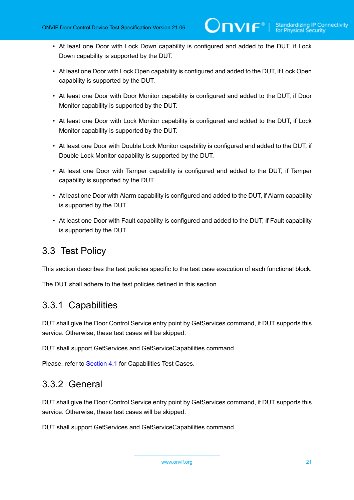- At least one Door with Lock Down capability is configured and added to the DUT, if Lock Down capability is supported by the DUT.
- At least one Door with Lock Open capability is configured and added to the DUT, if Lock Open capability is supported by the DUT.
- At least one Door with Door Monitor capability is configured and added to the DUT, if Door Monitor capability is supported by the DUT.
- At least one Door with Lock Monitor capability is configured and added to the DUT, if Lock Monitor capability is supported by the DUT.
- At least one Door with Double Lock Monitor capability is configured and added to the DUT, if Double Lock Monitor capability is supported by the DUT.
- At least one Door with Tamper capability is configured and added to the DUT, if Tamper capability is supported by the DUT.
- At least one Door with Alarm capability is configured and added to the DUT, if Alarm capability is supported by the DUT.
- At least one Door with Fault capability is configured and added to the DUT, if Fault capability is supported by the DUT.

# <span id="page-20-0"></span>3.3 Test Policy

This section describes the test policies specific to the test case execution of each functional block.

<span id="page-20-1"></span>The DUT shall adhere to the test policies defined in this section.

# 3.3.1 Capabilities

DUT shall give the Door Control Service entry point by GetServices command, if DUT supports this service. Otherwise, these test cases will be skipped.

DUT shall support GetServices and GetServiceCapabilities command.

<span id="page-20-2"></span>Please, refer to [Section 4.1](#page-28-1) for Capabilities Test Cases.

# 3.3.2 General

DUT shall give the Door Control Service entry point by GetServices command, if DUT supports this service. Otherwise, these test cases will be skipped.

DUT shall support GetServices and GetServiceCapabilities command.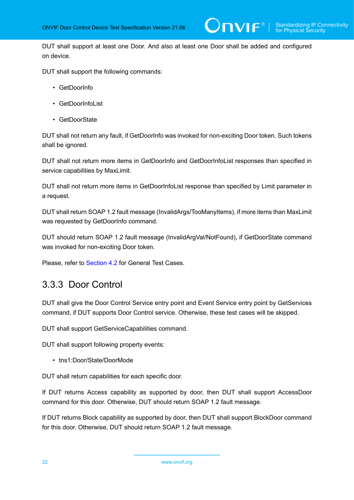DUT shall support at least one Door. And also at least one Door shall be added and configured on device.

DUT shall support the following commands:

- GetDoorInfo
- GetDoorInfoList
- GetDoorState

DUT shall not return any fault, if GetDoorInfo was invoked for non-exciting Door token. Such tokens shall be ignored.

DUT shall not return more items in GetDoorInfo and GetDoorInfoList responses than specified in service capabilities by MaxLimit.

DUT shall not return more items in GetDoorInfoList response than specified by Limit parameter in a request.

DUT shall return SOAP 1.2 fault message (InvalidArgs/TooManyItems), if more items than MaxLimit was requested by GetDoorInfo command.

DUT should return SOAP 1.2 fault message (InvalidArgVal/NotFound), if GetDoorState command was invoked for non-exciting Door token.

<span id="page-21-0"></span>Please, refer to [Section 4.2](#page-30-0) for General Test Cases.

### 3.3.3 Door Control

DUT shall give the Door Control Service entry point and Event Service entry point by GetServices command, if DUT supports Door Control service. Otherwise, these test cases will be skipped.

DUT shall support GetServiceCapabilities command.

DUT shall support following property events:

• tns1:Door/State/DoorMode

DUT shall return capabilities for each specific door.

If DUT returns Access capability as supported by door, then DUT shall support AccessDoor command for this door. Otherwise, DUT should return SOAP 1.2 fault message.

If DUT returns Block capability as supported by door, then DUT shall support BlockDoor command for this door. Otherwise, DUT should return SOAP 1.2 fault message.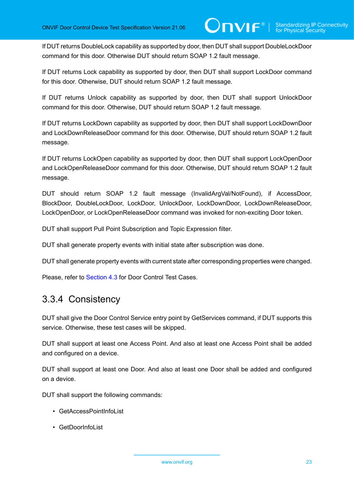If DUT returns DoubleLock capability as supported by door, then DUT shall support DoubleLockDoor command for this door. Otherwise DUT should return SOAP 1.2 fault message.

If DUT returns Lock capability as supported by door, then DUT shall support LockDoor command for this door. Otherwise, DUT should return SOAP 1.2 fault message.

If DUT returns Unlock capability as supported by door, then DUT shall support UnlockDoor command for this door. Otherwise, DUT should return SOAP 1.2 fault message.

If DUT returns LockDown capability as supported by door, then DUT shall support LockDownDoor and LockDownReleaseDoor command for this door. Otherwise, DUT should return SOAP 1.2 fault message.

If DUT returns LockOpen capability as supported by door, then DUT shall support LockOpenDoor and LockOpenReleaseDoor command for this door. Otherwise, DUT should return SOAP 1.2 fault message.

DUT should return SOAP 1.2 fault message (InvalidArgVal/NotFound), if AccessDoor, BlockDoor, DoubleLockDoor, LockDoor, UnlockDoor, LockDownDoor, LockDownReleaseDoor, LockOpenDoor, or LockOpenReleaseDoor command was invoked for non-exciting Door token.

DUT shall support Pull Point Subscription and Topic Expression filter.

DUT shall generate property events with initial state after subscription was done.

DUT shall generate property events with current state after corresponding properties were changed.

<span id="page-22-0"></span>Please, refer to [Section 4.3](#page-42-0) for Door Control Test Cases.

## 3.3.4 Consistency

DUT shall give the Door Control Service entry point by GetServices command, if DUT supports this service. Otherwise, these test cases will be skipped.

DUT shall support at least one Access Point. And also at least one Access Point shall be added and configured on a device.

DUT shall support at least one Door. And also at least one Door shall be added and configured on a device.

DUT shall support the following commands:

- GetAccessPointInfoList
- GetDoorInfoList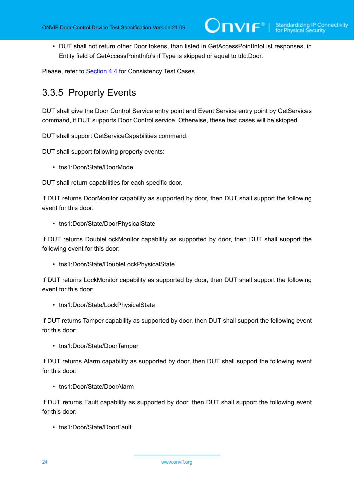• DUT shall not return other Door tokens, than listed in GetAccessPointInfoList responses, in Entity field of GetAccessPointInfo's if Type is skipped or equal to tdc:Door.

<span id="page-23-0"></span>Please, refer to [Section 4.4](#page-85-0) for Consistency Test Cases.

## 3.3.5 Property Events

DUT shall give the Door Control Service entry point and Event Service entry point by GetServices command, if DUT supports Door Control service. Otherwise, these test cases will be skipped.

DUT shall support GetServiceCapabilities command.

DUT shall support following property events:

• tns1:Door/State/DoorMode

DUT shall return capabilities for each specific door.

If DUT returns DoorMonitor capability as supported by door, then DUT shall support the following event for this door:

• tns1:Door/State/DoorPhysicalState

If DUT returns DoubleLockMonitor capability as supported by door, then DUT shall support the following event for this door:

• tns1:Door/State/DoubleLockPhysicalState

If DUT returns LockMonitor capability as supported by door, then DUT shall support the following event for this door:

• tns1:Door/State/LockPhysicalState

If DUT returns Tamper capability as supported by door, then DUT shall support the following event for this door:

• tns1:Door/State/DoorTamper

If DUT returns Alarm capability as supported by door, then DUT shall support the following event for this door:

• tns1:Door/State/DoorAlarm

If DUT returns Fault capability as supported by door, then DUT shall support the following event for this door:

• tns1:Door/State/DoorFault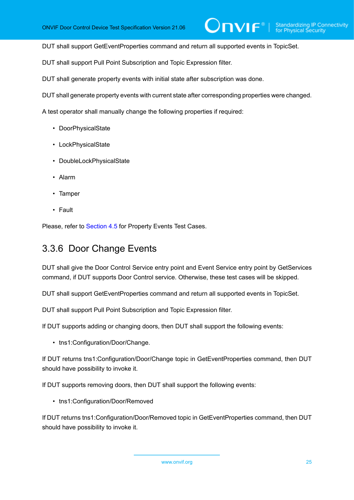DUT shall support GetEventProperties command and return all supported events in TopicSet.

DUT shall support Pull Point Subscription and Topic Expression filter.

DUT shall generate property events with initial state after subscription was done.

DUT shall generate property events with current state after corresponding properties were changed.

A test operator shall manually change the following properties if required:

- DoorPhysicalState
- LockPhysicalState
- DoubleLockPhysicalState
- Alarm
- Tamper
- Fault

<span id="page-24-0"></span>Please, refer to [Section 4.5](#page-87-0) for Property Events Test Cases.

## 3.3.6 Door Change Events

DUT shall give the Door Control Service entry point and Event Service entry point by GetServices command, if DUT supports Door Control service. Otherwise, these test cases will be skipped.

DUT shall support GetEventProperties command and return all supported events in TopicSet.

DUT shall support Pull Point Subscription and Topic Expression filter.

If DUT supports adding or changing doors, then DUT shall support the following events:

• tns1:Configuration/Door/Change.

If DUT returns tns1:Configuration/Door/Change topic in GetEventProperties command, then DUT should have possibility to invoke it.

If DUT supports removing doors, then DUT shall support the following events:

• tns1:Configuration/Door/Removed

If DUT returns tns1:Configuration/Door/Removed topic in GetEventProperties command, then DUT should have possibility to invoke it.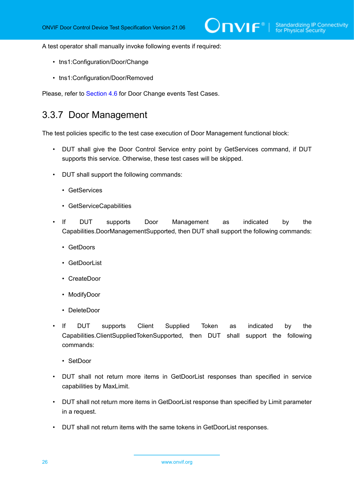A test operator shall manually invoke following events if required:

- tns1:Configuration/Door/Change
- tns1:Configuration/Door/Removed

<span id="page-25-0"></span>Please, refer to [Section 4.6](#page-121-0) for Door Change events Test Cases.

### 3.3.7 Door Management

The test policies specific to the test case execution of Door Management functional block:

- DUT shall give the Door Control Service entry point by GetServices command, if DUT supports this service. Otherwise, these test cases will be skipped.
- DUT shall support the following commands:
	- GetServices
	- GetServiceCapabilities
- If DUT supports Door Management as indicated by the Capabilities.DoorManagementSupported, then DUT shall support the following commands:
	- GetDoors
	- GetDoorList
	- CreateDoor
	- ModifyDoor
	- DeleteDoor
- If DUT supports Client Supplied Token as indicated by the Capabilities.ClientSuppliedTokenSupported, then DUT shall support the following commands:
	- SetDoor
- DUT shall not return more items in GetDoorList responses than specified in service capabilities by MaxLimit.
- DUT shall not return more items in GetDoorList response than specified by Limit parameter in a request.
- DUT shall not return items with the same tokens in GetDoorList responses.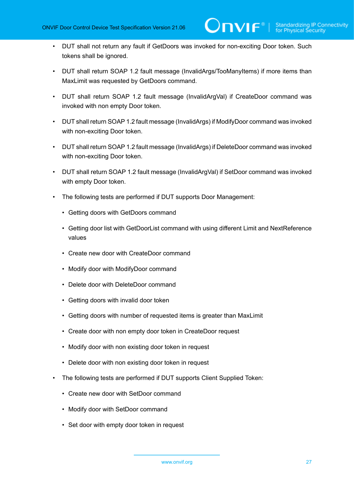- DUT shall not return any fault if GetDoors was invoked for non-exciting Door token. Such tokens shall be ignored.
- DUT shall return SOAP 1.2 fault message (InvalidArgs/TooManyItems) if more items than MaxLimit was requested by GetDoors command.
- DUT shall return SOAP 1.2 fault message (InvalidArgVal) if CreateDoor command was invoked with non empty Door token.
- DUT shall return SOAP 1.2 fault message (InvalidArgs) if ModifyDoor command was invoked with non-exciting Door token.
- DUT shall return SOAP 1.2 fault message (InvalidArgs) if DeleteDoor command was invoked with non-exciting Door token.
- DUT shall return SOAP 1.2 fault message (InvalidArgVal) if SetDoor command was invoked with empty Door token.
- The following tests are performed if DUT supports Door Management:
	- Getting doors with GetDoors command
	- Getting door list with GetDoorList command with using different Limit and NextReference values
	- Create new door with CreateDoor command
	- Modify door with ModifyDoor command
	- Delete door with DeleteDoor command
	- Getting doors with invalid door token
	- Getting doors with number of requested items is greater than MaxLimit
	- Create door with non empty door token in CreateDoor request
	- Modify door with non existing door token in request
	- Delete door with non existing door token in request
- The following tests are performed if DUT supports Client Supplied Token:
	- Create new door with SetDoor command
	- Modify door with SetDoor command
	- Set door with empty door token in request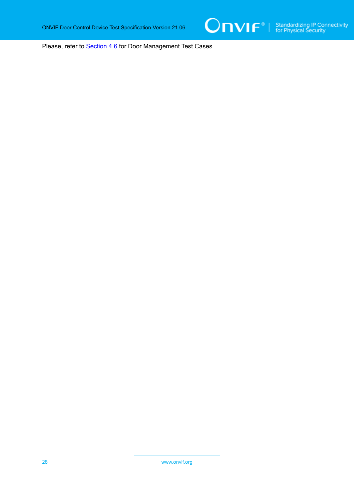

Please, refer to [Section 4.6](#page-126-0) for Door Management Test Cases.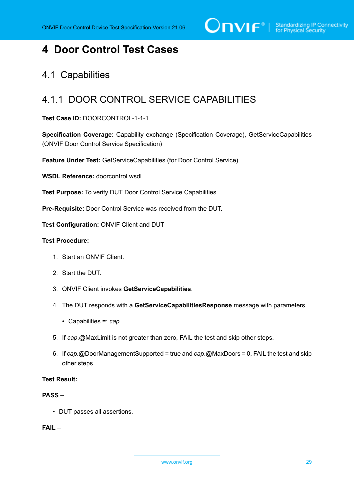$\sum_{\text{IVIF}^{\circ} | \text{Standardizing IP Connectivity}}$ 

# <span id="page-28-0"></span>**4 Door Control Test Cases**

## <span id="page-28-1"></span>4.1 Capabilities

# <span id="page-28-2"></span>4.1.1 DOOR CONTROL SERVICE CAPABILITIES

**Test Case ID:** DOORCONTROL-1-1-1

**Specification Coverage:** Capability exchange (Specification Coverage), GetServiceCapabilities (ONVIF Door Control Service Specification)

**Feature Under Test:** GetServiceCapabilities (for Door Control Service)

**WSDL Reference:** doorcontrol.wsdl

**Test Purpose:** To verify DUT Door Control Service Capabilities.

**Pre-Requisite:** Door Control Service was received from the DUT.

**Test Configuration:** ONVIF Client and DUT

#### **Test Procedure:**

- 1. Start an ONVIF Client.
- 2. Start the DUT.
- 3. ONVIF Client invokes **GetServiceCapabilities**.
- 4. The DUT responds with a **GetServiceCapabilitiesResponse** message with parameters
	- Capabilities =: *cap*
- 5. If *cap*.@MaxLimit is not greater than zero, FAIL the test and skip other steps.
- 6. If *cap*.@DoorManagementSupported = true and *cap*.@MaxDoors = 0, FAIL the test and skip other steps.

#### **Test Result:**

#### **PASS –**

• DUT passes all assertions.

**FAIL –**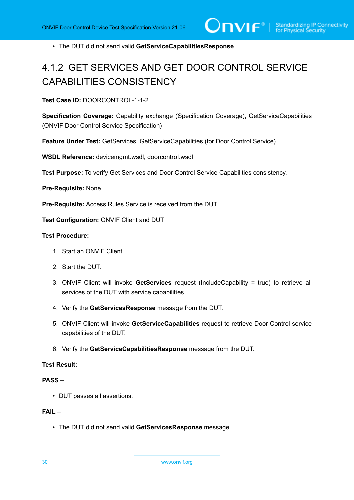• The DUT did not send valid **GetServiceCapabilitiesResponse**.

# <span id="page-29-0"></span>4.1.2 GET SERVICES AND GET DOOR CONTROL SERVICE CAPABILITIES CONSISTENCY

**Test Case ID:** DOORCONTROL-1-1-2

**Specification Coverage:** Capability exchange (Specification Coverage), GetServiceCapabilities (ONVIF Door Control Service Specification)

**Feature Under Test:** GetServices, GetServiceCapabilities (for Door Control Service)

**WSDL Reference:** devicemgmt.wsdl, doorcontrol.wsdl

**Test Purpose:** To verify Get Services and Door Control Service Capabilities consistency.

**Pre-Requisite:** None.

**Pre-Requisite:** Access Rules Service is received from the DUT.

**Test Configuration:** ONVIF Client and DUT

#### **Test Procedure:**

- 1. Start an ONVIF Client.
- 2. Start the DUT.
- 3. ONVIF Client will invoke **GetServices** request (IncludeCapability = true) to retrieve all services of the DUT with service capabilities.
- 4. Verify the **GetServicesResponse** message from the DUT.
- 5. ONVIF Client will invoke **GetServiceCapabilities** request to retrieve Door Control service capabilities of the DUT.
- 6. Verify the **GetServiceCapabilitiesResponse** message from the DUT.

#### **Test Result:**

#### **PASS –**

• DUT passes all assertions.

#### **FAIL –**

• The DUT did not send valid **GetServicesResponse** message.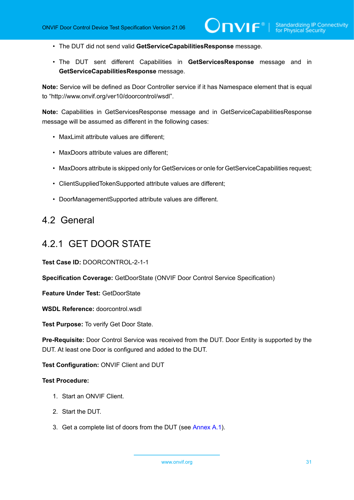- The DUT did not send valid **GetServiceCapabilitiesResponse** message.
- The DUT sent different Capabilities in **GetServicesResponse** message and in **GetServiceCapabilitiesResponse** message.

**Note:** Service will be defined as Door Controller service if it has Namespace element that is equal to "http://www.onvif.org/ver10/doorcontrol/wsdl".

**Note:** Capabilities in GetServicesResponse message and in GetServiceCapabilitiesResponse message will be assumed as different in the following cases:

- MaxLimit attribute values are different;
- MaxDoors attribute values are different;
- MaxDoors attribute is skipped only for GetServices or onle for GetServiceCapabilities request;
- ClientSuppliedTokenSupported attribute values are different;
- DoorManagementSupported attribute values are different.

# <span id="page-30-0"></span>4.2 General

### <span id="page-30-1"></span>4.2.1 GET DOOR STATE

**Test Case ID:** DOORCONTROL-2-1-1

**Specification Coverage:** GetDoorState (ONVIF Door Control Service Specification)

**Feature Under Test:** GetDoorState

**WSDL Reference:** doorcontrol.wsdl

**Test Purpose:** To verify Get Door State.

**Pre-Requisite:** Door Control Service was received from the DUT. Door Entity is supported by the DUT. At least one Door is configured and added to the DUT.

**Test Configuration:** ONVIF Client and DUT

#### **Test Procedure:**

- 1. Start an ONVIF Client.
- 2. Start the DUT.
- <span id="page-30-2"></span>3. Get a complete list of doors from the DUT (see [Annex A.1\)](#page-187-1).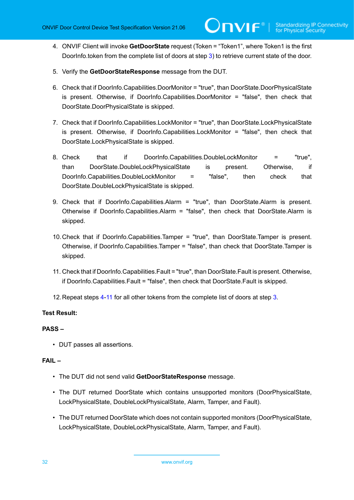- <span id="page-31-0"></span>4. ONVIF Client will invoke **GetDoorState** request (Token = "Token1", where Token1 is the first DoorInfo.token from the complete list of doors at step [3\)](#page-30-2) to retrieve current state of the door.
- 5. Verify the **GetDoorStateResponse** message from the DUT.
- 6. Check that if DoorInfo.Capabilities.DoorMonitor = "true", than DoorState.DoorPhysicalState is present. Otherwise, if DoorInfo.Capabilities.DoorMonitor = "false", then check that DoorState.DoorPhysicalState is skipped.
- 7. Check that if DoorInfo.Capabilities.LockMonitor = "true", than DoorState.LockPhysicalState is present. Otherwise, if DoorInfo.Capabilities.LockMonitor = "false", then check that DoorState.LockPhysicalState is skipped.
- 8. Check that if DoorInfo.Capabilities.DoubleLockMonitor = "true", than DoorState.DoubleLockPhysicalState is present. Otherwise, if DoorInfo.Capabilities.DoubleLockMonitor = "false", then check that DoorState.DoubleLockPhysicalState is skipped.
- 9. Check that if DoorInfo.Capabilities.Alarm = "true", than DoorState.Alarm is present. Otherwise if DoorInfo.Capabilities.Alarm = "false", then check that DoorState.Alarm is skipped.
- 10.Check that if DoorInfo.Capabilities.Tamper = "true", than DoorState.Tamper is present. Otherwise, if DoorInfo.Capabilities.Tamper = "false", than check that DoorState.Tamper is skipped.
- <span id="page-31-1"></span>11. Check that if DoorInfo.Capabilities.Fault = "true", than DoorState.Fault is present. Otherwise, if DoorInfo.Capabilities.Fault = "false", then check that DoorState.Fault is skipped.
- <span id="page-31-2"></span>12.Repeat steps [4](#page-31-0)-[11](#page-31-1) for all other tokens from the complete list of doors at step [3](#page-30-2).

#### **Test Result:**

#### **PASS –**

• DUT passes all assertions.

#### **FAIL –**

- The DUT did not send valid **GetDoorStateResponse** message.
- The DUT returned DoorState which contains unsupported monitors (DoorPhysicalState, LockPhysicalState, DoubleLockPhysicalState, Alarm, Tamper, and Fault).
- The DUT returned DoorState which does not contain supported monitors (DoorPhysicalState, LockPhysicalState, DoubleLockPhysicalState, Alarm, Tamper, and Fault).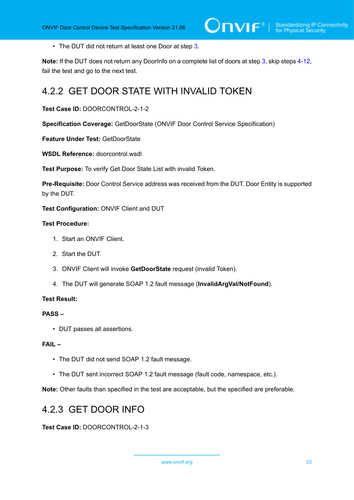• The DUT did not return at least one Door at step [3](#page-30-2).

**Note:** If the DUT does not return any DoorInfo on a complete list of doors at step [3](#page-30-2), skip steps [4](#page-31-0)-[12,](#page-31-2) fail the test and go to the next test.

# <span id="page-32-0"></span>4.2.2 GET DOOR STATE WITH INVALID TOKEN

**Test Case ID:** DOORCONTROL-2-1-2

**Specification Coverage:** GetDoorState (ONVIF Door Control Service Specification)

**Feature Under Test:** GetDoorState

WSDL Reference: doorcontrol.wsdl

**Test Purpose:** To verify Get Door State List with invalid Token.

**Pre-Requisite:** Door Control Service address was received from the DUT. Door Entity is supported by the DUT.

**Test Configuration:** ONVIF Client and DUT

#### **Test Procedure:**

- 1. Start an ONVIF Client.
- 2. Start the DUT.
- 3. ONVIF Client will invoke **GetDoorState** request (invalid Token).
- 4. The DUT will generate SOAP 1.2 fault message (**InvalidArgVal/NotFound**).

#### **Test Result:**

#### **PASS –**

• DUT passes all assertions.

#### **FAIL –**

- The DUT did not send SOAP 1.2 fault message.
- The DUT sent incorrect SOAP 1.2 fault message (fault code, namespace, etc.).

<span id="page-32-1"></span>**Note:** Other faults than specified in the test are acceptable, but the specified are preferable.

# 4.2.3 GET DOOR INFO

**Test Case ID:** DOORCONTROL-2-1-3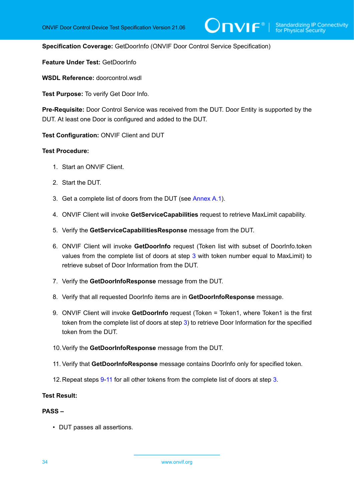**Specification Coverage:** GetDoorInfo (ONVIF Door Control Service Specification)

**Feature Under Test:** GetDoorInfo

**WSDL Reference:** doorcontrol.wsdl

**Test Purpose:** To verify Get Door Info.

**Pre-Requisite:** Door Control Service was received from the DUT. Door Entity is supported by the DUT. At least one Door is configured and added to the DUT.

**Test Configuration:** ONVIF Client and DUT

#### **Test Procedure:**

- 1. Start an ONVIF Client.
- 2. Start the DUT.
- <span id="page-33-0"></span>3. Get a complete list of doors from the DUT (see [Annex A.1\)](#page-187-1).
- 4. ONVIF Client will invoke **GetServiceCapabilities** request to retrieve MaxLimit capability.
- 5. Verify the **GetServiceCapabilitiesResponse** message from the DUT.
- 6. ONVIF Client will invoke **GetDoorInfo** request (Token list with subset of DoorInfo.token values from the complete list of doors at step [3](#page-33-0) with token number equal to MaxLimit) to retrieve subset of Door Information from the DUT.
- 7. Verify the **GetDoorInfoResponse** message from the DUT.
- 8. Verify that all requested DoorInfo items are in **GetDoorInfoResponse** message.
- <span id="page-33-1"></span>9. ONVIF Client will invoke **GetDoorInfo** request (Token = Token1, where Token1 is the first token from the complete list of doors at step [3\)](#page-33-0) to retrieve Door Information for the specified token from the DUT.
- 10.Verify the **GetDoorInfoResponse** message from the DUT.
- <span id="page-33-2"></span>11. Verify that **GetDoorInfoResponse** message contains DoorInfo only for specified token.
- 12.Repeat steps [9](#page-33-1)-[11](#page-33-2) for all other tokens from the complete list of doors at step [3](#page-33-0).

#### **Test Result:**

#### **PASS –**

• DUT passes all assertions.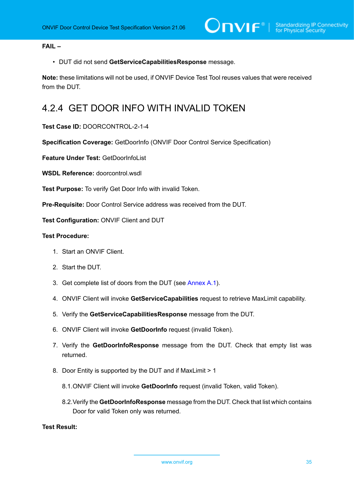#### **FAIL –**

• DUT did not send **GetServiceCapabilitiesResponse** message.

**Note:** these limitations will not be used, if ONVIF Device Test Tool reuses values that were received from the DUT.

# <span id="page-34-0"></span>4.2.4 GET DOOR INFO WITH INVALID TOKEN

**Test Case ID:** DOORCONTROL-2-1-4

**Specification Coverage:** GetDoorInfo (ONVIF Door Control Service Specification)

**Feature Under Test:** GetDoorInfoList

**WSDL Reference:** doorcontrol.wsdl

**Test Purpose:** To verify Get Door Info with invalid Token.

**Pre-Requisite:** Door Control Service address was received from the DUT.

**Test Configuration:** ONVIF Client and DUT

#### **Test Procedure:**

- 1. Start an ONVIF Client.
- 2. Start the DUT.
- <span id="page-34-3"></span>3. Get complete list of doors from the DUT (see [Annex A.1\)](#page-187-1).
- 4. ONVIF Client will invoke **GetServiceCapabilities** request to retrieve MaxLimit capability.
- 5. Verify the **GetServiceCapabilitiesResponse** message from the DUT.
- 6. ONVIF Client will invoke **GetDoorInfo** request (invalid Token).
- <span id="page-34-1"></span>7. Verify the **GetDoorInfoResponse** message from the DUT. Check that empty list was returned.
- <span id="page-34-4"></span>8. Door Entity is supported by the DUT and if MaxLimit > 1
	- 8.1.ONVIF Client will invoke **GetDoorInfo** request (invalid Token, valid Token).
	- 8.2.Verify the **GetDoorInfoResponse** message from the DUT. Check that list which contains Door for valid Token only was returned.

<span id="page-34-2"></span>**Test Result:**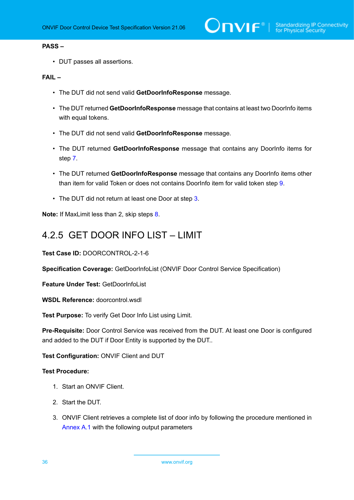#### **PASS –**

• DUT passes all assertions.

#### **FAIL –**

- The DUT did not send valid **GetDoorInfoResponse** message.
- The DUT returned **GetDoorInfoResponse** message that contains at least two DoorInfo items with equal tokens.
- The DUT did not send valid **GetDoorInfoResponse** message.
- The DUT returned **GetDoorInfoResponse** message that contains any DoorInfo items for step [7.](#page-34-1)
- The DUT returned **GetDoorInfoResponse** message that contains any DoorInfo items other than item for valid Token or does not contains DoorInfo item for valid token step [9.](#page-34-2)
- The DUT did not return at least one Door at step [3](#page-34-3).

<span id="page-35-0"></span>**Note:** If MaxLimit less than 2, skip steps [8](#page-34-4).

# 4.2.5 GET DOOR INFO LIST – LIMIT

**Test Case ID:** DOORCONTROL-2-1-6

**Specification Coverage:** GetDoorInfoList (ONVIF Door Control Service Specification)

**Feature Under Test:** GetDoorInfoList

**WSDL Reference:** doorcontrol.wsdl

**Test Purpose:** To verify Get Door Info List using Limit.

**Pre-Requisite:** Door Control Service was received from the DUT. At least one Door is configured and added to the DUT if Door Entity is supported by the DUT..

**Test Configuration:** ONVIF Client and DUT

#### **Test Procedure:**

- 1. Start an ONVIF Client.
- 2. Start the DUT.
- 3. ONVIF Client retrieves a complete list of door info by following the procedure mentioned in [Annex A.1](#page-187-1) with the following output parameters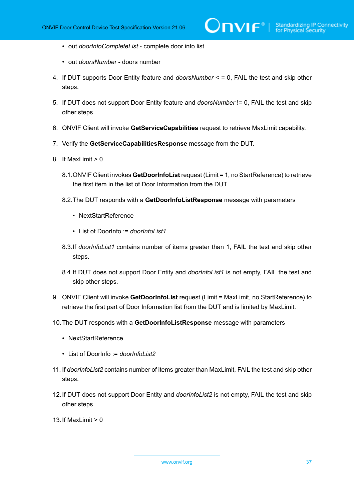- out *doorInfoCompleteList* complete door info list
- out *doorsNumber* doors number
- 4. If DUT supports Door Entity feature and *doorsNumber* < = 0, FAIL the test and skip other steps.
- 5. If DUT does not support Door Entity feature and *doorsNumber* != 0, FAIL the test and skip other steps.
- <span id="page-36-0"></span>6. ONVIF Client will invoke **GetServiceCapabilities** request to retrieve MaxLimit capability.
- 7. Verify the **GetServiceCapabilitiesResponse** message from the DUT.
- 8. If MaxLimit > 0
	- 8.1.ONVIF Client invokes **GetDoorInfoList** request (Limit = 1, no StartReference) to retrieve the first item in the list of Door Information from the DUT.
	- 8.2.The DUT responds with a **GetDoorInfoListResponse** message with parameters
		- NextStartReference
		- List of DoorInfo := *doorInfoList1*
	- 8.3.If *doorInfoList1* contains number of items greater than 1, FAIL the test and skip other steps.
	- 8.4.If DUT does not support Door Entity and *doorInfoList1* is not empty, FAIL the test and skip other steps.
- 9. ONVIF Client will invoke **GetDoorInfoList** request (Limit = MaxLimit, no StartReference) to retrieve the first part of Door Information list from the DUT and is limited by MaxLimit.
- 10.The DUT responds with a **GetDoorInfoListResponse** message with parameters
	- NextStartReference
	- List of DoorInfo := *doorInfoList2*
- 11. If *doorInfoList2* contains number of items greater than MaxLimit, FAIL the test and skip other steps.
- 12.If DUT does not support Door Entity and *doorInfoList2* is not empty, FAIL the test and skip other steps.
- 13. If MaxLimit  $> 0$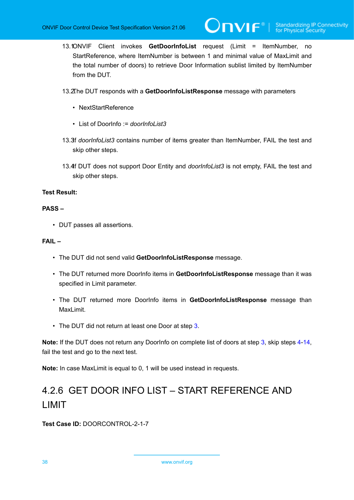13.1.ONVIF Client invokes **GetDoorInfoList** request (Limit = ItemNumber, no StartReference, where ItemNumber is between 1 and minimal value of MaxLimit and the total number of doors) to retrieve Door Information sublist limited by ItemNumber from the DUT.

 $\mathsf{D}\mathbf{n}\mathsf{V}$ lf $^\circ$ l

- 13.2.The DUT responds with a **GetDoorInfoListResponse** message with parameters
	- NextStartReference
	- List of DoorInfo := *doorInfoList3*
- 13.3.If *doorInfoList3* contains number of items greater than ItemNumber, FAIL the test and skip other steps.
- 13.4f DUT does not support Door Entity and *doorInfoList3* is not empty. FAIL the test and skip other steps.

#### **Test Result:**

#### **PASS –**

• DUT passes all assertions.

#### **FAIL –**

- The DUT did not send valid **GetDoorInfoListResponse** message.
- The DUT returned more DoorInfo items in **GetDoorInfoListResponse** message than it was specified in Limit parameter.
- The DUT returned more DoorInfo items in **GetDoorInfoListResponse** message than MaxLimit.
- The DUT did not return at least one Door at step 3.

**Note:** If the DUT does not return any DoorInfo on complete list of doors at step 3, skip steps [4](#page-36-0)-14, fail the test and go to the next test.

**Note:** In case MaxLimit is equal to 0, 1 will be used instead in requests.

# 4.2.6 GET DOOR INFO LIST – START REFERENCE AND LIMIT

**Test Case ID:** DOORCONTROL-2-1-7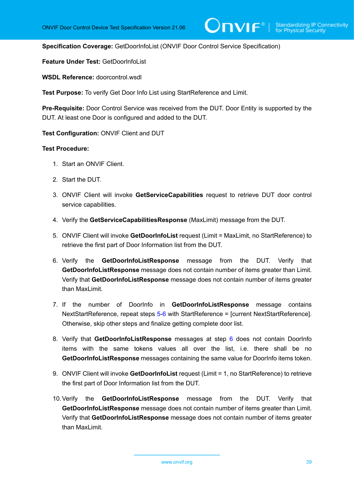**Specification Coverage:** GetDoorInfoList (ONVIF Door Control Service Specification)

**Feature Under Test:** GetDoorInfoList

WSDL Reference: doorcontrol.wsdl.

**Test Purpose:** To verify Get Door Info List using StartReference and Limit.

**Pre-Requisite:** Door Control Service was received from the DUT. Door Entity is supported by the DUT. At least one Door is configured and added to the DUT.

**Test Configuration:** ONVIF Client and DUT

- 1. Start an ONVIF Client.
- 2. Start the DUT.
- 3. ONVIF Client will invoke **GetServiceCapabilities** request to retrieve DUT door control service capabilities.
- 4. Verify the **GetServiceCapabilitiesResponse** (MaxLimit) message from the DUT.
- <span id="page-38-0"></span>5. ONVIF Client will invoke **GetDoorInfoList** request (Limit = MaxLimit, no StartReference) to retrieve the first part of Door Information list from the DUT.
- <span id="page-38-1"></span>6. Verify the **GetDoorInfoListResponse** message from the DUT. Verify that **GetDoorInfoListResponse** message does not contain number of items greater than Limit. Verify that **GetDoorInfoListResponse** message does not contain number of items greater than MaxLimit.
- <span id="page-38-4"></span>7. If the number of DoorInfo in **GetDoorInfoListResponse** message contains NextStartReference, repeat steps [5](#page-38-0)[-6](#page-38-1) with StartReference = [current NextStartReference]. Otherwise, skip other steps and finalize getting complete door list.
- 8. Verify that **GetDoorInfoListResponse** messages at step [6](#page-38-1) does not contain DoorInfo items with the same tokens values all over the list, i.e. there shall be no **GetDoorInfoListResponse** messages containing the same value for DoorInfo items token.
- <span id="page-38-2"></span>9. ONVIF Client will invoke **GetDoorInfoList** request (Limit = 1, no StartReference) to retrieve the first part of Door Information list from the DUT.
- <span id="page-38-3"></span>10.Verify the **GetDoorInfoListResponse** message from the DUT. Verify that **GetDoorInfoListResponse** message does not contain number of items greater than Limit. Verify that **GetDoorInfoListResponse** message does not contain number of items greater than MaxLimit.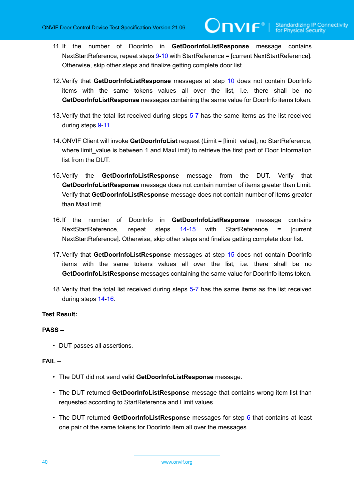<span id="page-39-0"></span>11. If the number of DoorInfo in **GetDoorInfoListResponse** message contains NextStartReference, repeat steps [9](#page-38-2)[-10](#page-38-3) with StartReference = [current NextStartReference]. Otherwise, skip other steps and finalize getting complete door list.

 $\bm{\cup}$ NIF $^{\circ}$ l

- 12.Verify that **GetDoorInfoListResponse** messages at step [10](#page-38-3) does not contain DoorInfo items with the same tokens values all over the list, i.e. there shall be no **GetDoorInfoListResponse** messages containing the same value for DoorInfo items token.
- 13. Verify that the total list received during steps [5](#page-38-0)[-7](#page-38-4) has the same items as the list received during steps [9](#page-38-2)-[11.](#page-39-0)
- <span id="page-39-1"></span>14.ONVIF Client will invoke **GetDoorInfoList** request (Limit = [limit\_value], no StartReference, where limit value is between 1 and MaxLimit) to retrieve the first part of Door Information list from the DUT.
- <span id="page-39-2"></span>15.Verify the **GetDoorInfoListResponse** message from the DUT. Verify that **GetDoorInfoListResponse** message does not contain number of items greater than Limit. Verify that **GetDoorInfoListResponse** message does not contain number of items greater than MaxLimit.
- <span id="page-39-3"></span>16.If the number of DoorInfo in **GetDoorInfoListResponse** message contains NextStartReference, repeat steps [14](#page-39-1)-[15](#page-39-2) with StartReference = [current NextStartReference]. Otherwise, skip other steps and finalize getting complete door list.
- 17.Verify that **GetDoorInfoListResponse** messages at step [15](#page-39-2) does not contain DoorInfo items with the same tokens values all over the list, i.e. there shall be no **GetDoorInfoListResponse** messages containing the same value for DoorInfo items token.
- 18.Verify that the total list received during steps [5](#page-38-0)[-7](#page-38-4) has the same items as the list received during steps [14](#page-39-1)-[16](#page-39-3).

#### **Test Result:**

#### **PASS –**

• DUT passes all assertions.

#### **FAIL –**

- The DUT did not send valid **GetDoorInfoListResponse** message.
- The DUT returned **GetDoorInfoListResponse** message that contains wrong item list than requested according to StartReference and Limit values.
- The DUT returned **GetDoorInfoListResponse** messages for step [6](#page-38-1) that contains at least one pair of the same tokens for DoorInfo item all over the messages.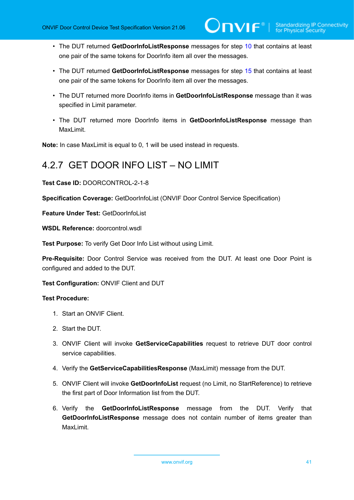- The DUT returned **GetDoorInfoListResponse** messages for step [10](#page-38-3) that contains at least one pair of the same tokens for DoorInfo item all over the messages.
- The DUT returned **GetDoorInfoListResponse** messages for step [15](#page-39-2) that contains at least one pair of the same tokens for DoorInfo item all over the messages.
- The DUT returned more DoorInfo items in **GetDoorInfoListResponse** message than it was specified in Limit parameter.
- The DUT returned more DoorInfo items in **GetDoorInfoListResponse** message than MaxLimit.

**Note:** In case MaxLimit is equal to 0, 1 will be used instead in requests.

### 4.2.7 GET DOOR INFO LIST – NO LIMIT

**Test Case ID:** DOORCONTROL-2-1-8

**Specification Coverage:** GetDoorInfoList (ONVIF Door Control Service Specification)

**Feature Under Test:** GetDoorInfoList

**WSDL Reference:** doorcontrol.wsdl

**Test Purpose:** To verify Get Door Info List without using Limit.

**Pre-Requisite:** Door Control Service was received from the DUT. At least one Door Point is configured and added to the DUT.

**Test Configuration:** ONVIF Client and DUT

- 1. Start an ONVIF Client.
- 2. Start the DUT.
- 3. ONVIF Client will invoke **GetServiceCapabilities** request to retrieve DUT door control service capabilities.
- 4. Verify the **GetServiceCapabilitiesResponse** (MaxLimit) message from the DUT.
- <span id="page-40-0"></span>5. ONVIF Client will invoke **GetDoorInfoList** request (no Limit, no StartReference) to retrieve the first part of Door Information list from the DUT.
- <span id="page-40-1"></span>6. Verify the **GetDoorInfoListResponse** message from the DUT. Verify that **GetDoorInfoListResponse** message does not contain number of items greater than MaxLimit.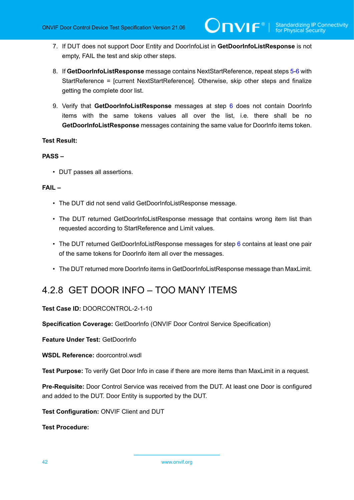- 7. If DUT does not support Door Entity and DoorInfoList in **GetDoorInfoListResponse** is not empty, FAIL the test and skip other steps.
- 8. If **GetDoorInfoListResponse** message contains NextStartReference, repeat steps [5](#page-40-0)-[6](#page-40-1) with StartReference = [current NextStartReference]. Otherwise, skip other steps and finalize getting the complete door list.
- 9. Verify that **GetDoorInfoListResponse** messages at step [6](#page-40-1) does not contain DoorInfo items with the same tokens values all over the list, i.e. there shall be no **GetDoorInfoListResponse** messages containing the same value for DoorInfo items token.

#### **PASS –**

• DUT passes all assertions.

#### **FAIL –**

- The DUT did not send valid GetDoorInfoListResponse message.
- The DUT returned GetDoorInfoListResponse message that contains wrong item list than requested according to StartReference and Limit values.
- The DUT returned GetDoorInfoListResponse messages for step [6](#page-40-1) contains at least one pair of the same tokens for DoorInfo item all over the messages.
- The DUT returned more DoorInfo items in GetDoorInfoListResponse message than MaxLimit.

## 4.2.8 GET DOOR INFO – TOO MANY ITEMS

#### **Test Case ID:** DOORCONTROL-2-1-10

**Specification Coverage:** GetDoorInfo (ONVIF Door Control Service Specification)

**Feature Under Test:** GetDoorInfo

WSDL Reference: doorcontrol.wsdl.

**Test Purpose:** To verify Get Door Info in case if there are more items than MaxLimit in a request.

**Pre-Requisite:** Door Control Service was received from the DUT. At least one Door is configured and added to the DUT. Door Entity is supported by the DUT.

**Test Configuration:** ONVIF Client and DUT

**Test Procedure:**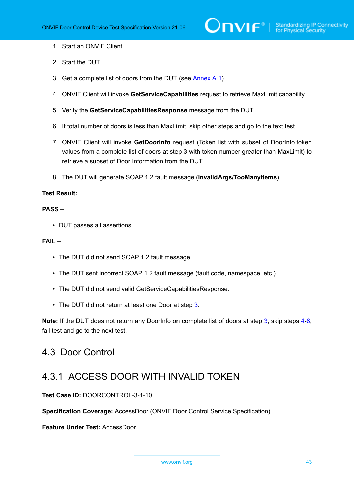- 1. Start an ONVIF Client.
- 2. Start the DUT.
- <span id="page-42-0"></span>3. Get a complete list of doors from the DUT (see [Annex A.1\)](#page-187-0).
- <span id="page-42-1"></span>4. ONVIF Client will invoke **GetServiceCapabilities** request to retrieve MaxLimit capability.
- 5. Verify the **GetServiceCapabilitiesResponse** message from the DUT.
- 6. If total number of doors is less than MaxLimit, skip other steps and go to the text test.
- 7. ONVIF Client will invoke **GetDoorInfo** request (Token list with subset of DoorInfo.token values from a complete list of doors at step 3 with token number greater than MaxLimit) to retrieve a subset of Door Information from the DUT.
- <span id="page-42-2"></span>8. The DUT will generate SOAP 1.2 fault message (**InvalidArgs/TooManyItems**).

#### **PASS –**

• DUT passes all assertions.

#### **FAIL –**

- The DUT did not send SOAP 1.2 fault message.
- The DUT sent incorrect SOAP 1.2 fault message (fault code, namespace, etc.).
- The DUT did not send valid GetServiceCapabilitiesResponse.
- The DUT did not return at least one Door at step [3](#page-42-0).

**Note:** If the DUT does not return any DoorInfo on complete list of doors at step [3,](#page-42-0) skip steps [4](#page-42-1)-[8,](#page-42-2) fail test and go to the next test.

### 4.3 Door Control

### 4.3.1 ACCESS DOOR WITH INVALID TOKEN

**Test Case ID:** DOORCONTROL-3-1-10

**Specification Coverage:** AccessDoor (ONVIF Door Control Service Specification)

**Feature Under Test:** AccessDoor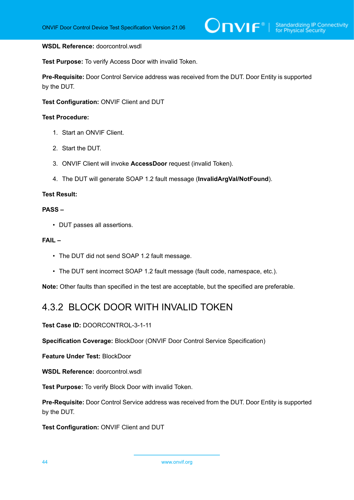#### **WSDL Reference:** doorcontrol.wsdl

**Test Purpose:** To verify Access Door with invalid Token.

**Pre-Requisite:** Door Control Service address was received from the DUT. Door Entity is supported by the DUT.

**Test Configuration:** ONVIF Client and DUT

#### **Test Procedure:**

- 1. Start an ONVIF Client.
- 2. Start the DUT.
- 3. ONVIF Client will invoke **AccessDoor** request (invalid Token).
- 4. The DUT will generate SOAP 1.2 fault message (**InvalidArgVal/NotFound**).

#### **Test Result:**

#### **PASS –**

• DUT passes all assertions.

#### **FAIL –**

- The DUT did not send SOAP 1.2 fault message.
- The DUT sent incorrect SOAP 1.2 fault message (fault code, namespace, etc.).

**Note:** Other faults than specified in the test are acceptable, but the specified are preferable.

### 4.3.2 BLOCK DOOR WITH INVALID TOKEN

**Test Case ID:** DOORCONTROL-3-1-11

**Specification Coverage:** BlockDoor (ONVIF Door Control Service Specification)

**Feature Under Test:** BlockDoor

**WSDL Reference:** doorcontrol.wsdl

**Test Purpose:** To verify Block Door with invalid Token.

**Pre-Requisite:** Door Control Service address was received from the DUT. Door Entity is supported by the DUT.

**Test Configuration:** ONVIF Client and DUT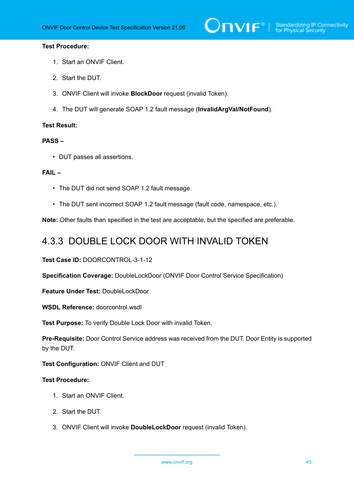# $\bigcirc$   $\bigcap$   $\bigvee$   $\bigcirc$   $\bigcirc$   $\bigcirc$   $\bigcirc$   $\bigcirc$   $\bigcirc$   $\bigcirc$   $\bigcirc$   $\bigcirc$   $\bigcirc$   $\bigcirc$   $\bigcirc$   $\bigcirc$   $\bigcirc$   $\bigcirc$   $\bigcirc$   $\bigcirc$   $\bigcirc$   $\bigcirc$   $\bigcirc$   $\bigcirc$   $\bigcirc$   $\bigcirc$   $\bigcirc$   $\bigcirc$   $\bigcirc$   $\bigcirc$   $\bigcirc$   $\bigcirc$   $\bigcirc$   $\bigcirc$   $\bigcirc$   $\bigcirc$   $\bigcirc$

#### **Test Procedure:**

- 1. Start an ONVIF Client.
- 2. Start the DUT.
- 3. ONVIF Client will invoke **BlockDoor** request (invalid Token).
- 4. The DUT will generate SOAP 1.2 fault message (**InvalidArgVal/NotFound**).

#### **Test Result:**

#### **PASS –**

• DUT passes all assertions.

#### **FAIL –**

- The DUT did not send SOAP 1.2 fault message.
- The DUT sent incorrect SOAP 1.2 fault message (fault code, namespace, etc.).

**Note:** Other faults than specified in the test are acceptable, but the specified are preferable.

### 4.3.3 DOUBLE LOCK DOOR WITH INVALID TOKEN

**Test Case ID:** DOORCONTROL-3-1-12

**Specification Coverage:** DoubleLockDoor (ONVIF Door Control Service Specification)

**Feature Under Test:** DoubleLockDoor

**WSDL Reference:** doorcontrol.wsdl

**Test Purpose:** To verify Double Lock Door with invalid Token.

**Pre-Requisite:** Door Control Service address was received from the DUT. Door Entity is supported by the DUT.

#### **Test Configuration:** ONVIF Client and DUT

- 1. Start an ONVIF Client.
- 2. Start the DUT.
- 3. ONVIF Client will invoke **DoubleLockDoor** request (invalid Token).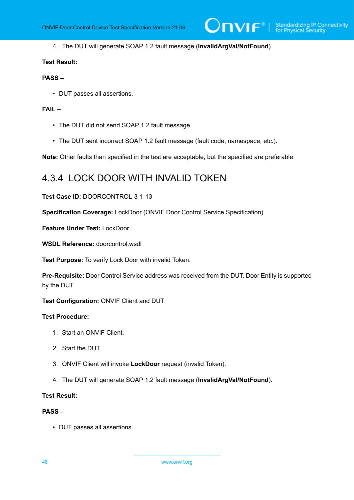$\mathsf{J}\mathsf{IVIF}^*$  i

4. The DUT will generate SOAP 1.2 fault message (**InvalidArgVal/NotFound**).

#### **Test Result:**

#### **PASS –**

• DUT passes all assertions.

#### **FAIL –**

- The DUT did not send SOAP 1.2 fault message.
- The DUT sent incorrect SOAP 1.2 fault message (fault code, namespace, etc.).

**Note:** Other faults than specified in the test are acceptable, but the specified are preferable.

### 4.3.4 LOCK DOOR WITH INVALID TOKEN

#### **Test Case ID:** DOORCONTROL-3-1-13

**Specification Coverage:** LockDoor (ONVIF Door Control Service Specification)

**Feature Under Test:** LockDoor

**WSDL Reference:** doorcontrol.wsdl

**Test Purpose:** To verify Lock Door with invalid Token.

**Pre-Requisite:** Door Control Service address was received from the DUT. Door Entity is supported by the DUT.

**Test Configuration:** ONVIF Client and DUT

#### **Test Procedure:**

- 1. Start an ONVIF Client.
- 2. Start the DUT.
- 3. ONVIF Client will invoke **LockDoor** request (invalid Token).
- 4. The DUT will generate SOAP 1.2 fault message (**InvalidArgVal/NotFound**).

#### **Test Result:**

#### **PASS –**

• DUT passes all assertions.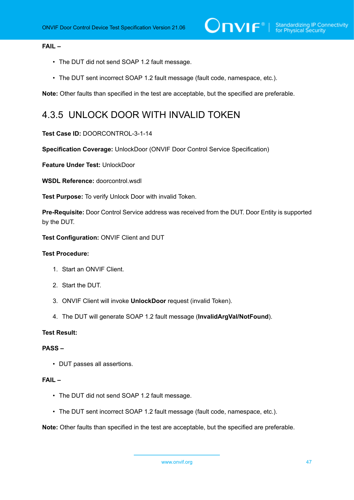#### **FAIL –**

- The DUT did not send SOAP 1.2 fault message.
- The DUT sent incorrect SOAP 1.2 fault message (fault code, namespace, etc.).

**Note:** Other faults than specified in the test are acceptable, but the specified are preferable.

### 4.3.5 UNLOCK DOOR WITH INVALID TOKEN

#### **Test Case ID:** DOORCONTROL-3-1-14

**Specification Coverage:** UnlockDoor (ONVIF Door Control Service Specification)

**Feature Under Test:** UnlockDoor

**WSDL Reference:** doorcontrol.wsdl

**Test Purpose:** To verify Unlock Door with invalid Token.

**Pre-Requisite:** Door Control Service address was received from the DUT. Door Entity is supported by the DUT.

**Test Configuration:** ONVIF Client and DUT

#### **Test Procedure:**

- 1. Start an ONVIF Client.
- 2. Start the DUT.
- 3. ONVIF Client will invoke **UnlockDoor** request (invalid Token).
- 4. The DUT will generate SOAP 1.2 fault message (**InvalidArgVal/NotFound**).

#### **Test Result:**

#### **PASS –**

• DUT passes all assertions.

#### **FAIL –**

- The DUT did not send SOAP 1.2 fault message.
- The DUT sent incorrect SOAP 1.2 fault message (fault code, namespace, etc.).

**Note:** Other faults than specified in the test are acceptable, but the specified are preferable.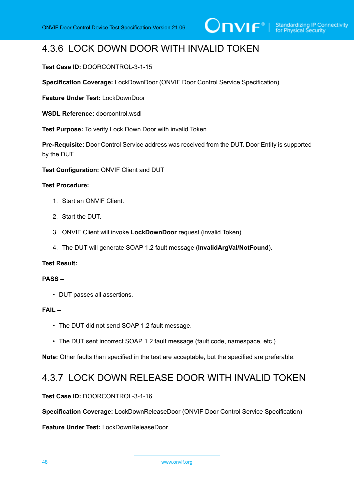## 4.3.6 LOCK DOWN DOOR WITH INVALID TOKEN

#### **Test Case ID:** DOORCONTROL-3-1-15

**Specification Coverage:** LockDownDoor (ONVIF Door Control Service Specification)

**Feature Under Test:** LockDownDoor

**WSDL Reference:** doorcontrol.wsdl

**Test Purpose:** To verify Lock Down Door with invalid Token.

**Pre-Requisite:** Door Control Service address was received from the DUT. Door Entity is supported by the DUT.

**Test Configuration:** ONVIF Client and DUT

#### **Test Procedure:**

- 1. Start an ONVIF Client.
- 2. Start the DUT.
- 3. ONVIF Client will invoke **LockDownDoor** request (invalid Token).
- 4. The DUT will generate SOAP 1.2 fault message (**InvalidArgVal/NotFound**).

#### **Test Result:**

#### **PASS –**

• DUT passes all assertions.

#### **FAIL –**

- The DUT did not send SOAP 1.2 fault message.
- The DUT sent incorrect SOAP 1.2 fault message (fault code, namespace, etc.).

**Note:** Other faults than specified in the test are acceptable, but the specified are preferable.

### 4.3.7 LOCK DOWN RELEASE DOOR WITH INVALID TOKEN

#### **Test Case ID:** DOORCONTROL-3-1-16

**Specification Coverage:** LockDownReleaseDoor (ONVIF Door Control Service Specification)

**Feature Under Test:** LockDownReleaseDoor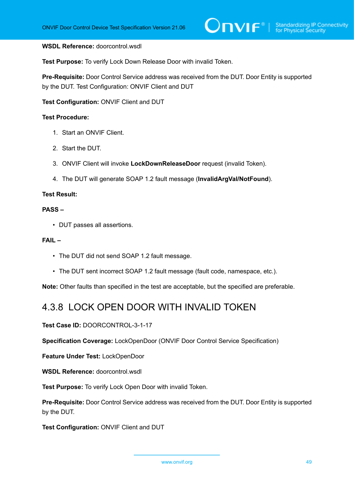#### **WSDL Reference:** doorcontrol.wsdl

**Test Purpose:** To verify Lock Down Release Door with invalid Token.

**Pre-Requisite:** Door Control Service address was received from the DUT. Door Entity is supported by the DUT. Test Configuration: ONVIF Client and DUT

**Test Configuration:** ONVIF Client and DUT

#### **Test Procedure:**

- 1. Start an ONVIF Client.
- 2. Start the DUT.
- 3. ONVIF Client will invoke **LockDownReleaseDoor** request (invalid Token).
- 4. The DUT will generate SOAP 1.2 fault message (**InvalidArgVal/NotFound**).

#### **Test Result:**

#### **PASS –**

• DUT passes all assertions.

#### **FAIL –**

- The DUT did not send SOAP 1.2 fault message.
- The DUT sent incorrect SOAP 1.2 fault message (fault code, namespace, etc.).

**Note:** Other faults than specified in the test are acceptable, but the specified are preferable.

### 4.3.8 LOCK OPEN DOOR WITH INVALID TOKEN

**Test Case ID:** DOORCONTROL-3-1-17

**Specification Coverage:** LockOpenDoor (ONVIF Door Control Service Specification)

**Feature Under Test:** LockOpenDoor

**WSDL Reference:** doorcontrol.wsdl

**Test Purpose:** To verify Lock Open Door with invalid Token.

**Pre-Requisite:** Door Control Service address was received from the DUT. Door Entity is supported by the DUT.

**Test Configuration:** ONVIF Client and DUT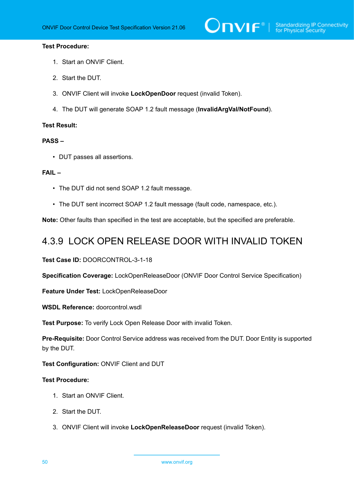# $\bigcirc$   $\blacksquare$   $\blacksquare$   $\blacksquare$   $\blacksquare$  Standardizing IP Connectivity

#### **Test Procedure:**

- 1. Start an ONVIF Client.
- 2. Start the DUT.
- 3. ONVIF Client will invoke **LockOpenDoor** request (invalid Token).
- 4. The DUT will generate SOAP 1.2 fault message (**InvalidArgVal/NotFound**).

#### **Test Result:**

#### **PASS –**

• DUT passes all assertions.

#### **FAIL –**

- The DUT did not send SOAP 1.2 fault message.
- The DUT sent incorrect SOAP 1.2 fault message (fault code, namespace, etc.).

**Note:** Other faults than specified in the test are acceptable, but the specified are preferable.

### 4.3.9 LOCK OPEN RELEASE DOOR WITH INVALID TOKEN

**Test Case ID:** DOORCONTROL-3-1-18

**Specification Coverage:** LockOpenReleaseDoor (ONVIF Door Control Service Specification)

**Feature Under Test:** LockOpenReleaseDoor

**WSDL Reference:** doorcontrol.wsdl

**Test Purpose:** To verify Lock Open Release Door with invalid Token.

**Pre-Requisite:** Door Control Service address was received from the DUT. Door Entity is supported by the DUT.

**Test Configuration:** ONVIF Client and DUT

- 1. Start an ONVIF Client.
- 2. Start the DUT.
- 3. ONVIF Client will invoke **LockOpenReleaseDoor** request (invalid Token).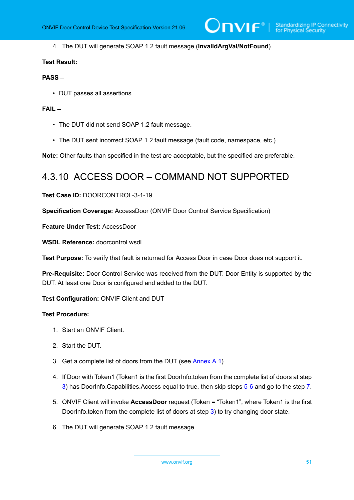4. The DUT will generate SOAP 1.2 fault message (**InvalidArgVal/NotFound**).

#### **Test Result:**

#### **PASS –**

• DUT passes all assertions.

#### **FAIL –**

- The DUT did not send SOAP 1.2 fault message.
- The DUT sent incorrect SOAP 1.2 fault message (fault code, namespace, etc.).

**Note:** Other faults than specified in the test are acceptable, but the specified are preferable.

### 4.3.10 ACCESS DOOR – COMMAND NOT SUPPORTED

#### **Test Case ID:** DOORCONTROL-3-1-19

**Specification Coverage:** AccessDoor (ONVIF Door Control Service Specification)

**Feature Under Test:** AccessDoor

**WSDL Reference:** doorcontrol.wsdl

**Test Purpose:** To verify that fault is returned for Access Door in case Door does not support it.

**Pre-Requisite:** Door Control Service was received from the DUT. Door Entity is supported by the DUT. At least one Door is configured and added to the DUT.

**Test Configuration:** ONVIF Client and DUT

- 1. Start an ONVIF Client.
- 2. Start the DUT.
- <span id="page-50-0"></span>3. Get a complete list of doors from the DUT (see [Annex A.1\)](#page-187-0).
- <span id="page-50-3"></span>4. If Door with Token1 (Token1 is the first DoorInfo.token from the complete list of doors at step [3](#page-50-0)) has DoorInfo.Capabilities.Access equal to true, then skip steps [5](#page-50-1)-[6](#page-50-2) and go to the step [7](#page-51-0).
- <span id="page-50-1"></span>5. ONVIF Client will invoke **AccessDoor** request (Token = "Token1", where Token1 is the first DoorInfo.token from the complete list of doors at step [3\)](#page-50-0) to try changing door state.
- <span id="page-50-2"></span>6. The DUT will generate SOAP 1.2 fault message.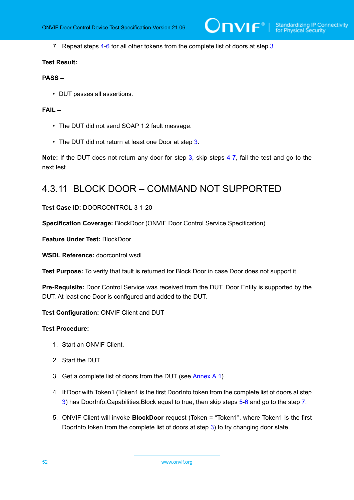<span id="page-51-0"></span>7. Repeat steps [4](#page-50-3)-[6](#page-50-2) for all other tokens from the complete list of doors at step [3](#page-50-0).

#### **Test Result:**

#### **PASS –**

• DUT passes all assertions.

#### **FAIL –**

- The DUT did not send SOAP 1.2 fault message.
- The DUT did not return at least one Door at step [3](#page-50-0).

**Note:** If the DUT does not return any door for step [3](#page-50-0), skip steps [4](#page-50-3)-[7,](#page-51-0) fail the test and go to the next test.

### 4.3.11 BLOCK DOOR – COMMAND NOT SUPPORTED

#### **Test Case ID:** DOORCONTROL-3-1-20

**Specification Coverage:** BlockDoor (ONVIF Door Control Service Specification)

**Feature Under Test:** BlockDoor

**WSDL Reference:** doorcontrol.wsdl

**Test Purpose:** To verify that fault is returned for Block Door in case Door does not support it.

**Pre-Requisite:** Door Control Service was received from the DUT. Door Entity is supported by the DUT. At least one Door is configured and added to the DUT.

**Test Configuration:** ONVIF Client and DUT

- 1. Start an ONVIF Client.
- 2. Start the DUT.
- <span id="page-51-1"></span>3. Get a complete list of doors from the DUT (see [Annex A.1\)](#page-187-0).
- <span id="page-51-3"></span>4. If Door with Token1 (Token1 is the first DoorInfo.token from the complete list of doors at step [3](#page-51-1)) has DoorInfo.Capabilities.Block equal to true, then skip steps [5](#page-51-2)-[6](#page-52-0) and go to the step [7](#page-52-1).
- <span id="page-51-2"></span>5. ONVIF Client will invoke **BlockDoor** request (Token = "Token1", where Token1 is the first DoorInfo.token from the complete list of doors at step [3\)](#page-51-1) to try changing door state.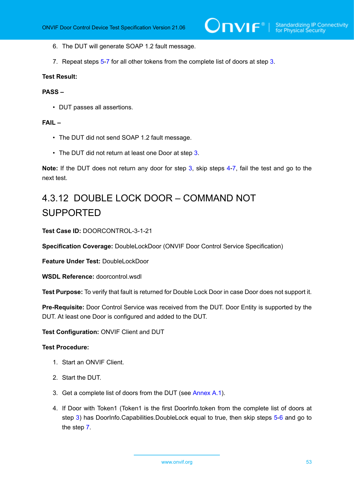- <span id="page-52-0"></span>6. The DUT will generate SOAP 1.2 fault message.
- <span id="page-52-1"></span>7. Repeat steps [5](#page-51-2)-[7](#page-52-1) for all other tokens from the complete list of doors at step [3](#page-51-1).

#### **PASS –**

• DUT passes all assertions.

#### **FAIL –**

- The DUT did not send SOAP 1.2 fault message.
- The DUT did not return at least one Door at step [3](#page-51-1).

**Note:** If the DUT does not return any door for step [3](#page-51-1), skip steps [4](#page-51-3)-[7,](#page-52-1) fail the test and go to the next test.

# 4.3.12 DOUBLE LOCK DOOR – COMMAND NOT SUPPORTED

**Test Case ID:** DOORCONTROL-3-1-21

**Specification Coverage:** DoubleLockDoor (ONVIF Door Control Service Specification)

**Feature Under Test:** DoubleLockDoor

**WSDL Reference:** doorcontrol.wsdl

**Test Purpose:** To verify that fault is returned for Double Lock Door in case Door does not support it.

**Pre-Requisite:** Door Control Service was received from the DUT. Door Entity is supported by the DUT. At least one Door is configured and added to the DUT.

**Test Configuration:** ONVIF Client and DUT

- 1. Start an ONVIF Client.
- 2. Start the DUT.
- <span id="page-52-2"></span>3. Get a complete list of doors from the DUT (see [Annex A.1\)](#page-187-0).
- <span id="page-52-3"></span>4. If Door with Token1 (Token1 is the first DoorInfo.token from the complete list of doors at step [3\)](#page-52-2) has DoorInfo.Capabilities.DoubleLock equal to true, then skip steps [5-](#page-53-0)[6](#page-53-1) and go to the step [7.](#page-53-2)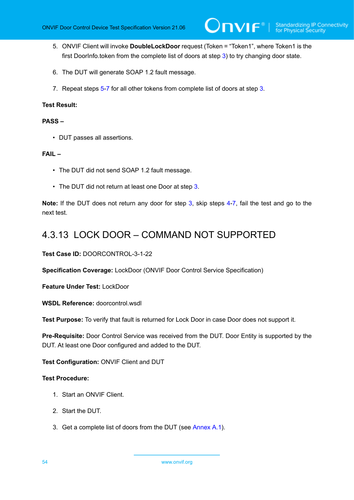- <span id="page-53-0"></span>5. ONVIF Client will invoke **DoubleLockDoor** request (Token = "Token1", where Token1 is the first DoorInfo.token from the complete list of doors at step [3\)](#page-52-2) to try changing door state.
- <span id="page-53-1"></span>6. The DUT will generate SOAP 1.2 fault message.
- <span id="page-53-2"></span>7. Repeat steps [5](#page-53-0)-[7](#page-53-2) for all other tokens from complete list of doors at step [3.](#page-52-2)

#### **PASS –**

• DUT passes all assertions.

#### **FAIL –**

- The DUT did not send SOAP 1.2 fault message.
- The DUT did not return at least one Door at step [3](#page-52-2).

**Note:** If the DUT does not return any door for step [3](#page-52-2), skip steps [4](#page-52-3)-[7,](#page-53-2) fail the test and go to the next test.

### 4.3.13 LOCK DOOR – COMMAND NOT SUPPORTED

**Test Case ID:** DOORCONTROL-3-1-22

**Specification Coverage:** LockDoor (ONVIF Door Control Service Specification)

**Feature Under Test:** LockDoor

WSDL Reference: doorcontrol.wsdl.

**Test Purpose:** To verify that fault is returned for Lock Door in case Door does not support it.

**Pre-Requisite:** Door Control Service was received from the DUT. Door Entity is supported by the DUT. At least one Door configured and added to the DUT.

**Test Configuration:** ONVIF Client and DUT

- 1. Start an ONVIF Client.
- 2. Start the DUT.
- <span id="page-53-3"></span>3. Get a complete list of doors from the DUT (see [Annex A.1\)](#page-187-0).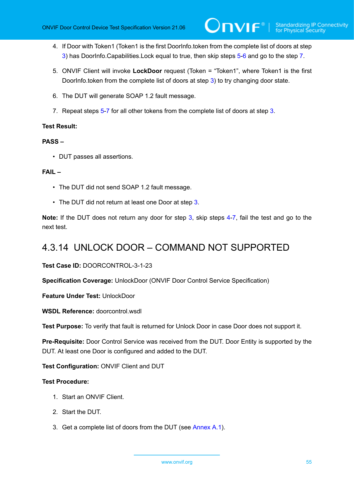- <span id="page-54-3"></span>4. If Door with Token1 (Token1 is the first DoorInfo.token from the complete list of doors at step [3](#page-53-3)) has DoorInfo.Capabilities.Lock equal to true, then skip steps [5](#page-54-0)[-6](#page-54-1) and go to the step [7.](#page-54-2)
- <span id="page-54-0"></span>5. ONVIF Client will invoke **LockDoor** request (Token = "Token1", where Token1 is the first DoorInfo.token from the complete list of doors at step [3\)](#page-53-3) to try changing door state.
- <span id="page-54-1"></span>6. The DUT will generate SOAP 1.2 fault message.
- <span id="page-54-2"></span>7. Repeat steps [5](#page-54-0)-[7](#page-54-2) for all other tokens from the complete list of doors at step [3](#page-53-3).

#### **PASS –**

• DUT passes all assertions.

#### **FAIL –**

- The DUT did not send SOAP 1.2 fault message.
- The DUT did not return at least one Door at step [3](#page-53-3).

**Note:** If the DUT does not return any door for step [3](#page-53-3), skip steps [4](#page-54-3)-[7,](#page-54-2) fail the test and go to the next test.

### 4.3.14 UNLOCK DOOR – COMMAND NOT SUPPORTED

**Test Case ID:** DOORCONTROL-3-1-23

**Specification Coverage:** UnlockDoor (ONVIF Door Control Service Specification)

**Feature Under Test:** UnlockDoor

**WSDL Reference:** doorcontrol.wsdl

**Test Purpose:** To verify that fault is returned for Unlock Door in case Door does not support it.

**Pre-Requisite:** Door Control Service was received from the DUT. Door Entity is supported by the DUT. At least one Door is configured and added to the DUT.

**Test Configuration:** ONVIF Client and DUT

- 1. Start an ONVIF Client.
- 2. Start the DUT.
- <span id="page-54-4"></span>3. Get a complete list of doors from the DUT (see [Annex A.1\)](#page-187-0).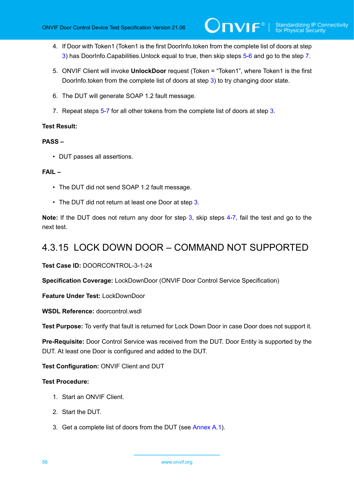- <span id="page-55-3"></span>4. If Door with Token1 (Token1 is the first DoorInfo.token from the complete list of doors at step [3](#page-54-4)) has DoorInfo.Capabilities.Unlock equal to true, then skip steps [5-](#page-55-0)[6](#page-55-1) and go to the step [7.](#page-55-2)
- <span id="page-55-0"></span>5. ONVIF Client will invoke **UnlockDoor** request (Token = "Token1", where Token1 is the first DoorInfo.token from the complete list of doors at step [3\)](#page-54-4) to try changing door state.
- <span id="page-55-1"></span>6. The DUT will generate SOAP 1.2 fault message.
- <span id="page-55-2"></span>7. Repeat steps [5](#page-55-0)-[7](#page-55-2) for all other tokens from the complete list of doors at step [3](#page-54-4).

#### **PASS –**

• DUT passes all assertions.

#### **FAIL –**

- The DUT did not send SOAP 1.2 fault message.
- The DUT did not return at least one Door at step [3](#page-54-4).

**Note:** If the DUT does not return any door for step [3](#page-54-4), skip steps [4](#page-55-3)-[7,](#page-55-2) fail the test and go to the next test.

### 4.3.15 LOCK DOWN DOOR – COMMAND NOT SUPPORTED

**Test Case ID:** DOORCONTROL-3-1-24

**Specification Coverage:** LockDownDoor (ONVIF Door Control Service Specification)

**Feature Under Test:** LockDownDoor

**WSDL Reference:** doorcontrol.wsdl

**Test Purpose:** To verify that fault is returned for Lock Down Door in case Door does not support it.

**Pre-Requisite:** Door Control Service was received from the DUT. Door Entity is supported by the DUT. At least one Door is configured and added to the DUT.

**Test Configuration:** ONVIF Client and DUT

- 1. Start an ONVIF Client.
- 2. Start the DUT.
- <span id="page-55-4"></span>3. Get a complete list of doors from the DUT (see [Annex A.1\)](#page-187-0).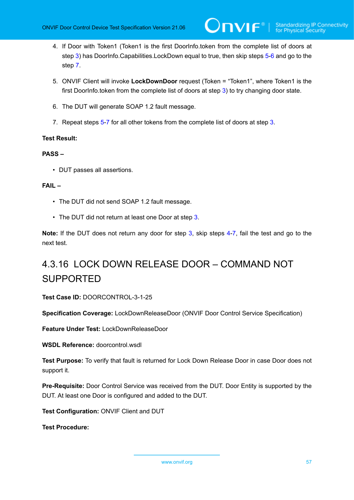- <span id="page-56-3"></span>4. If Door with Token1 (Token1 is the first DoorInfo.token from the complete list of doors at step [3\)](#page-55-4) has DoorInfo.Capabilities.LockDown equal to true, then skip steps [5](#page-56-0)[-6](#page-56-1) and go to the step [7](#page-56-2).
- <span id="page-56-0"></span>5. ONVIF Client will invoke **LockDownDoor** request (Token = "Token1", where Token1 is the first DoorInfo.token from the complete list of doors at step [3\)](#page-55-4) to try changing door state.
- <span id="page-56-1"></span>6. The DUT will generate SOAP 1.2 fault message.
- <span id="page-56-2"></span>7. Repeat steps [5](#page-56-0)-[7](#page-56-2) for all other tokens from the complete list of doors at step [3](#page-55-4).

#### **PASS –**

• DUT passes all assertions.

#### **FAIL –**

- The DUT did not send SOAP 1.2 fault message.
- The DUT did not return at least one Door at step [3](#page-55-4).

**Note:** If the DUT does not return any door for step [3](#page-55-4), skip steps [4](#page-56-3)-[7,](#page-56-2) fail the test and go to the next test.

# 4.3.16 LOCK DOWN RELEASE DOOR – COMMAND NOT SUPPORTED

**Test Case ID:** DOORCONTROL-3-1-25

**Specification Coverage:** LockDownReleaseDoor (ONVIF Door Control Service Specification)

**Feature Under Test:** LockDownReleaseDoor

**WSDL Reference:** doorcontrol.wsdl

**Test Purpose:** To verify that fault is returned for Lock Down Release Door in case Door does not support it.

**Pre-Requisite:** Door Control Service was received from the DUT. Door Entity is supported by the DUT. At least one Door is configured and added to the DUT.

**Test Configuration:** ONVIF Client and DUT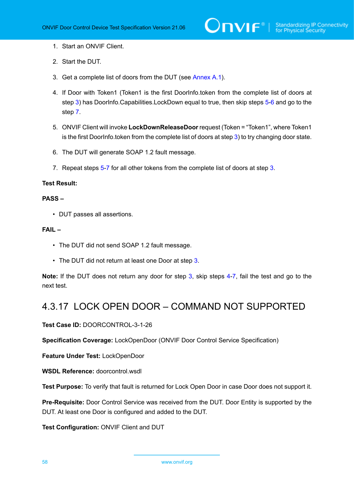- 1. Start an ONVIF Client.
- 2. Start the DUT.
- <span id="page-57-0"></span>3. Get a complete list of doors from the DUT (see [Annex A.1\)](#page-187-0).
- <span id="page-57-4"></span>4. If Door with Token1 (Token1 is the first DoorInfo.token from the complete list of doors at step [3\)](#page-57-0) has DoorInfo.Capabilities.LockDown equal to true, then skip steps [5](#page-57-1)[-6](#page-57-2) and go to the step [7](#page-57-3).
- <span id="page-57-1"></span>5. ONVIF Client will invoke **LockDownReleaseDoor**request (Token = "Token1", where Token1 is the first DoorInfo.token from the complete list of doors at step  $3$ ) to try changing door state.
- <span id="page-57-2"></span>6. The DUT will generate SOAP 1.2 fault message.
- <span id="page-57-3"></span>7. Repeat steps [5](#page-57-1)-[7](#page-57-3) for all other tokens from the complete list of doors at step [3](#page-57-0).

#### **PASS –**

• DUT passes all assertions.

#### **FAIL –**

- The DUT did not send SOAP 1.2 fault message.
- The DUT did not return at least one Door at step [3](#page-57-0).

**Note:** If the DUT does not return any door for step [3](#page-57-0), skip steps [4](#page-57-4)-[7,](#page-57-3) fail the test and go to the next test.

### 4.3.17 LOCK OPEN DOOR – COMMAND NOT SUPPORTED

#### **Test Case ID:** DOORCONTROL-3-1-26

**Specification Coverage:** LockOpenDoor (ONVIF Door Control Service Specification)

**Feature Under Test:** LockOpenDoor

**WSDL Reference:** doorcontrol.wsdl

**Test Purpose:** To verify that fault is returned for Lock Open Door in case Door does not support it.

**Pre-Requisite:** Door Control Service was received from the DUT. Door Entity is supported by the DUT. At least one Door is configured and added to the DUT.

**Test Configuration:** ONVIF Client and DUT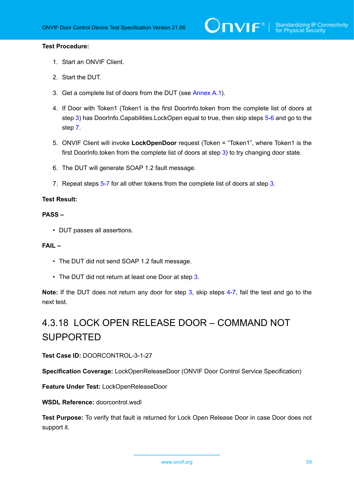#### **Test Procedure:**

- 1. Start an ONVIF Client.
- 2. Start the DUT.
- <span id="page-58-0"></span>3. Get a complete list of doors from the DUT (see [Annex A.1\)](#page-187-0).
- <span id="page-58-4"></span>4. If Door with Token1 (Token1 is the first DoorInfo.token from the complete list of doors at step [3\)](#page-58-0) has DoorInfo.Capabilities.LockOpen equal to true, then skip steps [5-](#page-58-1)[6](#page-58-2) and go to the step [7](#page-58-3).
- <span id="page-58-1"></span>5. ONVIF Client will invoke **LockOpenDoor** request (Token = "Token1", where Token1 is the first DoorInfo.token from the complete list of doors at step [3\)](#page-58-0) to try changing door state.
- <span id="page-58-2"></span>6. The DUT will generate SOAP 1.2 fault message.
- <span id="page-58-3"></span>7. Repeat steps [5](#page-58-1)-[7](#page-58-3) for all other tokens from the complete list of doors at step [3](#page-58-0).

#### **Test Result:**

#### **PASS –**

• DUT passes all assertions.

#### **FAIL –**

- The DUT did not send SOAP 1.2 fault message.
- The DUT did not return at least one Door at step [3](#page-58-0).

**Note:** If the DUT does not return any door for step [3](#page-58-0), skip steps [4](#page-58-4)-[7,](#page-58-3) fail the test and go to the next test.

# 4.3.18 LOCK OPEN RELEASE DOOR – COMMAND NOT SUPPORTED

**Test Case ID:** DOORCONTROL-3-1-27

**Specification Coverage:** LockOpenReleaseDoor (ONVIF Door Control Service Specification)

**Feature Under Test:** LockOpenReleaseDoor

WSDL Reference: doorcontrol.wsdl

**Test Purpose:** To verify that fault is returned for Lock Open Release Door in case Door does not support it.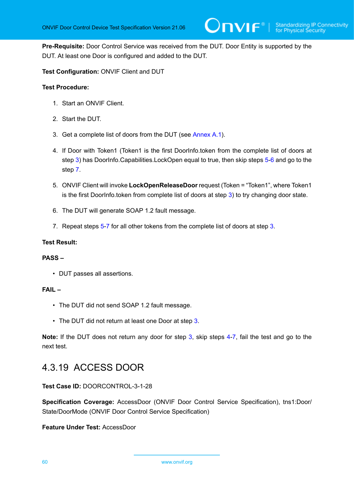**Pre-Requisite:** Door Control Service was received from the DUT. Door Entity is supported by the DUT. At least one Door is configured and added to the DUT.

#### **Test Configuration:** ONVIF Client and DUT

#### **Test Procedure:**

- 1. Start an ONVIF Client.
- 2. Start the DUT.
- <span id="page-59-0"></span>3. Get a complete list of doors from the DUT (see [Annex A.1\)](#page-187-0).
- <span id="page-59-4"></span>4. If Door with Token1 (Token1 is the first DoorInfo.token from the complete list of doors at step [3\)](#page-59-0) has DoorInfo.Capabilities.LockOpen equal to true, then skip steps [5-](#page-59-1)[6](#page-59-2) and go to the step [7](#page-59-3).
- <span id="page-59-1"></span>5. ONVIF Client will invoke **LockOpenReleaseDoor** request (Token = "Token1", where Token1 is the first DoorInfo.token from complete list of doors at step [3](#page-59-0)) to try changing door state.
- <span id="page-59-2"></span>6. The DUT will generate SOAP 1.2 fault message.
- <span id="page-59-3"></span>7. Repeat steps [5](#page-59-1)-[7](#page-59-3) for all other tokens from the complete list of doors at step [3](#page-59-0).

#### **Test Result:**

#### **PASS –**

• DUT passes all assertions.

#### **FAIL –**

- The DUT did not send SOAP 1.2 fault message.
- The DUT did not return at least one Door at step [3](#page-59-0).

**Note:** If the DUT does not return any door for step [3](#page-59-0), skip steps [4](#page-59-4)-[7,](#page-59-3) fail the test and go to the next test.

### 4.3.19 ACCESS DOOR

**Test Case ID:** DOORCONTROL-3-1-28

**Specification Coverage:** AccessDoor (ONVIF Door Control Service Specification), tns1:Door/ State/DoorMode (ONVIF Door Control Service Specification)

**Feature Under Test:** AccessDoor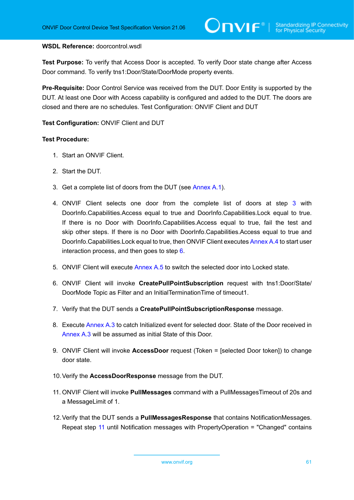#### **WSDL Reference:** doorcontrol.wsdl

**Test Purpose:** To verify that Access Door is accepted. To verify Door state change after Access Door command. To verify tns1:Door/State/DoorMode property events.

**Pre-Requisite:** Door Control Service was received from the DUT. Door Entity is supported by the DUT. At least one Door with Access capability is configured and added to the DUT. The doors are closed and there are no schedules. Test Configuration: ONVIF Client and DUT

**Test Configuration:** ONVIF Client and DUT

- 1. Start an ONVIF Client.
- 2. Start the DUT.
- <span id="page-60-0"></span>3. Get a complete list of doors from the DUT (see [Annex A.1\)](#page-187-0).
- <span id="page-60-5"></span>4. ONVIF Client selects one door from the complete list of doors at step [3](#page-60-0) with DoorInfo.Capabilities.Access equal to true and DoorInfo.Capabilities.Lock equal to true. If there is no Door with DoorInfo.Capabilities.Access equal to true, fail the test and skip other steps. If there is no Door with DoorInfo.Capabilities.Access equal to true and DoorInfo.Capabilities.Lock equal to true, then ONVIF Client executes [Annex A.4](#page-188-0) to start user interaction process, and then goes to step [6](#page-60-1).
- 5. ONVIF Client will execute [Annex A.5](#page-189-0) to switch the selected door into Locked state.
- <span id="page-60-1"></span>6. ONVIF Client will invoke **CreatePullPointSubscription** request with tns1:Door/State/ DoorMode Topic as Filter and an InitialTerminationTime of timeout1.
- 7. Verify that the DUT sends a **CreatePullPointSubscriptionResponse** message.
- <span id="page-60-3"></span>8. Execute [Annex A.3](#page-187-1) to catch Initialized event for selected door. State of the Door received in [Annex A.3](#page-187-1) will be assumed as initial State of this Door.
- 9. ONVIF Client will invoke **AccessDoor** request (Token = [selected Door token]) to change door state.
- 10.Verify the **AccessDoorResponse** message from the DUT.
- <span id="page-60-2"></span>11. ONVIF Client will invoke **PullMessages** command with a PullMessagesTimeout of 20s and a MessageLimit of 1.
- <span id="page-60-4"></span>12.Verify that the DUT sends a **PullMessagesResponse** that contains NotificationMessages. Repeat step [11](#page-60-2) until Notification messages with PropertyOperation = "Changed" contains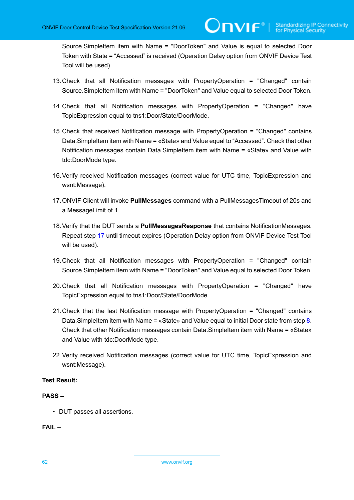Source.SimpleItem item with Name = "DoorToken" and Value is equal to selected Door Token with State = "Accessed" is received (Operation Delay option from ONVIF Device Test Tool will be used).

- 13.Check that all Notification messages with PropertyOperation = "Changed" contain Source.SimpleItem item with Name = "DoorToken" and Value equal to selected Door Token.
- 14.Check that all Notification messages with PropertyOperation = "Changed" have TopicExpression equal to tns1:Door/State/DoorMode.
- 15.Check that received Notification message with PropertyOperation = "Changed" contains Data.SimpleItem item with Name = «State» and Value equal to "Accessed". Check that other Notification messages contain Data.SimpleItem item with Name = «State» and Value with tdc:DoorMode type.
- 16.Verify received Notification messages (correct value for UTC time, TopicExpression and wsnt:Message).
- <span id="page-61-0"></span>17.ONVIF Client will invoke **PullMessages** command with a PullMessagesTimeout of 20s and a MessageLimit of 1.
- <span id="page-61-1"></span>18.Verify that the DUT sends a **PullMessagesResponse** that contains NotificationMessages. Repeat step [17](#page-61-0) until timeout expires (Operation Delay option from ONVIF Device Test Tool will be used).
- 19.Check that all Notification messages with PropertyOperation = "Changed" contain Source.SimpleItem item with Name = "DoorToken" and Value equal to selected Door Token.
- 20.Check that all Notification messages with PropertyOperation = "Changed" have TopicExpression equal to tns1:Door/State/DoorMode.
- 21.Check that the last Notification message with PropertyOperation = "Changed" contains Data.SimpleItem item with Name = «State» and Value equal to initial Door state from step [8.](#page-60-3) Check that other Notification messages contain Data.SimpleItem item with Name = «State» and Value with tdc:DoorMode type.
- <span id="page-61-2"></span>22.Verify received Notification messages (correct value for UTC time, TopicExpression and wsnt:Message).

#### **Test Result:**

#### **PASS –**

• DUT passes all assertions.

#### **FAIL –**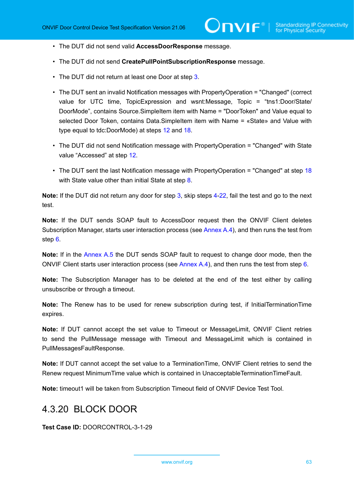- The DUT did not send valid **AccessDoorResponse** message.
- The DUT did not send **CreatePullPointSubscriptionResponse** message.
- The DUT did not return at least one Door at step [3](#page-60-0).
- The DUT sent an invalid Notification messages with PropertyOperation = "Changed" (correct value for UTC time, TopicExpression and wsnt:Message, Topic = "tns1:Door/State/ DoorMode", contains Source.SimpleItem item with Name = "DoorToken" and Value equal to selected Door Token, contains Data.SimpleItem item with Name = «State» and Value with type equal to tdc:DoorMode) at steps [12](#page-60-4) and [18.](#page-61-1)
- The DUT did not send Notification message with PropertyOperation = "Changed" with State value "Accessed" at step [12.](#page-60-4)
- The DUT sent the last Notification message with PropertyOperation = "Changed" at step [18](#page-61-1) with State value other than initial State at step [8.](#page-60-3)

**Note:** If the DUT did not return any door for step [3](#page-60-0), skip steps [4](#page-60-5)-[22,](#page-61-2) fail the test and go to the next test.

**Note:** If the DUT sends SOAP fault to AccessDoor request then the ONVIF Client deletes Subscription Manager, starts user interaction process (see [Annex A.4](#page-188-0)), and then runs the test from step [6](#page-60-1).

**Note:** If in the [Annex A.5](#page-189-0) the DUT sends SOAP fault to request to change door mode, then the ONVIF Client starts user interaction process (see [Annex A.4](#page-188-0)), and then runs the test from step [6](#page-60-1).

**Note:** The Subscription Manager has to be deleted at the end of the test either by calling unsubscribe or through a timeout.

**Note:** The Renew has to be used for renew subscription during test, if InitialTerminationTime expires.

**Note:** If DUT cannot accept the set value to Timeout or MessageLimit, ONVIF Client retries to send the PullMessage message with Timeout and MessageLimit which is contained in PullMessagesFaultResponse.

**Note:** If DUT cannot accept the set value to a TerminationTime, ONVIF Client retries to send the Renew request MinimumTime value which is contained in UnacceptableTerminationTimeFault.

**Note:** timeout1 will be taken from Subscription Timeout field of ONVIF Device Test Tool.

### 4.3.20 BLOCK DOOR

**Test Case ID:** DOORCONTROL-3-1-29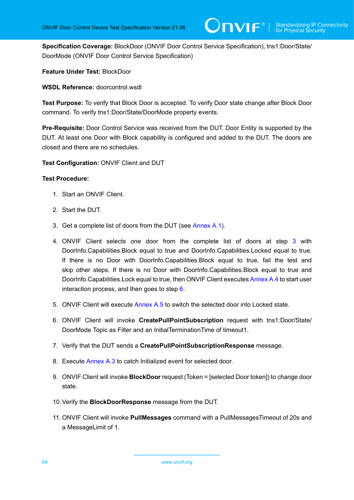**Specification Coverage:** BlockDoor (ONVIF Door Control Service Specification), tns1:Door/State/ DoorMode (ONVIF Door Control Service Specification)

#### **Feature Under Test:** BlockDoor

**WSDL Reference:** doorcontrol.wsdl

**Test Purpose:** To verify that Block Door is accepted. To verify Door state change after Block Door command. To verify tns1:Door/State/DoorMode property events.

**Pre-Requisite:** Door Control Service was received from the DUT. Door Entity is supported by the DUT. At least one Door with Block capability is configured and added to the DUT. The doors are closed and there are no schedules.

**Test Configuration:** ONVIF Client and DUT

- 1. Start an ONVIF Client.
- 2. Start the DUT.
- <span id="page-63-0"></span>3. Get a complete list of doors from the DUT (see [Annex A.1\)](#page-187-0).
- <span id="page-63-3"></span>4. ONVIF Client selects one door from the complete list of doors at step [3](#page-63-0) with DoorInfo.Capabilities.Block equal to true and DoorInfo.Capabilities.Locked equal to true. If there is no Door with DoorInfo.Capabilities.Block equal to true, fail the test and skip other steps. If there is no Door with DoorInfo.Capabilities.Block equal to true and DoorInfo.Capabilities.Lock equal to true, then ONVIF Client executes [Annex A.4](#page-188-0) to start user interaction process, and then goes to step [6](#page-63-1).
- 5. ONVIF Client will execute [Annex A.5](#page-189-0) to switch the selected door into Locked state.
- <span id="page-63-1"></span>6. ONVIF Client will invoke **CreatePullPointSubscription** request with tns1:Door/State/ DoorMode Topic as Filter and an InitialTerminationTime of timeout1.
- 7. Verify that the DUT sends a **CreatePullPointSubscriptionResponse** message.
- 8. Execute [Annex A.3](#page-187-1) to catch Initialized event for selected door.
- 9. ONVIF Client will invoke **BlockDoor** request (Token = [selected Door token]) to change door state.
- 10.Verify the **BlockDoorResponse** message from the DUT.
- <span id="page-63-2"></span>11. ONVIF Client will invoke **PullMessages** command with a PullMessagesTimeout of 20s and a MessageLimit of 1.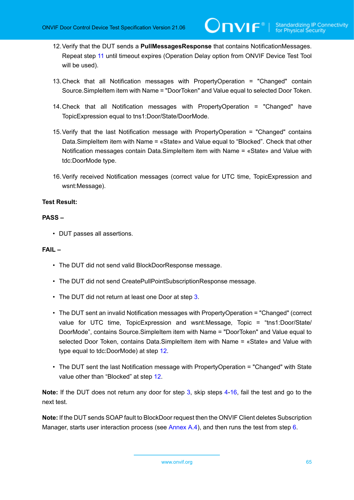- <span id="page-64-0"></span>12.Verify that the DUT sends a **PullMessagesResponse** that contains NotificationMessages. Repeat step [11](#page-63-2) until timeout expires (Operation Delay option from ONVIF Device Test Tool will be used).
- 13.Check that all Notification messages with PropertyOperation = "Changed" contain Source.SimpleItem item with Name = "DoorToken" and Value equal to selected Door Token.
- 14.Check that all Notification messages with PropertyOperation = "Changed" have TopicExpression equal to tns1:Door/State/DoorMode.
- 15.Verify that the last Notification message with PropertyOperation = "Changed" contains Data.SimpleItem item with Name = «State» and Value equal to "Blocked". Check that other Notification messages contain Data.SimpleItem item with Name = «State» and Value with tdc:DoorMode type.
- <span id="page-64-1"></span>16.Verify received Notification messages (correct value for UTC time, TopicExpression and wsnt:Message).

#### **PASS –**

• DUT passes all assertions.

#### **FAIL –**

- The DUT did not send valid BlockDoorResponse message.
- The DUT did not send CreatePullPointSubscriptionResponse message.
- The DUT did not return at least one Door at step [3](#page-63-0).
- The DUT sent an invalid Notification messages with PropertyOperation = "Changed" (correct value for UTC time, TopicExpression and wsnt:Message, Topic = "tns1:Door/State/ DoorMode", contains Source.SimpleItem item with Name = "DoorToken" and Value equal to selected Door Token, contains Data.SimpleItem item with Name = «State» and Value with type equal to tdc:DoorMode) at step [12.](#page-64-0)
- The DUT sent the last Notification message with PropertyOperation = "Changed" with State value other than "Blocked" at step [12.](#page-64-0)

**Note:** If the DUT does not return any door for step [3](#page-63-0), skip steps [4-](#page-63-3)[16,](#page-64-1) fail the test and go to the next test.

**Note:** If the DUT sends SOAP fault to BlockDoor request then the ONVIF Client deletes Subscription Manager, starts user interaction process (see [Annex A.4](#page-188-0)), and then runs the test from step [6](#page-63-1).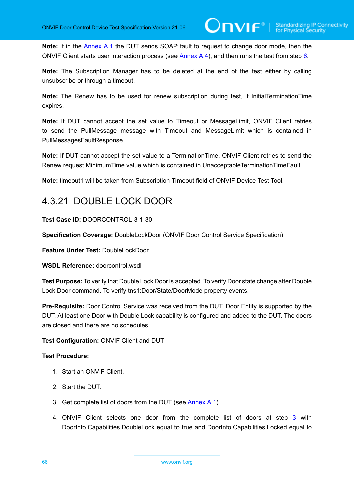**Note:** If in the [Annex A.1](#page-187-0) the DUT sends SOAP fault to request to change door mode, then the ONVIF Client starts user interaction process (see [Annex A.4](#page-188-0)), and then runs the test from step [6](#page-63-1).

**Note:** The Subscription Manager has to be deleted at the end of the test either by calling unsubscribe or through a timeout.

**Note:** The Renew has to be used for renew subscription during test, if InitialTerminationTime expires.

**Note:** If DUT cannot accept the set value to Timeout or MessageLimit, ONVIF Client retries to send the PullMessage message with Timeout and MessageLimit which is contained in PullMessagesFaultResponse.

**Note:** If DUT cannot accept the set value to a TerminationTime, ONVIF Client retries to send the Renew request MinimumTime value which is contained in UnacceptableTerminationTimeFault.

**Note:** timeout1 will be taken from Subscription Timeout field of ONVIF Device Test Tool.

### 4.3.21 DOUBLE LOCK DOOR

**Test Case ID:** DOORCONTROL-3-1-30

**Specification Coverage:** DoubleLockDoor (ONVIF Door Control Service Specification)

**Feature Under Test:** DoubleLockDoor

**WSDL Reference:** doorcontrol.wsdl

**Test Purpose:** To verify that Double Lock Door is accepted. To verify Door state change after Double Lock Door command. To verify tns1:Door/State/DoorMode property events.

**Pre-Requisite:** Door Control Service was received from the DUT. Door Entity is supported by the DUT. At least one Door with Double Lock capability is configured and added to the DUT. The doors are closed and there are no schedules.

#### **Test Configuration:** ONVIF Client and DUT

- 1. Start an ONVIF Client.
- 2. Start the DUT.
- <span id="page-65-0"></span>3. Get complete list of doors from the DUT (see [Annex A.1\)](#page-187-0).
- <span id="page-65-1"></span>4. ONVIF Client selects one door from the complete list of doors at step [3](#page-65-0) with DoorInfo.Capabilities.DoubleLock equal to true and DoorInfo.Capabilities.Locked equal to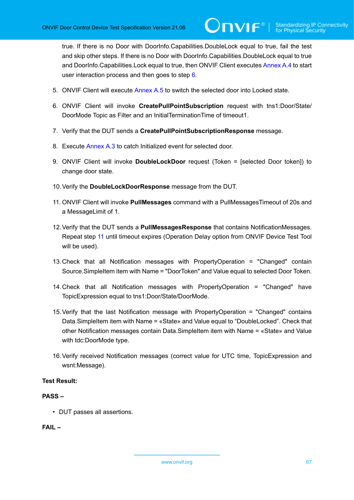true. If there is no Door with DoorInfo.Capabilities.DoubleLock equal to true, fail the test and skip other steps. If there is no Door with DoorInfo.Capabilities.DoubleLock equal to true and DoorInfo.Capabilities.Lock equal to true, then ONVIF Client executes [Annex A.4](#page-188-0) to start user interaction process and then goes to step [6](#page-66-0).

- 5. ONVIF Client will execute [Annex A.5](#page-189-0) to switch the selected door into Locked state.
- <span id="page-66-0"></span>6. ONVIF Client will invoke **CreatePullPointSubscription** request with tns1:Door/State/ DoorMode Topic as Filter and an InitialTerminationTime of timeout1.
- 7. Verify that the DUT sends a **CreatePullPointSubscriptionResponse** message.
- 8. Execute [Annex A.3](#page-187-1) to catch Initialized event for selected door.
- 9. ONVIF Client will invoke **DoubleLockDoor** request (Token = [selected Door token]) to change door state.
- 10.Verify the **DoubleLockDoorResponse** message from the DUT.
- <span id="page-66-1"></span>11. ONVIF Client will invoke **PullMessages** command with a PullMessagesTimeout of 20s and a MessageLimit of 1.
- 12.Verify that the DUT sends a **PullMessagesResponse** that contains NotificationMessages. Repeat step [11](#page-66-1) until timeout expires (Operation Delay option from ONVIF Device Test Tool will be used).
- 13.Check that all Notification messages with PropertyOperation = "Changed" contain Source.SimpleItem item with Name = "DoorToken" and Value equal to selected Door Token.
- 14.Check that all Notification messages with PropertyOperation = "Changed" have TopicExpression equal to tns1:Door/State/DoorMode.
- 15.Verify that the last Notification message with PropertyOperation = "Changed" contains Data.SimpleItem item with Name = «State» and Value equal to "DoubleLocked". Check that other Notification messages contain Data.SimpleItem item with Name = «State» and Value with tdc:DoorMode type.
- <span id="page-66-2"></span>16.Verify received Notification messages (correct value for UTC time, TopicExpression and wsnt:Message).

#### **Test Result:**

#### **PASS –**

• DUT passes all assertions.

#### **FAIL –**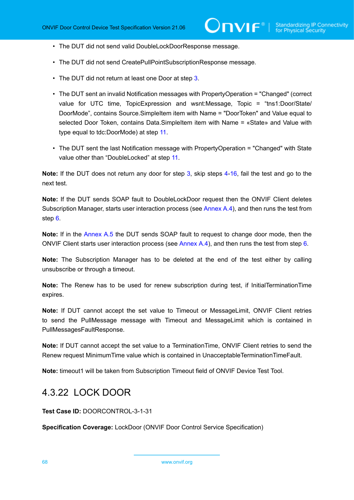- The DUT did not send valid DoubleLockDoorResponse message.
- The DUT did not send CreatePullPointSubscriptionResponse message.
- The DUT did not return at least one Door at step [3](#page-65-0).
- The DUT sent an invalid Notification messages with PropertyOperation = "Changed" (correct value for UTC time, TopicExpression and wsnt:Message, Topic = "tns1:Door/State/ DoorMode", contains Source.SimpleItem item with Name = "DoorToken" and Value equal to selected Door Token, contains Data.SimpleItem item with Name = «State» and Value with type equal to tdc:DoorMode) at step [11.](#page-66-1)
- The DUT sent the last Notification message with PropertyOperation = "Changed" with State value other than "DoubleLocked" at step [11.](#page-66-1)

**Note:** If the DUT does not return any door for step [3](#page-65-0), skip steps [4-](#page-65-1)[16,](#page-66-2) fail the test and go to the next test.

**Note:** If the DUT sends SOAP fault to DoubleLockDoor request then the ONVIF Client deletes Subscription Manager, starts user interaction process (see [Annex A.4](#page-188-0)), and then runs the test from step [6](#page-66-0).

**Note:** If in the [Annex A.5](#page-189-0) the DUT sends SOAP fault to request to change door mode, then the ONVIF Client starts user interaction process (see [Annex A.4](#page-188-0)), and then runs the test from step [6](#page-66-0).

**Note:** The Subscription Manager has to be deleted at the end of the test either by calling unsubscribe or through a timeout.

**Note:** The Renew has to be used for renew subscription during test, if InitialTerminationTime expires.

**Note:** If DUT cannot accept the set value to Timeout or MessageLimit, ONVIF Client retries to send the PullMessage message with Timeout and MessageLimit which is contained in PullMessagesFaultResponse.

**Note:** If DUT cannot accept the set value to a TerminationTime, ONVIF Client retries to send the Renew request MinimumTime value which is contained in UnacceptableTerminationTimeFault.

**Note:** timeout1 will be taken from Subscription Timeout field of ONVIF Device Test Tool.

### 4.3.22 LOCK DOOR

**Test Case ID:** DOORCONTROL-3-1-31

**Specification Coverage:** LockDoor (ONVIF Door Control Service Specification)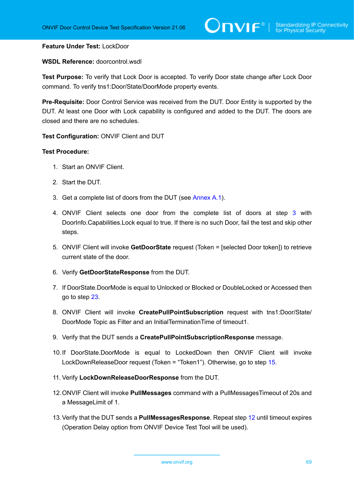#### **Feature Under Test:** LockDoor

**WSDL Reference:** doorcontrol.wsdl

**Test Purpose:** To verify that Lock Door is accepted. To verify Door state change after Lock Door command. To verify tns1:Door/State/DoorMode property events.

**Pre-Requisite:** Door Control Service was received from the DUT. Door Entity is supported by the DUT. At least one Door with Lock capability is configured and added to the DUT. The doors are closed and there are no schedules.

#### **Test Configuration:** ONVIF Client and DUT

#### **Test Procedure:**

- 1. Start an ONVIF Client.
- 2. Start the DUT.
- <span id="page-68-0"></span>3. Get a complete list of doors from the DUT (see [Annex A.1\)](#page-187-0).
- <span id="page-68-2"></span>4. ONVIF Client selects one door from the complete list of doors at step [3](#page-68-0) with DoorInfo.Capabilities.Lock equal to true. If there is no such Door, fail the test and skip other steps.
- 5. ONVIF Client will invoke **GetDoorState** request (Token = [selected Door token]) to retrieve current state of the door.
- 6. Verify **GetDoorStateResponse** from the DUT.
- 7. If DoorState.DoorMode is equal to Unlocked or Blocked or DoubleLocked or Accessed then go to step [23](#page-69-0).
- 8. ONVIF Client will invoke **CreatePullPointSubscription** request with tns1:Door/State/ DoorMode Topic as Filter and an InitialTerminationTime of timeout1.
- 9. Verify that the DUT sends a **CreatePullPointSubscriptionResponse** message.
- 10.If DoorState.DoorMode is equal to LockedDown then ONVIF Client will invoke LockDownReleaseDoor request (Token = "Token1"). Otherwise, go to step [15.](#page-69-1)
- <span id="page-68-3"></span>11. Verify **LockDownReleaseDoorResponse** from the DUT.
- <span id="page-68-1"></span>12.ONVIF Client will invoke **PullMessages** command with a PullMessagesTimeout of 20s and a MessageLimit of 1.
- <span id="page-68-4"></span>13.Verify that the DUT sends a **PullMessagesResponse**. Repeat step [12](#page-68-1) until timeout expires (Operation Delay option from ONVIF Device Test Tool will be used).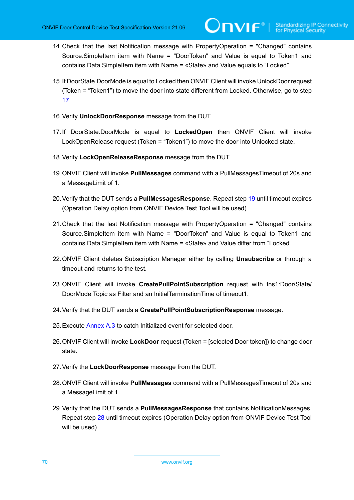- 14.Check that the last Notification message with PropertyOperation = "Changed" contains Source.SimpleItem item with Name = "DoorToken" and Value is equal to Token1 and contains Data.SimpleItem item with Name = «State» and Value equals to "Locked".
- <span id="page-69-1"></span>15.If DoorState.DoorMode is equal to Locked then ONVIF Client will invoke UnlockDoor request (Token = "Token1") to move the door into state different from Locked. Otherwise, go to step [17](#page-69-2).
- 16.Verify **UnlockDoorResponse** message from the DUT.
- <span id="page-69-2"></span>17.If DoorState.DoorMode is equal to **LockedOpen** then ONVIF Client will invoke LockOpenRelease request (Token = "Token1") to move the door into Unlocked state.
- 18.Verify **LockOpenReleaseResponse** message from the DUT.
- <span id="page-69-3"></span>19.ONVIF Client will invoke **PullMessages** command with a PullMessagesTimeout of 20s and a MessageLimit of 1.
- <span id="page-69-6"></span>20.Verify that the DUT sends a **PullMessagesResponse**. Repeat step [19](#page-69-3) until timeout expires (Operation Delay option from ONVIF Device Test Tool will be used).
- 21.Check that the last Notification message with PropertyOperation = "Changed" contains Source.SimpleItem item with Name = "DoorToken" and Value is equal to Token1 and contains Data.SimpleItem item with Name = «State» and Value differ from "Locked".
- 22.ONVIF Client deletes Subscription Manager either by calling **Unsubscribe** or through a timeout and returns to the test.
- <span id="page-69-0"></span>23.ONVIF Client will invoke **CreatePullPointSubscription** request with tns1:Door/State/ DoorMode Topic as Filter and an InitialTerminationTime of timeout1.
- 24.Verify that the DUT sends a **CreatePullPointSubscriptionResponse** message.
- 25.Execute [Annex A.3](#page-187-1) to catch Initialized event for selected door.
- 26.ONVIF Client will invoke **LockDoor** request (Token = [selected Door token]) to change door state.
- 27.Verify the **LockDoorResponse** message from the DUT.
- <span id="page-69-4"></span>28.ONVIF Client will invoke **PullMessages** command with a PullMessagesTimeout of 20s and a MessageLimit of 1.
- <span id="page-69-5"></span>29.Verify that the DUT sends a **PullMessagesResponse** that contains NotificationMessages. Repeat step [28](#page-69-4) until timeout expires (Operation Delay option from ONVIF Device Test Tool will be used).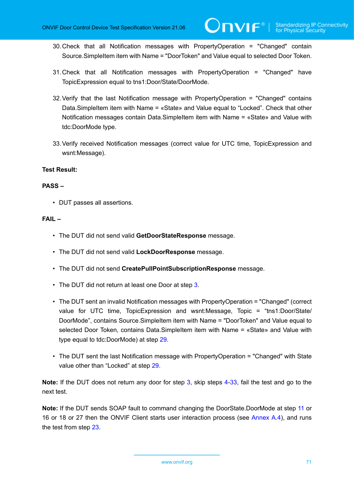- 30.Check that all Notification messages with PropertyOperation = "Changed" contain Source.SimpleItem item with Name = "DoorToken" and Value equal to selected Door Token.
- 31.Check that all Notification messages with PropertyOperation = "Changed" have TopicExpression equal to tns1:Door/State/DoorMode.
- 32.Verify that the last Notification message with PropertyOperation = "Changed" contains Data.SimpleItem item with Name = «State» and Value equal to "Locked". Check that other Notification messages contain Data.SimpleItem item with Name = «State» and Value with tdc:DoorMode type.
- <span id="page-70-0"></span>33.Verify received Notification messages (correct value for UTC time, TopicExpression and wsnt:Message).

#### **PASS –**

• DUT passes all assertions.

#### **FAIL –**

- The DUT did not send valid **GetDoorStateResponse** message.
- The DUT did not send valid **LockDoorResponse** message.
- The DUT did not send **CreatePullPointSubscriptionResponse** message.
- The DUT did not return at least one Door at step [3](#page-68-0).
- The DUT sent an invalid Notification messages with PropertyOperation = "Changed" (correct value for UTC time, TopicExpression and wsnt:Message, Topic = "tns1:Door/State/ DoorMode", contains Source.SimpleItem item with Name = "DoorToken" and Value equal to selected Door Token, contains Data.SimpleItem item with Name = «State» and Value with type equal to tdc:DoorMode) at step [29.](#page-69-5)
- The DUT sent the last Notification message with PropertyOperation = "Changed" with State value other than "Locked" at step [29](#page-69-5).

**Note:** If the DUT does not return any door for step [3](#page-68-0), skip steps [4-](#page-68-2)[33,](#page-70-0) fail the test and go to the next test.

**Note:** If the DUT sends SOAP fault to command changing the DoorState.DoorMode at step [11](#page-68-3) or 16 or 18 or 27 then the ONVIF Client starts user interaction process (see [Annex A.4](#page-188-0)), and runs the test from step [23](#page-69-0).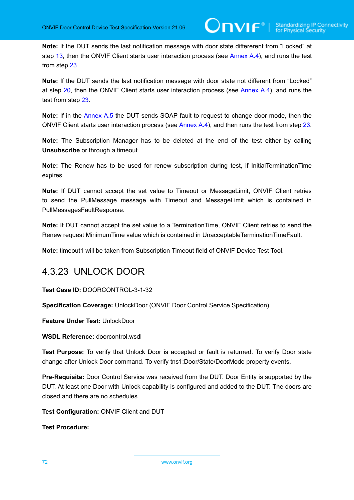**Note:** If the DUT sends the last notification message with door state differerent from "Locked" at step [13,](#page-68-4) then the ONVIF Client starts user interaction process (see [Annex A.4\)](#page-188-0), and runs the test from step [23](#page-69-0).

**Note:** If the DUT sends the last notification message with door state not different from "Locked" at step [20,](#page-69-6) then the ONVIF Client starts user interaction process (see [Annex A.4](#page-188-0)), and runs the test from step [23.](#page-69-0)

**Note:** If in the [Annex A.5](#page-189-0) the DUT sends SOAP fault to request to change door mode, then the ONVIF Client starts user interaction process (see [Annex A.4\)](#page-188-0), and then runs the test from step [23.](#page-69-0)

**Note:** The Subscription Manager has to be deleted at the end of the test either by calling **Unsubscribe** or through a timeout.

**Note:** The Renew has to be used for renew subscription during test, if InitialTerminationTime expires.

**Note:** If DUT cannot accept the set value to Timeout or MessageLimit, ONVIF Client retries to send the PullMessage message with Timeout and MessageLimit which is contained in PullMessagesFaultResponse.

**Note:** If DUT cannot accept the set value to a TerminationTime, ONVIF Client retries to send the Renew request MinimumTime value which is contained in UnacceptableTerminationTimeFault.

**Note:** timeout1 will be taken from Subscription Timeout field of ONVIF Device Test Tool.

### 4.3.23 UNLOCK DOOR

**Test Case ID:** DOORCONTROL-3-1-32

**Specification Coverage:** UnlockDoor (ONVIF Door Control Service Specification)

**Feature Under Test:** UnlockDoor

**WSDL Reference:** doorcontrol.wsdl

**Test Purpose:** To verify that Unlock Door is accepted or fault is returned. To verify Door state change after Unlock Door command. To verify tns1:Door/State/DoorMode property events.

**Pre-Requisite:** Door Control Service was received from the DUT. Door Entity is supported by the DUT. At least one Door with Unlock capability is configured and added to the DUT. The doors are closed and there are no schedules.

**Test Configuration:** ONVIF Client and DUT

**Test Procedure:**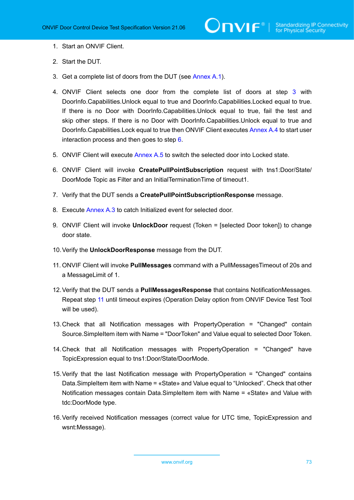- 1. Start an ONVIF Client.
- 2. Start the DUT.
- <span id="page-72-0"></span>3. Get a complete list of doors from the DUT (see [Annex A.1\)](#page-187-0).
- <span id="page-72-4"></span>4. ONVIF Client selects one door from the complete list of doors at step [3](#page-72-0) with DoorInfo.Capabilities.Unlock equal to true and DoorInfo.Capabilities.Locked equal to true. If there is no Door with DoorInfo.Capabilities.Unlock equal to true, fail the test and skip other steps. If there is no Door with DoorInfo.Capabilities.Unlock equal to true and DoorInfo.Capabilities.Lock equal to true then ONVIF Client executes [Annex A.4](#page-188-0) to start user interaction process and then goes to step [6](#page-72-1).
- 5. ONVIF Client will execute [Annex A.5](#page-189-0) to switch the selected door into Locked state.
- <span id="page-72-1"></span>6. ONVIF Client will invoke **CreatePullPointSubscription** request with tns1:Door/State/ DoorMode Topic as Filter and an InitialTerminationTime of timeout1.
- 7. Verify that the DUT sends a **CreatePullPointSubscriptionResponse** message.
- 8. Execute [Annex A.3](#page-187-1) to catch Initialized event for selected door.
- <span id="page-72-6"></span>9. ONVIF Client will invoke **UnlockDoor** request (Token = [selected Door token]) to change door state.
- 10.Verify the **UnlockDoorResponse** message from the DUT.
- <span id="page-72-2"></span>11. ONVIF Client will invoke **PullMessages** command with a PullMessagesTimeout of 20s and a MessageLimit of 1.
- <span id="page-72-3"></span>12.Verify that the DUT sends a **PullMessagesResponse** that contains NotificationMessages. Repeat step [11](#page-72-2) until timeout expires (Operation Delay option from ONVIF Device Test Tool will be used).
- 13.Check that all Notification messages with PropertyOperation = "Changed" contain Source.SimpleItem item with Name = "DoorToken" and Value equal to selected Door Token.
- 14.Check that all Notification messages with PropertyOperation = "Changed" have TopicExpression equal to tns1:Door/State/DoorMode.
- 15.Verify that the last Notification message with PropertyOperation = "Changed" contains Data.SimpleItem item with Name = «State» and Value equal to "Unlocked". Check that other Notification messages contain Data.SimpleItem item with Name = «State» and Value with tdc:DoorMode type.
- <span id="page-72-5"></span>16.Verify received Notification messages (correct value for UTC time, TopicExpression and wsnt:Message).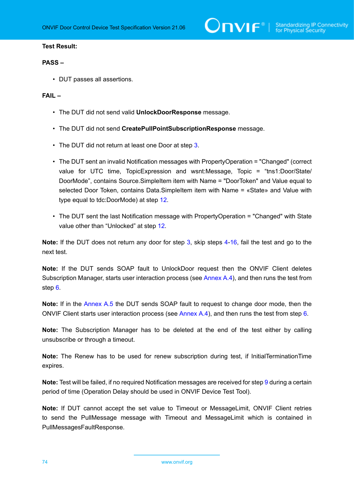$\sum_{\text{IVIF}^{\circ} | \text{Standardizing IP Connectivity}}$ 

### **Test Result:**

# **PASS –**

• DUT passes all assertions.

## **FAIL –**

- The DUT did not send valid **UnlockDoorResponse** message.
- The DUT did not send **CreatePullPointSubscriptionResponse** message.
- The DUT did not return at least one Door at step [3](#page-72-0).
- The DUT sent an invalid Notification messages with PropertyOperation = "Changed" (correct value for UTC time, TopicExpression and wsnt:Message, Topic = "tns1:Door/State/ DoorMode", contains Source.SimpleItem item with Name = "DoorToken" and Value equal to selected Door Token, contains Data.SimpleItem item with Name = «State» and Value with type equal to tdc:DoorMode) at step [12.](#page-72-3)
- The DUT sent the last Notification message with PropertyOperation = "Changed" with State value other than "Unlocked" at step [12](#page-72-3).

**Note:** If the DUT does not return any door for step [3](#page-72-0), skip steps [4-](#page-72-4)[16,](#page-72-5) fail the test and go to the next test.

**Note:** If the DUT sends SOAP fault to UnlockDoor request then the ONVIF Client deletes Subscription Manager, starts user interaction process (see [Annex A.4](#page-188-0)), and then runs the test from step [6](#page-72-1).

**Note:** If in the [Annex A.5](#page-189-0) the DUT sends SOAP fault to request to change door mode, then the ONVIF Client starts user interaction process (see [Annex A.4](#page-188-0)), and then runs the test from step [6](#page-72-1).

**Note:** The Subscription Manager has to be deleted at the end of the test either by calling unsubscribe or through a timeout.

**Note:** The Renew has to be used for renew subscription during test, if InitialTerminationTime expires.

**Note:** Test will be failed, if no required Notification messages are received for step [9](#page-72-6) during a certain period of time (Operation Delay should be used in ONVIF Device Test Tool).

**Note:** If DUT cannot accept the set value to Timeout or MessageLimit, ONVIF Client retries to send the PullMessage message with Timeout and MessageLimit which is contained in PullMessagesFaultResponse.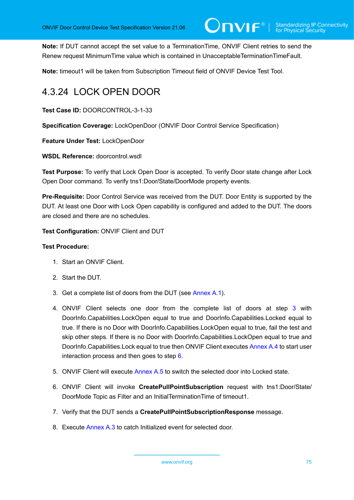**Note:** If DUT cannot accept the set value to a TerminationTime, ONVIF Client retries to send the Renew request MinimumTime value which is contained in UnacceptableTerminationTimeFault.

**Note:** timeout1 will be taken from Subscription Timeout field of ONVIF Device Test Tool.

# 4.3.24 LOCK OPEN DOOR

**Test Case ID:** DOORCONTROL-3-1-33

**Specification Coverage:** LockOpenDoor (ONVIF Door Control Service Specification)

**Feature Under Test:** LockOpenDoor

**WSDL Reference:** doorcontrol.wsdl

**Test Purpose:** To verify that Lock Open Door is accepted. To verify Door state change after Lock Open Door command. To verify tns1:Door/State/DoorMode property events.

**Pre-Requisite:** Door Control Service was received from the DUT. Door Entity is supported by the DUT. At least one Door with Lock Open capability is configured and added to the DUT. The doors are closed and there are no schedules.

**Test Configuration:** ONVIF Client and DUT

- 1. Start an ONVIF Client.
- 2. Start the DUT.
- <span id="page-74-0"></span>3. Get a complete list of doors from the DUT (see [Annex A.1\)](#page-187-0).
- <span id="page-74-2"></span>4. ONVIF Client selects one door from the complete list of doors at step [3](#page-74-0) with DoorInfo.Capabilities.LockOpen equal to true and DoorInfo.Capabilities.Locked equal to true. If there is no Door with DoorInfo.Capabilities.LockOpen equal to true, fail the test and skip other steps. If there is no Door with DoorInfo.Capabilities.LockOpen equal to true and DoorInfo.Capabilities.Lock equal to true then ONVIF Client executes [Annex A.4](#page-188-0) to start user interaction process and then goes to step [6](#page-74-1).
- 5. ONVIF Client will execute [Annex A.5](#page-189-0) to switch the selected door into Locked state.
- <span id="page-74-1"></span>6. ONVIF Client will invoke **CreatePullPointSubscription** request with tns1:Door/State/ DoorMode Topic as Filter and an InitialTerminationTime of timeout1.
- 7. Verify that the DUT sends a **CreatePullPointSubscriptionResponse** message.
- 8. Execute [Annex A.3](#page-187-1) to catch Initialized event for selected door.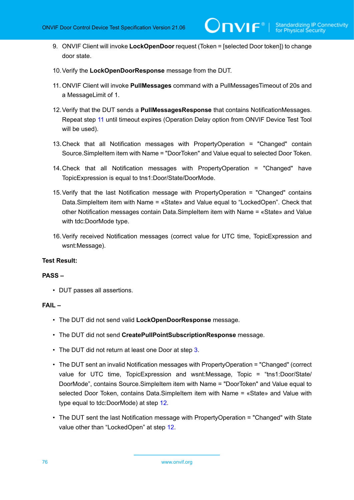- 9. ONVIF Client will invoke **LockOpenDoor** request (Token = [selected Door token]) to change door state.
- 10.Verify the **LockOpenDoorResponse** message from the DUT.
- <span id="page-75-0"></span>11. ONVIF Client will invoke **PullMessages** command with a PullMessagesTimeout of 20s and a MessageLimit of 1.
- <span id="page-75-1"></span>12.Verify that the DUT sends a **PullMessagesResponse** that contains NotificationMessages. Repeat step [11](#page-75-0) until timeout expires (Operation Delay option from ONVIF Device Test Tool will be used).
- <span id="page-75-2"></span>13.Check that all Notification messages with PropertyOperation = "Changed" contain Source.SimpleItem item with Name = "DoorToken" and Value equal to selected Door Token.
- 14.Check that all Notification messages with PropertyOperation = "Changed" have TopicExpression is equal to tns1:Door/State/DoorMode.
- 15.Verify that the last Notification message with PropertyOperation = "Changed" contains Data.SimpleItem item with Name = «State» and Value equal to "LockedOpen". Check that other Notification messages contain Data.SimpleItem item with Name = «State» and Value with tdc:DoorMode type.
- <span id="page-75-3"></span>16.Verify received Notification messages (correct value for UTC time, TopicExpression and wsnt:Message).

#### **PASS –**

• DUT passes all assertions.

# **FAIL –**

- The DUT did not send valid **LockOpenDoorResponse** message.
- The DUT did not send **CreatePullPointSubscriptionResponse** message.
- The DUT did not return at least one Door at step [3](#page-74-0).
- The DUT sent an invalid Notification messages with PropertyOperation = "Changed" (correct value for UTC time, TopicExpression and wsnt:Message, Topic = "tns1:Door/State/ DoorMode", contains Source.SimpleItem item with Name = "DoorToken" and Value equal to selected Door Token, contains Data.SimpleItem item with Name = «State» and Value with type equal to tdc:DoorMode) at step [12.](#page-75-1)
- The DUT sent the last Notification message with PropertyOperation = "Changed" with State value other than "LockedOpen" at step [12.](#page-75-1)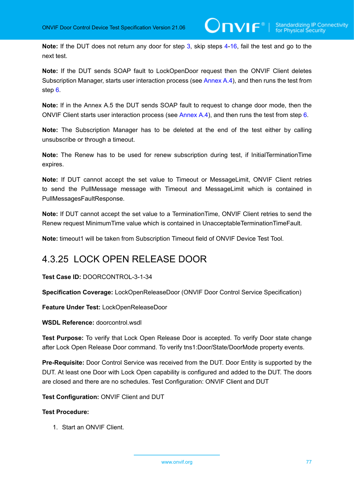**Note:** If the DUT does not return any door for step [3](#page-75-2), skip steps [4-](#page-74-2)[16,](#page-75-3) fail the test and go to the next test.

**Note:** If the DUT sends SOAP fault to LockOpenDoor request then the ONVIF Client deletes Subscription Manager, starts user interaction process (see [Annex A.4](#page-188-0)), and then runs the test from step [6](#page-74-1).

**Note:** If in the Annex A.5 the DUT sends SOAP fault to request to change door mode, then the ONVIF Client starts user interaction process (see [Annex A.4](#page-188-0)), and then runs the test from step [6](#page-74-1).

**Note:** The Subscription Manager has to be deleted at the end of the test either by calling unsubscribe or through a timeout.

**Note:** The Renew has to be used for renew subscription during test, if InitialTerminationTime expires.

**Note:** If DUT cannot accept the set value to Timeout or MessageLimit, ONVIF Client retries to send the PullMessage message with Timeout and MessageLimit which is contained in PullMessagesFaultResponse.

**Note:** If DUT cannot accept the set value to a TerminationTime, ONVIF Client retries to send the Renew request MinimumTime value which is contained in UnacceptableTerminationTimeFault.

**Note:** timeout1 will be taken from Subscription Timeout field of ONVIF Device Test Tool.

# 4.3.25 LOCK OPEN RELEASE DOOR

**Test Case ID:** DOORCONTROL-3-1-34

**Specification Coverage:** LockOpenReleaseDoor (ONVIF Door Control Service Specification)

**Feature Under Test:** LockOpenReleaseDoor

**WSDL Reference:** doorcontrol.wsdl

**Test Purpose:** To verify that Lock Open Release Door is accepted. To verify Door state change after Lock Open Release Door command. To verify tns1:Door/State/DoorMode property events.

**Pre-Requisite:** Door Control Service was received from the DUT. Door Entity is supported by the DUT. At least one Door with Lock Open capability is configured and added to the DUT. The doors are closed and there are no schedules. Test Configuration: ONVIF Client and DUT

**Test Configuration:** ONVIF Client and DUT

# **Test Procedure:**

1. Start an ONVIF Client.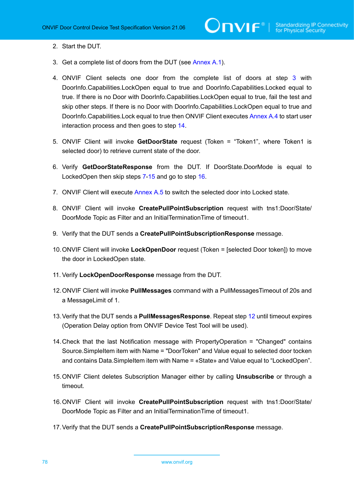- 2. Start the DUT.
- <span id="page-77-0"></span>3. Get a complete list of doors from the DUT (see [Annex A.1\)](#page-187-0).
- <span id="page-77-7"></span>4. ONVIF Client selects one door from the complete list of doors at step [3](#page-77-0) with DoorInfo.Capabilities.LockOpen equal to true and DoorInfo.Capabilities.Locked equal to true. If there is no Door with DoorInfo.Capabilities.LockOpen equal to true, fail the test and skip other steps. If there is no Door with DoorInfo.Capabilities.LockOpen equal to true and DoorInfo.Capabilities.Lock equal to true then ONVIF Client executes [Annex A.4](#page-188-0) to start user interaction process and then goes to step [14.](#page-77-1)
- 5. ONVIF Client will invoke **GetDoorState** request (Token = "Token1", where Token1 is selected door) to retrieve current state of the door.
- 6. Verify **GetDoorStateResponse** from the DUT. If DoorState.DoorMode is equal to LockedOpen then skip steps [7-](#page-77-2)[15](#page-77-3) and go to step [16.](#page-77-4)
- <span id="page-77-2"></span>7. ONVIF Client will execute [Annex A.5](#page-189-0) to switch the selected door into Locked state.
- 8. ONVIF Client will invoke **CreatePullPointSubscription** request with tns1:Door/State/ DoorMode Topic as Filter and an InitialTerminationTime of timeout1.
- 9. Verify that the DUT sends a **CreatePullPointSubscriptionResponse** message.
- 10.ONVIF Client will invoke **LockOpenDoor** request (Token = [selected Door token]) to move the door in LockedOpen state.
- 11. Verify **LockOpenDoorResponse** message from the DUT.
- <span id="page-77-5"></span>12.ONVIF Client will invoke **PullMessages** command with a PullMessagesTimeout of 20s and a MessageLimit of 1.
- <span id="page-77-6"></span>13.Verify that the DUT sends a **PullMessagesResponse**. Repeat step [12](#page-77-5) until timeout expires (Operation Delay option from ONVIF Device Test Tool will be used).
- <span id="page-77-1"></span>14.Check that the last Notification message with PropertyOperation = "Changed" contains Source.SimpleItem item with Name = "DoorToken" and Value equal to selected door tocken and contains Data.SimpleItem item with Name = «State» and Value equal to "LockedOpen".
- <span id="page-77-3"></span>15.ONVIF Client deletes Subscription Manager either by calling **Unsubscribe** or through a timeout.
- <span id="page-77-4"></span>16.ONVIF Client will invoke **CreatePullPointSubscription** request with tns1:Door/State/ DoorMode Topic as Filter and an InitialTerminationTime of timeout1.
- 17.Verify that the DUT sends a **CreatePullPointSubscriptionResponse** message.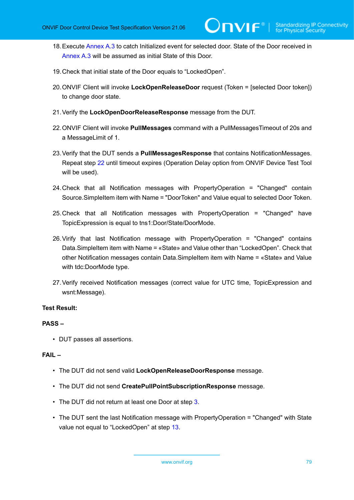- <span id="page-78-1"></span>18.Execute [Annex A.3](#page-187-1) to catch Initialized event for selected door. State of the Door received in [Annex A.3](#page-187-1) will be assumed as initial State of this Door.
- 19.Check that initial state of the Door equals to "LockedOpen".
- 20.ONVIF Client will invoke **LockOpenReleaseDoor** request (Token = [selected Door token]) to change door state.
- 21.Verify the **LockOpenDoorReleaseResponse** message from the DUT.
- <span id="page-78-0"></span>22.ONVIF Client will invoke **PullMessages** command with a PullMessagesTimeout of 20s and a MessageLimit of 1.
- <span id="page-78-2"></span>23.Verify that the DUT sends a **PullMessagesResponse** that contains NotificationMessages. Repeat step [22](#page-78-0) until timeout expires (Operation Delay option from ONVIF Device Test Tool will be used).
- 24.Check that all Notification messages with PropertyOperation = "Changed" contain Source.SimpleItem item with Name = "DoorToken" and Value equal to selected Door Token.
- 25.Check that all Notification messages with PropertyOperation = "Changed" have TopicExpression is equal to tns1:Door/State/DoorMode.
- 26.Virify that last Notification message with PropertyOperation = "Changed" contains Data.SimpleItem item with Name = «State» and Value other than "LockedOpen". Check that other Notification messages contain Data.SimpleItem item with Name = «State» and Value with tdc:DoorMode type.
- <span id="page-78-3"></span>27.Verify received Notification messages (correct value for UTC time, TopicExpression and wsnt:Message).

# **PASS –**

• DUT passes all assertions.

# **FAIL –**

- The DUT did not send valid **LockOpenReleaseDoorResponse** message.
- The DUT did not send **CreatePullPointSubscriptionResponse** message.
- The DUT did not return at least one Door at step [3](#page-77-0).
- The DUT sent the last Notification message with PropertyOperation = "Changed" with State value not equal to "LockedOpen" at step [13](#page-77-6).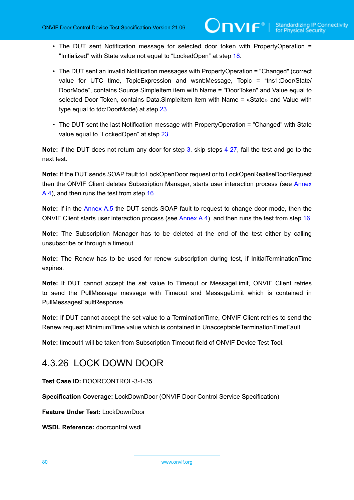- The DUT sent Notification message for selected door token with PropertyOperation = "Initialized" with State value not equal to "LockedOpen" at step [18.](#page-78-1)
- The DUT sent an invalid Notification messages with PropertyOperation = "Changed" (correct value for UTC time, TopicExpression and wsnt:Message, Topic = "tns1:Door/State/ DoorMode", contains Source.SimpleItem item with Name = "DoorToken" and Value equal to selected Door Token, contains Data.SimpleItem item with Name = «State» and Value with type equal to tdc:DoorMode) at step [23.](#page-78-2)
- The DUT sent the last Notification message with PropertyOperation = "Changed" with State value equal to "LockedOpen" at step [23.](#page-78-2)

**Note:** If the DUT does not return any door for step [3](#page-78-2), skip steps [4-](#page-77-7)[27,](#page-78-3) fail the test and go to the next test.

**Note:** If the DUT sends SOAP fault to LockOpenDoor request or to LockOpenRealiseDoorRequest then the ONVIF Client deletes Subscription Manager, starts user interaction process (see [Annex](#page-188-0) [A.4\)](#page-188-0), and then runs the test from step [16.](#page-77-4)

**Note:** If in the [Annex A.5](#page-189-0) the DUT sends SOAP fault to request to change door mode, then the ONVIF Client starts user interaction process (see [Annex A.4\)](#page-188-0), and then runs the test from step [16.](#page-77-4)

**Note:** The Subscription Manager has to be deleted at the end of the test either by calling unsubscribe or through a timeout.

**Note:** The Renew has to be used for renew subscription during test, if InitialTerminationTime expires.

**Note:** If DUT cannot accept the set value to Timeout or MessageLimit, ONVIF Client retries to send the PullMessage message with Timeout and MessageLimit which is contained in PullMessagesFaultResponse.

**Note:** If DUT cannot accept the set value to a TerminationTime, ONVIF Client retries to send the Renew request MinimumTime value which is contained in UnacceptableTerminationTimeFault.

**Note:** timeout1 will be taken from Subscription Timeout field of ONVIF Device Test Tool.

# 4.3.26 LOCK DOWN DOOR

**Test Case ID:** DOORCONTROL-3-1-35

**Specification Coverage:** LockDownDoor (ONVIF Door Control Service Specification)

**Feature Under Test:** LockDownDoor

**WSDL Reference:** doorcontrol.wsdl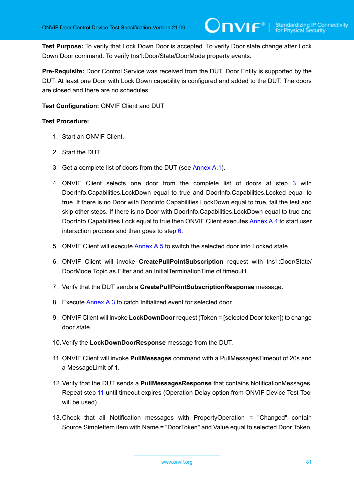**Test Purpose:** To verify that Lock Down Door is accepted. To verify Door state change after Lock Down Door command. To verify tns1:Door/State/DoorMode property events.

**Pre-Requisite:** Door Control Service was received from the DUT. Door Entity is supported by the DUT. At least one Door with Lock Down capability is configured and added to the DUT. The doors are closed and there are no schedules.

**Test Configuration:** ONVIF Client and DUT

- 1. Start an ONVIF Client.
- 2. Start the DUT.
- <span id="page-80-0"></span>3. Get a complete list of doors from the DUT (see [Annex A.1\)](#page-187-0).
- <span id="page-80-4"></span>4. ONVIF Client selects one door from the complete list of doors at step [3](#page-80-0) with DoorInfo.Capabilities.LockDown equal to true and DoorInfo.Capabilities.Locked equal to true. If there is no Door with DoorInfo.Capabilities.LockDown equal to true, fail the test and skip other steps. If there is no Door with DoorInfo.Capabilities.LockDown equal to true and DoorInfo.Capabilities.Lock equal to true then ONVIF Client executes [Annex A.4](#page-188-0) to start user interaction process and then goes to step [6](#page-80-1).
- 5. ONVIF Client will execute [Annex A.5](#page-189-0) to switch the selected door into Locked state.
- <span id="page-80-1"></span>6. ONVIF Client will invoke **CreatePullPointSubscription** request with tns1:Door/State/ DoorMode Topic as Filter and an InitialTerminationTime of timeout1.
- 7. Verify that the DUT sends a **CreatePullPointSubscriptionResponse** message.
- 8. Execute [Annex A.3](#page-187-1) to catch Initialized event for selected door.
- 9. ONVIF Client will invoke **LockDownDoor** request (Token = [selected Door token]) to change door state.
- 10.Verify the **LockDownDoorResponse** message from the DUT.
- <span id="page-80-2"></span>11. ONVIF Client will invoke **PullMessages** command with a PullMessagesTimeout of 20s and a MessageLimit of 1.
- <span id="page-80-3"></span>12.Verify that the DUT sends a **PullMessagesResponse** that contains NotificationMessages. Repeat step [11](#page-80-2) until timeout expires (Operation Delay option from ONVIF Device Test Tool will be used).
- 13.Check that all Notification messages with PropertyOperation = "Changed" contain Source.SimpleItem item with Name = "DoorToken" and Value equal to selected Door Token.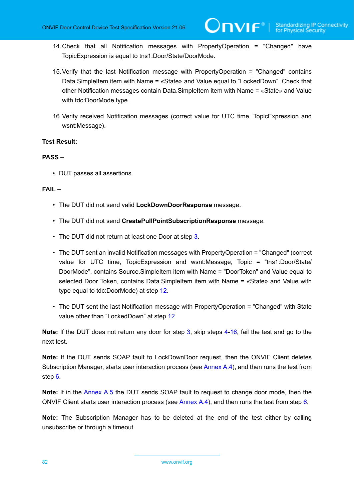- 14.Check that all Notification messages with PropertyOperation = "Changed" have TopicExpression is equal to tns1:Door/State/DoorMode.
- 15.Verify that the last Notification message with PropertyOperation = "Changed" contains Data.SimpleItem item with Name = «State» and Value equal to "LockedDown". Check that other Notification messages contain Data.SimpleItem item with Name = «State» and Value with tdc:DoorMode type.
- <span id="page-81-0"></span>16.Verify received Notification messages (correct value for UTC time, TopicExpression and wsnt:Message).

#### **PASS –**

• DUT passes all assertions.

#### **FAIL –**

- The DUT did not send valid **LockDownDoorResponse** message.
- The DUT did not send **CreatePullPointSubscriptionResponse** message.
- The DUT did not return at least one Door at step [3](#page-80-0).
- The DUT sent an invalid Notification messages with PropertyOperation = "Changed" (correct value for UTC time, TopicExpression and wsnt:Message, Topic = "tns1:Door/State/ DoorMode", contains Source.SimpleItem item with Name = "DoorToken" and Value equal to selected Door Token, contains Data.SimpleItem item with Name = «State» and Value with type equal to tdc:DoorMode) at step [12.](#page-80-3)
- The DUT sent the last Notification message with PropertyOperation = "Changed" with State value other than "LockedDown" at step [12](#page-80-3).

**Note:** If the DUT does not return any door for step [3](#page-80-0), skip steps [4-](#page-80-4)[16,](#page-81-0) fail the test and go to the next test.

**Note:** If the DUT sends SOAP fault to LockDownDoor request, then the ONVIF Client deletes Subscription Manager, starts user interaction process (see [Annex A.4](#page-188-0)), and then runs the test from step [6](#page-80-1).

**Note:** If in the [Annex A.5](#page-189-0) the DUT sends SOAP fault to request to change door mode, then the ONVIF Client starts user interaction process (see [Annex A.4](#page-188-0)), and then runs the test from step [6](#page-80-1).

**Note:** The Subscription Manager has to be deleted at the end of the test either by calling unsubscribe or through a timeout.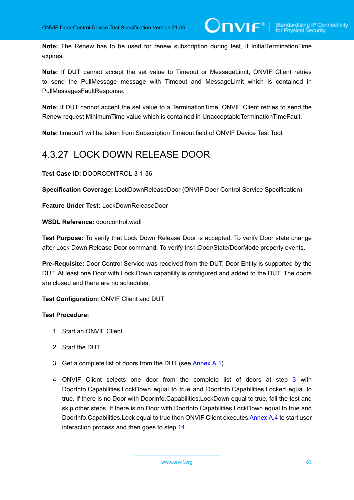**Note:** The Renew has to be used for renew subscription during test, if InitialTerminationTime expires.

**Note:** If DUT cannot accept the set value to Timeout or MessageLimit, ONVIF Client retries to send the PullMessage message with Timeout and MessageLimit which is contained in PullMessagesFaultResponse.

**Note:** If DUT cannot accept the set value to a TerminationTime, ONVIF Client retries to send the Renew request MinimumTime value which is contained in UnacceptableTerminationTimeFault.

**Note:** timeout1 will be taken from Subscription Timeout field of ONVIF Device Test Tool.

# 4.3.27 LOCK DOWN RELEASE DOOR

**Test Case ID:** DOORCONTROL-3-1-36

**Specification Coverage:** LockDownReleaseDoor (ONVIF Door Control Service Specification)

**Feature Under Test:** LockDownReleaseDoor

**WSDL Reference:** doorcontrol.wsdl

**Test Purpose:** To verify that Lock Down Release Door is accepted. To verify Door state change after Lock Down Release Door command. To verify tns1:Door/State/DoorMode property events.

**Pre-Requisite:** Door Control Service was received from the DUT. Door Entity is supported by the DUT. At least one Door with Lock Down capability is configured and added to the DUT. The doors are closed and there are no schedules.

**Test Configuration:** ONVIF Client and DUT

- 1. Start an ONVIF Client.
- 2. Start the DUT.
- <span id="page-82-0"></span>3. Get a complete list of doors from the DUT (see [Annex A.1\)](#page-187-0).
- <span id="page-82-1"></span>4. ONVIF Client selects one door from the complete list of doors at step [3](#page-82-0) with DoorInfo.Capabilities.LockDown equal to true and DoorInfo.Capabilities.Locked equal to true. If there is no Door with DoorInfo.Capabilities.LockDown equal to true, fail the test and skip other steps. If there is no Door with DoorInfo.Capabilities.LockDown equal to true and DoorInfo.Capabilities.Lock equal to true then ONVIF Client executes [Annex A.4](#page-188-0) to start user interaction process and then goes to step [14.](#page-83-0)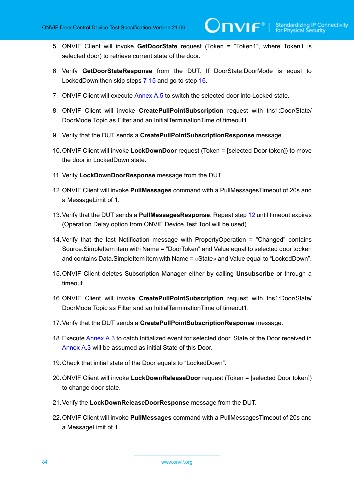- 5. ONVIF Client will invoke **GetDoorState** request (Token = "Token1", where Token1 is selected door) to retrieve current state of the door.
- 6. Verify **GetDoorStateResponse** from the DUT. If DoorState.DoorMode is equal to LockedDown then skip steps [7](#page-83-1)[-15](#page-83-2) and go to step [16.](#page-83-3)
- <span id="page-83-1"></span>7. ONVIF Client will execute [Annex A.5](#page-189-0) to switch the selected door into Locked state.
- 8. ONVIF Client will invoke **CreatePullPointSubscription** request with tns1:Door/State/ DoorMode Topic as Filter and an InitialTerminationTime of timeout1.
- 9. Verify that the DUT sends a **CreatePullPointSubscriptionResponse** message.
- 10.ONVIF Client will invoke **LockDownDoor** request (Token = [selected Door token]) to move the door in LockedDown state.
- 11. Verify **LockDownDoorResponse** message from the DUT.
- <span id="page-83-4"></span>12.ONVIF Client will invoke **PullMessages** command with a PullMessagesTimeout of 20s and a MessageLimit of 1.
- <span id="page-83-6"></span>13.Verify that the DUT sends a **PullMessagesResponse**. Repeat step [12](#page-83-4) until timeout expires (Operation Delay option from ONVIF Device Test Tool will be used).
- <span id="page-83-0"></span>14.Verify that the last Notification message with PropertyOperation = "Changed" contains Source.SimpleItem item with Name = "DoorToken" and Value equal to selected door tocken and contains Data.SimpleItem item with Name = «State» and Value equal to "LockedDown".
- <span id="page-83-2"></span>15.ONVIF Client deletes Subscription Manager either by calling **Unsubscribe** or through a timeout.
- <span id="page-83-3"></span>16.ONVIF Client will invoke **CreatePullPointSubscription** request with tns1:Door/State/ DoorMode Topic as Filter and an InitialTerminationTime of timeout1.
- 17.Verify that the DUT sends a **CreatePullPointSubscriptionResponse** message.
- <span id="page-83-7"></span>18.Execute [Annex A.3](#page-187-1) to catch Initialized event for selected door. State of the Door received in [Annex A.3](#page-187-1) will be assumed as initial State of this Door.
- 19.Check that initial state of the Door equals to "LockedDown".
- 20.ONVIF Client will invoke **LockDownReleaseDoor** request (Token = [selected Door token]) to change door state.
- 21.Verify the **LockDownReleaseDoorResponse** message from the DUT.
- <span id="page-83-5"></span>22.ONVIF Client will invoke **PullMessages** command with a PullMessagesTimeout of 20s and a MessageLimit of 1.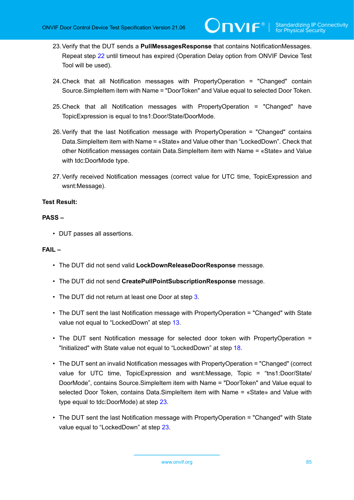- <span id="page-84-0"></span>23.Verify that the DUT sends a **PullMessagesResponse** that contains NotificationMessages. Repeat step [22](#page-83-5) until timeout has expired (Operation Delay option from ONVIF Device Test Tool will be used).
- 24.Check that all Notification messages with PropertyOperation = "Changed" contain Source.SimpleItem item with Name = "DoorToken" and Value equal to selected Door Token.
- 25.Check that all Notification messages with PropertyOperation = "Changed" have TopicExpression is equal to tns1:Door/State/DoorMode.
- 26.Verify that the last Notification message with PropertyOperation = "Changed" contains Data.SimpleItem item with Name = «State» and Value other than "LockedDown". Check that other Notification messages contain Data.SimpleItem item with Name = «State» and Value with tdc:DoorMode type.
- <span id="page-84-1"></span>27.Verify received Notification messages (correct value for UTC time, TopicExpression and wsnt:Message).

# **PASS –**

• DUT passes all assertions.

# **FAIL –**

- The DUT did not send valid **LockDownReleaseDoorResponse** message.
- The DUT did not send **CreatePullPointSubscriptionResponse** message.
- The DUT did not return at least one Door at step [3](#page-82-0).
- The DUT sent the last Notification message with PropertyOperation = "Changed" with State value not equal to "LockedDown" at step [13.](#page-83-6)
- The DUT sent Notification message for selected door token with PropertyOperation = "Initialized" with State value not equal to "LockedDown" at step [18.](#page-83-7)
- The DUT sent an invalid Notification messages with PropertyOperation = "Changed" (correct value for UTC time, TopicExpression and wsnt:Message, Topic = "tns1:Door/State/ DoorMode", contains Source.SimpleItem item with Name = "DoorToken" and Value equal to selected Door Token, contains Data.SimpleItem item with Name = «State» and Value with type equal to tdc:DoorMode) at step [23.](#page-84-0)
- The DUT sent the last Notification message with PropertyOperation = "Changed" with State value equal to "LockedDown" at step [23](#page-84-0).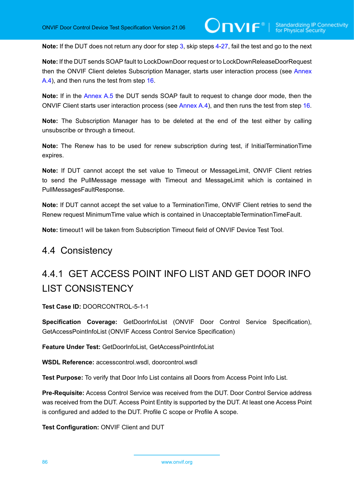**Note:** If the DUT does not return any door for step [3](#page-82-0), skip steps [4-](#page-82-1)[27,](#page-84-1) fail the test and go to the next

**Note:** If the DUT sends SOAP fault to LockDownDoor request or to LockDownReleaseDoorRequest then the ONVIF Client deletes Subscription Manager, starts user interaction process (see [Annex](#page-188-0) [A.4\)](#page-188-0), and then runs the test from step [16.](#page-83-3)

**Note:** If in the [Annex A.5](#page-189-0) the DUT sends SOAP fault to request to change door mode, then the ONVIF Client starts user interaction process (see [Annex A.4\)](#page-188-0), and then runs the test from step [16.](#page-83-3)

**Note:** The Subscription Manager has to be deleted at the end of the test either by calling unsubscribe or through a timeout.

**Note:** The Renew has to be used for renew subscription during test, if InitialTerminationTime expires.

**Note:** If DUT cannot accept the set value to Timeout or MessageLimit, ONVIF Client retries to send the PullMessage message with Timeout and MessageLimit which is contained in PullMessagesFaultResponse.

**Note:** If DUT cannot accept the set value to a TerminationTime, ONVIF Client retries to send the Renew request MinimumTime value which is contained in UnacceptableTerminationTimeFault.

**Note:** timeout1 will be taken from Subscription Timeout field of ONVIF Device Test Tool.

# 4.4 Consistency

# 4.4.1 GET ACCESS POINT INFO LIST AND GET DOOR INFO LIST CONSISTENCY

**Test Case ID:** DOORCONTROL-5-1-1

**Specification Coverage:** GetDoorInfoList (ONVIF Door Control Service Specification), GetAccessPointInfoList (ONVIF Access Control Service Specification)

**Feature Under Test:** GetDoorInfoList, GetAccessPointInfoList

**WSDL Reference:** accesscontrol.wsdl, doorcontrol.wsdl

**Test Purpose:** To verify that Door Info List contains all Doors from Access Point Info List.

**Pre-Requisite:** Access Control Service was received from the DUT. Door Control Service address was received from the DUT. Access Point Entity is supported by the DUT. At least one Access Point is configured and added to the DUT. Profile C scope or Profile A scope.

**Test Configuration:** ONVIF Client and DUT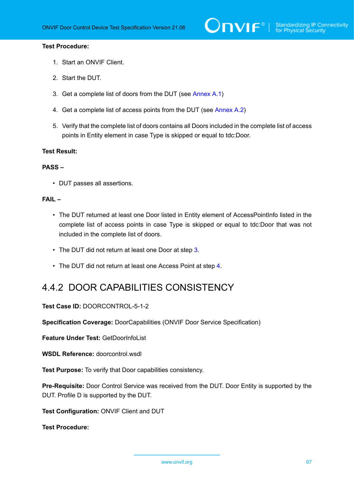## **Test Procedure:**

- 1. Start an ONVIF Client.
- 2. Start the DUT.
- <span id="page-86-0"></span>3. Get a complete list of doors from the DUT (see [Annex A.1\)](#page-187-0)
- <span id="page-86-1"></span>4. Get a complete list of access points from the DUT (see [Annex A.2](#page-187-2))
- 5. Verify that the complete list of doors contains all Doors included in the complete list of access points in Entity element in case Type is skipped or equal to tdc:Door.

#### **Test Result:**

# **PASS –**

• DUT passes all assertions.

## **FAIL –**

- The DUT returned at least one Door listed in Entity element of AccessPointInfo listed in the complete list of access points in case Type is skipped or equal to tdc:Door that was not included in the complete list of doors.
- The DUT did not return at least one Door at step [3](#page-86-0).
- The DUT did not return at least one Access Point at step [4](#page-86-1).

# 4.4.2 DOOR CAPABILITIES CONSISTENCY

**Test Case ID:** DOORCONTROL-5-1-2

**Specification Coverage:** DoorCapabilities (ONVIF Door Service Specification)

**Feature Under Test:** GetDoorInfoList

**WSDL Reference:** doorcontrol.wsdl

**Test Purpose:** To verify that Door сapabilities consistency.

**Pre-Requisite:** Door Control Service was received from the DUT. Door Entity is supported by the DUT. Profile D is supported by the DUT.

**Test Configuration:** ONVIF Client and DUT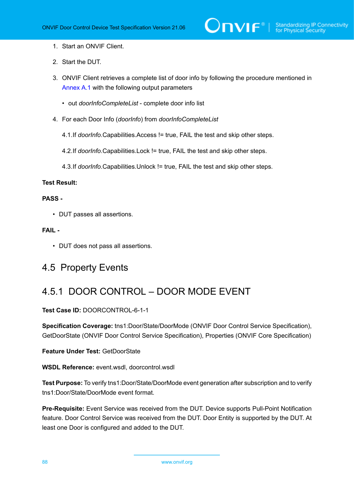- 1. Start an ONVIF Client.
- 2. Start the DUT.
- 3. ONVIF Client retrieves a complete list of door info by following the procedure mentioned in [Annex A.1](#page-187-0) with the following output parameters
	- out *doorInfoCompleteList* complete door info list
- 4. For each Door Info (*doorInfo*) from *doorInfoCompleteList*
	- 4.1.If *doorInfo*.Capabilities.Access != true, FAIL the test and skip other steps.
	- 4.2.If *doorInfo*.Capabilities.Lock != true, FAIL the test and skip other steps.
	- 4.3.If *doorInfo*.Capabilities.Unlock != true, FAIL the test and skip other steps.

# **PASS -**

• DUT passes all assertions.

# **FAIL -**

• DUT does not pass all assertions.

# 4.5 Property Events

# 4.5.1 DOOR CONTROL – DOOR MODE EVENT

# **Test Case ID:** DOORCONTROL-6-1-1

**Specification Coverage:** tns1:Door/State/DoorMode (ONVIF Door Control Service Specification), GetDoorState (ONVIF Door Control Service Specification), Properties (ONVIF Core Specification)

# **Feature Under Test:** GetDoorState

**WSDL Reference:** event.wsdl, doorcontrol.wsdl

**Test Purpose:** To verify tns1:Door/State/DoorMode event generation after subscription and to verify tns1:Door/State/DoorMode event format.

**Pre-Requisite:** Event Service was received from the DUT. Device supports Pull-Point Notification feature. Door Control Service was received from the DUT. Door Entity is supported by the DUT. At least one Door is configured and added to the DUT.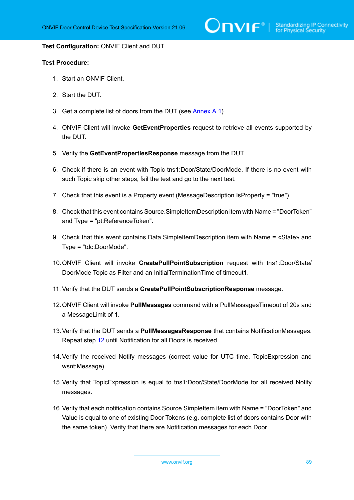$\bigcirc$   $\blacksquare$   $\blacksquare$   $\blacksquare$   $\blacksquare$  Standardizing IP Connectivity

#### **Test Configuration:** ONVIF Client and DUT

- 1. Start an ONVIF Client.
- 2. Start the DUT.
- <span id="page-88-1"></span>3. Get a complete list of doors from the DUT (see [Annex A.1\)](#page-187-0).
- <span id="page-88-3"></span>4. ONVIF Client will invoke **GetEventProperties** request to retrieve all events supported by the DUT.
- 5. Verify the **GetEventPropertiesResponse** message from the DUT.
- 6. Check if there is an event with Topic tns1:Door/State/DoorMode. If there is no event with such Topic skip other steps, fail the test and go to the next test.
- 7. Check that this event is a Property event (MessageDescription.IsProperty = "true").
- 8. Check that this event contains Source.SimpleItemDescription item with Name = "DoorToken" and Type = "pt:ReferenceToken".
- 9. Check that this event contains Data.SimpleItemDescription item with Name = «State» and Type = "tdc:DoorMode".
- 10.ONVIF Client will invoke **CreatePullPointSubscription** request with tns1:Door/State/ DoorMode Topic as Filter and an InitialTerminationTime of timeout1.
- 11. Verify that the DUT sends a **CreatePullPointSubscriptionResponse** message.
- <span id="page-88-0"></span>12.ONVIF Client will invoke **PullMessages** command with a PullMessagesTimeout of 20s and a MessageLimit of 1.
- <span id="page-88-2"></span>13.Verify that the DUT sends a **PullMessagesResponse** that contains NotificationMessages. Repeat step [12](#page-88-0) until Notification for all Doors is received.
- 14.Verify the received Notify messages (correct value for UTC time, TopicExpression and wsnt:Message).
- 15.Verify that TopicExpression is equal to tns1:Door/State/DoorMode for all received Notify messages.
- 16.Verify that each notification contains Source.SimpleItem item with Name = "DoorToken" and Value is equal to one of existing Door Tokens (e.g. complete list of doors contains Door with the same token). Verify that there are Notification messages for each Door.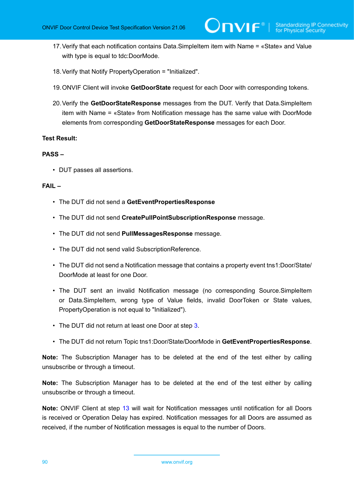- 17.Verify that each notification contains Data.SimpleItem item with Name = «State» and Value with type is equal to tdc:DoorMode.
- 18.Verify that Notify PropertyOperation = "Initialized".
- 19.ONVIF Client will invoke **GetDoorState** request for each Door with corresponding tokens.
- <span id="page-89-0"></span>20.Verify the **GetDoorStateResponse** messages from the DUT. Verify that Data.SimpleItem item with Name = «State» from Notification message has the same value with DoorMode elements from corresponding **GetDoorStateResponse** messages for each Door.

# **PASS –**

• DUT passes all assertions.

# **FAIL –**

- The DUT did not send a **GetEventPropertiesResponse**
- The DUT did not send **CreatePullPointSubscriptionResponse** message.
- The DUT did not send **PullMessagesResponse** message.
- The DUT did not send valid SubscriptionReference.
- The DUT did not send a Notification message that contains a property event tns1:Door/State/ DoorMode at least for one Door.
- The DUT sent an invalid Notification message (no corresponding Source.SimpleItem or Data.SimpleItem, wrong type of Value fields, invalid DoorToken or State values, PropertyOperation is not equal to "Initialized").
- The DUT did not return at least one Door at step [3](#page-88-1).
- The DUT did not return Topic tns1:Door/State/DoorMode in **GetEventPropertiesResponse**.

**Note:** The Subscription Manager has to be deleted at the end of the test either by calling unsubscribe or through a timeout.

**Note:** The Subscription Manager has to be deleted at the end of the test either by calling unsubscribe or through a timeout.

**Note:** ONVIF Client at step [13](#page-88-2) will wait for Notification messages until notification for all Doors is received or Operation Delay has expired. Notification messages for all Doors are assumed as received, if the number of Notification messages is equal to the number of Doors.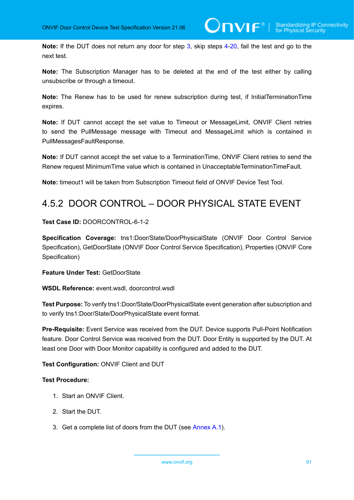**Note:** If the DUT does not return any door for step [3](#page-88-1), skip steps [4-](#page-88-3)[20,](#page-89-0) fail the test and go to the next test.

**Note:** The Subscription Manager has to be deleted at the end of the test either by calling unsubscribe or through a timeout.

**Note:** The Renew has to be used for renew subscription during test, if InitialTerminationTime expires.

**Note:** If DUT cannot accept the set value to Timeout or MessageLimit, ONVIF Client retries to send the PullMessage message with Timeout and MessageLimit which is contained in PullMessagesFaultResponse.

**Note:** If DUT cannot accept the set value to a TerminationTime, ONVIF Client retries to send the Renew request MinimumTime value which is contained in UnacceptableTerminationTimeFault.

**Note:** timeout1 will be taken from Subscription Timeout field of ONVIF Device Test Tool.

# 4.5.2 DOOR CONTROL – DOOR PHYSICAL STATE EVENT

# **Test Case ID:** DOORCONTROL-6-1-2

**Specification Coverage:** tns1:Door/State/DoorPhysicalState (ONVIF Door Control Service Specification), GetDoorState (ONVIF Door Control Service Specification), Properties (ONVIF Core Specification)

## **Feature Under Test:** GetDoorState

**WSDL Reference:** event.wsdl, doorcontrol.wsdl

**Test Purpose:** To verify tns1:Door/State/DoorPhysicalState event generation after subscription and to verify tns1:Door/State/DoorPhysicalState event format.

**Pre-Requisite:** Event Service was received from the DUT. Device supports Pull-Point Notification feature. Door Control Service was received from the DUT. Door Entity is supported by the DUT. At least one Door with Door Monitor capability is configured and added to the DUT.

# **Test Configuration:** ONVIF Client and DUT

- 1. Start an ONVIF Client.
- 2. Start the DUT.
- <span id="page-90-0"></span>3. Get a complete list of doors from the DUT (see [Annex A.1\)](#page-187-0).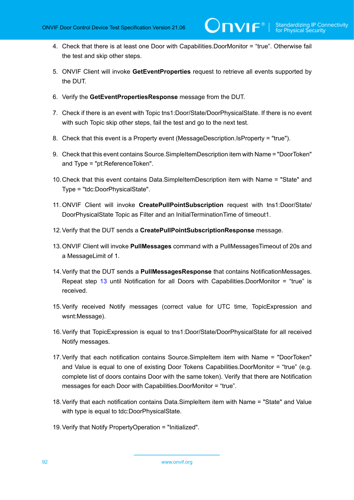- <span id="page-91-2"></span>4. Check that there is at least one Door with Capabilities.DoorMonitor = "true". Otherwise fail the test and skip other steps.
- 5. ONVIF Client will invoke **GetEventProperties** request to retrieve all events supported by the DUT.
- 6. Verify the **GetEventPropertiesResponse** message from the DUT.
- 7. Check if there is an event with Topic tns1:Door/State/DoorPhysicalState. If there is no event with such Topic skip other steps, fail the test and go to the next test.
- 8. Check that this event is a Property event (MessageDescription.IsProperty = "true").
- 9. Check that this event contains Source.SimpleItemDescription item with Name = "DoorToken" and Type = "pt:ReferenceToken".
- 10.Check that this event contains Data.SimpleItemDescription item with Name = "State" and Type = "tdc:DoorPhysicalState".
- 11. ONVIF Client will invoke **CreatePullPointSubscription** request with tns1:Door/State/ DoorPhysicalState Topic as Filter and an InitialTerminationTime of timeout1.
- 12.Verify that the DUT sends a **CreatePullPointSubscriptionResponse** message.
- <span id="page-91-0"></span>13.ONVIF Client will invoke **PullMessages** command with a PullMessagesTimeout of 20s and a MessageLimit of 1.
- <span id="page-91-1"></span>14.Verify that the DUT sends a **PullMessagesResponse** that contains NotificationMessages. Repeat step [13](#page-91-0) until Notification for all Doors with Capabilities.DoorMonitor = "true" is received.
- 15.Verify received Notify messages (correct value for UTC time, TopicExpression and wsnt:Message).
- 16.Verify that TopicExpression is equal to tns1:Door/State/DoorPhysicalState for all received Notify messages.
- 17.Verify that each notification contains Source.SimpleItem item with Name = "DoorToken" and Value is equal to one of existing Door Tokens Capabilities.DoorMonitor = "true" (e.g. complete list of doors contains Door with the same token). Verify that there are Notification messages for each Door with Capabilities.DoorMonitor = "true".
- 18.Verify that each notification contains Data.SimpleItem item with Name = "State" and Value with type is equal to tdc:DoorPhysicalState.
- 19.Verify that Notify PropertyOperation = "Initialized".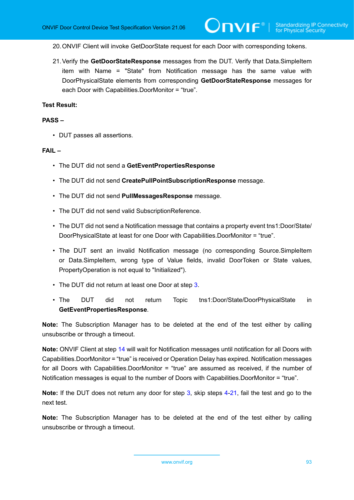20.ONVIF Client will invoke GetDoorState request for each Door with corresponding tokens.

<span id="page-92-0"></span>21.Verify the **GetDoorStateResponse** messages from the DUT. Verify that Data.SimpleItem item with Name = "State" from Notification message has the same value with DoorPhysicalState elements from corresponding **GetDoorStateResponse** messages for each Door with Capabilities.DoorMonitor = "true".

#### **Test Result:**

#### **PASS –**

• DUT passes all assertions.

### **FAIL –**

- The DUT did not send a **GetEventPropertiesResponse**
- The DUT did not send **CreatePullPointSubscriptionResponse** message.
- The DUT did not send **PullMessagesResponse** message.
- The DUT did not send valid SubscriptionReference.
- The DUT did not send a Notification message that contains a property event tns1:Door/State/ DoorPhysicalState at least for one Door with Capabilities.DoorMonitor = "true".
- The DUT sent an invalid Notification message (no corresponding Source.SimpleItem or Data.SimpleItem, wrong type of Value fields, invalid DoorToken or State values, PropertyOperation is not equal to "Initialized").
- The DUT did not return at least one Door at step [3](#page-90-0).
- The DUT did not return Topic tns1:Door/State/DoorPhysicalState in **GetEventPropertiesResponse**.

**Note:** The Subscription Manager has to be deleted at the end of the test either by calling unsubscribe or through a timeout.

**Note:** ONVIF Client at step [14](#page-91-1) will wait for Notification messages until notification for all Doors with Capabilities.DoorMonitor = "true" is received or Operation Delay has expired. Notification messages for all Doors with Capabilities.DoorMonitor = "true" are assumed as received, if the number of Notification messages is equal to the number of Doors with Capabilities.DoorMonitor = "true".

**Note:** If the DUT does not return any door for step [3](#page-90-0), skip steps [4-](#page-91-2)[21,](#page-92-0) fail the test and go to the next test.

**Note:** The Subscription Manager has to be deleted at the end of the test either by calling unsubscribe or through a timeout.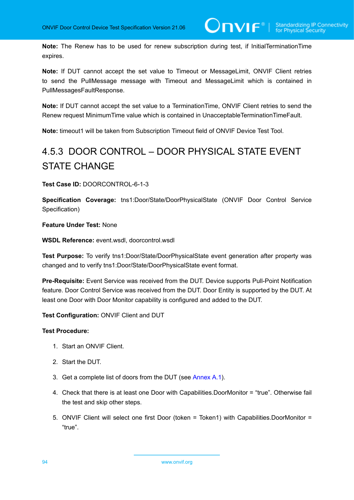**Note:** The Renew has to be used for renew subscription during test, if InitialTerminationTime expires.

**Note:** If DUT cannot accept the set value to Timeout or MessageLimit, ONVIF Client retries to send the PullMessage message with Timeout and MessageLimit which is contained in PullMessagesFaultResponse.

**Note:** If DUT cannot accept the set value to a TerminationTime, ONVIF Client retries to send the Renew request MinimumTime value which is contained in UnacceptableTerminationTimeFault.

**Note:** timeout1 will be taken from Subscription Timeout field of ONVIF Device Test Tool.

# 4.5.3 DOOR CONTROL – DOOR PHYSICAL STATE EVENT STATE CHANGE

**Test Case ID:** DOORCONTROL-6-1-3

**Specification Coverage:** tns1:Door/State/DoorPhysicalState (ONVIF Door Control Service Specification)

**Feature Under Test:** None

**WSDL Reference:** event.wsdl, doorcontrol.wsdl

**Test Purpose:** To verify tns1:Door/State/DoorPhysicalState event generation after property was changed and to verify tns1:Door/State/DoorPhysicalState event format.

**Pre-Requisite:** Event Service was received from the DUT. Device supports Pull-Point Notification feature. Door Control Service was received from the DUT. Door Entity is supported by the DUT. At least one Door with Door Monitor capability is configured and added to the DUT.

**Test Configuration:** ONVIF Client and DUT

- 1. Start an ONVIF Client.
- 2. Start the DUT.
- <span id="page-93-0"></span>3. Get a complete list of doors from the DUT (see [Annex A.1\)](#page-187-0).
- <span id="page-93-1"></span>4. Check that there is at least one Door with Capabilities.DoorMonitor = "true". Otherwise fail the test and skip other steps.
- 5. ONVIF Client will select one first Door (token = Token1) with Capabilities.DoorMonitor = "true".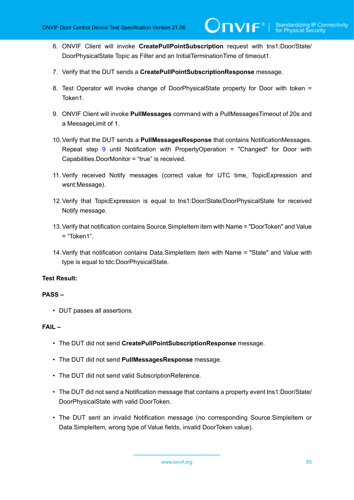- 6. ONVIF Client will invoke **CreatePullPointSubscription** request with tns1:Door/State/ DoorPhysicalState Topic as Filter and an InitialTerminationTime of timeout1.
- 7. Verify that the DUT sends a **CreatePullPointSubscriptionResponse** message.
- 8. Test Operator will invoke change of DoorPhysicalState property for Door with token = Token1.
- <span id="page-94-0"></span>9. ONVIF Client will invoke **PullMessages** command with a PullMessagesTimeout of 20s and a MessageLimit of 1.
- <span id="page-94-1"></span>10.Verify that the DUT sends a **PullMessagesResponse** that contains NotificationMessages. Repeat step [9](#page-94-0) until Notification with PropertyOperation = "Changed" for Door with Capabilities.DoorMonitor = "true" is received.
- 11. Verify received Notify messages (correct value for UTC time, TopicExpression and wsnt:Message).
- 12.Verify that TopicExpression is equal to tns1:Door/State/DoorPhysicalState for received Notify message.
- 13.Verify that notification contains Source.SimpleItem item with Name = "DoorToken" and Value = "Token1".
- <span id="page-94-2"></span>14.Verify that notification contains Data.SimpleItem item with Name = "State" and Value with type is equal to tdc:DoorPhysicalState.

# **PASS –**

• DUT passes all assertions.

# **FAIL –**

- The DUT did not send **CreatePullPointSubscriptionResponse** message.
- The DUT did not send **PullMessagesResponse** message.
- The DUT did not send valid SubscriptionReference.
- The DUT did not send a Notification message that contains a property event tns1:Door/State/ DoorPhysicalState with valid DoorToken.
- The DUT sent an invalid Notification message (no corresponding Source.SimpleItem or Data.SimpleItem, wrong type of Value fields, invalid DoorToken value).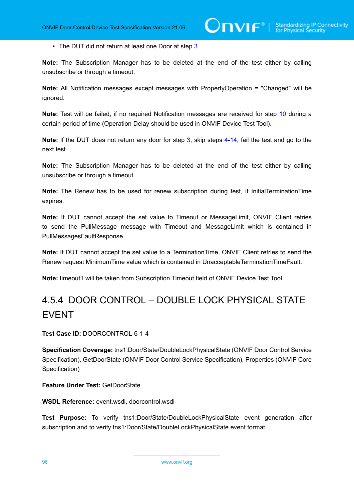• The DUT did not return at least one Door at step [3](#page-93-0).

**Note:** The Subscription Manager has to be deleted at the end of the test either by calling unsubscribe or through a timeout.

**Note:** All Notification messages except messages with PropertyOperation = "Changed" will be ignored.

**Note:** Test will be failed, if no required Notification messages are received for step [10](#page-94-1) during a certain period of time (Operation Delay should be used in ONVIF Device Test Tool).

**Note:** If the DUT does not return any door for step [3](#page-93-0), skip steps [4-](#page-93-1)[14,](#page-94-2) fail the test and go to the next test.

**Note:** The Subscription Manager has to be deleted at the end of the test either by calling unsubscribe or through a timeout.

**Note:** The Renew has to be used for renew subscription during test, if InitialTerminationTime expires.

**Note:** If DUT cannot accept the set value to Timeout or MessageLimit, ONVIF Client retries to send the PullMessage message with Timeout and MessageLimit which is contained in PullMessagesFaultResponse.

**Note:** If DUT cannot accept the set value to a TerminationTime, ONVIF Client retries to send the Renew request MinimumTime value which is contained in UnacceptableTerminationTimeFault.

**Note:** timeout1 will be taken from Subscription Timeout field of ONVIF Device Test Tool.

# 4.5.4 DOOR CONTROL – DOUBLE LOCK PHYSICAL STATE EVENT

**Test Case ID:** DOORCONTROL-6-1-4

**Specification Coverage:** tns1:Door/State/DoubleLockPhysicalState (ONVIF Door Control Service Specification), GetDoorState (ONVIF Door Control Service Specification), Properties (ONVIF Core Specification)

**Feature Under Test:** GetDoorState

**WSDL Reference:** event.wsdl, doorcontrol.wsdl

**Test Purpose:** To verify tns1:Door/State/DoubleLockPhysicalState event generation after subscription and to verify tns1:Door/State/DoubleLockPhysicalState event format.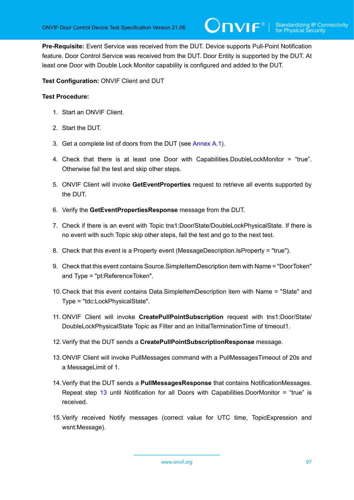**Pre-Requisite:** Event Service was received from the DUT. Device supports Pull-Point Notification feature. Door Control Service was received from the DUT. Door Entity is supported by the DUT. At least one Door with Double Lock Monitor capability is configured and added to the DUT.

**Test Configuration:** ONVIF Client and DUT

- 1. Start an ONVIF Client.
- 2. Start the DUT.
- <span id="page-96-1"></span>3. Get a complete list of doors from the DUT (see [Annex A.1\)](#page-187-0).
- <span id="page-96-3"></span>4. Check that there is at least one Door with Capabilities.DoubleLockMonitor = "true". Otherwise fail the test and skip other steps.
- 5. ONVIF Client will invoke **GetEventProperties** request to retrieve all events supported by the DUT.
- 6. Verify the **GetEventPropertiesResponse** message from the DUT.
- 7. Check if there is an event with Topic tns1:Door/State/DoubleLockPhysicalState. If there is no event with such Topic skip other steps, fail the test and go to the next test.
- 8. Check that this event is a Property event (MessageDescription.IsProperty = "true").
- 9. Check that this event contains Source.SimpleItemDescription item with Name = "DoorToken" and Type = "pt:ReferenceToken".
- 10.Check that this event contains Data.SimpleItemDescription item with Name = "State" and Type = "tdc:LockPhysicalState".
- 11. ONVIF Client will invoke **CreatePullPointSubscription** request with tns1:Door/State/ DoubleLockPhysicalState Topic as Filter and an InitialTerminationTime of timeout1.
- 12.Verify that the DUT sends a **CreatePullPointSubscriptionResponse** message.
- <span id="page-96-0"></span>13.ONVIF Client will invoke PullMessages command with a PullMessagesTimeout of 20s and a MessageLimit of 1.
- <span id="page-96-2"></span>14.Verify that the DUT sends a **PullMessagesResponse** that contains NotificationMessages. Repeat step [13](#page-96-0) until Notification for all Doors with Capabilities.DoorMonitor = "true" is received.
- 15.Verify received Notify messages (correct value for UTC time, TopicExpression and wsnt:Message).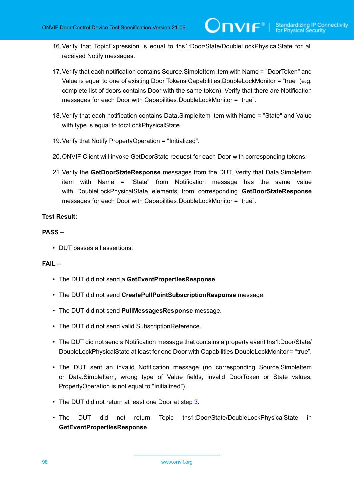- 16.Verify that TopicExpression is equal to tns1:Door/State/DoubleLockPhysicalState for all received Notify messages.
- 17.Verify that each notification contains Source.SimpleItem item with Name = "DoorToken" and Value is equal to one of existing Door Tokens Capabilities.DoubleLockMonitor = "true" (e.g. complete list of doors contains Door with the same token). Verify that there are Notification messages for each Door with Capabilities.DoubleLockMonitor = "true".
- 18.Verify that each notification contains Data.SimpleItem item with Name = "State" and Value with type is equal to tdc:LockPhysicalState.
- 19.Verify that Notify PropertyOperation = "Initialized".
- 20.ONVIF Client will invoke GetDoorState request for each Door with corresponding tokens.
- <span id="page-97-0"></span>21.Verify the **GetDoorStateResponse** messages from the DUT. Verify that Data.SimpleItem item with Name = "State" from Notification message has the same value with DoubleLockPhysicalState elements from corresponding **GetDoorStateResponse** messages for each Door with Capabilities.DoubleLockMonitor = "true".

# **PASS –**

• DUT passes all assertions.

# **FAIL –**

- The DUT did not send a **GetEventPropertiesResponse**
- The DUT did not send **CreatePullPointSubscriptionResponse** message.
- The DUT did not send **PullMessagesResponse** message.
- The DUT did not send valid SubscriptionReference.
- The DUT did not send a Notification message that contains a property event tns1:Door/State/ DoubleLockPhysicalState at least for one Door with Capabilities.DoubleLockMonitor = "true".
- The DUT sent an invalid Notification message (no corresponding Source.SimpleItem or Data.SimpleItem, wrong type of Value fields, invalid DoorToken or State values, PropertyOperation is not equal to "Initialized").
- The DUT did not return at least one Door at step [3](#page-96-1).
- The DUT did not return Topic tns1:Door/State/DoubleLockPhysicalState in **GetEventPropertiesResponse**.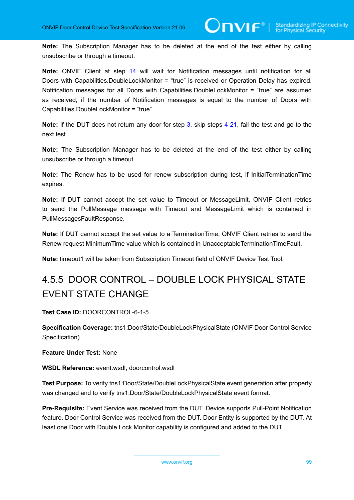**Note:** The Subscription Manager has to be deleted at the end of the test either by calling unsubscribe or through a timeout.

**Note:** ONVIF Client at step [14](#page-96-2) will wait for Notification messages until notification for all Doors with Capabilities.DoubleLockMonitor = "true" is received or Operation Delay has expired. Notification messages for all Doors with Capabilities.DoubleLockMonitor = "true" are assumed as received, if the number of Notification messages is equal to the number of Doors with Capabilities.DoubleLockMonitor = "true".

**Note:** If the DUT does not return any door for step [3](#page-96-1), skip steps [4-](#page-96-3)[21,](#page-97-0) fail the test and go to the next test.

**Note:** The Subscription Manager has to be deleted at the end of the test either by calling unsubscribe or through a timeout.

**Note:** The Renew has to be used for renew subscription during test, if InitialTerminationTime expires.

**Note:** If DUT cannot accept the set value to Timeout or MessageLimit, ONVIF Client retries to send the PullMessage message with Timeout and MessageLimit which is contained in PullMessagesFaultResponse.

**Note:** If DUT cannot accept the set value to a TerminationTime, ONVIF Client retries to send the Renew request MinimumTime value which is contained in UnacceptableTerminationTimeFault.

**Note:** timeout1 will be taken from Subscription Timeout field of ONVIF Device Test Tool.

# 4.5.5 DOOR CONTROL – DOUBLE LOCK PHYSICAL STATE EVENT STATE CHANGE

**Test Case ID:** DOORCONTROL-6-1-5

**Specification Coverage:** tns1:Door/State/DoubleLockPhysicalState (ONVIF Door Control Service Specification)

# **Feature Under Test:** None

# **WSDL Reference:** event.wsdl, doorcontrol.wsdl

**Test Purpose:** To verify tns1:Door/State/DoubleLockPhysicalState event generation after property was changed and to verify tns1:Door/State/DoubleLockPhysicalState event format.

**Pre-Requisite:** Event Service was received from the DUT. Device supports Pull-Point Notification feature. Door Control Service was received from the DUT. Door Entity is supported by the DUT. At least one Door with Double Lock Monitor capability is configured and added to the DUT.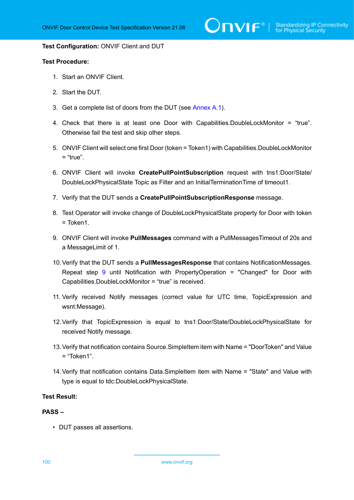$\sum_{i} \prod_{j} \big\{ \big\}^{\mathbb{R}} \big| \sum_{i}^{\mathbb{S}}$  Standardizing IP Connectivity

#### **Test Configuration:** ONVIF Client and DUT

## **Test Procedure:**

- 1. Start an ONVIF Client.
- 2. Start the DUT.
- <span id="page-99-1"></span>3. Get a complete list of doors from the DUT (see [Annex A.1\)](#page-187-0).
- <span id="page-99-3"></span>4. Check that there is at least one Door with Capabilities.DoubleLockMonitor = "true". Otherwise fail the test and skip other steps.
- 5. ONVIF Client will select one first Door (token = Token1) with Capabilities.DoubleLockMonitor  $=$  "true".
- 6. ONVIF Client will invoke **CreatePullPointSubscription** request with tns1:Door/State/ DoubleLockPhysicalState Topic as Filter and an InitialTerminationTime of timeout1.
- 7. Verify that the DUT sends a **CreatePullPointSubscriptionResponse** message.
- 8. Test Operator will invoke change of DoubleLockPhysicalState property for Door with token = Token1.
- <span id="page-99-0"></span>9. ONVIF Client will invoke **PullMessages** command with a PullMessagesTimeout of 20s and a MessageLimit of 1.
- <span id="page-99-2"></span>10.Verify that the DUT sends a **PullMessagesResponse** that contains NotificationMessages. Repeat step [9](#page-99-0) until Notification with PropertyOperation = "Changed" for Door with Capabilities.DoubleLockMonitor = "true" is received.
- 11. Verify received Notify messages (correct value for UTC time, TopicExpression and wsnt:Message).
- 12.Verify that TopicExpression is equal to tns1:Door/State/DoubleLockPhysicalState for received Notify message.
- 13.Verify that notification contains Source.SimpleItem item with Name = "DoorToken" and Value = "Token1".
- <span id="page-99-4"></span>14.Verify that notification contains Data.SimpleItem item with Name = "State" and Value with type is equal to tdc:DoubleLockPhysicalState.

#### **Test Result:**

#### **PASS –**

• DUT passes all assertions.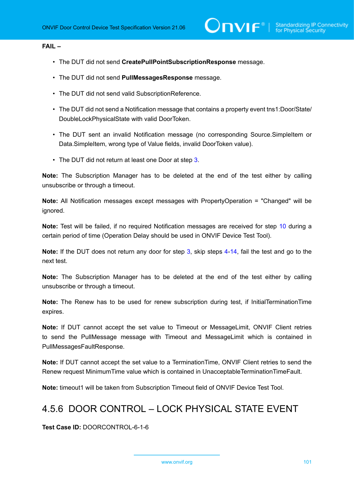# **FAIL –**

- The DUT did not send **CreatePullPointSubscriptionResponse** message.
- The DUT did not send **PullMessagesResponse** message.
- The DUT did not send valid SubscriptionReference.
- The DUT did not send a Notification message that contains a property event tns1:Door/State/ DoubleLockPhysicalState with valid DoorToken.
- The DUT sent an invalid Notification message (no corresponding Source.SimpleItem or Data.SimpleItem, wrong type of Value fields, invalid DoorToken value).
- The DUT did not return at least one Door at step [3](#page-99-1).

**Note:** The Subscription Manager has to be deleted at the end of the test either by calling unsubscribe or through a timeout.

**Note:** All Notification messages except messages with PropertyOperation = "Changed" will be ignored.

**Note:** Test will be failed, if no required Notification messages are received for step [10](#page-99-2) during a certain period of time (Operation Delay should be used in ONVIF Device Test Tool).

**Note:** If the DUT does not return any door for step [3](#page-99-1), skip steps [4-](#page-99-3)[14,](#page-99-4) fail the test and go to the next test.

**Note:** The Subscription Manager has to be deleted at the end of the test either by calling unsubscribe or through a timeout.

**Note:** The Renew has to be used for renew subscription during test, if InitialTerminationTime expires.

**Note:** If DUT cannot accept the set value to Timeout or MessageLimit, ONVIF Client retries to send the PullMessage message with Timeout and MessageLimit which is contained in PullMessagesFaultResponse.

**Note:** If DUT cannot accept the set value to a TerminationTime, ONVIF Client retries to send the Renew request MinimumTime value which is contained in UnacceptableTerminationTimeFault.

**Note:** timeout1 will be taken from Subscription Timeout field of ONVIF Device Test Tool.

# 4.5.6 DOOR CONTROL – LOCK PHYSICAL STATE EVENT

**Test Case ID:** DOORCONTROL-6-1-6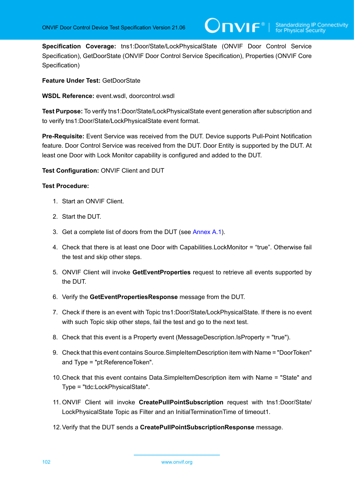**Specification Coverage:** tns1:Door/State/LockPhysicalState (ONVIF Door Control Service Specification), GetDoorState (ONVIF Door Control Service Specification), Properties (ONVIF Core Specification)

**Feature Under Test:** GetDoorState

**WSDL Reference:** event.wsdl, doorcontrol.wsdl

**Test Purpose:** To verify tns1:Door/State/LockPhysicalState event generation after subscription and to verify tns1:Door/State/LockPhysicalState event format.

**Pre-Requisite:** Event Service was received from the DUT. Device supports Pull-Point Notification feature. Door Control Service was received from the DUT. Door Entity is supported by the DUT. At least one Door with Lock Monitor capability is configured and added to the DUT.

**Test Configuration:** ONVIF Client and DUT

- 1. Start an ONVIF Client.
- 2. Start the DUT.
- <span id="page-101-0"></span>3. Get a complete list of doors from the DUT (see [Annex A.1\)](#page-187-0).
- <span id="page-101-1"></span>4. Check that there is at least one Door with Capabilities.LockMonitor = "true". Otherwise fail the test and skip other steps.
- 5. ONVIF Client will invoke **GetEventProperties** request to retrieve all events supported by the DUT.
- 6. Verify the **GetEventPropertiesResponse** message from the DUT.
- 7. Check if there is an event with Topic tns1:Door/State/LockPhysicalState. If there is no event with such Topic skip other steps, fail the test and go to the next test.
- 8. Check that this event is a Property event (MessageDescription.IsProperty = "true").
- 9. Check that this event contains Source.SimpleItemDescription item with Name = "DoorToken" and Type = "pt:ReferenceToken".
- 10.Check that this event contains Data.SimpleItemDescription item with Name = "State" and Type = "tdc:LockPhysicalState".
- 11. ONVIF Client will invoke **CreatePullPointSubscription** request with tns1:Door/State/ LockPhysicalState Topic as Filter and an InitialTerminationTime of timeout1.
- 12.Verify that the DUT sends a **CreatePullPointSubscriptionResponse** message.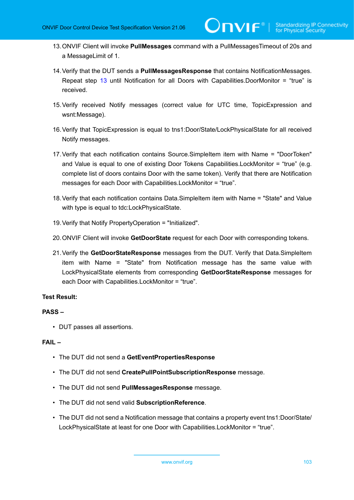- <span id="page-102-0"></span>13.ONVIF Client will invoke **PullMessages** command with a PullMessagesTimeout of 20s and a MessageLimit of 1.
- <span id="page-102-1"></span>14.Verify that the DUT sends a **PullMessagesResponse** that contains NotificationMessages. Repeat step [13](#page-102-0) until Notification for all Doors with Capabilities.DoorMonitor = "true" is received.
- 15.Verify received Notify messages (correct value for UTC time, TopicExpression and wsnt:Message).
- 16.Verify that TopicExpression is equal to tns1:Door/State/LockPhysicalState for all received Notify messages.
- 17.Verify that each notification contains Source.SimpleItem item with Name = "DoorToken" and Value is equal to one of existing Door Tokens Capabilities.LockMonitor = "true" (e.g. complete list of doors contains Door with the same token). Verify that there are Notification messages for each Door with Capabilities.LockMonitor = "true".
- 18.Verify that each notification contains Data.SimpleItem item with Name = "State" and Value with type is equal to tdc:LockPhysicalState.
- 19.Verify that Notify PropertyOperation = "Initialized".
- 20.ONVIF Client will invoke **GetDoorState** request for each Door with corresponding tokens.
- <span id="page-102-2"></span>21.Verify the **GetDoorStateResponse** messages from the DUT. Verify that Data.SimpleItem item with Name = "State" from Notification message has the same value with LockPhysicalState elements from corresponding **GetDoorStateResponse** messages for each Door with Capabilities.LockMonitor = "true".

# **PASS –**

• DUT passes all assertions.

# **FAIL –**

- The DUT did not send a **GetEventPropertiesResponse**
- The DUT did not send **CreatePullPointSubscriptionResponse** message.
- The DUT did not send **PullMessagesResponse** message.
- The DUT did not send valid **SubscriptionReference**.
- The DUT did not send a Notification message that contains a property event tns1:Door/State/ LockPhysicalState at least for one Door with Capabilities.LockMonitor = "true".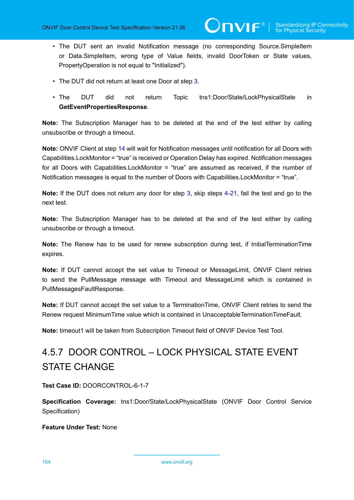• The DUT sent an invalid Notification message (no corresponding Source.SimpleItem or Data.SimpleItem, wrong type of Value fields, invalid DoorToken or State values, PropertyOperation is not equal to "Initialized").

 $\mathsf{D}\mathbf{N}\mathsf{I}\mathsf{F}^\ast$  i

- The DUT did not return at least one Door at step [3](#page-101-0).
- The DUT did not return Topic tns1:Door/State/LockPhysicalState in **GetEventPropertiesResponse**.

**Note:** The Subscription Manager has to be deleted at the end of the test either by calling unsubscribe or through a timeout.

**Note:** ONVIF Client at step [14](#page-102-1) will wait for Notification messages until notification for all Doors with Capabilities.LockMonitor = "true" is received or Operation Delay has expired. Notification messages for all Doors with Capabilities.LockMonitor = "true" are assumed as received, if the number of Notification messages is equal to the number of Doors with Capabilities.LockMonitor = "true".

**Note:** If the DUT does not return any door for step [3](#page-101-0), skip steps [4-](#page-101-1)[21,](#page-102-2) fail the test and go to the next test.

**Note:** The Subscription Manager has to be deleted at the end of the test either by calling unsubscribe or through a timeout.

**Note:** The Renew has to be used for renew subscription during test, if InitialTerminationTime expires.

**Note:** If DUT cannot accept the set value to Timeout or MessageLimit, ONVIF Client retries to send the PullMessage message with Timeout and MessageLimit which is contained in PullMessagesFaultResponse.

**Note:** If DUT cannot accept the set value to a TerminationTime, ONVIF Client retries to send the Renew request MinimumTime value which is contained in UnacceptableTerminationTimeFault.

**Note:** timeout1 will be taken from Subscription Timeout field of ONVIF Device Test Tool.

# 4.5.7 DOOR CONTROL – LOCK PHYSICAL STATE EVENT STATE CHANGE

**Test Case ID:** DOORCONTROL-6-1-7

**Specification Coverage:** tns1:Door/State/LockPhysicalState (ONVIF Door Control Service Specification)

# **Feature Under Test:** None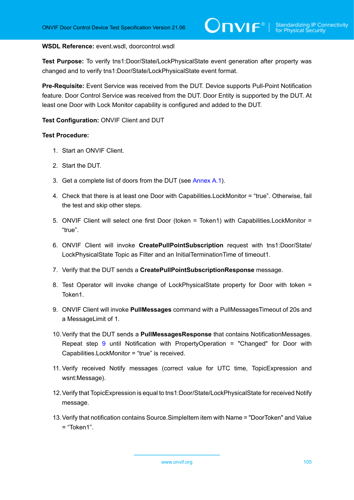#### **WSDL Reference:** event.wsdl, doorcontrol.wsdl

**Test Purpose:** To verify tns1:Door/State/LockPhysicalState event generation after property was changed and to verify tns1:Door/State/LockPhysicalState event format.

**Pre-Requisite:** Event Service was received from the DUT. Device supports Pull-Point Notification feature. Door Control Service was received from the DUT. Door Entity is supported by the DUT. At least one Door with Lock Monitor capability is configured and added to the DUT.

## **Test Configuration:** ONVIF Client and DUT

- 1. Start an ONVIF Client.
- 2. Start the DUT.
- <span id="page-104-1"></span>3. Get a complete list of doors from the DUT (see [Annex A.1\)](#page-187-0).
- <span id="page-104-3"></span>4. Check that there is at least one Door with Capabilities.LockMonitor = "true". Otherwise, fail the test and skip other steps.
- 5. ONVIF Client will select one first Door (token = Token1) with Capabilities.LockMonitor = "true".
- 6. ONVIF Client will invoke **CreatePullPointSubscription** request with tns1:Door/State/ LockPhysicalState Topic as Filter and an InitialTerminationTime of timeout1.
- 7. Verify that the DUT sends a **CreatePullPointSubscriptionResponse** message.
- 8. Test Operator will invoke change of LockPhysicalState property for Door with token = Token1.
- <span id="page-104-0"></span>9. ONVIF Client will invoke **PullMessages** command with a PullMessagesTimeout of 20s and a MessageLimit of 1.
- <span id="page-104-2"></span>10.Verify that the DUT sends a **PullMessagesResponse** that contains NotificationMessages. Repeat step [9](#page-104-0) until Notification with PropertyOperation = "Changed" for Door with Capabilities.LockMonitor = "true" is received.
- 11. Verify received Notify messages (correct value for UTC time, TopicExpression and wsnt:Message).
- 12.Verify that TopicExpression is equal to tns1:Door/State/LockPhysicalState for received Notify message.
- 13.Verify that notification contains Source.SimpleItem item with Name = "DoorToken" and Value  $=$  "Token1".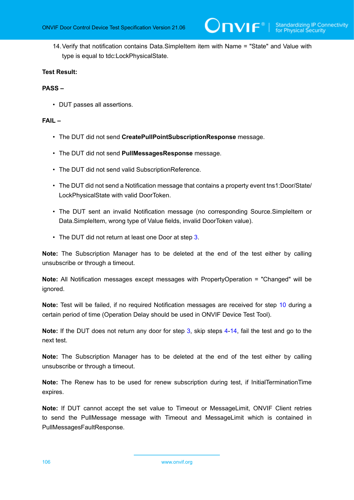<span id="page-105-0"></span>14.Verify that notification contains Data.SimpleItem item with Name = "State" and Value with type is equal to tdc:LockPhysicalState.

# **Test Result:**

# **PASS –**

• DUT passes all assertions.

# **FAIL –**

- The DUT did not send **CreatePullPointSubscriptionResponse** message.
- The DUT did not send **PullMessagesResponse** message.
- The DUT did not send valid SubscriptionReference.
- The DUT did not send a Notification message that contains a property event tns1:Door/State/ LockPhysicalState with valid DoorToken.
- The DUT sent an invalid Notification message (no corresponding Source.SimpleItem or Data.SimpleItem, wrong type of Value fields, invalid DoorToken value).
- The DUT did not return at least one Door at step [3](#page-104-1).

**Note:** The Subscription Manager has to be deleted at the end of the test either by calling unsubscribe or through a timeout.

**Note:** All Notification messages except messages with PropertyOperation = "Changed" will be ignored.

**Note:** Test will be failed, if no required Notification messages are received for step [10](#page-104-2) during a certain period of time (Operation Delay should be used in ONVIF Device Test Tool).

**Note:** If the DUT does not return any door for step [3](#page-104-1), skip steps [4-](#page-104-3)[14,](#page-105-0) fail the test and go to the next test.

**Note:** The Subscription Manager has to be deleted at the end of the test either by calling unsubscribe or through a timeout.

**Note:** The Renew has to be used for renew subscription during test, if InitialTerminationTime expires.

**Note:** If DUT cannot accept the set value to Timeout or MessageLimit, ONVIF Client retries to send the PullMessage message with Timeout and MessageLimit which is contained in PullMessagesFaultResponse.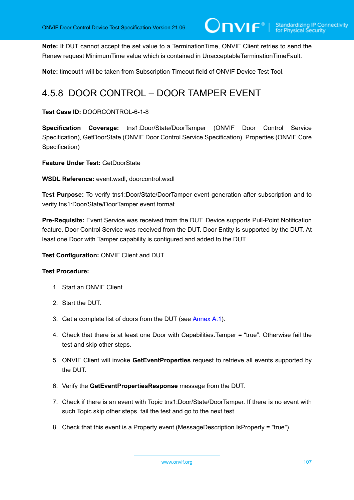**Note:** If DUT cannot accept the set value to a TerminationTime, ONVIF Client retries to send the Renew request MinimumTime value which is contained in UnacceptableTerminationTimeFault.

**Note:** timeout1 will be taken from Subscription Timeout field of ONVIF Device Test Tool.

# 4.5.8 DOOR CONTROL – DOOR TAMPER EVENT

# **Test Case ID:** DOORCONTROL-6-1-8

**Specification Coverage:** tns1:Door/State/DoorTamper (ONVIF Door Control Service Specification), GetDoorState (ONVIF Door Control Service Specification), Properties (ONVIF Core Specification)

**Feature Under Test:** GetDoorState

**WSDL Reference:** event.wsdl, doorcontrol.wsdl

**Test Purpose:** To verify tns1:Door/State/DoorTamper event generation after subscription and to verify tns1:Door/State/DoorTamper event format.

**Pre-Requisite:** Event Service was received from the DUT. Device supports Pull-Point Notification feature. Door Control Service was received from the DUT. Door Entity is supported by the DUT. At least one Door with Tamper capability is configured and added to the DUT.

**Test Configuration:** ONVIF Client and DUT

- 1. Start an ONVIF Client.
- 2. Start the DUT.
- 3. Get a complete list of doors from the DUT (see [Annex A.1\)](#page-187-0).
- 4. Check that there is at least one Door with Capabilities.Tamper = "true". Otherwise fail the test and skip other steps.
- 5. ONVIF Client will invoke **GetEventProperties** request to retrieve all events supported by the DUT.
- 6. Verify the **GetEventPropertiesResponse** message from the DUT.
- 7. Check if there is an event with Topic tns1:Door/State/DoorTamper. If there is no event with such Topic skip other steps, fail the test and go to the next test.
- 8. Check that this event is a Property event (MessageDescription.IsProperty = "true").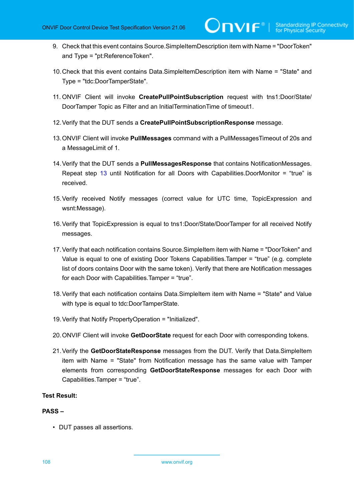9. Check that this event contains Source.SimpleItemDescription item with Name = "DoorToken" and Type = "pt:ReferenceToken".

 $\mathsf{D}\mathbf{N}\mathsf{I}\mathsf{F}^\ast$ l

- 10.Check that this event contains Data.SimpleItemDescription item with Name = "State" and Type = "tdc:DoorTamperState".
- 11. ONVIF Client will invoke **CreatePullPointSubscription** request with tns1:Door/State/ DoorTamper Topic as Filter and an InitialTerminationTime of timeout1.
- 12.Verify that the DUT sends a **CreatePullPointSubscriptionResponse** message.
- <span id="page-107-0"></span>13.ONVIF Client will invoke **PullMessages** command with a PullMessagesTimeout of 20s and a MessageLimit of 1.
- 14.Verify that the DUT sends a **PullMessagesResponse** that contains NotificationMessages. Repeat step [13](#page-107-0) until Notification for all Doors with Capabilities.DoorMonitor = "true" is received.
- 15.Verify received Notify messages (correct value for UTC time, TopicExpression and wsnt:Message).
- 16.Verify that TopicExpression is equal to tns1:Door/State/DoorTamper for all received Notify messages.
- 17.Verify that each notification contains Source.SimpleItem item with Name = "DoorToken" and Value is equal to one of existing Door Tokens Capabilities.Tamper = "true" (e.g. complete list of doors contains Door with the same token). Verify that there are Notification messages for each Door with Capabilities.Tamper = "true".
- 18.Verify that each notification contains Data.SimpleItem item with Name = "State" and Value with type is equal to tdc:DoorTamperState.
- 19.Verify that Notify PropertyOperation = "Initialized".
- 20.ONVIF Client will invoke **GetDoorState** request for each Door with corresponding tokens.
- 21.Verify the **GetDoorStateResponse** messages from the DUT. Verify that Data.SimpleItem item with Name = "State" from Notification message has the same value with Tamper elements from corresponding **GetDoorStateResponse** messages for each Door with Capabilities.Tamper = "true".

# **Test Result:**

#### **PASS –**

• DUT passes all assertions.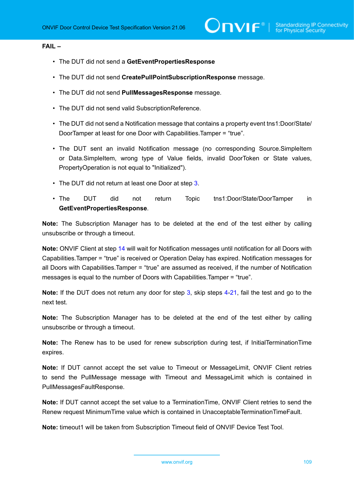#### **FAIL –**

- The DUT did not send a **GetEventPropertiesResponse**
- The DUT did not send **CreatePullPointSubscriptionResponse** message.
- The DUT did not send **PullMessagesResponse** message.
- The DUT did not send valid SubscriptionReference.
- The DUT did not send a Notification message that contains a property event tns1:Door/State/ DoorTamper at least for one Door with Capabilities.Tamper = "true".
- The DUT sent an invalid Notification message (no corresponding Source.SimpleItem or Data.SimpleItem, wrong type of Value fields, invalid DoorToken or State values, PropertyOperation is not equal to "Initialized").
- The DUT did not return at least one Door at step [3](#page-106-0).
- The DUT did not return Topic tns1:Door/State/DoorTamper in **GetEventPropertiesResponse**.

**Note:** The Subscription Manager has to be deleted at the end of the test either by calling unsubscribe or through a timeout.

**Note:** ONVIF Client at step [14](#page-107-0) will wait for Notification messages until notification for all Doors with Capabilities.Tamper = "true" is received or Operation Delay has expired. Notification messages for all Doors with Capabilities.Tamper = "true" are assumed as received, if the number of Notification messages is equal to the number of Doors with Capabilities.Tamper = "true".

**Note:** If the DUT does not return any door for step [3](#page-106-0), skip steps [4-](#page-106-1)[21,](#page-107-1) fail the test and go to the next test.

**Note:** The Subscription Manager has to be deleted at the end of the test either by calling unsubscribe or through a timeout.

**Note:** The Renew has to be used for renew subscription during test, if InitialTerminationTime expires.

**Note:** If DUT cannot accept the set value to Timeout or MessageLimit, ONVIF Client retries to send the PullMessage message with Timeout and MessageLimit which is contained in PullMessagesFaultResponse.

**Note:** If DUT cannot accept the set value to a TerminationTime, ONVIF Client retries to send the Renew request MinimumTime value which is contained in UnacceptableTerminationTimeFault.

**Note:** timeout1 will be taken from Subscription Timeout field of ONVIF Device Test Tool.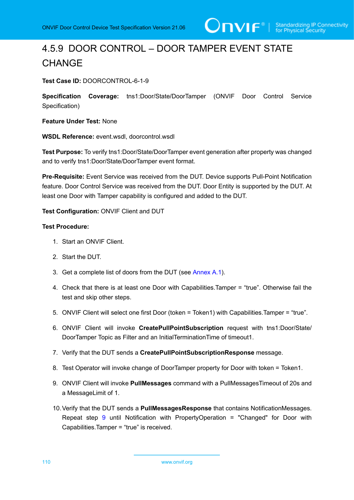# 4.5.9 DOOR CONTROL – DOOR TAMPER EVENT STATE **CHANGE**

**Test Case ID:** DOORCONTROL-6-1-9

**Specification Coverage:** tns1:Door/State/DoorTamper (ONVIF Door Control Service Specification)

**Feature Under Test:** None

**WSDL Reference:** event.wsdl, doorcontrol.wsdl

**Test Purpose:** To verify tns1:Door/State/DoorTamper event generation after property was changed and to verify tns1:Door/State/DoorTamper event format.

**Pre-Requisite:** Event Service was received from the DUT. Device supports Pull-Point Notification feature. Door Control Service was received from the DUT. Door Entity is supported by the DUT. At least one Door with Tamper capability is configured and added to the DUT.

**Test Configuration:** ONVIF Client and DUT

- 1. Start an ONVIF Client.
- 2. Start the DUT.
- <span id="page-109-1"></span>3. Get a complete list of doors from the DUT (see [Annex A.1\)](#page-187-0).
- <span id="page-109-3"></span>4. Check that there is at least one Door with Capabilities.Tamper = "true". Otherwise fail the test and skip other steps.
- 5. ONVIF Client will select one first Door (token = Token1) with Capabilities.Tamper = "true".
- 6. ONVIF Client will invoke **CreatePullPointSubscription** request with tns1:Door/State/ DoorTamper Topic as Filter and an InitialTerminationTime of timeout1.
- 7. Verify that the DUT sends a **CreatePullPointSubscriptionResponse** message.
- 8. Test Operator will invoke change of DoorTamper property for Door with token = Token1.
- <span id="page-109-0"></span>9. ONVIF Client will invoke **PullMessages** command with a PullMessagesTimeout of 20s and a MessageLimit of 1.
- <span id="page-109-2"></span>10.Verify that the DUT sends a **PullMessagesResponse** that contains NotificationMessages. Repeat step [9](#page-109-0) until Notification with PropertyOperation = "Changed" for Door with Capabilities.Tamper = "true" is received.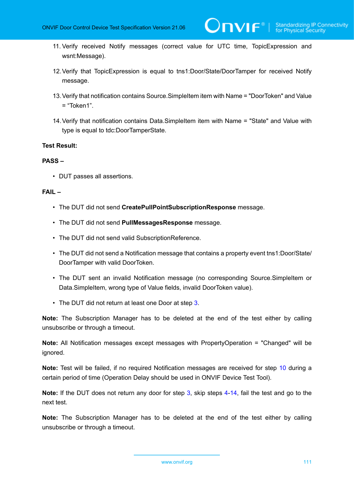- 11. Verify received Notify messages (correct value for UTC time, TopicExpression and wsnt:Message).
- 12.Verify that TopicExpression is equal to tns1:Door/State/DoorTamper for received Notify message.
- 13.Verify that notification contains Source.SimpleItem item with Name = "DoorToken" and Value  $=$  "Token1".
- <span id="page-110-0"></span>14.Verify that notification contains Data.SimpleItem item with Name = "State" and Value with type is equal to tdc:DoorTamperState.

#### **PASS –**

• DUT passes all assertions.

### **FAIL –**

- The DUT did not send **CreatePullPointSubscriptionResponse** message.
- The DUT did not send **PullMessagesResponse** message.
- The DUT did not send valid SubscriptionReference.
- The DUT did not send a Notification message that contains a property event tns1:Door/State/ DoorTamper with valid DoorToken.
- The DUT sent an invalid Notification message (no corresponding Source.SimpleItem or Data.SimpleItem, wrong type of Value fields, invalid DoorToken value).
- The DUT did not return at least one Door at step [3](#page-109-1).

**Note:** The Subscription Manager has to be deleted at the end of the test either by calling unsubscribe or through a timeout.

**Note:** All Notification messages except messages with PropertyOperation = "Changed" will be ignored.

**Note:** Test will be failed, if no required Notification messages are received for step [10](#page-109-2) during a certain period of time (Operation Delay should be used in ONVIF Device Test Tool).

**Note:** If the DUT does not return any door for step [3](#page-109-1), skip steps [4-](#page-109-3)[14,](#page-110-0) fail the test and go to the next test.

**Note:** The Subscription Manager has to be deleted at the end of the test either by calling unsubscribe or through a timeout.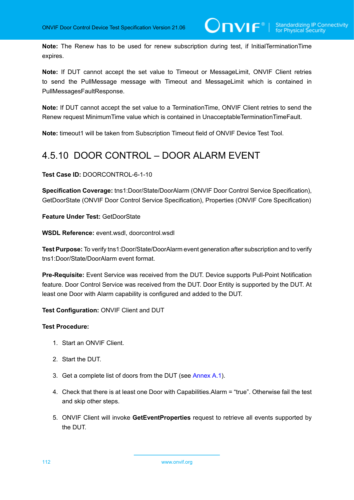**Note:** The Renew has to be used for renew subscription during test, if InitialTerminationTime expires.

**Note:** If DUT cannot accept the set value to Timeout or MessageLimit, ONVIF Client retries to send the PullMessage message with Timeout and MessageLimit which is contained in PullMessagesFaultResponse.

**Note:** If DUT cannot accept the set value to a TerminationTime, ONVIF Client retries to send the Renew request MinimumTime value which is contained in UnacceptableTerminationTimeFault.

**Note:** timeout1 will be taken from Subscription Timeout field of ONVIF Device Test Tool.

# 4.5.10 DOOR CONTROL – DOOR ALARM EVENT

**Test Case ID:** DOORCONTROL-6-1-10

**Specification Coverage:** tns1:Door/State/DoorAlarm (ONVIF Door Control Service Specification), GetDoorState (ONVIF Door Control Service Specification), Properties (ONVIF Core Specification)

**Feature Under Test:** GetDoorState

**WSDL Reference:** event.wsdl, doorcontrol.wsdl

**Test Purpose:** To verify tns1:Door/State/DoorAlarm event generation after subscription and to verify tns1:Door/State/DoorAlarm event format.

**Pre-Requisite:** Event Service was received from the DUT. Device supports Pull-Point Notification feature. Door Control Service was received from the DUT. Door Entity is supported by the DUT. At least one Door with Alarm capability is configured and added to the DUT.

**Test Configuration:** ONVIF Client and DUT

- 1. Start an ONVIF Client.
- 2. Start the DUT.
- <span id="page-111-0"></span>3. Get a complete list of doors from the DUT (see [Annex A.1\)](#page-187-0).
- <span id="page-111-1"></span>4. Check that there is at least one Door with Capabilities.Alarm = "true". Otherwise fail the test and skip other steps.
- 5. ONVIF Client will invoke **GetEventProperties** request to retrieve all events supported by the DUT.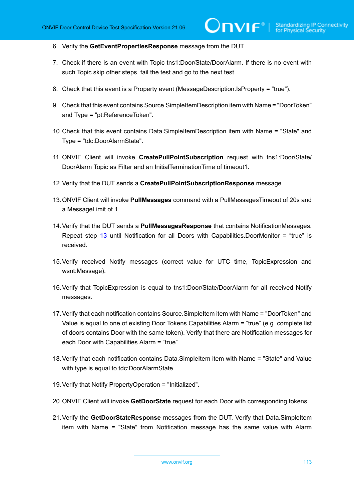- 6. Verify the **GetEventPropertiesResponse** message from the DUT.
- 7. Check if there is an event with Topic tns1:Door/State/DoorAlarm. If there is no event with such Topic skip other steps, fail the test and go to the next test.
- 8. Check that this event is a Property event (MessageDescription.IsProperty = "true").
- 9. Check that this event contains Source.SimpleItemDescription item with Name = "DoorToken" and Type = "pt:ReferenceToken".
- 10.Check that this event contains Data.SimpleItemDescription item with Name = "State" and Type = "tdc:DoorAlarmState".
- 11. ONVIF Client will invoke **CreatePullPointSubscription** request with tns1:Door/State/ DoorAlarm Topic as Filter and an InitialTerminationTime of timeout1.
- 12.Verify that the DUT sends a **CreatePullPointSubscriptionResponse** message.
- <span id="page-112-0"></span>13.ONVIF Client will invoke **PullMessages** command with a PullMessagesTimeout of 20s and a MessageLimit of 1.
- <span id="page-112-1"></span>14.Verify that the DUT sends a **PullMessagesResponse** that contains NotificationMessages. Repeat step [13](#page-112-0) until Notification for all Doors with Capabilities.DoorMonitor = "true" is received.
- 15.Verify received Notify messages (correct value for UTC time, TopicExpression and wsnt:Message).
- 16.Verify that TopicExpression is equal to tns1:Door/State/DoorAlarm for all received Notify messages.
- 17.Verify that each notification contains Source.SimpleItem item with Name = "DoorToken" and Value is equal to one of existing Door Tokens Capabilities.Alarm = "true" (e.g. complete list of doors contains Door with the same token). Verify that there are Notification messages for each Door with Capabilities.Alarm = "true".
- 18.Verify that each notification contains Data.SimpleItem item with Name = "State" and Value with type is equal to tdc:DoorAlarmState.
- 19.Verify that Notify PropertyOperation = "Initialized".
- 20.ONVIF Client will invoke **GetDoorState** request for each Door with corresponding tokens.
- <span id="page-112-2"></span>21.Verify the **GetDoorStateResponse** messages from the DUT. Verify that Data.SimpleItem item with Name = "State" from Notification message has the same value with Alarm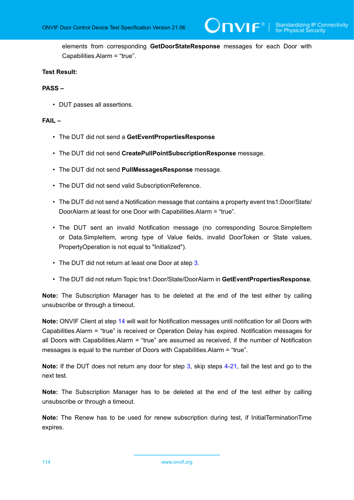elements from corresponding **GetDoorStateResponse** messages for each Door with Capabilities.Alarm = "true".

#### **Test Result:**

#### **PASS –**

• DUT passes all assertions.

#### **FAIL –**

- The DUT did not send a **GetEventPropertiesResponse**
- The DUT did not send **CreatePullPointSubscriptionResponse** message.
- The DUT did not send **PullMessagesResponse** message.
- The DUT did not send valid SubscriptionReference.
- The DUT did not send a Notification message that contains a property event tns1:Door/State/ DoorAlarm at least for one Door with Capabilities.Alarm = "true".
- The DUT sent an invalid Notification message (no corresponding Source.SimpleItem or Data.SimpleItem, wrong type of Value fields, invalid DoorToken or State values, PropertyOperation is not equal to "Initialized").
- The DUT did not return at least one Door at step [3](#page-111-0).
- The DUT did not return Topic tns1:Door/State/DoorAlarm in **GetEventPropertiesResponse**.

**Note:** The Subscription Manager has to be deleted at the end of the test either by calling unsubscribe or through a timeout.

**Note:** ONVIF Client at step [14](#page-112-1) will wait for Notification messages until notification for all Doors with Capabilities.Alarm = "true" is received or Operation Delay has expired. Notification messages for all Doors with Capabilities.Alarm = "true" are assumed as received, if the number of Notification messages is equal to the number of Doors with Capabilities.Alarm = "true".

**Note:** If the DUT does not return any door for step [3](#page-111-0), skip steps [4-](#page-111-1)[21,](#page-112-2) fail the test and go to the next test.

**Note:** The Subscription Manager has to be deleted at the end of the test either by calling unsubscribe or through a timeout.

**Note:** The Renew has to be used for renew subscription during test, if InitialTerminationTime expires.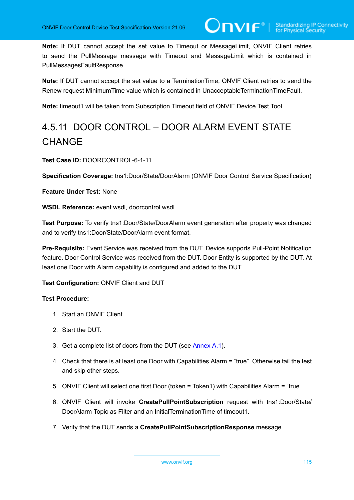**Note:** If DUT cannot accept the set value to Timeout or MessageLimit, ONVIF Client retries to send the PullMessage message with Timeout and MessageLimit which is contained in PullMessagesFaultResponse.

**Note:** If DUT cannot accept the set value to a TerminationTime, ONVIF Client retries to send the Renew request MinimumTime value which is contained in UnacceptableTerminationTimeFault.

**Note:** timeout1 will be taken from Subscription Timeout field of ONVIF Device Test Tool.

# 4.5.11 DOOR CONTROL – DOOR ALARM EVENT STATE **CHANGE**

**Test Case ID:** DOORCONTROL-6-1-11

**Specification Coverage:** tns1:Door/State/DoorAlarm (ONVIF Door Control Service Specification)

**Feature Under Test:** None

**WSDL Reference:** event.wsdl, doorcontrol.wsdl

**Test Purpose:** To verify tns1:Door/State/DoorAlarm event generation after property was changed and to verify tns1:Door/State/DoorAlarm event format.

**Pre-Requisite:** Event Service was received from the DUT. Device supports Pull-Point Notification feature. Door Control Service was received from the DUT. Door Entity is supported by the DUT. At least one Door with Alarm capability is configured and added to the DUT.

#### **Test Configuration:** ONVIF Client and DUT

- 1. Start an ONVIF Client.
- 2. Start the DUT.
- <span id="page-114-0"></span>3. Get a complete list of doors from the DUT (see [Annex A.1\)](#page-187-0).
- <span id="page-114-1"></span>4. Check that there is at least one Door with Capabilities.Alarm = "true". Otherwise fail the test and skip other steps.
- 5. ONVIF Client will select one first Door (token = Token1) with Capabilities.Alarm = "true".
- 6. ONVIF Client will invoke **CreatePullPointSubscription** request with tns1:Door/State/ DoorAlarm Topic as Filter and an InitialTerminationTime of timeout1.
- 7. Verify that the DUT sends a **CreatePullPointSubscriptionResponse** message.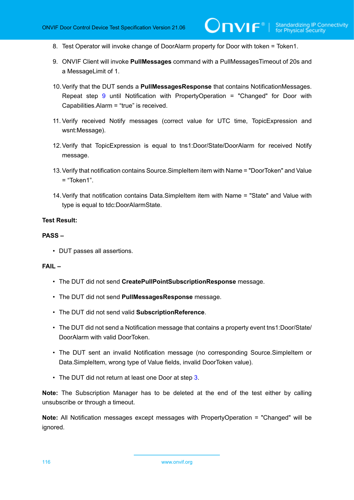- 8. Test Operator will invoke change of DoorAlarm property for Door with token = Token1.
- <span id="page-115-0"></span>9. ONVIF Client will invoke **PullMessages** command with a PullMessagesTimeout of 20s and a MessageLimit of 1.
- <span id="page-115-1"></span>10.Verify that the DUT sends a **PullMessagesResponse** that contains NotificationMessages. Repeat step [9](#page-115-0) until Notification with PropertyOperation = "Changed" for Door with Capabilities.Alarm = "true" is received.
- 11. Verify received Notify messages (correct value for UTC time, TopicExpression and wsnt:Message).
- 12.Verify that TopicExpression is equal to tns1:Door/State/DoorAlarm for received Notify message.
- 13.Verify that notification contains Source.SimpleItem item with Name = "DoorToken" and Value  $=$  "Token1".
- <span id="page-115-2"></span>14.Verify that notification contains Data.SimpleItem item with Name = "State" and Value with type is equal to tdc:DoorAlarmState.

#### **PASS –**

• DUT passes all assertions.

#### **FAIL –**

- The DUT did not send **CreatePullPointSubscriptionResponse** message.
- The DUT did not send **PullMessagesResponse** message.
- The DUT did not send valid **SubscriptionReference**.
- The DUT did not send a Notification message that contains a property event tns1:Door/State/ DoorAlarm with valid DoorToken.
- The DUT sent an invalid Notification message (no corresponding Source.SimpleItem or Data.SimpleItem, wrong type of Value fields, invalid DoorToken value).
- The DUT did not return at least one Door at step [3](#page-114-0).

**Note:** The Subscription Manager has to be deleted at the end of the test either by calling unsubscribe or through a timeout.

**Note:** All Notification messages except messages with PropertyOperation = "Changed" will be ignored.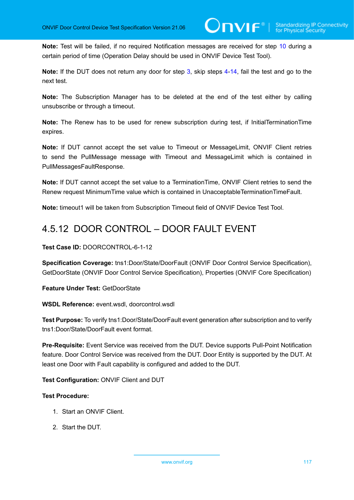**Note:** Test will be failed, if no required Notification messages are received for step [10](#page-115-1) during a certain period of time (Operation Delay should be used in ONVIF Device Test Tool).

**Note:** If the DUT does not return any door for step [3](#page-114-0), skip steps [4-](#page-114-1)[14,](#page-115-2) fail the test and go to the next test.

**Note:** The Subscription Manager has to be deleted at the end of the test either by calling unsubscribe or through a timeout.

**Note:** The Renew has to be used for renew subscription during test, if InitialTerminationTime expires.

**Note:** If DUT cannot accept the set value to Timeout or MessageLimit, ONVIF Client retries to send the PullMessage message with Timeout and MessageLimit which is contained in PullMessagesFaultResponse.

**Note:** If DUT cannot accept the set value to a TerminationTime, ONVIF Client retries to send the Renew request MinimumTime value which is contained in UnacceptableTerminationTimeFault.

**Note:** timeout1 will be taken from Subscription Timeout field of ONVIF Device Test Tool.

# 4.5.12 DOOR CONTROL – DOOR FAULT EVENT

**Test Case ID:** DOORCONTROL-6-1-12

**Specification Coverage:** tns1:Door/State/DoorFault (ONVIF Door Control Service Specification), GetDoorState (ONVIF Door Control Service Specification), Properties (ONVIF Core Specification)

**Feature Under Test:** GetDoorState

**WSDL Reference:** event.wsdl, doorcontrol.wsdl

**Test Purpose:** To verify tns1:Door/State/DoorFault event generation after subscription and to verify tns1:Door/State/DoorFault event format.

**Pre-Requisite:** Event Service was received from the DUT. Device supports Pull-Point Notification feature. Door Control Service was received from the DUT. Door Entity is supported by the DUT. At least one Door with Fault capability is configured and added to the DUT.

**Test Configuration:** ONVIF Client and DUT

- 1. Start an ONVIF Client.
- 2. Start the DUT.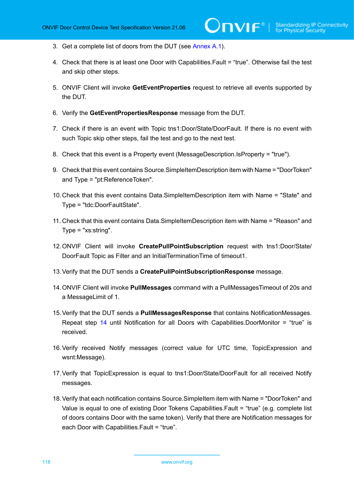- <span id="page-117-1"></span>3. Get a complete list of doors from the DUT (see [Annex A.1\)](#page-187-0).
- <span id="page-117-3"></span>4. Check that there is at least one Door with Capabilities.Fault = "true". Otherwise fail the test and skip other steps.
- 5. ONVIF Client will invoke **GetEventProperties** request to retrieve all events supported by the DUT.
- 6. Verify the **GetEventPropertiesResponse** message from the DUT.
- 7. Check if there is an event with Topic tns1:Door/State/DoorFault. If there is no event with such Topic skip other steps, fail the test and go to the next test.
- 8. Check that this event is a Property event (MessageDescription.IsProperty = "true").
- 9. Check that this event contains Source.SimpleItemDescription item with Name = "DoorToken" and Type = "pt:ReferenceToken".
- 10.Check that this event contains Data.SimpleItemDescription item with Name = "State" and Type = "tdc:DoorFaultState".
- 11. Check that this event contains Data.SimpleItemDescription item with Name = "Reason" and Type = "xs:string".
- 12.ONVIF Client will invoke **CreatePullPointSubscription** request with tns1:Door/State/ DoorFault Topic as Filter and an InitialTerminationTime of timeout1.
- 13.Verify that the DUT sends a **CreatePullPointSubscriptionResponse** message.
- <span id="page-117-0"></span>14.ONVIF Client will invoke **PullMessages** command with a PullMessagesTimeout of 20s and a MessageLimit of 1.
- <span id="page-117-2"></span>15.Verify that the DUT sends a **PullMessagesResponse** that contains NotificationMessages. Repeat step [14](#page-117-0) until Notification for all Doors with Capabilities.DoorMonitor = "true" is received.
- 16.Verify received Notify messages (correct value for UTC time, TopicExpression and wsnt:Message).
- 17.Verify that TopicExpression is equal to tns1:Door/State/DoorFault for all received Notify messages.
- 18.Verify that each notification contains Source.SimpleItem item with Name = "DoorToken" and Value is equal to one of existing Door Tokens Capabilities.Fault = "true" (e.g. complete list of doors contains Door with the same token). Verify that there are Notification messages for each Door with Capabilities.Fault = "true".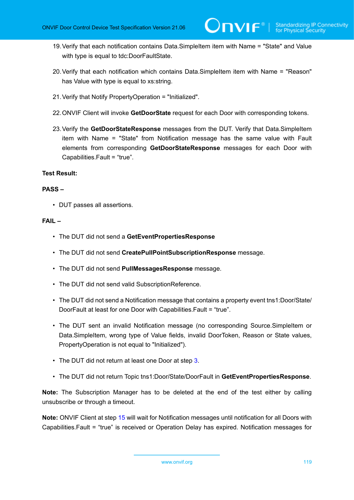- 19.Verify that each notification contains Data.SimpleItem item with Name = "State" and Value with type is equal to tdc:DoorFaultState.
- 20.Verify that each notification which contains Data.SimpleItem item with Name = "Reason" has Value with type is equal to xs:string.
- 21.Verify that Notify PropertyOperation = "Initialized".
- 22.ONVIF Client will invoke **GetDoorState** request for each Door with corresponding tokens.
- <span id="page-118-0"></span>23.Verify the **GetDoorStateResponse** messages from the DUT. Verify that Data.SimpleItem item with Name = "State" from Notification message has the same value with Fault elements from corresponding **GetDoorStateResponse** messages for each Door with Capabilities.Fault = "true".

#### **PASS –**

• DUT passes all assertions.

### **FAIL –**

- The DUT did not send a **GetEventPropertiesResponse**
- The DUT did not send **CreatePullPointSubscriptionResponse** message.
- The DUT did not send **PullMessagesResponse** message.
- The DUT did not send valid SubscriptionReference.
- The DUT did not send a Notification message that contains a property event tns1:Door/State/ DoorFault at least for one Door with Capabilities.Fault = "true".
- The DUT sent an invalid Notification message (no corresponding Source.SimpleItem or Data.SimpleItem, wrong type of Value fields, invalid DoorToken, Reason or State values, PropertyOperation is not equal to "Initialized").
- The DUT did not return at least one Door at step [3](#page-117-1).
- The DUT did not return Topic tns1:Door/State/DoorFault in **GetEventPropertiesResponse**.

**Note:** The Subscription Manager has to be deleted at the end of the test either by calling unsubscribe or through a timeout.

**Note:** ONVIF Client at step [15](#page-117-2) will wait for Notification messages until notification for all Doors with Capabilities.Fault = "true" is received or Operation Delay has expired. Notification messages for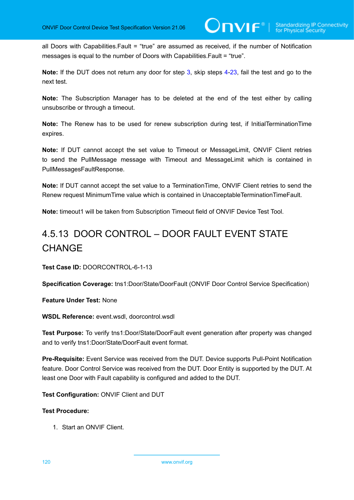all Doors with Capabilities.Fault = "true" are assumed as received, if the number of Notification messages is equal to the number of Doors with Capabilities.Fault = "true".

**Note:** If the DUT does not return any door for step [3](#page-117-1), skip steps [4-](#page-117-3)[23,](#page-118-0) fail the test and go to the next test.

**Note:** The Subscription Manager has to be deleted at the end of the test either by calling unsubscribe or through a timeout.

**Note:** The Renew has to be used for renew subscription during test, if InitialTerminationTime expires.

**Note:** If DUT cannot accept the set value to Timeout or MessageLimit, ONVIF Client retries to send the PullMessage message with Timeout and MessageLimit which is contained in PullMessagesFaultResponse.

**Note:** If DUT cannot accept the set value to a TerminationTime, ONVIF Client retries to send the Renew request MinimumTime value which is contained in UnacceptableTerminationTimeFault.

**Note:** timeout1 will be taken from Subscription Timeout field of ONVIF Device Test Tool.

# 4.5.13 DOOR CONTROL – DOOR FAULT EVENT STATE **CHANGE**

**Test Case ID:** DOORCONTROL-6-1-13

**Specification Coverage:** tns1:Door/State/DoorFault (ONVIF Door Control Service Specification)

**Feature Under Test:** None

**WSDL Reference:** event.wsdl, doorcontrol.wsdl

**Test Purpose:** To verify tns1:Door/State/DoorFault event generation after property was changed and to verify tns1:Door/State/DoorFault event format.

**Pre-Requisite:** Event Service was received from the DUT. Device supports Pull-Point Notification feature. Door Control Service was received from the DUT. Door Entity is supported by the DUT. At least one Door with Fault capability is configured and added to the DUT.

**Test Configuration:** ONVIF Client and DUT

#### **Test Procedure:**

1. Start an ONVIF Client.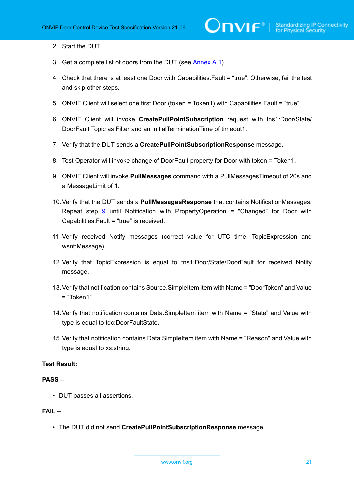- 2. Start the DUT.
- <span id="page-120-1"></span>3. Get a complete list of doors from the DUT (see [Annex A.1\)](#page-187-0).
- <span id="page-120-3"></span>4. Check that there is at least one Door with Capabilities.Fault = "true". Otherwise, fail the test and skip other steps.
- 5. ONVIF Client will select one first Door (token = Token1) with Capabilities.Fault = "true".
- 6. ONVIF Client will invoke **CreatePullPointSubscription** request with tns1:Door/State/ DoorFault Topic as Filter and an InitialTerminationTime of timeout1.
- 7. Verify that the DUT sends a **CreatePullPointSubscriptionResponse** message.
- 8. Test Operator will invoke change of DoorFault property for Door with token = Token1.
- <span id="page-120-0"></span>9. ONVIF Client will invoke **PullMessages** command with a PullMessagesTimeout of 20s and a MessageLimit of 1.
- <span id="page-120-2"></span>10.Verify that the DUT sends a **PullMessagesResponse** that contains NotificationMessages. Repeat step [9](#page-120-0) until Notification with PropertyOperation = "Changed" for Door with Capabilities.Fault = "true" is received.
- 11. Verify received Notify messages (correct value for UTC time, TopicExpression and wsnt:Message).
- 12.Verify that TopicExpression is equal to tns1:Door/State/DoorFault for received Notify message.
- 13.Verify that notification contains Source.SimpleItem item with Name = "DoorToken" and Value  $=$  "Token1"
- 14.Verify that notification contains Data.SimpleItem item with Name = "State" and Value with type is equal to tdc:DoorFaultState.
- <span id="page-120-4"></span>15.Verify that notification contains Data.SimpleItem item with Name = "Reason" and Value with type is equal to xs:string.

### **PASS –**

• DUT passes all assertions.

#### **FAIL –**

• The DUT did not send **CreatePullPointSubscriptionResponse** message.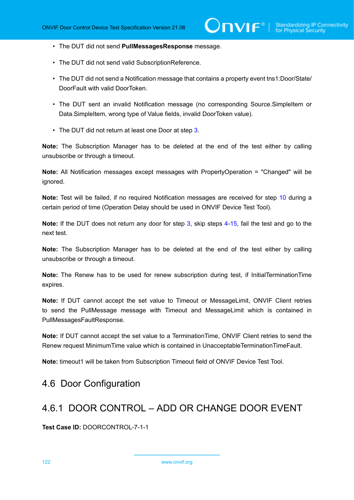- The DUT did not send **PullMessagesResponse** message.
- The DUT did not send valid SubscriptionReference.
- The DUT did not send a Notification message that contains a property event tns1:Door/State/ DoorFault with valid DoorToken.
- The DUT sent an invalid Notification message (no corresponding Source.SimpleItem or Data.SimpleItem, wrong type of Value fields, invalid DoorToken value).
- The DUT did not return at least one Door at step [3](#page-120-1).

**Note:** The Subscription Manager has to be deleted at the end of the test either by calling unsubscribe or through a timeout.

**Note:** All Notification messages except messages with PropertyOperation = "Changed" will be ignored.

**Note:** Test will be failed, if no required Notification messages are received for step [10](#page-120-2) during a certain period of time (Operation Delay should be used in ONVIF Device Test Tool).

**Note:** If the DUT does not return any door for step [3](#page-120-1), skip steps [4-](#page-120-3)[15,](#page-120-4) fail the test and go to the next test.

**Note:** The Subscription Manager has to be deleted at the end of the test either by calling unsubscribe or through a timeout.

**Note:** The Renew has to be used for renew subscription during test, if InitialTerminationTime expires.

**Note:** If DUT cannot accept the set value to Timeout or MessageLimit, ONVIF Client retries to send the PullMessage message with Timeout and MessageLimit which is contained in PullMessagesFaultResponse.

**Note:** If DUT cannot accept the set value to a TerminationTime, ONVIF Client retries to send the Renew request MinimumTime value which is contained in UnacceptableTerminationTimeFault.

**Note:** timeout1 will be taken from Subscription Timeout field of ONVIF Device Test Tool.

# 4.6 Door Configuration

# 4.6.1 DOOR CONTROL – ADD OR CHANGE DOOR EVENT

**Test Case ID:** DOORCONTROL-7-1-1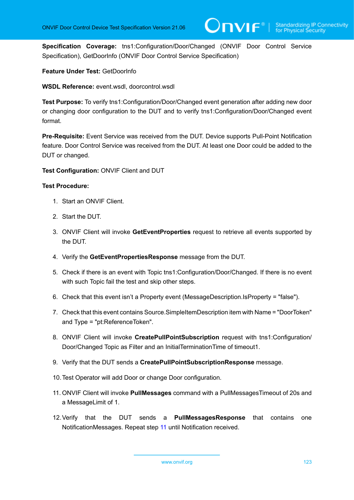**Specification Coverage:** tns1:Configuration/Door/Changed (ONVIF Door Control Service Specification), GetDoorInfo (ONVIF Door Control Service Specification)

**Feature Under Test:** GetDoorInfo

**WSDL Reference:** event.wsdl, doorcontrol.wsdl

**Test Purpose:** To verify tns1:Configuration/Door/Changed event generation after adding new door or changing door configuration to the DUT and to verify tns1:Configuration/Door/Changed event format.

**Pre-Requisite:** Event Service was received from the DUT. Device supports Pull-Point Notification feature. Door Control Service was received from the DUT. At least one Door could be added to the DUT or changed.

**Test Configuration:** ONVIF Client and DUT

#### **Test Procedure:**

- 1. Start an ONVIF Client.
- 2. Start the DUT.
- <span id="page-122-1"></span>3. ONVIF Client will invoke **GetEventProperties** request to retrieve all events supported by the DUT.
- 4. Verify the **GetEventPropertiesResponse** message from the DUT.
- 5. Check if there is an event with Topic tns1:Configuration/Door/Changed. If there is no event with such Topic fail the test and skip other steps.
- 6. Check that this event isn't a Property event (MessageDescription.IsProperty = "false").
- 7. Check that this event contains Source.SimpleItemDescription item with Name = "DoorToken" and Type = "pt:ReferenceToken".
- 8. ONVIF Client will invoke **CreatePullPointSubscription** request with tns1:Configuration/ Door/Changed Topic as Filter and an InitialTerminationTime of timeout1.
- 9. Verify that the DUT sends a **CreatePullPointSubscriptionResponse** message.
- 10.Test Operator will add Door or change Door configuration.
- <span id="page-122-0"></span>11. ONVIF Client will invoke **PullMessages** command with a PullMessagesTimeout of 20s and a MessageLimit of 1.
- <span id="page-122-2"></span>12.Verify that the DUT sends a **PullMessagesResponse** that contains one NotificationMessages. Repeat step [11](#page-122-0) until Notification received.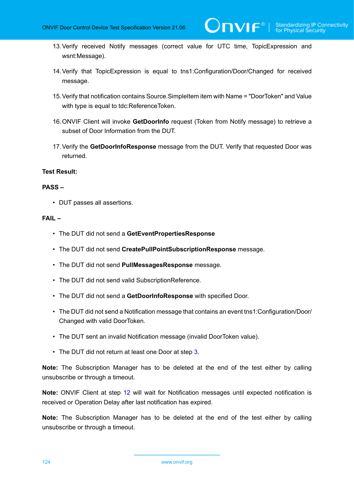- 13.Verify received Notify messages (correct value for UTC time, TopicExpression and wsnt:Message).
- 14.Verify that TopicExpression is equal to tns1:Configuration/Door/Changed for received message.
- 15.Verify that notification contains Source.SimpleItem item with Name = "DoorToken" and Value with type is equal to tdc:ReferenceToken.
- 16.ONVIF Client will invoke **GetDoorInfo** request (Token from Notify message) to retrieve a subset of Door Information from the DUT.
- 17.Verify the **GetDoorInfoResponse** message from the DUT. Verify that requested Door was returned.

#### **PASS –**

• DUT passes all assertions.

### **FAIL –**

- The DUT did not send a **GetEventPropertiesResponse**
- The DUT did not send **CreatePullPointSubscriptionResponse** message.
- The DUT did not send **PullMessagesResponse** message.
- The DUT did not send valid SubscriptionReference.
- The DUT did not send a **GetDoorInfoResponse** with specified Door.
- The DUT did not send a Notification message that contains an event tns1:Configuration/Door/ Changed with valid DoorToken.
- The DUT sent an invalid Notification message (invalid DoorToken value).
- The DUT did not return at least one Door at step [3](#page-122-1).

**Note:** The Subscription Manager has to be deleted at the end of the test either by calling unsubscribe or through a timeout.

**Note:** ONVIF Client at step [12](#page-122-2) will wait for Notification messages until expected notification is received or Operation Delay after last notification has expired.

**Note:** The Subscription Manager has to be deleted at the end of the test either by calling unsubscribe or through a timeout.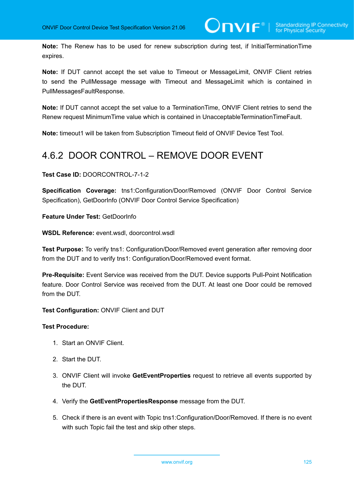**Note:** The Renew has to be used for renew subscription during test, if InitialTerminationTime expires.

**Note:** If DUT cannot accept the set value to Timeout or MessageLimit, ONVIF Client retries to send the PullMessage message with Timeout and MessageLimit which is contained in PullMessagesFaultResponse.

**Note:** If DUT cannot accept the set value to a TerminationTime, ONVIF Client retries to send the Renew request MinimumTime value which is contained in UnacceptableTerminationTimeFault.

**Note:** timeout1 will be taken from Subscription Timeout field of ONVIF Device Test Tool.

# 4.6.2 DOOR CONTROL – REMOVE DOOR EVENT

**Test Case ID:** DOORCONTROL-7-1-2

**Specification Coverage:** tns1:Configuration/Door/Removed (ONVIF Door Control Service Specification), GetDoorInfo (ONVIF Door Control Service Specification)

**Feature Under Test:** GetDoorInfo

**WSDL Reference:** event.wsdl, doorcontrol.wsdl

**Test Purpose:** To verify tns1: Configuration/Door/Removed event generation after removing door from the DUT and to verify tns1: Configuration/Door/Removed event format.

**Pre-Requisite:** Event Service was received from the DUT. Device supports Pull-Point Notification feature. Door Control Service was received from the DUT. At least one Door could be removed from the DUT.

**Test Configuration:** ONVIF Client and DUT

- 1. Start an ONVIF Client.
- 2. Start the DUT.
- <span id="page-124-0"></span>3. ONVIF Client will invoke **GetEventProperties** request to retrieve all events supported by the DUT.
- 4. Verify the **GetEventPropertiesResponse** message from the DUT.
- 5. Check if there is an event with Topic tns1:Configuration/Door/Removed. If there is no event with such Topic fail the test and skip other steps.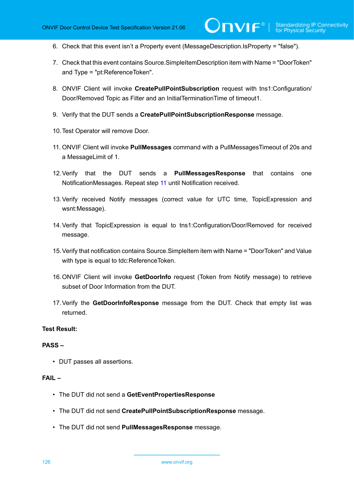$\mathsf{J}\mathsf{IVIF}^*$  i

- 6. Check that this event isn't a Property event (MessageDescription.IsProperty = "false").
- 7. Check that this event contains Source.SimpleItemDescription item with Name = "DoorToken" and Type = "pt:ReferenceToken".
- 8. ONVIF Client will invoke **CreatePullPointSubscription** request with tns1:Configuration/ Door/Removed Topic as Filter and an InitialTerminationTime of timeout1.
- 9. Verify that the DUT sends a **CreatePullPointSubscriptionResponse** message.
- 10.Test Operator will remove Door.
- <span id="page-125-0"></span>11. ONVIF Client will invoke **PullMessages** command with a PullMessagesTimeout of 20s and a MessageLimit of 1.
- <span id="page-125-1"></span>12.Verify that the DUT sends a **PullMessagesResponse** that contains one NotificationMessages. Repeat step [11](#page-125-0) until Notification received.
- 13.Verify received Notify messages (correct value for UTC time, TopicExpression and wsnt:Message).
- 14.Verify that TopicExpression is equal to tns1:Configuration/Door/Removed for received message.
- 15.Verify that notification contains Source.SimpleItem item with Name = "DoorToken" and Value with type is equal to tdc:ReferenceToken.
- 16.ONVIF Client will invoke **GetDoorInfo** request (Token from Notify message) to retrieve subset of Door Information from the DUT.
- 17.Verify the **GetDoorInfoResponse** message from the DUT. Check that empty list was returned.

### **Test Result:**

#### **PASS –**

• DUT passes all assertions.

#### **FAIL –**

- The DUT did not send a **GetEventPropertiesResponse**
- The DUT did not send **CreatePullPointSubscriptionResponse** message.
- The DUT did not send **PullMessagesResponse** message.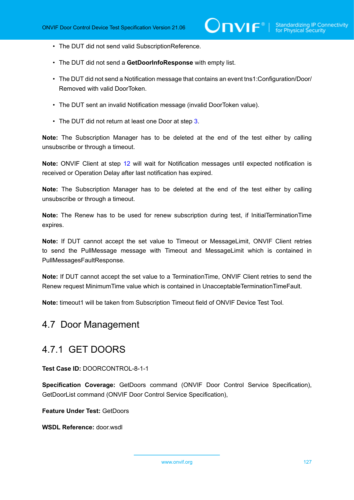- The DUT did not send valid SubscriptionReference.
- The DUT did not send a **GetDoorInfoResponse** with empty list.
- The DUT did not send a Notification message that contains an event tns1:Configuration/Door/ Removed with valid DoorToken.
- The DUT sent an invalid Notification message (invalid DoorToken value).
- The DUT did not return at least one Door at step [3](#page-124-0).

**Note:** The Subscription Manager has to be deleted at the end of the test either by calling unsubscribe or through a timeout.

**Note:** ONVIF Client at step [12](#page-125-1) will wait for Notification messages until expected notification is received or Operation Delay after last notification has expired.

**Note:** The Subscription Manager has to be deleted at the end of the test either by calling unsubscribe or through a timeout.

**Note:** The Renew has to be used for renew subscription during test, if InitialTerminationTime expires.

**Note:** If DUT cannot accept the set value to Timeout or MessageLimit, ONVIF Client retries to send the PullMessage message with Timeout and MessageLimit which is contained in PullMessagesFaultResponse.

**Note:** If DUT cannot accept the set value to a TerminationTime, ONVIF Client retries to send the Renew request MinimumTime value which is contained in UnacceptableTerminationTimeFault.

**Note:** timeout1 will be taken from Subscription Timeout field of ONVIF Device Test Tool.

# 4.7 Door Management

# 4.7.1 GET DOORS

**Test Case ID:** DOORCONTROL-8-1-1

**Specification Coverage:** GetDoors command (ONVIF Door Control Service Specification), GetDoorList command (ONVIF Door Control Service Specification),

**Feature Under Test:** GetDoors

**WSDL Reference:** door.wsdl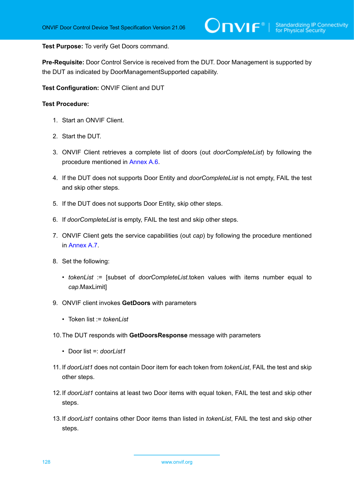**Test Purpose:** To verify Get Doors command.

**Pre-Requisite:** Door Control Service is received from the DUT. Door Management is supported by the DUT as indicated by DoorManagementSupported capability.

**Test Configuration:** ONVIF Client and DUT

- 1. Start an ONVIF Client.
- 2. Start the DUT.
- 3. ONVIF Client retrieves a complete list of doors (out *doorCompleteList*) by following the procedure mentioned in [Annex A.6](#page-192-0).
- 4. If the DUT does not supports Door Entity and *doorCompleteList* is not empty, FAIL the test and skip other steps.
- 5. If the DUT does not supports Door Entity, skip other steps.
- 6. If *doorCompleteList* is empty, FAIL the test and skip other steps.
- 7. ONVIF Client gets the service capabilities (out *cap*) by following the procedure mentioned in [Annex A.7.](#page-193-0)
- <span id="page-127-0"></span>8. Set the following:
	- *tokenList* := [subset of *doorCompleteList*.token values with items number equal to *cap*.MaxLimit]
- 9. ONVIF client invokes **GetDoors** with parameters
	- Token list := *tokenList*
- 10.The DUT responds with **GetDoorsResponse** message with parameters
	- Door list =: *doorList1*
- 11. If *doorList1* does not contain Door item for each token from *tokenList*, FAIL the test and skip other steps.
- 12.If *doorList1* contains at least two Door items with equal token, FAIL the test and skip other steps.
- 13.If *doorList1* contains other Door items than listed in *tokenList*, FAIL the test and skip other steps.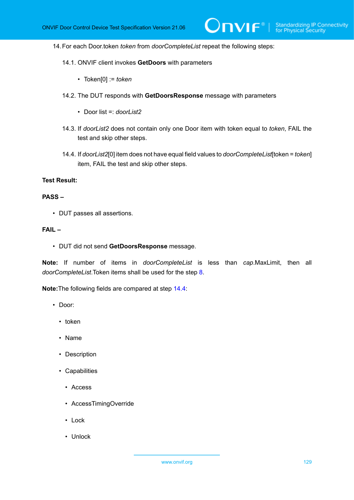$\mathsf{D}\mathbf{N}\mathsf{I}\mathsf{F}^\ast$ l

14.For each Door.token *token* from *doorCompleteList* repeat the following steps:

- 14.1. ONVIF client invokes **GetDoors** with parameters
	- Token[0] := *token*
- 14.2. The DUT responds with **GetDoorsResponse** message with parameters
	- Door list =: *doorList2*
- 14.3. If *doorList2* does not contain only one Door item with token equal to *token*, FAIL the test and skip other steps.
- <span id="page-128-0"></span>14.4. If *doorList2*[0] item does not have equal field values to *doorCompleteList*[token = *token*] item, FAIL the test and skip other steps.

#### **Test Result:**

#### **PASS –**

• DUT passes all assertions.

#### **FAIL –**

• DUT did not send **GetDoorsResponse** message.

**Note:** If number of items in *doorCompleteList* is less than *cap*.MaxLimit, then all *doorCompleteList*.Token items shall be used for the step [8.](#page-127-0)

**Note:**The following fields are compared at step [14.4](#page-128-0):

- Door:
	- token
	- Name
	- Description
	- Capabilities
		- Access
		- AccessTimingOverride
		- Lock
		- Unlock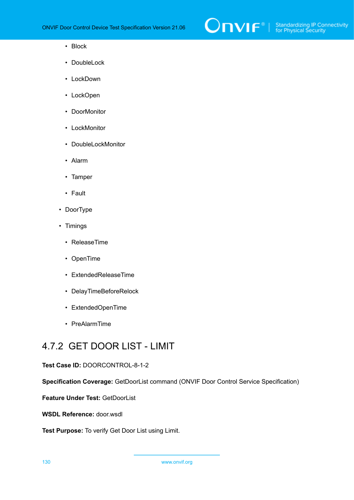

- Block
- DoubleLock
- LockDown
- LockOpen
- DoorMonitor
- LockMonitor
- DoubleLockMonitor
- Alarm
- Tamper
- Fault
- DoorType
- Timings
	- ReleaseTime
	- OpenTime
	- ExtendedReleaseTime
	- DelayTimeBeforeRelock
	- ExtendedOpenTime
	- PreAlarmTime

# 4.7.2 GET DOOR LIST - LIMIT

#### **Test Case ID:** DOORCONTROL-8-1-2

**Specification Coverage:** GetDoorList command (ONVIF Door Control Service Specification)

**Feature Under Test:** GetDoorList

**WSDL Reference:** door.wsdl

**Test Purpose:** To verify Get Door List using Limit.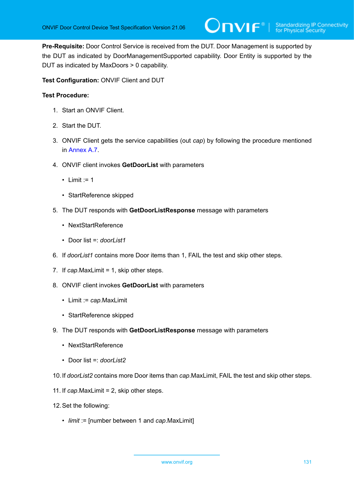**Pre-Requisite:** Door Control Service is received from the DUT. Door Management is supported by the DUT as indicated by DoorManagementSupported capability. Door Entity is supported by the DUT as indicated by MaxDoors > 0 capability.

**Test Configuration:** ONVIF Client and DUT

- 1. Start an ONVIF Client.
- 2. Start the DUT.
- 3. ONVIF Client gets the service capabilities (out *cap*) by following the procedure mentioned in [Annex A.7.](#page-193-0)
- 4. ONVIF client invokes **GetDoorList** with parameters
	- Limit  $:= 1$
	- StartReference skipped
- 5. The DUT responds with **GetDoorListResponse** message with parameters
	- NextStartReference
	- Door list =: *doorList1*
- 6. If *doorList1* contains more Door items than 1, FAIL the test and skip other steps.
- 7. If *cap*.MaxLimit = 1, skip other steps.
- 8. ONVIF client invokes **GetDoorList** with parameters
	- Limit := *cap*.MaxLimit
	- StartReference skipped
- 9. The DUT responds with **GetDoorListResponse** message with parameters
	- NextStartReference
	- Door list =: *doorList2*
- 10.If *doorList2* contains more Door items than *cap*.MaxLimit, FAIL the test and skip other steps.
- 11. If *cap*.MaxLimit = 2, skip other steps.
- 12.Set the following:
	- *limit* := [number between 1 and *cap*.MaxLimit]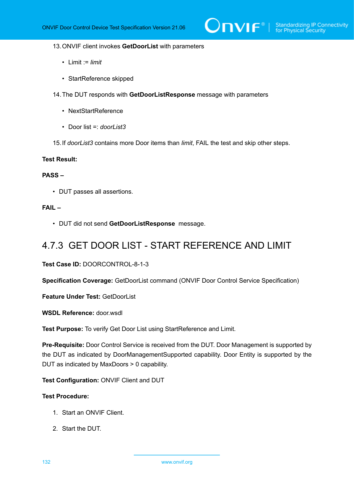#### 13.ONVIF client invokes **GetDoorList** with parameters

- Limit := *limit*
- StartReference skipped
- 14.The DUT responds with **GetDoorListResponse** message with parameters
	- NextStartReference
	- Door list =: *doorList3*
- 15.If *doorList3* contains more Door items than *limit*, FAIL the test and skip other steps.

#### **Test Result:**

### **PASS –**

• DUT passes all assertions.

#### **FAIL –**

• DUT did not send **GetDoorListResponse** message.

## 4.7.3 GET DOOR LIST - START REFERENCE AND LIMIT

**Test Case ID:** DOORCONTROL-8-1-3

**Specification Coverage:** GetDoorList command (ONVIF Door Control Service Specification)

**Feature Under Test: GetDoorList** 

**WSDL Reference:** door.wsdl

**Test Purpose:** To verify Get Door List using StartReference and Limit.

**Pre-Requisite:** Door Control Service is received from the DUT. Door Management is supported by the DUT as indicated by DoorManagementSupported capability. Door Entity is supported by the DUT as indicated by MaxDoors > 0 capability.

**Test Configuration:** ONVIF Client and DUT

- 1. Start an ONVIF Client.
- 2. Start the DUT.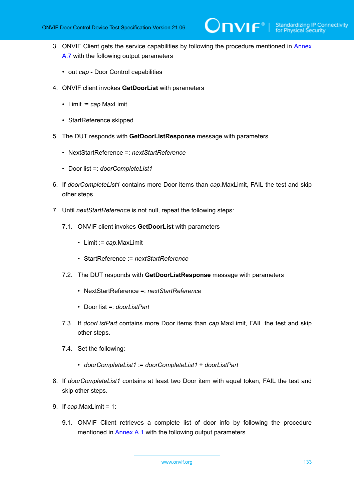- 3. ONVIF Client gets the service capabilities by following the procedure mentioned in [Annex](#page-193-0) [A.7](#page-193-0) with the following output parameters
	- out *cap* Door Control capabilities
- 4. ONVIF client invokes **GetDoorList** with parameters
	- Limit := *cap*.MaxLimit
	- StartReference skipped
- 5. The DUT responds with **GetDoorListResponse** message with parameters
	- NextStartReference =: *nextStartReference*
	- Door list =: *doorCompleteList1*
- 6. If *doorCompleteList1* contains more Door items than *cap*.MaxLimit, FAIL the test and skip other steps.
- 7. Until *nextStartReference* is not null, repeat the following steps:
	- 7.1. ONVIF client invokes **GetDoorList** with parameters
		- Limit := *cap*.MaxLimit
		- StartReference := *nextStartReference*
	- 7.2. The DUT responds with **GetDoorListResponse** message with parameters
		- NextStartReference =: *nextStartReference*
		- Door list =: *doorListPart*
	- 7.3. If *doorListPart* contains more Door items than *cap*.MaxLimit, FAIL the test and skip other steps.
	- 7.4. Set the following:
		- *doorCompleteList1* := *doorCompleteList1* + *doorListPart*
- 8. If *doorCompleteList1* contains at least two Door item with equal token, FAIL the test and skip other steps.
- 9. If *cap*.MaxLimit = 1:
	- 9.1. ONVIF Client retrieves a complete list of door info by following the procedure mentioned in [Annex A.1](#page-187-0) with the following output parameters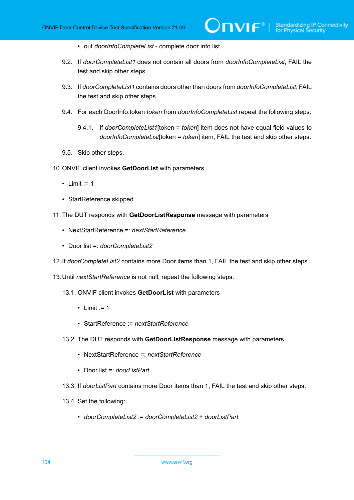- out *doorInfoCompleteList* complete door info list
- 9.2. If *doorCompleteList1* does not contain all doors from *doorInfoCompleteList*, FAIL the test and skip other steps.
- 9.3. If *doorCompleteList1* contains doors other than doors from *doorInfoCompleteList*, FAIL the test and skip other steps.
- 9.4. For each DoorInfo.token *token* from *doorInfoCompleteList* repeat the following steps:
	- 9.4.1. If *doorCompleteList1*[token = *token*] item does not have equal field values to *doorInfoCompleteList*[token = *token*] item, FAIL the test and skip other steps.
- 9.5. Skip other steps.
- 10.ONVIF client invokes **GetDoorList** with parameters
	- Limit  $:= 1$
	- StartReference skipped
- 11. The DUT responds with **GetDoorListResponse** message with parameters
	- NextStartReference =: *nextStartReference*
	- Door list =: *doorCompleteList2*
- 12.If *doorCompleteList2* contains more Door items than 1, FAIL the test and skip other steps.
- 13.Until *nextStartReference* is not null, repeat the following steps:
	- 13.1. ONVIF client invokes **GetDoorList** with parameters
		- $\cdot$  Limit := 1
		- StartReference := *nextStartReference*
	- 13.2. The DUT responds with **GetDoorListResponse** message with parameters
		- NextStartReference =: *nextStartReference*
		- Door list =: *doorListPart*
	- 13.3. If *doorListPart* contains more Door items than 1, FAIL the test and skip other steps.
	- 13.4. Set the following:
		- *doorCompleteList2* := *doorCompleteList2* + *doorListPart*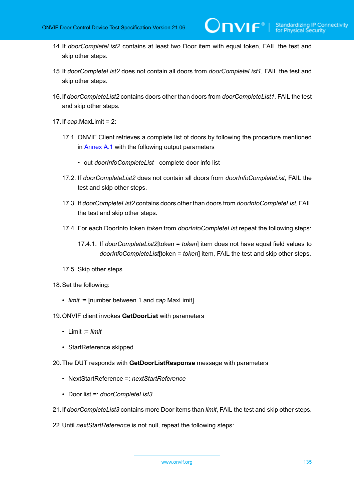- 14.If *doorCompleteList2* contains at least two Door item with equal token, FAIL the test and skip other steps.
- 15.If *doorCompleteList2* does not contain all doors from *doorCompleteList1*, FAIL the test and skip other steps.
- 16.If *doorCompleteList2* contains doors other than doors from *doorCompleteList1*, FAIL the test and skip other steps.
- 17.If *cap*.MaxLimit = 2:
	- 17.1. ONVIF Client retrieves a complete list of doors by following the procedure mentioned in [Annex A.1](#page-187-0) with the following output parameters
		- out *doorInfoCompleteList* complete door info list
	- 17.2. If *doorCompleteList2* does not contain all doors from *doorInfoCompleteList*, FAIL the test and skip other steps.
	- 17.3. If *doorCompleteList2* contains doors other than doors from *doorInfoCompleteList*, FAIL the test and skip other steps.
	- 17.4. For each DoorInfo.token *token* from *doorInfoCompleteList* repeat the following steps:
		- 17.4.1. If *doorCompleteList2*[token = *token*] item does not have equal field values to *doorInfoCompleteList*[token = *token*] item, FAIL the test and skip other steps.
	- 17.5. Skip other steps.
- 18.Set the following:
	- *limit* := [number between 1 and *cap*.MaxLimit]
- 19.ONVIF client invokes **GetDoorList** with parameters
	- Limit := *limit*
	- StartReference skipped
- 20.The DUT responds with **GetDoorListResponse** message with parameters
	- NextStartReference =: *nextStartReference*
	- Door list =: *doorCompleteList3*
- 21.If *doorCompleteList3* contains more Door items than *limit*, FAIL the test and skip other steps.
- 22.Until *nextStartReference* is not null, repeat the following steps: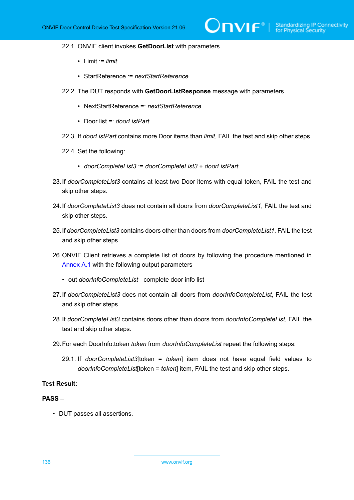- 22.1. ONVIF client invokes **GetDoorList** with parameters
	- Limit := *limit*
	- StartReference := *nextStartReference*
- 22.2. The DUT responds with **GetDoorListResponse** message with parameters
	- NextStartReference =: *nextStartReference*
	- Door list =: *doorListPart*
- 22.3. If *doorListPart* contains more Door items than *limit*, FAIL the test and skip other steps.
- 22.4. Set the following:
	- *doorCompleteList3* := *doorCompleteList3* + *doorListPart*
- 23.If *doorCompleteList3* contains at least two Door items with equal token, FAIL the test and skip other steps.
- 24.If *doorCompleteList3* does not contain all doors from *doorCompleteList1*, FAIL the test and skip other steps.
- 25.If *doorCompleteList3* contains doors other than doors from *doorCompleteList1*, FAIL the test and skip other steps.
- 26.ONVIF Client retrieves a complete list of doors by following the procedure mentioned in [Annex A.1](#page-187-0) with the following output parameters
	- out *doorInfoCompleteList* complete door info list
- 27.If *doorCompleteList3* does not contain all doors from *doorInfoCompleteList*, FAIL the test and skip other steps.
- 28.If *doorCompleteList3* contains doors other than doors from *doorInfoCompleteList*, FAIL the test and skip other steps.
- <span id="page-135-0"></span>29.For each DoorInfo.token *token* from *doorInfoCompleteList* repeat the following steps:
	- 29.1. If *doorCompleteList3*[token = *token*] item does not have equal field values to *doorInfoCompleteList*[token = *token*] item, FAIL the test and skip other steps.

#### **PASS –**

• DUT passes all assertions.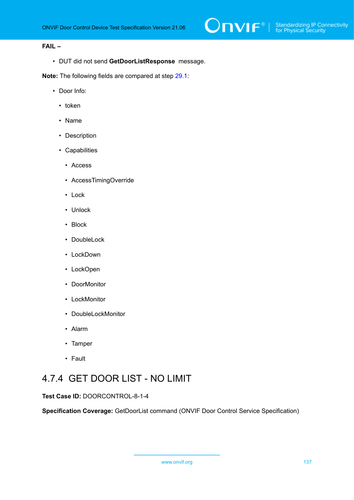### **FAIL –**

• DUT did not send **GetDoorListResponse** message.

**Note:** The following fields are compared at step [29.1](#page-135-0):

- Door Info:
	- token
	- Name
	- Description
	- Capabilities
		- Access
		- AccessTimingOverride
		- Lock
		- Unlock
		- Block
		- DoubleLock
		- LockDown
		- LockOpen
		- DoorMonitor
		- LockMonitor
		- DoubleLockMonitor
		- Alarm
		- Tamper
		- Fault

# 4.7.4 GET DOOR LIST - NO LIMIT

## **Test Case ID:** DOORCONTROL-8-1-4

**Specification Coverage:** GetDoorList command (ONVIF Door Control Service Specification)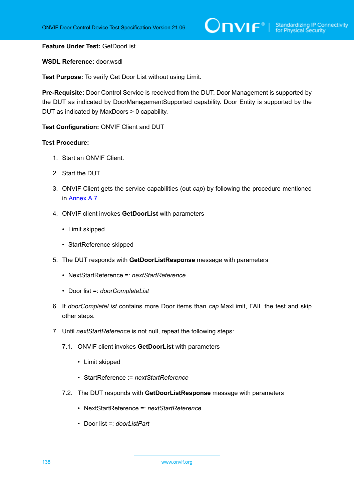#### **Feature Under Test:** GetDoorList

#### **WSDL Reference:** door.wsdl

**Test Purpose:** To verify Get Door List without using Limit.

**Pre-Requisite:** Door Control Service is received from the DUT. Door Management is supported by the DUT as indicated by DoorManagementSupported capability. Door Entity is supported by the DUT as indicated by MaxDoors > 0 capability.

**Test Configuration:** ONVIF Client and DUT

- 1. Start an ONVIF Client.
- 2. Start the DUT.
- 3. ONVIF Client gets the service capabilities (out *cap*) by following the procedure mentioned in [Annex A.7.](#page-193-0)
- 4. ONVIF client invokes **GetDoorList** with parameters
	- Limit skipped
	- StartReference skipped
- 5. The DUT responds with **GetDoorListResponse** message with parameters
	- NextStartReference =: *nextStartReference*
	- Door list =: *doorCompleteList*
- 6. If *doorCompleteList* contains more Door items than *cap*.MaxLimit, FAIL the test and skip other steps.
- 7. Until *nextStartReference* is not null, repeat the following steps:
	- 7.1. ONVIF client invokes **GetDoorList** with parameters
		- Limit skipped
		- StartReference := *nextStartReference*
	- 7.2. The DUT responds with **GetDoorListResponse** message with parameters
		- NextStartReference =: *nextStartReference*
		- Door list =: *doorListPart*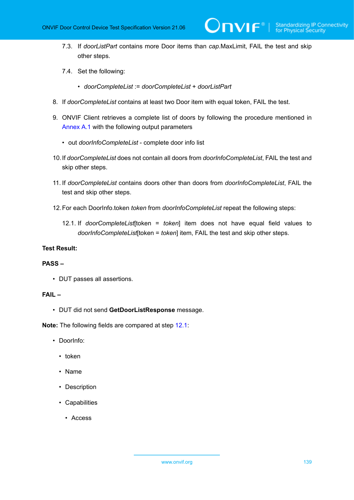7.3. If *doorListPart* contains more Door items than *cap*.MaxLimit, FAIL the test and skip other steps.

 $\overline{\mathsf{D}}\mathsf{VIF}^*$  :

- 7.4. Set the following:
	- *doorCompleteList* := *doorCompleteList* + *doorListPart*
- 8. If *doorCompleteList* contains at least two Door item with equal token, FAIL the test.
- 9. ONVIF Client retrieves a complete list of doors by following the procedure mentioned in [Annex A.1](#page-187-0) with the following output parameters
	- out *doorInfoCompleteList* complete door info list
- 10.If *doorCompleteList* does not contain all doors from *doorInfoCompleteList*, FAIL the test and skip other steps.
- 11. If *doorCompleteList* contains doors other than doors from *doorInfoCompleteList*, FAIL the test and skip other steps.
- <span id="page-138-0"></span>12.For each DoorInfo.token *token* from *doorInfoCompleteList* repeat the following steps:
	- 12.1. If *doorCompleteList*[token = *token*] item does not have equal field values to *doorInfoCompleteList*[token = *token*] item, FAIL the test and skip other steps.

#### **Test Result:**

#### **PASS –**

• DUT passes all assertions.

### **FAIL –**

• DUT did not send **GetDoorListResponse** message.

**Note:** The following fields are compared at step [12.1](#page-138-0):

- DoorInfo:
	- token
	- Name
	- Description
	- Capabilities
		- Access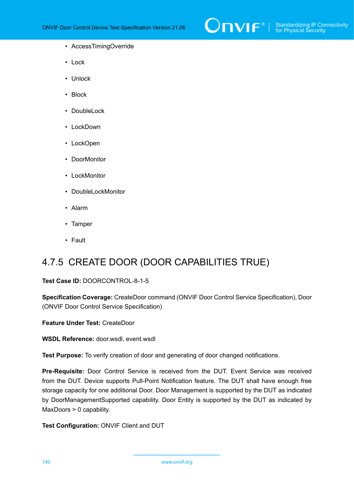

- AccessTimingOverride
- Lock
- Unlock
- Block
- DoubleLock
- LockDown
- LockOpen
- DoorMonitor
- LockMonitor
- DoubleLockMonitor
- Alarm
- Tamper
- Fault

# 4.7.5 CREATE DOOR (DOOR CAPABILITIES TRUE)

#### **Test Case ID:** DOORCONTROL-8-1-5

**Specification Coverage:** CreateDoor command (ONVIF Door Control Service Specification), Door (ONVIF Door Control Service Specification)

**Feature Under Test:** CreateDoor

**WSDL Reference:** door.wsdl, event.wsdl

**Test Purpose:** To verify creation of door and generating of door changed notifications.

**Pre-Requisite:** Door Control Service is received from the DUT. Event Service was received from the DUT. Device supports Pull-Point Notification feature. The DUT shall have enough free storage capacity for one additional Door. Door Management is supported by the DUT as indicated by DoorManagementSupported capability. Door Entity is supported by the DUT as indicated by MaxDoors > 0 capability.

**Test Configuration:** ONVIF Client and DUT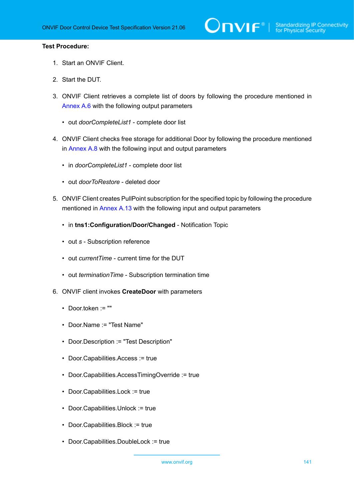- 1. Start an ONVIF Client.
- 2. Start the DUT.
- 3. ONVIF Client retrieves a complete list of doors by following the procedure mentioned in [Annex A.6](#page-192-0) with the following output parameters
	- out *doorCompleteList1* complete door list
- <span id="page-140-1"></span>4. ONVIF Client checks free storage for additional Door by following the procedure mentioned in [Annex A.8](#page-194-0) with the following input and output parameters
	- in *doorCompleteList1* complete door list
	- out *doorToRestore* deleted door
- 5. ONVIF Client creates PullPoint subscription for the specified topic by following the procedure mentioned in [Annex A.13](#page-198-0) with the following input and output parameters
	- in **tns1:Configuration/Door/Changed** Notification Topic
	- out *s* Subscription reference
	- out *currentTime* current time for the DUT
	- out *terminationTime* Subscription termination time
- <span id="page-140-0"></span>6. ONVIF client invokes **CreateDoor** with parameters
	- Door.token := ""
	- Door.Name := "Test Name"
	- Door.Description := "Test Description"
	- Door.Capabilities.Access := true
	- Door.Capabilities.AccessTimingOverride := true
	- Door.Capabilities.Lock := true
	- Door.Capabilities.Unlock := true
	- Door.Capabilities.Block := true
	- Door.Capabilities.DoubleLock := true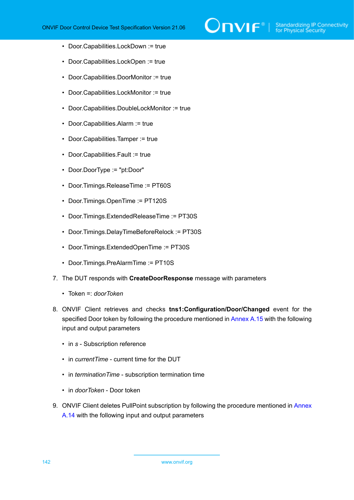

- Door.Capabilities.LockDown := true
- Door.Capabilities.LockOpen := true
- Door.Capabilities.DoorMonitor := true
- Door.Capabilities.LockMonitor := true
- Door.Capabilities.DoubleLockMonitor := true
- Door.Capabilities.Alarm := true
- Door.Capabilities.Tamper := true
- Door.Capabilities.Fault := true
- Door.DoorType := "pt:Door"
- Door.Timings.ReleaseTime := PT60S
- Door.Timings.OpenTime := PT120S
- Door.Timings.ExtendedReleaseTime := PT30S
- Door.Timings.DelayTimeBeforeRelock := PT30S
- Door.Timings.ExtendedOpenTime := PT30S
- Door.Timings.PreAlarmTime := PT10S
- 7. The DUT responds with **CreateDoorResponse** message with parameters
	- Token =: *doorToken*
- 8. ONVIF Client retrieves and checks **tns1:Configuration/Door/Changed** event for the specified Door token by following the procedure mentioned in [Annex A.15](#page-200-0) with the following input and output parameters
	- in *s* Subscription reference
	- in *currentTime* current time for the DUT
	- in *terminationTime* subscription termination time
	- in *doorToken* Door token
- 9. ONVIF Client deletes PullPoint subscription by following the procedure mentioned in [Annex](#page-199-0) [A.14](#page-199-0) with the following input and output parameters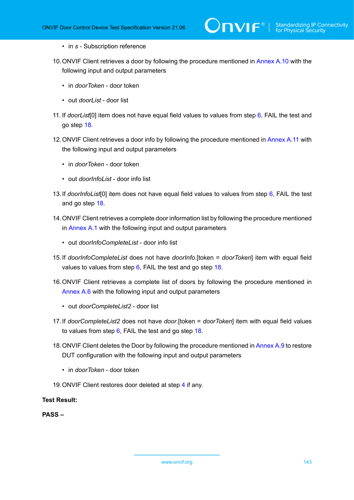- in *s* Subscription reference
- 10.ONVIF Client retrieves a door by following the procedure mentioned in [Annex A.10](#page-195-0) with the following input and output parameters
	- in *doorToken* door token
	- out *doorList* door list
- <span id="page-142-1"></span>11. If *doorList*[0] item does not have equal field values to values from step [6](#page-140-0), FAIL the test and go step [18](#page-142-0).
- 12.ONVIF Client retrieves a door info by following the procedure mentioned in [Annex](#page-196-0) A.11 with the following input and output parameters
	- in *doorToken* door token
	- out *doorInfoList* door info list
- 13.If *doorInfoList*[0] item does not have equal field values to values from step [6,](#page-140-0) FAIL the test and go step [18.](#page-142-0)
- 14.ONVIF Client retrieves a complete door information list by following the procedure mentioned in [Annex A.1](#page-187-0) with the following input and output parameters
	- out *doorInfoCompleteList* door info list
- 15.If *doorInfoCompleteList* does not have *doorInfo*.[token = *doorToken*] item with equal field values to values from step [6](#page-140-0), FAIL the test and go step [18](#page-142-0).
- 16.ONVIF Client retrieves a complete list of doors by following the procedure mentioned in [Annex A.6](#page-192-0) with the following input and output parameters
	- out *doorCompleteList2* door list
- <span id="page-142-2"></span>17.If *doorCompleteList2* does not have *door*.[token = *doorToken*] item with equal field values to values from step  $6$ , FAIL the test and go step [18.](#page-142-0)
- <span id="page-142-0"></span>18.ONVIF Client deletes the Door by following the procedure mentioned in [Annex A.9](#page-195-1) to restore DUT configuration with the following input and output parameters
	- in *doorToken* door token
- 19.ONVIF Client restores door deleted at step [4](#page-140-1) if any.

**PASS –**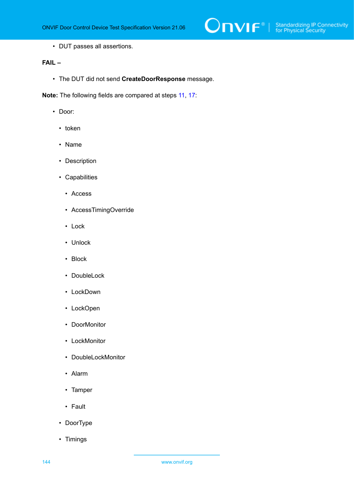• DUT passes all assertions.

## **FAIL –**

• The DUT did not send **CreateDoorResponse** message.

**Note:** The following fields are compared at steps [11,](#page-142-1) [17](#page-142-2):

- Door:
	- token
	- Name
	- Description
	- Capabilities
		- Access
		- AccessTimingOverride
		- Lock
		- Unlock
		- Block
		- DoubleLock
		- LockDown
		- LockOpen
		- DoorMonitor
		- LockMonitor
		- DoubleLockMonitor
		- Alarm
		- Tamper
		- Fault
	- DoorType
	- Timings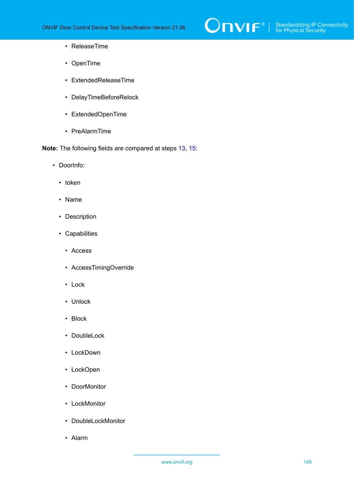

- ReleaseTime
- OpenTime
- ExtendedReleaseTime
- DelayTimeBeforeRelock
- ExtendedOpenTime
- PreAlarmTime

**Note:** The following fields are compared at steps [13,](#page-142-0) [15](#page-142-1):

- DoorInfo:
	- token
	- Name
	- Description
	- Capabilities
		- Access
		- AccessTimingOverride
		- Lock
		- Unlock
		- Block
		- DoubleLock
		- LockDown
		- LockOpen
		- DoorMonitor
		- LockMonitor
		- DoubleLockMonitor
		- Alarm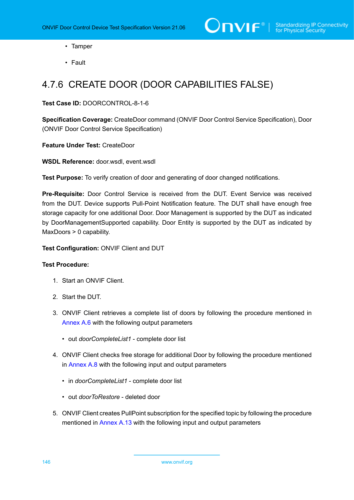- Tamper
- Fault

# 4.7.6 CREATE DOOR (DOOR CAPABILITIES FALSE)

#### **Test Case ID:** DOORCONTROL-8-1-6

**Specification Coverage:** CreateDoor command (ONVIF Door Control Service Specification), Door (ONVIF Door Control Service Specification)

**Feature Under Test:** CreateDoor

**WSDL Reference:** door.wsdl, event.wsdl

**Test Purpose:** To verify creation of door and generating of door changed notifications.

**Pre-Requisite:** Door Control Service is received from the DUT. Event Service was received from the DUT. Device supports Pull-Point Notification feature. The DUT shall have enough free storage capacity for one additional Door. Door Management is supported by the DUT as indicated by DoorManagementSupported capability. Door Entity is supported by the DUT as indicated by MaxDoors > 0 capability.

**Test Configuration:** ONVIF Client and DUT

- 1. Start an ONVIF Client.
- 2. Start the DUT.
- 3. ONVIF Client retrieves a complete list of doors by following the procedure mentioned in [Annex A.6](#page-192-0) with the following output parameters
	- out *doorCompleteList1* complete door list
- <span id="page-145-0"></span>4. ONVIF Client checks free storage for additional Door by following the procedure mentioned in [Annex A.8](#page-194-0) with the following input and output parameters
	- in *doorCompleteList1* complete door list
	- out *doorToRestore* deleted door
- 5. ONVIF Client creates PullPoint subscription for the specified topic by following the procedure mentioned in [Annex A.13](#page-198-0) with the following input and output parameters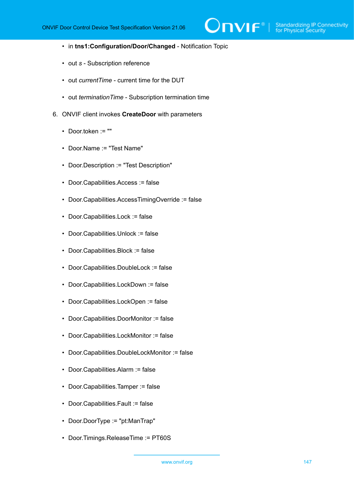$\mathsf{J}\mathsf{IVIF}^*$  i

- in **tns1:Configuration/Door/Changed** Notification Topic
- out *s* Subscription reference
- out *currentTime* current time for the DUT
- out *terminationTime* Subscription termination time
- <span id="page-146-0"></span>6. ONVIF client invokes **CreateDoor** with parameters
	- Door.token := ""
	- Door.Name := "Test Name"
	- Door.Description := "Test Description"
	- Door.Capabilities.Access := false
	- Door.Capabilities.AccessTimingOverride := false
	- Door.Capabilities.Lock := false
	- Door.Capabilities.Unlock := false
	- Door.Capabilities.Block := false
	- Door.Capabilities.DoubleLock := false
	- Door.Capabilities.LockDown := false
	- Door.Capabilities.LockOpen := false
	- Door.Capabilities.DoorMonitor := false
	- Door.Capabilities.LockMonitor := false
	- Door.Capabilities.DoubleLockMonitor := false
	- Door.Capabilities.Alarm := false
	- Door.Capabilities.Tamper := false
	- Door.Capabilities.Fault := false
	- Door.DoorType := "pt:ManTrap"
	- Door.Timings.ReleaseTime := PT60S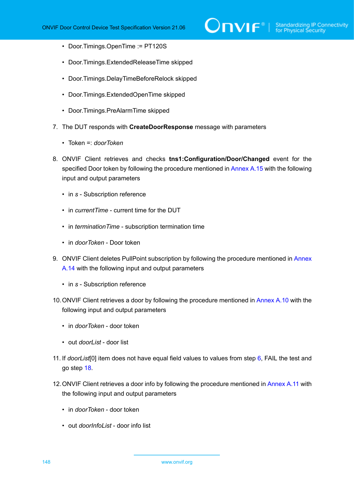- Door.Timings.OpenTime := PT120S
- Door.Timings.ExtendedReleaseTime skipped
- Door.Timings.DelayTimeBeforeRelock skipped
- Door.Timings.ExtendedOpenTime skipped
- Door.Timings.PreAlarmTime skipped
- 7. The DUT responds with **CreateDoorResponse** message with parameters
	- Token =: *doorToken*
- 8. ONVIF Client retrieves and checks **tns1:Configuration/Door/Changed** event for the specified Door token by following the procedure mentioned in [Annex A.15](#page-200-0) with the following input and output parameters
	- in *s* Subscription reference
	- in *currentTime* current time for the DUT
	- in *terminationTime* subscription termination time
	- in *doorToken* Door token
- 9. ONVIF Client deletes PullPoint subscription by following the procedure mentioned in [Annex](#page-199-0) [A.14](#page-199-0) with the following input and output parameters
	- in *s* Subscription reference
- 10.ONVIF Client retrieves a door by following the procedure mentioned in [Annex A.10](#page-195-0) with the following input and output parameters
	- in *doorToken* door token
	- out *doorList* door list
- <span id="page-147-0"></span>11. If *doorList*[0] item does not have equal field values to values from step [6](#page-146-0), FAIL the test and go step [18](#page-148-0).
- 12.ONVIF Client retrieves a door info by following the procedure mentioned in [Annex](#page-196-0) A.11 with the following input and output parameters
	- in *doorToken* door token
	- out *doorInfoList* door info list

148 www.onvif.org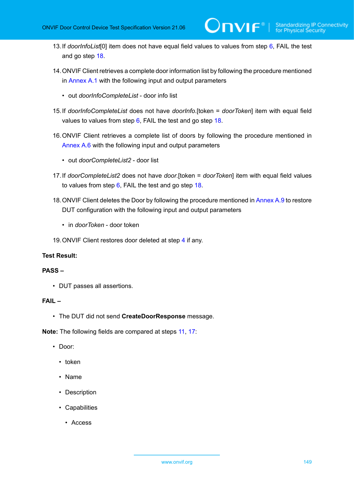- <span id="page-148-2"></span>13.If *doorInfoList*[0] item does not have equal field values to values from step [6,](#page-146-0) FAIL the test and go step [18.](#page-148-0)
- 14.ONVIF Client retrieves a complete door information list by following the procedure mentioned in [Annex A.1](#page-187-0) with the following input and output parameters
	- out *doorInfoCompleteList* door info list
- <span id="page-148-3"></span>15.If *doorInfoCompleteList* does not have *doorInfo*.[token = *doorToken*] item with equal field values to values from step [6](#page-146-0), FAIL the test and go step [18](#page-148-0).
- 16.ONVIF Client retrieves a complete list of doors by following the procedure mentioned in [Annex A.6](#page-192-0) with the following input and output parameters
	- out *doorCompleteList2* door list
- <span id="page-148-1"></span>17.If *doorCompleteList2* does not have *door*.[token = *doorToken*] item with equal field values to values from step  $6$ , FAIL the test and go step  $18$ .
- <span id="page-148-0"></span>18. ONVIF Client deletes the Door by following the procedure mentioned in [Annex A.9](#page-195-1) to restore DUT configuration with the following input and output parameters
	- in *doorToken* door token
- 19.ONVIF Client restores door deleted at step [4](#page-145-0) if any.

#### **PASS –**

• DUT passes all assertions.

#### **FAIL –**

• The DUT did not send **CreateDoorResponse** message.

**Note:** The following fields are compared at steps [11,](#page-147-0) [17](#page-148-1):

- Door:
	- token
	- Name
	- Description
	- Capabilities
		- Access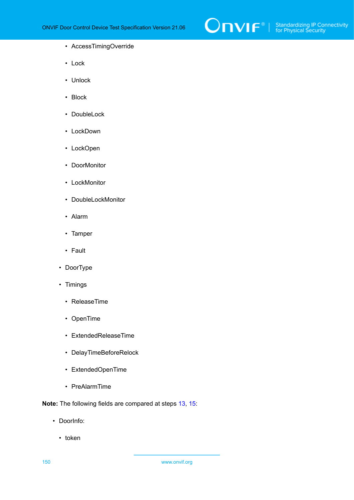

#### • AccessTimingOverride

- Lock
- Unlock
- Block
- DoubleLock
- LockDown
- LockOpen
- DoorMonitor
- LockMonitor
- DoubleLockMonitor
- Alarm
- Tamper
- Fault
- DoorType
- Timings
	- ReleaseTime
	- OpenTime
	- ExtendedReleaseTime
	- DelayTimeBeforeRelock
	- ExtendedOpenTime
	- PreAlarmTime

**Note:** The following fields are compared at steps [13,](#page-148-2) [15](#page-148-3):

- DoorInfo:
	- token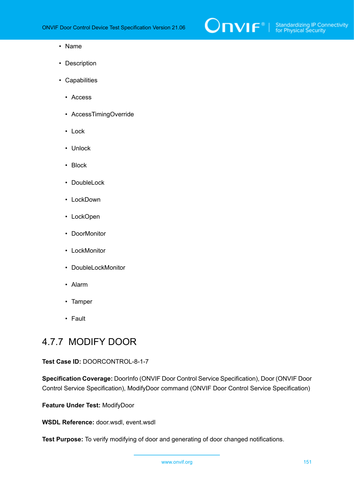

#### • Name

- Description
- Capabilities
	- Access
	- AccessTimingOverride
	- Lock
	- Unlock
	- Block
	- DoubleLock
	- LockDown
	- LockOpen
	- DoorMonitor
	- LockMonitor
	- DoubleLockMonitor
	- Alarm
	- Tamper
	- Fault

### 4.7.7 MODIFY DOOR

#### **Test Case ID:** DOORCONTROL-8-1-7

**Specification Coverage:** DoorInfo (ONVIF Door Control Service Specification), Door (ONVIF Door Control Service Specification), ModifyDoor command (ONVIF Door Control Service Specification)

**Feature Under Test:** ModifyDoor

**WSDL Reference:** door.wsdl, event.wsdl

**Test Purpose:** To verify modifying of door and generating of door changed notifications.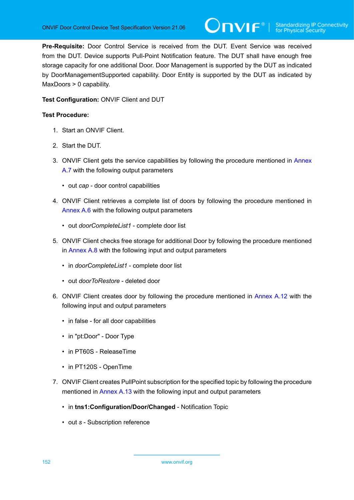**Pre-Requisite:** Door Control Service is received from the DUT. Event Service was received from the DUT. Device supports Pull-Point Notification feature. The DUT shall have enough free storage capacity for one additional Door. Door Management is supported by the DUT as indicated by DoorManagementSupported capability. Door Entity is supported by the DUT as indicated by MaxDoors > 0 capability.

#### **Test Configuration:** ONVIF Client and DUT

- 1. Start an ONVIF Client.
- 2. Start the DUT.
- 3. ONVIF Client gets the service capabilities by following the procedure mentioned in [Annex](#page-193-0) [A.7](#page-193-0) with the following output parameters
	- out *cap* door control capabilities
- 4. ONVIF Client retrieves a complete list of doors by following the procedure mentioned in [Annex A.6](#page-192-0) with the following output parameters
	- out *doorCompleteList1* complete door list
- <span id="page-151-0"></span>5. ONVIF Client checks free storage for additional Door by following the procedure mentioned in [Annex A.8](#page-194-0) with the following input and output parameters
	- in *doorCompleteList1* complete door list
	- out *doorToRestore* deleted door
- 6. ONVIF Client creates door by following the procedure mentioned in [Annex A.12](#page-197-0) with the following input and output parameters
	- in false for all door capabilities
	- in "pt:Door" Door Type
	- in PT60S ReleaseTime
	- in PT120S OpenTime
- 7. ONVIF Client creates PullPoint subscription for the specified topic by following the procedure mentioned in [Annex A.13](#page-198-0) with the following input and output parameters
	- in **tns1:Configuration/Door/Changed** Notification Topic
	- out *s* Subscription reference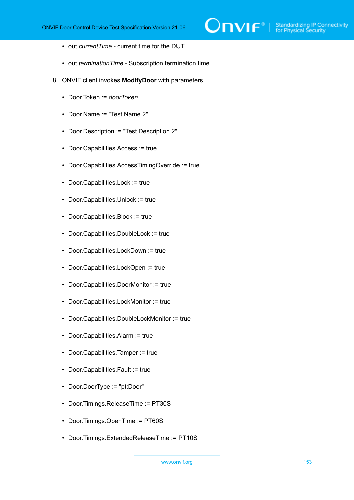- out *currentTime* current time for the DUT
- out *terminationTime* Subscription termination time
- <span id="page-152-0"></span>8. ONVIF client invokes **ModifyDoor** with parameters
	- Door.Token := *doorToken*
	- Door.Name := "Test Name 2"
	- Door.Description := "Test Description 2"
	- Door.Capabilities.Access := true
	- Door.Capabilities.AccessTimingOverride := true
	- Door.Capabilities.Lock := true
	- Door.Capabilities.Unlock := true
	- Door.Capabilities.Block := true
	- Door.Capabilities.DoubleLock := true
	- Door.Capabilities.LockDown := true
	- Door.Capabilities.LockOpen := true
	- Door.Capabilities.DoorMonitor := true
	- Door.Capabilities.LockMonitor := true
	- Door.Capabilities.DoubleLockMonitor := true
	- Door.Capabilities.Alarm := true
	- Door.Capabilities.Tamper := true
	- Door.Capabilities.Fault := true
	- Door.DoorType := "pt:Door"
	- Door.Timings.ReleaseTime := PT30S
	- Door.Timings.OpenTime := PT60S
	- Door.Timings.ExtendedReleaseTime := PT10S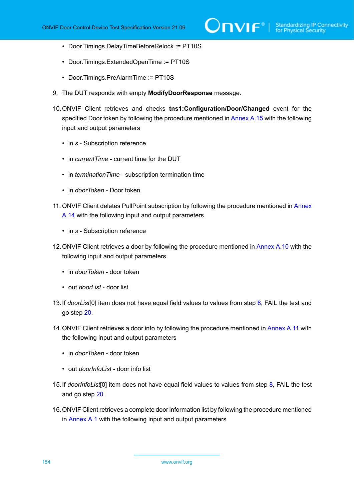- Door.Timings.DelayTimeBeforeRelock := PT10S
- Door.Timings.ExtendedOpenTime := PT10S
- Door.Timings.PreAlarmTime := PT10S
- 9. The DUT responds with empty **ModifyDoorResponse** message.
- 10.ONVIF Client retrieves and checks **tns1:Configuration/Door/Changed** event for the specified Door token by following the procedure mentioned in [Annex A.15](#page-200-0) with the following input and output parameters
	- in *s* Subscription reference
	- in *currentTime* current time for the DUT
	- in *terminationTime* subscription termination time
	- in *doorToken* Door token
- 11. ONVIF Client deletes PullPoint subscription by following the procedure mentioned in [Annex](#page-199-0) [A.14](#page-199-0) with the following input and output parameters
	- in *s* Subscription reference
- 12.ONVIF Client retrieves a door by following the procedure mentioned in [Annex A.10](#page-195-0) with the following input and output parameters
	- in *doorToken* door token
	- out *doorList* door list
- <span id="page-153-0"></span>13.If *doorList*[0] item does not have equal field values to values from step [8](#page-152-0), FAIL the test and go step [20](#page-154-0).
- 14.ONVIF Client retrieves a door info by following the procedure mentioned in [Annex](#page-196-0) A.11 with the following input and output parameters
	- in *doorToken* door token
	- out *doorInfoList* door info list
- <span id="page-153-1"></span>15.If *doorInfoList*[0] item does not have equal field values to values from step [8,](#page-152-0) FAIL the test and go step [20.](#page-154-0)
- 16.ONVIF Client retrieves a complete door information list by following the procedure mentioned in [Annex A.1](#page-187-0) with the following input and output parameters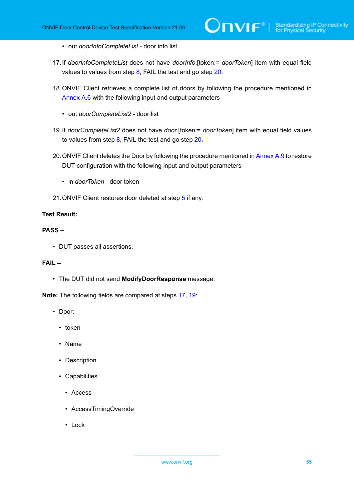- out *doorInfoCompleteList* door info list
- <span id="page-154-1"></span>17.If *doorInfoCompleteList* does not have *doorInfo*.[token:= *doorToken*] item with equal field values to values from step [8](#page-152-0), FAIL the test and go step [20](#page-154-0).
- 18.ONVIF Client retrieves a complete list of doors by following the procedure mentioned in [Annex A.6](#page-192-0) with the following input and output parameters
	- out *doorCompleteList2* door list
- <span id="page-154-2"></span>19.If *doorCompleteList2* does not have *door*.[token:= *doorToken*] item with equal field values to values from step [8,](#page-152-0) FAIL the test and go step [20.](#page-154-0)
- <span id="page-154-0"></span>20. ONVIF Client deletes the Door by following the procedure mentioned in [Annex A.9](#page-195-1) to restore DUT configuration with the following input and output parameters
	- in *doorToken* door token
- 21.ONVIF Client restores door deleted at step [5](#page-151-0) if any.

#### **PASS –**

• DUT passes all assertions.

#### **FAIL –**

• The DUT did not send **ModifyDoorResponse** message.

**Note:** The following fields are compared at steps [17,](#page-154-1) [19](#page-154-2):

- Door:
	- token
	- Name
	- Description
	- Capabilities
		- Access
		- AccessTimingOverride
		- Lock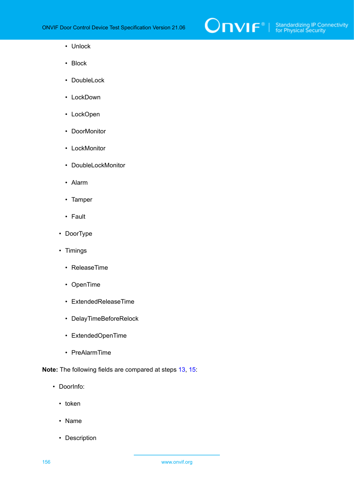

- Unlock
- Block
- DoubleLock
- LockDown
- LockOpen
- DoorMonitor
- LockMonitor
- DoubleLockMonitor
- Alarm
- Tamper
- Fault
- DoorType
- Timings
	- ReleaseTime
	- OpenTime
	- ExtendedReleaseTime
	- DelayTimeBeforeRelock
	- ExtendedOpenTime
	- PreAlarmTime

**Note:** The following fields are compared at steps [13,](#page-153-0) [15](#page-153-1):

- DoorInfo:
	- token
	- Name
	- Description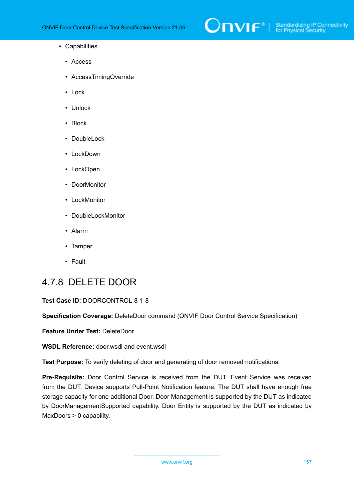

- Capabilities
	- Access
	- AccessTimingOverride
	- Lock
	- Unlock
	- Block
	- DoubleLock
	- LockDown
	- LockOpen
	- DoorMonitor
	- LockMonitor
	- DoubleLockMonitor
	- Alarm
	- Tamper
	- Fault

# 4.7.8 DELETE DOOR

#### **Test Case ID:** DOORCONTROL-8-1-8

**Specification Coverage:** DeleteDoor command (ONVIF Door Control Service Specification)

**Feature Under Test:** DeleteDoor

**WSDL Reference:** door.wsdl and event.wsdl

**Test Purpose:** To verify deleting of door and generating of door removed notifications.

**Pre-Requisite:** Door Control Service is received from the DUT. Event Service was received from the DUT. Device supports Pull-Point Notification feature. The DUT shall have enough free storage capacity for one additional Door. Door Management is supported by the DUT as indicated by DoorManagementSupported capability. Door Entity is supported by the DUT as indicated by MaxDoors > 0 capability.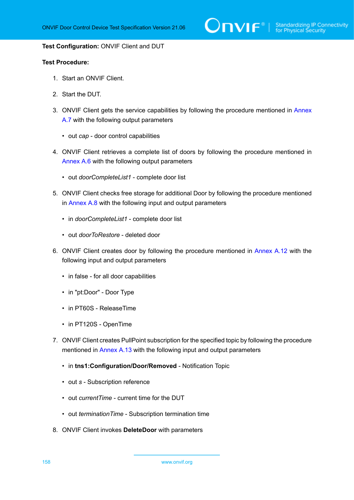$\bigcirc$  MVIF  $^{\circ}$  | Standardizing IP Connectivity

#### **Test Configuration:** ONVIF Client and DUT

- 1. Start an ONVIF Client.
- 2. Start the DUT.
- 3. ONVIF Client gets the service capabilities by following the procedure mentioned in [Annex](#page-193-0) [A.7](#page-193-0) with the following output parameters
	- out *cap* door control capabilities
- 4. ONVIF Client retrieves a complete list of doors by following the procedure mentioned in [Annex A.6](#page-192-0) with the following output parameters
	- out *doorCompleteList1* complete door list
- 5. ONVIF Client checks free storage for additional Door by following the procedure mentioned in [Annex A.8](#page-194-0) with the following input and output parameters
	- in *doorCompleteList1* complete door list
	- out *doorToRestore* deleted door
- 6. ONVIF Client creates door by following the procedure mentioned in [Annex A.12](#page-197-0) with the following input and output parameters
	- in false for all door capabilities
	- in "pt:Door" Door Type
	- in PT60S ReleaseTime
	- in PT120S OpenTime
- 7. ONVIF Client creates PullPoint subscription for the specified topic by following the procedure mentioned in [Annex A.13](#page-198-0) with the following input and output parameters
	- in **tns1:Configuration/Door/Removed** Notification Topic
	- out *s* Subscription reference
	- out *currentTime* current time for the DUT
	- out *terminationTime* Subscription termination time
- 8. ONVIF Client invokes **DeleteDoor** with parameters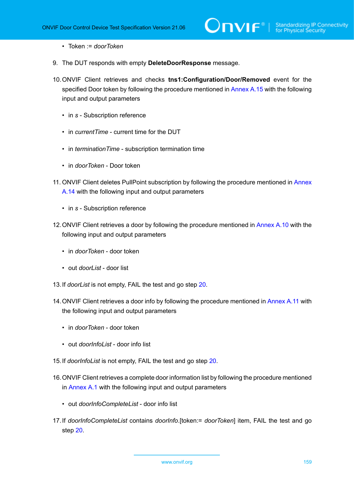- Token := *doorToken*
- 9. The DUT responds with empty **DeleteDoorResponse** message.
- 10.ONVIF Client retrieves and checks **tns1:Configuration/Door/Removed** event for the specified Door token by following the procedure mentioned in [Annex A.15](#page-201-0) with the following input and output parameters
	- in *s* Subscription reference
	- in *currentTime* current time for the DUT
	- in *terminationTime* subscription termination time
	- in *doorToken* Door token
- 11. ONVIF Client deletes PullPoint subscription by following the procedure mentioned in [Annex](#page-199-0) [A.14](#page-199-0) with the following input and output parameters
	- in *s* Subscription reference
- 12.ONVIF Client retrieves a door by following the procedure mentioned in [Annex A.10](#page-195-0) with the following input and output parameters
	- in *doorToken* door token
	- out *doorList* door list
- 13.If *doorList* is not empty, FAIL the test and go step [20](#page-159-0).
- 14. ONVIF Client retrieves a door info by following the procedure mentioned in [Annex](#page-196-0) A.11 with the following input and output parameters
	- in *doorToken* door token
	- out *doorInfoList* door info list
- 15.If *doorInfoList* is not empty, FAIL the test and go step [20.](#page-159-0)
- 16.ONVIF Client retrieves a complete door information list by following the procedure mentioned in [Annex A.1](#page-187-0) with the following input and output parameters
	- out *doorInfoCompleteList* door info list
- 17.If *doorInfoCompleteList* contains *doorInfo*.[token:= *doorToken*] item, FAIL the test and go step [20.](#page-159-0)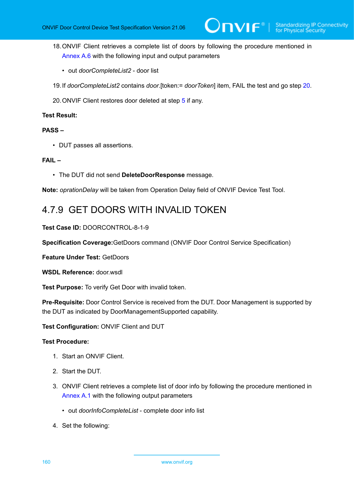- 18.ONVIF Client retrieves a complete list of doors by following the procedure mentioned in [Annex A.6](#page-192-0) with the following input and output parameters
	- out *doorCompleteList2* door list
- 19.If *doorCompleteList2* contains *door*.[token:= *doorToken*] item, FAIL the test and go step [20.](#page-159-0)
- <span id="page-159-0"></span>20.ONVIF Client restores door deleted at step [5](#page-151-0) if any.

#### **PASS –**

• DUT passes all assertions.

#### **FAIL –**

• The DUT did not send **DeleteDoorResponse** message.

**Note:** *oprationDelay* will be taken from Operation Delay field of ONVIF Device Test Tool.

# 4.7.9 GET DOORS WITH INVALID TOKEN

#### **Test Case ID:** DOORCONTROL-8-1-9

**Specification Coverage:**GetDoors command (ONVIF Door Control Service Specification)

**Feature Under Test:** GetDoors

**WSDL Reference:** door.wsdl

**Test Purpose:** To verify Get Door with invalid token.

**Pre-Requisite:** Door Control Service is received from the DUT. Door Management is supported by the DUT as indicated by DoorManagementSupported capability.

**Test Configuration:** ONVIF Client and DUT

- 1. Start an ONVIF Client.
- 2. Start the DUT.
- 3. ONVIF Client retrieves a complete list of door info by following the procedure mentioned in [Annex A.1](#page-187-0) with the following output parameters
	- out *doorInfoCompleteList* complete door info list
- 4. Set the following: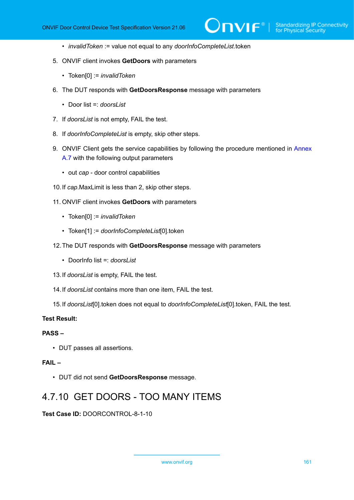- *invalidToken* := value not equal to any *doorInfoCompleteList*.token
- 5. ONVIF client invokes **GetDoors** with parameters
	- Token[0] := *invalidToken*
- 6. The DUT responds with **GetDoorsResponse** message with parameters
	- Door list =: *doorsList*
- 7. If *doorsList* is not empty, FAIL the test.
- 8. If *doorInfoCompleteList* is empty, skip other steps.
- 9. ONVIF Client gets the service capabilities by following the procedure mentioned in [Annex](#page-193-0) [A.7](#page-193-0) with the following output parameters
	- out *cap* door control capabilities
- 10.If *cap*.MaxLimit is less than 2, skip other steps.
- 11. ONVIF client invokes **GetDoors** with parameters
	- Token[0] := *invalidToken*
	- Token[1] := *doorInfoCompleteList*[0].token
- 12.The DUT responds with **GetDoorsResponse** message with parameters
	- DoorInfo list =: *doorsList*
- 13.If *doorsList* is empty, FAIL the test.
- 14.If *doorsList* contains more than one item, FAIL the test.
- 15.If *doorsList*[0].token does not equal to *doorInfoCompleteList*[0].token, FAIL the test.

#### **PASS –**

• DUT passes all assertions.

#### **FAIL –**

• DUT did not send **GetDoorsResponse** message.

## 4.7.10 GET DOORS - TOO MANY ITEMS

**Test Case ID:** DOORCONTROL-8-1-10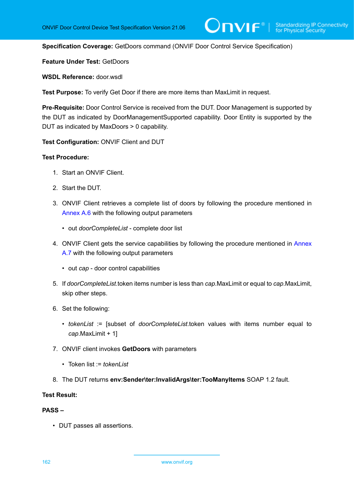**Specification Coverage:** GetDoors command (ONVIF Door Control Service Specification)

**Feature Under Test:** GetDoors

**WSDL Reference:** door wsdl

**Test Purpose:** To verify Get Door if there are more items than MaxLimit in request.

**Pre-Requisite:** Door Control Service is received from the DUT. Door Management is supported by the DUT as indicated by DoorManagementSupported capability. Door Entity is supported by the DUT as indicated by MaxDoors > 0 capability.

**Test Configuration:** ONVIF Client and DUT

#### **Test Procedure:**

- 1. Start an ONVIF Client.
- 2. Start the DUT.
- 3. ONVIF Client retrieves a complete list of doors by following the procedure mentioned in [Annex A.6](#page-192-0) with the following output parameters
	- out *doorCompleteList* complete door list
- 4. ONVIF Client gets the service capabilities by following the procedure mentioned in [Annex](#page-193-0) [A.7](#page-193-0) with the following output parameters
	- out *cap* door control capabilities
- 5. If *doorCompleteList*.token items number is less than *cap*.MaxLimit or equal to *cap*.MaxLimit, skip other steps.
- 6. Set the following:
	- *tokenList* := [subset of *doorCompleteList*.token values with items number equal to *cap*.MaxLimit + 1]
- 7. ONVIF client invokes **GetDoors** with parameters
	- Token list := *tokenList*
- 8. The DUT returns **env:Sender\ter:InvalidArgs\ter:TooManyItems** SOAP 1.2 fault.

#### **Test Result:**

#### **PASS –**

• DUT passes all assertions.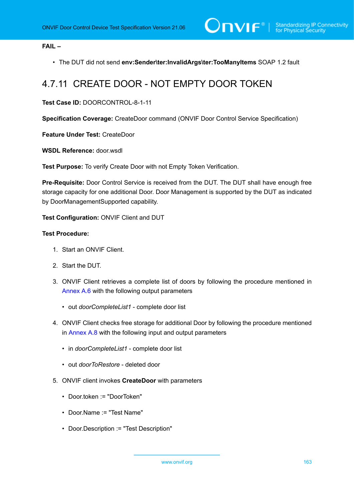#### **FAIL –**

• The DUT did not send **env:Sender\ter:InvalidArgs\ter:TooManyItems** SOAP 1.2 fault

# 4.7.11 CREATE DOOR - NOT EMPTY DOOR TOKEN

#### **Test Case ID:** DOORCONTROL-8-1-11

**Specification Coverage:** CreateDoor command (ONVIF Door Control Service Specification)

**Feature Under Test:** CreateDoor

**WSDL Reference:** door.wsdl

**Test Purpose:** To verify Create Door with not Empty Token Verification.

**Pre-Requisite:** Door Control Service is received from the DUT. The DUT shall have enough free storage capacity for one additional Door. Door Management is supported by the DUT as indicated by DoorManagementSupported capability.

**Test Configuration:** ONVIF Client and DUT

- 1. Start an ONVIF Client.
- 2. Start the DUT.
- 3. ONVIF Client retrieves a complete list of doors by following the procedure mentioned in [Annex A.6](#page-192-0) with the following output parameters
	- out *doorCompleteList1* complete door list
- <span id="page-162-0"></span>4. ONVIF Client checks free storage for additional Door by following the procedure mentioned in [Annex A.8](#page-194-0) with the following input and output parameters
	- in *doorCompleteList1* complete door list
	- out *doorToRestore* deleted door
- 5. ONVIF client invokes **CreateDoor** with parameters
	- Door.token := "DoorToken"
	- Door.Name := "Test Name"
	- Door.Description := "Test Description"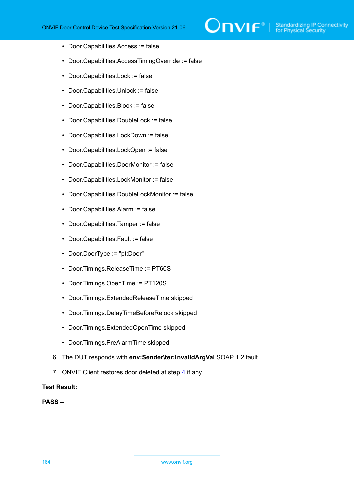- Door.Capabilities.Access := false
- Door.Capabilities.AccessTimingOverride := false
- Door.Capabilities.Lock := false
- Door.Capabilities.Unlock := false
- Door.Capabilities.Block := false
- Door.Capabilities.DoubleLock := false
- Door.Capabilities.LockDown := false
- Door.Capabilities.LockOpen := false
- Door.Capabilities.DoorMonitor := false
- Door.Capabilities.LockMonitor := false
- Door.Capabilities.DoubleLockMonitor := false
- Door.Capabilities.Alarm := false
- Door.Capabilities.Tamper := false
- Door.Capabilities.Fault := false
- Door.DoorType := "pt:Door"
- Door.Timings.ReleaseTime := PT60S
- Door.Timings.OpenTime := PT120S
- Door.Timings.ExtendedReleaseTime skipped
- Door.Timings.DelayTimeBeforeRelock skipped
- Door.Timings.ExtendedOpenTime skipped
- Door.Timings.PreAlarmTime skipped
- 6. The DUT responds with **env:Sender\ter:InvalidArgVal** SOAP 1.2 fault.
- 7. ONVIF Client restores door deleted at step [4](#page-162-0) if any.

#### **PASS –**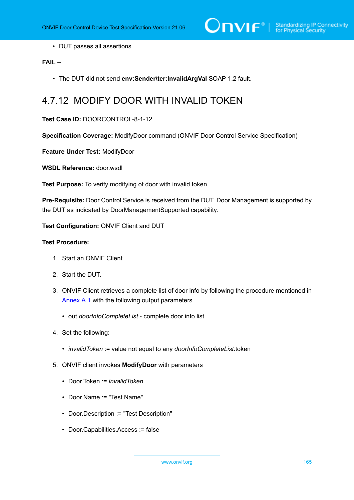• DUT passes all assertions.

#### **FAIL –**

• The DUT did not send **env:Sender\ter:InvalidArgVal** SOAP 1.2 fault.

## 4.7.12 MODIFY DOOR WITH INVALID TOKEN

#### **Test Case ID:** DOORCONTROL-8-1-12

**Specification Coverage:** ModifyDoor command (ONVIF Door Control Service Specification)

**Feature Under Test:** ModifyDoor

**WSDL Reference:** door.wsdl

**Test Purpose:** To verify modifying of door with invalid token.

**Pre-Requisite:** Door Control Service is received from the DUT. Door Management is supported by the DUT as indicated by DoorManagementSupported capability.

#### **Test Configuration:** ONVIF Client and DUT

- 1. Start an ONVIF Client.
- 2. Start the DUT.
- 3. ONVIF Client retrieves a complete list of door info by following the procedure mentioned in [Annex A.1](#page-187-0) with the following output parameters
	- out *doorInfoCompleteList* complete door info list
- 4. Set the following:
	- *invalidToken* := value not equal to any *doorInfoCompleteList*.token
- 5. ONVIF client invokes **ModifyDoor** with parameters
	- Door.Token := *invalidToken*
	- Door.Name := "Test Name"
	- Door.Description := "Test Description"
	- Door.Capabilities.Access := false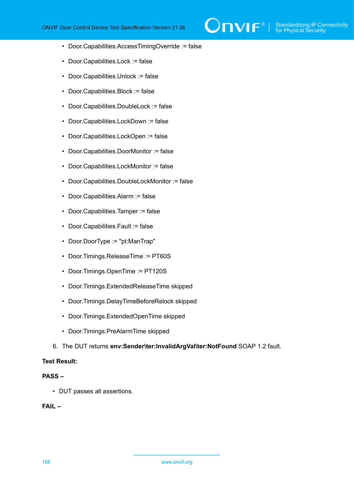- Door.Capabilities.AccessTimingOverride := false
- Door.Capabilities.Lock := false
- Door.Capabilities.Unlock := false
- Door.Capabilities.Block := false
- Door.Capabilities.DoubleLock := false
- Door.Capabilities.LockDown := false
- Door.Capabilities.LockOpen := false
- Door.Capabilities.DoorMonitor := false
- Door.Capabilities.LockMonitor := false
- Door.Capabilities.DoubleLockMonitor := false
- Door.Capabilities.Alarm := false
- Door.Capabilities.Tamper := false
- Door.Capabilities.Fault := false
- Door.DoorType := "pt:ManTrap"
- Door.Timings.ReleaseTime := PT60S
- Door.Timings.OpenTime := PT120S
- Door.Timings.ExtendedReleaseTime skipped
- Door.Timings.DelayTimeBeforeRelock skipped
- Door.Timings.ExtendedOpenTime skipped
- Door.Timings.PreAlarmTime skipped
- 6. The DUT returns **env:Sender\ter:InvalidArgVal\ter:NotFound** SOAP 1.2 fault.

#### **PASS –**

• DUT passes all assertions.

#### **FAIL –**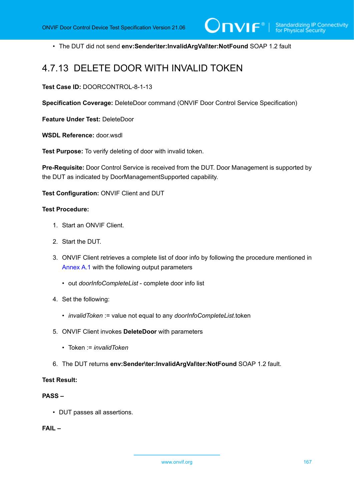• The DUT did not send **env:Sender\ter:InvalidArgVal\ter:NotFound** SOAP 1.2 fault

### 4.7.13 DELETE DOOR WITH INVALID TOKEN

**Test Case ID:** DOORCONTROL-8-1-13

**Specification Coverage:** DeleteDoor command (ONVIF Door Control Service Specification)

**Feature Under Test:** DeleteDoor

WSDL Reference: door wsdl

**Test Purpose:** To verify deleting of door with invalid token.

**Pre-Requisite:** Door Control Service is received from the DUT. Door Management is supported by the DUT as indicated by DoorManagementSupported capability.

**Test Configuration:** ONVIF Client and DUT

#### **Test Procedure:**

- 1. Start an ONVIF Client.
- 2. Start the DUT.
- 3. ONVIF Client retrieves a complete list of door info by following the procedure mentioned in [Annex A.1](#page-187-0) with the following output parameters
	- out *doorInfoCompleteList* complete door info list
- 4. Set the following:
	- *invalidToken* := value not equal to any *doorInfoCompleteList*.token
- 5. ONVIF Client invokes **DeleteDoor** with parameters
	- Token := *invalidToken*
- 6. The DUT returns **env:Sender\ter:InvalidArgVal\ter:NotFound** SOAP 1.2 fault.

#### **Test Result:**

#### **PASS –**

• DUT passes all assertions.

**FAIL –**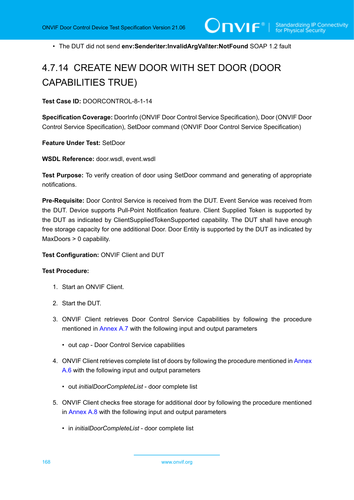• The DUT did not send **env:Sender\ter:InvalidArgVal\ter:NotFound** SOAP 1.2 fault

# 4.7.14 CREATE NEW DOOR WITH SET DOOR (DOOR CAPABILITIES TRUE)

**Test Case ID:** DOORCONTROL-8-1-14

**Specification Coverage:** DoorInfo (ONVIF Door Control Service Specification), Door (ONVIF Door Control Service Specification), SetDoor command (ONVIF Door Control Service Specification)

**Feature Under Test:** SetDoor

**WSDL Reference:** door.wsdl, event.wsdl

**Test Purpose:** To verify creation of door using SetDoor command and generating of appropriate notifications.

**Pre-Requisite:** Door Control Service is received from the DUT. Event Service was received from the DUT. Device supports Pull-Point Notification feature. Client Supplied Token is supported by the DUT as indicated by ClientSuppliedTokenSupported capability. The DUT shall have enough free storage capacity for one additional Door. Door Entity is supported by the DUT as indicated by MaxDoors > 0 capability.

**Test Configuration:** ONVIF Client and DUT

- 1. Start an ONVIF Client.
- 2. Start the DUT.
- 3. ONVIF Client retrieves Door Control Service Capabilities by following the procedure mentioned in [Annex A.7](#page-193-0) with the following input and output parameters
	- out *cap* Door Control Service capabilities
- 4. ONVIF Client retrieves complete list of doors by following the procedure mentioned in [Annex](#page-192-0) [A.6](#page-192-0) with the following input and output parameters
	- out *initialDoorCompleteList* door complete list
- <span id="page-167-0"></span>5. ONVIF Client checks free storage for additional door by following the procedure mentioned in [Annex A.8](#page-194-0) with the following input and output parameters
	- in *initialDoorCompleteList* door complete list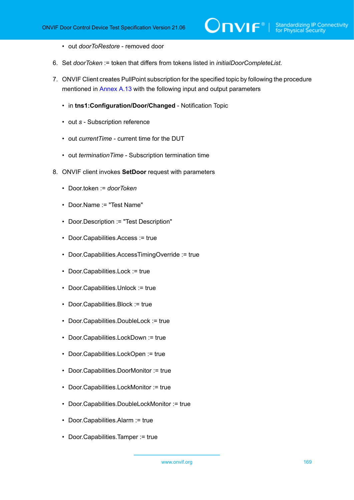- out *doorToRestore* removed door
- 6. Set *doorToken* := token that differs from tokens listed in *initialDoorCompleteList*.
- 7. ONVIF Client creates PullPoint subscription for the specified topic by following the procedure mentioned in [Annex A.13](#page-198-0) with the following input and output parameters
	- in **tns1:Configuration/Door/Changed** Notification Topic
	- out *s* Subscription reference
	- out *currentTime* current time for the DUT
	- out *terminationTime* Subscription termination time
- <span id="page-168-0"></span>8. ONVIF client invokes **SetDoor** request with parameters
	- Door.token := *doorToken*
	- Door.Name := "Test Name"
	- Door.Description := "Test Description"
	- Door.Capabilities.Access := true
	- Door.Capabilities.AccessTimingOverride := true
	- Door.Capabilities.Lock := true
	- Door.Capabilities.Unlock := true
	- Door.Capabilities.Block := true
	- Door.Capabilities.DoubleLock := true
	- Door.Capabilities.LockDown := true
	- Door.Capabilities.LockOpen := true
	- Door.Capabilities.DoorMonitor := true
	- Door.Capabilities.LockMonitor := true
	- Door.Capabilities.DoubleLockMonitor := true
	- Door.Capabilities.Alarm := true
	- Door.Capabilities.Tamper := true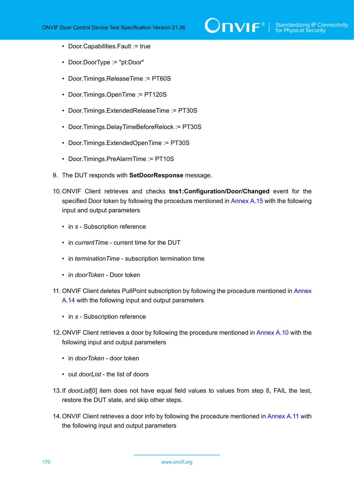- Door.Capabilities.Fault := true
- Door.DoorType := "pt:Door"
- Door.Timings.ReleaseTime := PT60S
- Door.Timings.OpenTime := PT120S
- Door.Timings.ExtendedReleaseTime := PT30S
- Door.Timings.DelayTimeBeforeRelock := PT30S
- Door.Timings.ExtendedOpenTime := PT30S
- Door.Timings.PreAlarmTime := PT10S
- 9. The DUT responds with **SetDoorResponse** message.
- 10.ONVIF Client retrieves and checks **tns1:Configuration/Door/Changed** event for the specified Door token by following the procedure mentioned in [Annex A.15](#page-200-0) with the following input and output parameters
	- in *s* Subscription reference
	- in *currentTime* current time for the DUT
	- in *terminationTime* subscription termination time
	- in *doorToken* Door token
- 11. ONVIF Client deletes PullPoint subscription by following the procedure mentioned in [Annex](#page-199-0) [A.14](#page-199-0) with the following input and output parameters
	- in *s* Subscription reference
- 12.ONVIF Client retrieves a door by following the procedure mentioned in [Annex A.10](#page-195-0) with the following input and output parameters
	- in *doorToken* door token
	- out *doorList* the list of doors
- <span id="page-169-0"></span>13.If *doorList*[0] item does not have equal field values to values from step [8](#page-168-0), FAIL the test, restore the DUT state, and skip other steps.
- 14.ONVIF Client retrieves a door info by following the procedure mentioned in [Annex](#page-196-0) A.11 with the following input and output parameters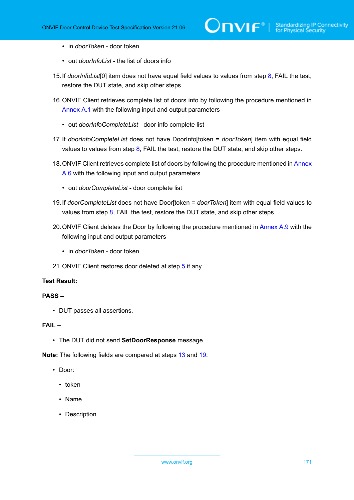- in *doorToken* door token
- out *doorInfoList* the list of doors info
- <span id="page-170-1"></span>15.If *doorInfoList*[0] item does not have equal field values to values from step [8,](#page-168-0) FAIL the test, restore the DUT state, and skip other steps.
- 16.ONVIF Client retrieves complete list of doors info by following the procedure mentioned in [Annex A.1](#page-187-0) with the following input and output parameters
	- out *doorInfoCompleteList* door info complete list
- <span id="page-170-2"></span>17.If *doorInfoCompleteList* does not have DoorInfo[token = *doorToken*] item with equal field values to values from step  $8$ , FAIL the test, restore the DUT state, and skip other steps.
- 18. ONVIF Client retrieves complete list of doors by following the procedure mentioned in [Annex](#page-192-0) [A.6](#page-192-0) with the following input and output parameters
	- out *doorCompleteList* door complete list
- <span id="page-170-0"></span>19.If *doorCompleteList* does not have Door[token = *doorToken*] item with equal field values to values from step  $8$ , FAIL the test, restore the DUT state, and skip other steps.
- 20. ONVIF Client deletes the Door by following the procedure mentioned in [Annex A.9](#page-195-1) with the following input and output parameters
	- in *doorToken* door token
- 21.ONVIF Client restores door deleted at step [5](#page-167-0) if any.

#### **PASS –**

• DUT passes all assertions.

#### **FAIL –**

• The DUT did not send **SetDoorResponse** message.

**Note:** The following fields are compared at steps [13](#page-169-0) and [19:](#page-170-0)

- Door:
	- token
	- Name
	- Description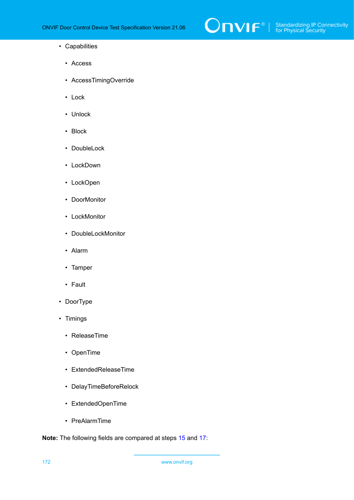

- Capabilities
	- Access
	- AccessTimingOverride
	- Lock
	- Unlock
	- Block
	- DoubleLock
	- LockDown
	- LockOpen
	- DoorMonitor
	- LockMonitor
	- DoubleLockMonitor
	- Alarm
	- Tamper
	- Fault
- DoorType
- Timings
	- ReleaseTime
	- OpenTime
	- ExtendedReleaseTime
	- DelayTimeBeforeRelock
	- ExtendedOpenTime
	- PreAlarmTime

**Note:** The following fields are compared at steps [15](#page-170-1) and [17:](#page-170-2)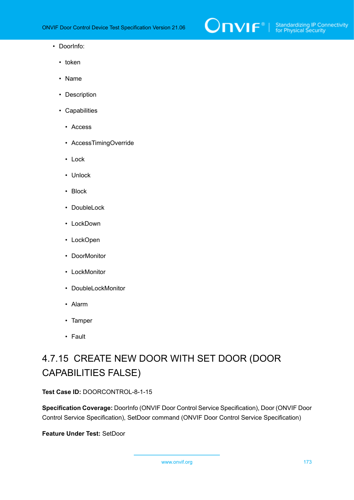

- DoorInfo:
	- token
	- Name
	- Description
	- Capabilities
		- Access
		- AccessTimingOverride
		- Lock
		- Unlock
		- Block
		- DoubleLock
		- LockDown
		- LockOpen
		- DoorMonitor
		- LockMonitor
		- DoubleLockMonitor
		- Alarm
		- Tamper
		- Fault

# 4.7.15 CREATE NEW DOOR WITH SET DOOR (DOOR CAPABILITIES FALSE)

**Test Case ID:** DOORCONTROL-8-1-15

**Specification Coverage:** DoorInfo (ONVIF Door Control Service Specification), Door (ONVIF Door Control Service Specification), SetDoor command (ONVIF Door Control Service Specification)

**Feature Under Test:** SetDoor

www.onvif.org 173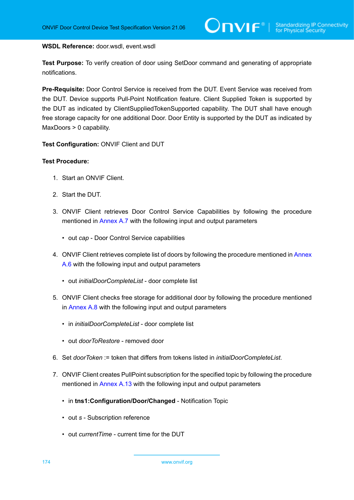#### **WSDL Reference:** door.wsdl, event.wsdl

**Test Purpose:** To verify creation of door using SetDoor command and generating of appropriate notifications.

**Pre-Requisite:** Door Control Service is received from the DUT. Event Service was received from the DUT. Device supports Pull-Point Notification feature. Client Supplied Token is supported by the DUT as indicated by ClientSuppliedTokenSupported capability. The DUT shall have enough free storage capacity for one additional Door. Door Entity is supported by the DUT as indicated by MaxDoors > 0 capability.

**Test Configuration:** ONVIF Client and DUT

- 1. Start an ONVIF Client.
- 2. Start the DUT.
- 3. ONVIF Client retrieves Door Control Service Capabilities by following the procedure mentioned in [Annex A.7](#page-193-0) with the following input and output parameters
	- out *cap* Door Control Service capabilities
- 4. ONVIF Client retrieves complete list of doors by following the procedure mentioned in [Annex](#page-192-0) [A.6](#page-192-0) with the following input and output parameters
	- out *initialDoorCompleteList* door complete list
- <span id="page-173-0"></span>5. ONVIF Client checks free storage for additional door by following the procedure mentioned in [Annex A.8](#page-194-0) with the following input and output parameters
	- in *initialDoorCompleteList* door complete list
	- out *doorToRestore* removed door
- 6. Set *doorToken* := token that differs from tokens listed in *initialDoorCompleteList*.
- 7. ONVIF Client creates PullPoint subscription for the specified topic by following the procedure mentioned in [Annex A.13](#page-198-0) with the following input and output parameters
	- in **tns1:Configuration/Door/Changed** Notification Topic
	- out *s* Subscription reference
	- out *currentTime* current time for the DUT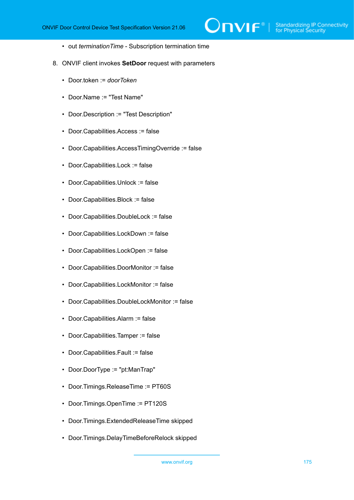$\mathsf{D}\mathbf{n}\mathsf{V}$ l $\mathsf{F}^\circ$ l

- out *terminationTime* Subscription termination time
- <span id="page-174-0"></span>8. ONVIF client invokes **SetDoor** request with parameters
	- Door.token := *doorToken*
	- Door.Name := "Test Name"
	- Door.Description := "Test Description"
	- Door.Capabilities.Access := false
	- Door.Capabilities.AccessTimingOverride := false
	- Door.Capabilities.Lock := false
	- Door.Capabilities.Unlock := false
	- Door.Capabilities.Block := false
	- Door.Capabilities.DoubleLock := false
	- Door.Capabilities.LockDown := false
	- Door.Capabilities.LockOpen := false
	- Door.Capabilities.DoorMonitor := false
	- Door.Capabilities.LockMonitor := false
	- Door.Capabilities.DoubleLockMonitor := false
	- Door.Capabilities.Alarm := false
	- Door.Capabilities.Tamper := false
	- Door.Capabilities.Fault := false
	- Door.DoorType := "pt:ManTrap"
	- Door.Timings.ReleaseTime := PT60S
	- Door.Timings.OpenTime := PT120S
	- Door.Timings.ExtendedReleaseTime skipped
	- Door.Timings.DelayTimeBeforeRelock skipped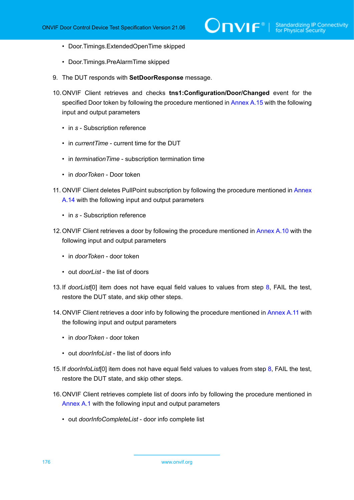- Door.Timings.ExtendedOpenTime skipped
- Door.Timings.PreAlarmTime skipped
- 9. The DUT responds with **SetDoorResponse** message.
- 10.ONVIF Client retrieves and checks **tns1:Configuration/Door/Changed** event for the specified Door token by following the procedure mentioned in [Annex A.15](#page-200-0) with the following input and output parameters
	- in *s* Subscription reference
	- in *currentTime* current time for the DUT
	- in *terminationTime* subscription termination time
	- in *doorToken* Door token
- 11. ONVIF Client deletes PullPoint subscription by following the procedure mentioned in [Annex](#page-199-0) [A.14](#page-199-0) with the following input and output parameters
	- in *s* Subscription reference
- 12.ONVIF Client retrieves a door by following the procedure mentioned in [Annex A.10](#page-195-0) with the following input and output parameters
	- in *doorToken* door token
	- out *doorList* the list of doors
- <span id="page-175-0"></span>13.If *doorList*[0] item does not have equal field values to values from step [8](#page-174-0), FAIL the test, restore the DUT state, and skip other steps.
- 14. ONVIF Client retrieves a door info by following the procedure mentioned in [Annex](#page-196-0) A.11 with the following input and output parameters
	- in *doorToken* door token
	- out *doorInfoList* the list of doors info
- <span id="page-175-1"></span>15.If *doorInfoList*[0] item does not have equal field values to values from step [8,](#page-174-0) FAIL the test, restore the DUT state, and skip other steps.
- 16.ONVIF Client retrieves complete list of doors info by following the procedure mentioned in [Annex A.1](#page-187-0) with the following input and output parameters
	- out *doorInfoCompleteList* door info complete list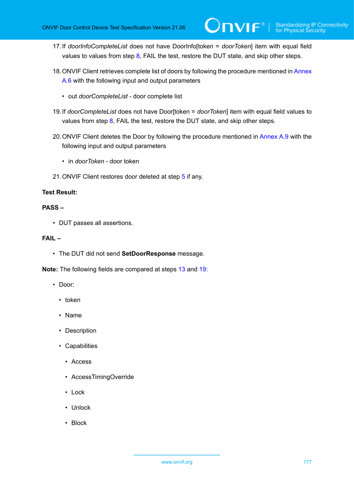- <span id="page-176-1"></span>17.If *doorInfoCompleteList* does not have DoorInfo[token = *doorToken*] item with equal field values to values from step  $8$ , FAIL the test, restore the DUT state, and skip other steps.
- 18. ONVIF Client retrieves complete list of doors by following the procedure mentioned in [Annex](#page-192-0) [A.6](#page-192-0) with the following input and output parameters
	- out *doorCompleteList* door complete list
- <span id="page-176-0"></span>19.If *doorCompleteList* does not have Door[token = *doorToken*] item with equal field values to values from step  $8$ , FAIL the test, restore the DUT state, and skip other steps.
- 20. ONVIF Client deletes the Door by following the procedure mentioned in [Annex A.9](#page-195-1) with the following input and output parameters
	- in *doorToken* door token
- 21.ONVIF Client restores door deleted at step [5](#page-173-0) if any.

#### **PASS –**

• DUT passes all assertions.

#### **FAIL –**

• The DUT did not send **SetDoorResponse** message.

**Note:** The following fields are compared at steps [13](#page-175-0) and [19:](#page-176-0)

- Door:
	- token
	- Name
	- Description
	- Capabilities
		- Access
		- AccessTimingOverride
		- Lock
		- Unlock
		- Block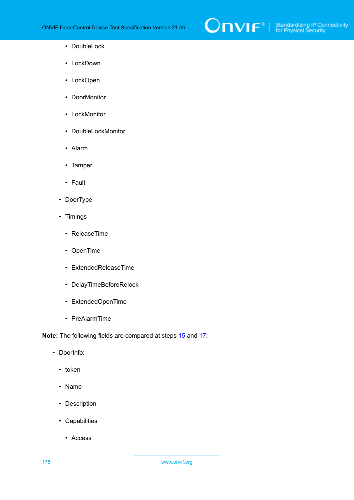

- DoubleLock
- LockDown
- LockOpen
- DoorMonitor
- LockMonitor
- DoubleLockMonitor
- Alarm
- Tamper
- Fault
- DoorType
- Timings
	- ReleaseTime
	- OpenTime
	- ExtendedReleaseTime
	- DelayTimeBeforeRelock
	- ExtendedOpenTime
	- PreAlarmTime

**Note:** The following fields are compared at steps [15](#page-175-1) and [17:](#page-176-1)

- DoorInfo:
	- token
	- Name
	- Description
	- Capabilities
		- Access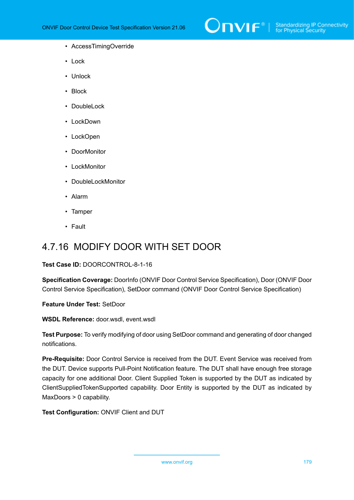

- AccessTimingOverride
- Lock
- Unlock
- Block
- DoubleLock
- LockDown
- LockOpen
- DoorMonitor
- LockMonitor
- DoubleLockMonitor
- Alarm
- Tamper
- Fault

### 4.7.16 MODIFY DOOR WITH SET DOOR

**Test Case ID:** DOORCONTROL-8-1-16

**Specification Coverage:** DoorInfo (ONVIF Door Control Service Specification), Door (ONVIF Door Control Service Specification), SetDoor command (ONVIF Door Control Service Specification)

**Feature Under Test:** SetDoor

**WSDL Reference:** door.wsdl, event.wsdl

**Test Purpose:** To verify modifying of door using SetDoor command and generating of door changed notifications.

**Pre-Requisite:** Door Control Service is received from the DUT. Event Service was received from the DUT. Device supports Pull-Point Notification feature. The DUT shall have enough free storage capacity for one additional Door. Client Supplied Token is supported by the DUT as indicated by ClientSuppliedTokenSupported capability. Door Entity is supported by the DUT as indicated by MaxDoors > 0 capability.

**Test Configuration:** ONVIF Client and DUT

www.onvif.org 179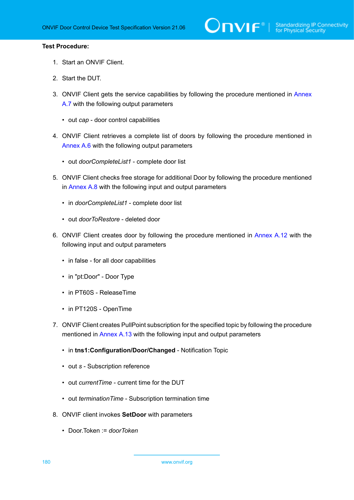- 1. Start an ONVIF Client.
- 2. Start the DUT.
- 3. ONVIF Client gets the service capabilities by following the procedure mentioned in [Annex](#page-193-0) [A.7](#page-193-0) with the following output parameters
	- out *cap* door control capabilities
- 4. ONVIF Client retrieves a complete list of doors by following the procedure mentioned in [Annex A.6](#page-192-0) with the following output parameters
	- out *doorCompleteList1* complete door list
- 5. ONVIF Client checks free storage for additional Door by following the procedure mentioned in [Annex A.8](#page-194-0) with the following input and output parameters
	- in *doorCompleteList1* complete door list
	- out *doorToRestore* deleted door
- 6. ONVIF Client creates door by following the procedure mentioned in [Annex A.12](#page-197-0) with the following input and output parameters
	- in false for all door capabilities
	- in "pt:Door" Door Type
	- in PT60S ReleaseTime
	- in PT120S OpenTime
- 7. ONVIF Client creates PullPoint subscription for the specified topic by following the procedure mentioned in [Annex A.13](#page-198-0) with the following input and output parameters
	- in **tns1:Configuration/Door/Changed** Notification Topic
	- out *s* Subscription reference
	- out *currentTime* current time for the DUT
	- out *terminationTime* Subscription termination time
- 8. ONVIF client invokes **SetDoor** with parameters
	- Door.Token := *doorToken*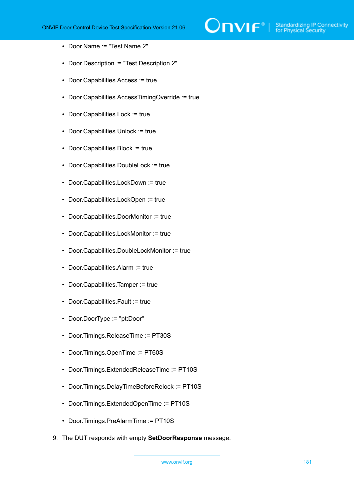

- Door.Name := "Test Name 2"
- Door.Description := "Test Description 2"
- Door.Capabilities.Access := true
- Door.Capabilities.AccessTimingOverride := true
- Door.Capabilities.Lock := true
- Door.Capabilities.Unlock := true
- Door.Capabilities.Block := true
- Door.Capabilities.DoubleLock := true
- Door.Capabilities.LockDown := true
- Door.Capabilities.LockOpen := true
- Door.Capabilities.DoorMonitor := true
- Door.Capabilities.LockMonitor := true
- Door.Capabilities.DoubleLockMonitor := true
- Door.Capabilities.Alarm := true
- Door.Capabilities.Tamper := true
- Door.Capabilities.Fault := true
- Door.DoorType := "pt:Door"
- Door.Timings.ReleaseTime := PT30S
- Door.Timings.OpenTime := PT60S
- Door.Timings.ExtendedReleaseTime := PT10S
- Door.Timings.DelayTimeBeforeRelock := PT10S
- Door.Timings.ExtendedOpenTime := PT10S
- Door.Timings.PreAlarmTime := PT10S
- 9. The DUT responds with empty **SetDoorResponse** message.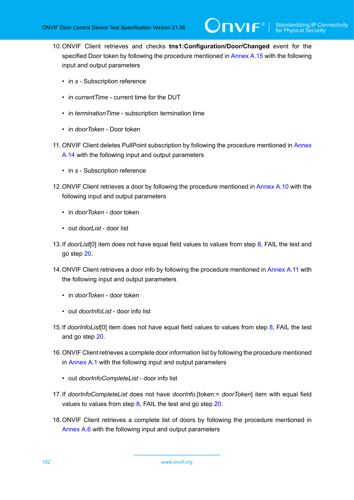- 10.ONVIF Client retrieves and checks **tns1:Configuration/Door/Changed** event for the specified Door token by following the procedure mentioned in [Annex A.15](#page-200-0) with the following input and output parameters
	- in *s* Subscription reference
	- in *currentTime* current time for the DUT
	- in *terminationTime* subscription termination time
	- in *doorToken* Door token
- 11. ONVIF Client deletes PullPoint subscription by following the procedure mentioned in [Annex](#page-199-0) [A.14](#page-199-0) with the following input and output parameters
	- in *s* Subscription reference
- 12.ONVIF Client retrieves a door by following the procedure mentioned in [Annex A.10](#page-195-0) with the following input and output parameters
	- in *doorToken* door token
	- out *doorList* door list
- <span id="page-181-1"></span>13.If *doorList*[0] item does not have equal field values to values from step [8](#page-179-0), FAIL the test and go step [20](#page-182-0).
- 14. ONVIF Client retrieves a door info by following the procedure mentioned in [Annex](#page-196-0) A.11 with the following input and output parameters
	- in *doorToken* door token
	- out *doorInfoList* door info list
- <span id="page-181-2"></span>15.If *doorInfoList*[0] item does not have equal field values to values from step [8,](#page-179-0) FAIL the test and go step [20.](#page-182-0)
- 16.ONVIF Client retrieves a complete door information list by following the procedure mentioned in [Annex A.1](#page-187-0) with the following input and output parameters
	- out *doorInfoCompleteList* door info list
- <span id="page-181-0"></span>17.If *doorInfoCompleteList* does not have *doorInfo*.[token:= *doorToken*] item with equal field values to values from step  $8$ , FAIL the test and go step  $20$ .
- 18.ONVIF Client retrieves a complete list of doors by following the procedure mentioned in [Annex A.6](#page-192-0) with the following input and output parameters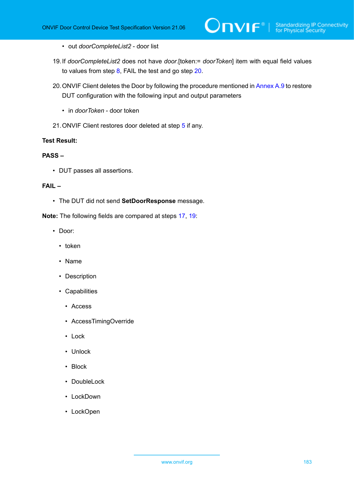- out *doorCompleteList2* door list
- <span id="page-182-1"></span>19.If *doorCompleteList2* does not have *door*.[token:= *doorToken*] item with equal field values to values from step [8,](#page-179-0) FAIL the test and go step [20.](#page-182-0)
- <span id="page-182-0"></span>20. ONVIF Client deletes the Door by following the procedure mentioned in [Annex A.9](#page-195-1) to restore DUT configuration with the following input and output parameters
	- in *doorToken* door token
- 21.ONVIF Client restores door deleted at step [5](#page-179-1) if any.

## **Test Result:**

## **PASS –**

• DUT passes all assertions.

## **FAIL –**

• The DUT did not send **SetDoorResponse** message.

**Note:** The following fields are compared at steps [17,](#page-181-0) [19](#page-182-1):

- Door:
	- token
	- Name
	- Description
	- Capabilities
		- Access
		- AccessTimingOverride
		- Lock
		- Unlock
		- Block
		- DoubleLock
		- LockDown
		- LockOpen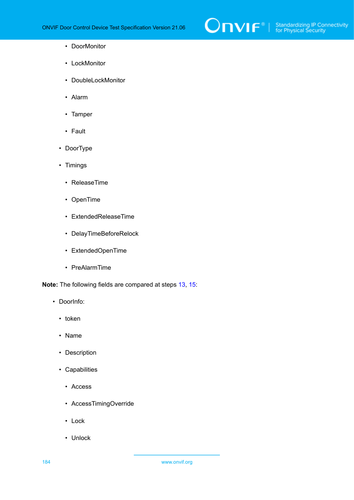

- DoorMonitor
- LockMonitor
- DoubleLockMonitor
- Alarm
- Tamper
- Fault
- DoorType
- Timings
	- ReleaseTime
	- OpenTime
	- ExtendedReleaseTime
	- DelayTimeBeforeRelock
	- ExtendedOpenTime
	- PreAlarmTime

**Note:** The following fields are compared at steps [13,](#page-181-1) [15](#page-181-2):

- DoorInfo:
	- token
	- Name
	- Description
	- Capabilities
		- Access
		- AccessTimingOverride
		- Lock
		- Unlock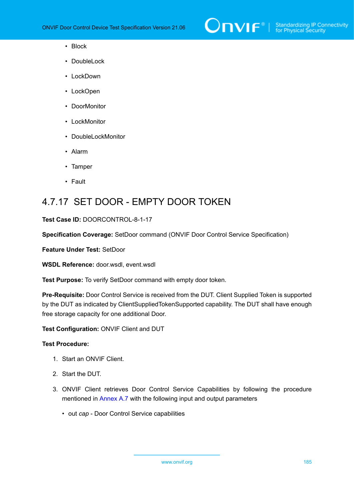

- Block
- DoubleLock
- LockDown
- LockOpen
- DoorMonitor
- LockMonitor
- DoubleLockMonitor
- Alarm
- Tamper
- Fault

# 4.7.17 SET DOOR - EMPTY DOOR TOKEN

#### **Test Case ID:** DOORCONTROL-8-1-17

**Specification Coverage:** SetDoor command (ONVIF Door Control Service Specification)

**Feature Under Test:** SetDoor

**WSDL Reference:** door.wsdl, event.wsdl

**Test Purpose:** To verify SetDoor command with empty door token.

**Pre-Requisite:** Door Control Service is received from the DUT. Client Supplied Token is supported by the DUT as indicated by ClientSuppliedTokenSupported capability. The DUT shall have enough free storage capacity for one additional Door.

**Test Configuration:** ONVIF Client and DUT

### **Test Procedure:**

- 1. Start an ONVIF Client.
- 2. Start the DUT.
- 3. ONVIF Client retrieves Door Control Service Capabilities by following the procedure mentioned in [Annex A.7](#page-193-0) with the following input and output parameters
	- out *cap* Door Control Service capabilities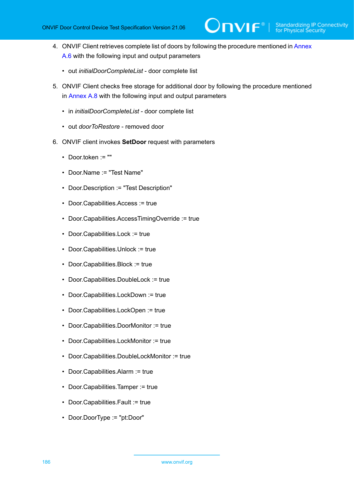4. ONVIF Client retrieves complete list of doors by following the procedure mentioned in [Annex](#page-192-0) [A.6](#page-192-0) with the following input and output parameters

 $\mathsf{D}\mathbf{N}\mathsf{I}\mathsf{F}^\ast$ l

- out *initialDoorCompleteList* door complete list
- <span id="page-185-0"></span>5. ONVIF Client checks free storage for additional door by following the procedure mentioned in [Annex A.8](#page-194-0) with the following input and output parameters
	- in *initialDoorCompleteList* door complete list
	- out *doorToRestore* removed door
- 6. ONVIF client invokes **SetDoor** request with parameters
	- Door.token := ""
	- Door.Name := "Test Name"
	- Door.Description := "Test Description"
	- Door.Capabilities.Access := true
	- Door.Capabilities.AccessTimingOverride := true
	- Door.Capabilities.Lock := true
	- Door.Capabilities.Unlock := true
	- Door.Capabilities.Block := true
	- Door.Capabilities.DoubleLock := true
	- Door.Capabilities.LockDown := true
	- Door.Capabilities.LockOpen := true
	- Door.Capabilities.DoorMonitor := true
	- Door.Capabilities.LockMonitor := true
	- Door.Capabilities.DoubleLockMonitor := true
	- Door.Capabilities.Alarm := true
	- Door.Capabilities.Tamper := true
	- Door.Capabilities.Fault := true
	- Door.DoorType := "pt:Door"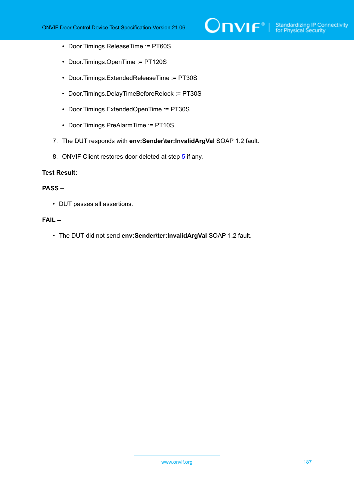

- Door.Timings.ReleaseTime := PT60S
- Door.Timings.OpenTime := PT120S
- Door.Timings.ExtendedReleaseTime := PT30S
- Door.Timings.DelayTimeBeforeRelock := PT30S
- Door.Timings.ExtendedOpenTime := PT30S
- Door.Timings.PreAlarmTime := PT10S
- 7. The DUT responds with **env:Sender\ter:InvalidArgVal** SOAP 1.2 fault.
- 8. ONVIF Client restores door deleted at step [5](#page-185-0) if any.

## **Test Result:**

## **PASS –**

• DUT passes all assertions.

## **FAIL –**

• The DUT did not send **env:Sender\ter:InvalidArgVal** SOAP 1.2 fault.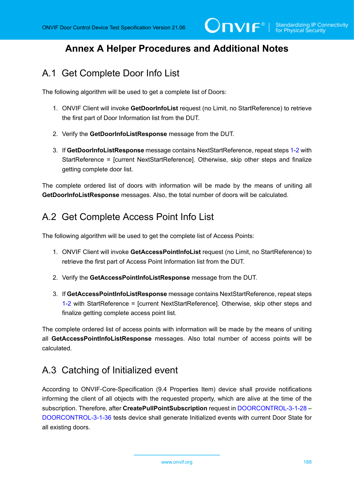# **Annex A Helper Procedures and Additional Notes**

# <span id="page-187-0"></span>A.1 Get Complete Door Info List

The following algorithm will be used to get a complete list of Doors:

- <span id="page-187-1"></span>1. ONVIF Client will invoke **GetDoorInfoList** request (no Limit, no StartReference) to retrieve the first part of Door Information list from the DUT.
- <span id="page-187-2"></span>2. Verify the **GetDoorInfoListResponse** message from the DUT.
- 3. If **GetDoorInfoListResponse** message contains NextStartReference, repeat steps [1](#page-187-1)-[2](#page-187-2) with StartReference = [current NextStartReference]. Otherwise, skip other steps and finalize getting complete door list.

The complete ordered list of doors with information will be made by the means of uniting all **GetDoorInfoListResponse** messages. Also, the total number of doors will be calculated.

# A.2 Get Complete Access Point Info List

The following algorithm will be used to get the complete list of Access Points:

- <span id="page-187-3"></span>1. ONVIF Client will invoke **GetAccessPointInfoList** request (no Limit, no StartReference) to retrieve the first part of Access Point Information list from the DUT.
- <span id="page-187-4"></span>2. Verify the **GetAccessPointInfoListResponse** message from the DUT.
- 3. If **GetAccessPointInfoListResponse** message contains NextStartReference, repeat steps [1](#page-187-3)-[2](#page-187-4) with StartReference = [current NextStartReference]. Otherwise, skip other steps and finalize getting complete access point list.

The complete ordered list of access points with information will be made by the means of uniting all **GetAccessPointInfoListResponse** messages. Also total number of access points will be calculated.

# A.3 Catching of Initialized event

According to ONVIF-Core-Specification (9.4 Properties Item) device shall provide notifications informing the client of all objects with the requested property, which are alive at the time of the subscription. Therefore, after **CreatePullPointSubscription** request in [DOORCONTROL-3-1-28](#page-59-0) – [DOORCONTROL-3-1-36](#page-82-0) tests device shall generate Initialized events with current Door State for all existing doors.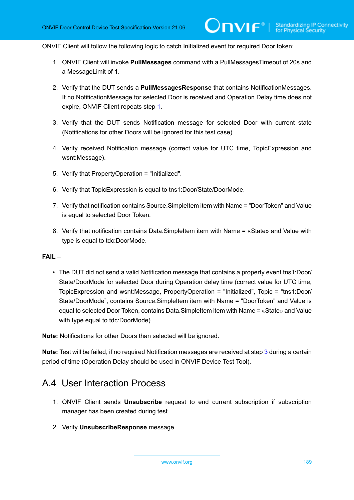ONVIF Client will follow the following logic to catch Initialized event for required Door token:

- <span id="page-188-0"></span>1. ONVIF Client will invoke **PullMessages** command with a PullMessagesTimeout of 20s and a MessageLimit of 1.
- 2. Verify that the DUT sends a **PullMessagesResponse** that contains NotificationMessages. If no NotificationMessage for selected Door is received and Operation Delay time does not expire, ONVIF Client repeats step [1](#page-188-0).
- <span id="page-188-1"></span>3. Verify that the DUT sends Notification message for selected Door with current state (Notifications for other Doors will be ignored for this test case).
- 4. Verify received Notification message (correct value for UTC time, TopicExpression and wsnt:Message).
- 5. Verify that PropertyOperation = "Initialized".
- 6. Verify that TopicExpression is equal to tns1:Door/State/DoorMode.
- 7. Verify that notification contains Source.SimpleItem item with Name = "DoorToken" and Value is equal to selected Door Token.
- 8. Verify that notification contains Data.SimpleItem item with Name = «State» and Value with type is equal to tdc:DoorMode.

## **FAIL –**

• The DUT did not send a valid Notification message that contains a property event tns1:Door/ State/DoorMode for selected Door during Operation delay time (correct value for UTC time, TopicExpression and wsnt:Message, PropertyOperation = "Initialized", Topic = "tns1:Door/ State/DoorMode", contains Source.SimpleItem item with Name = "DoorToken" and Value is equal to selected Door Token, contains Data.SimpleItem item with Name = «State» and Value with type equal to tdc:DoorMode).

**Note:** Notifications for other Doors than selected will be ignored.

**Note:** Test will be failed, if no required Notification messages are received at step [3](#page-188-1) during a certain period of time (Operation Delay should be used in ONVIF Device Test Tool).

## <span id="page-188-2"></span>A.4 User Interaction Process

- 1. ONVIF Client sends **Unsubscribe** request to end current subscription if subscription manager has been created during test.
- 2. Verify **UnsubscribeResponse** message.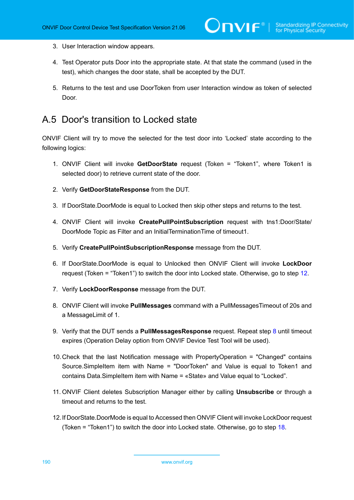- 3. User Interaction window appears.
- 4. Test Operator puts Door into the appropriate state. At that state the command (used in the test), which changes the door state, shall be accepted by the DUT.
- 5. Returns to the test and use DoorToken from user Interaction window as token of selected Door.

## A.5 Door's transition to Locked state

ONVIF Client will try to move the selected for the test door into 'Locked' state according to the following logics:

- 1. ONVIF Client will invoke **GetDoorState** request (Token = "Token1", where Token1 is selected door) to retrieve current state of the door.
- 2. Verify **GetDoorStateResponse** from the DUT.
- 3. If DoorState.DoorMode is equal to Locked then skip other steps and returns to the test.
- 4. ONVIF Client will invoke **CreatePullPointSubscription** request with tns1:Door/State/ DoorMode Topic as Filter and an InitialTerminationTime of timeout1.
- 5. Verify **CreatePullPointSubscriptionResponse** message from the DUT.
- 6. If DoorState.DoorMode is equal to Unlocked then ONVIF Client will invoke **LockDoor** request (Token = "Token1") to switch the door into Locked state. Otherwise, go to step [12](#page-189-0).
- 7. Verify **LockDoorResponse** message from the DUT.
- <span id="page-189-1"></span>8. ONVIF Client will invoke **PullMessages** command with a PullMessagesTimeout of 20s and a MessageLimit of 1.
- <span id="page-189-2"></span>9. Verify that the DUT sends a **PullMessagesResponse** request. Repeat step [8](#page-189-1) until timeout expires (Operation Delay option from ONVIF Device Test Tool will be used).
- 10.Check that the last Notification message with PropertyOperation = "Changed" contains Source.SimpleItem item with Name = "DoorToken" and Value is equal to Token1 and contains Data.SimpleItem item with Name = «State» and Value equal to "Locked".
- 11. ONVIF Client deletes Subscription Manager either by calling **Unsubscribe** or through a timeout and returns to the test.
- <span id="page-189-0"></span>12.If DoorState.DoorMode is equal to Accessed then ONVIF Client will invoke LockDoor request (Token = "Token1") to switch the door into Locked state. Otherwise, go to step [18](#page-190-0).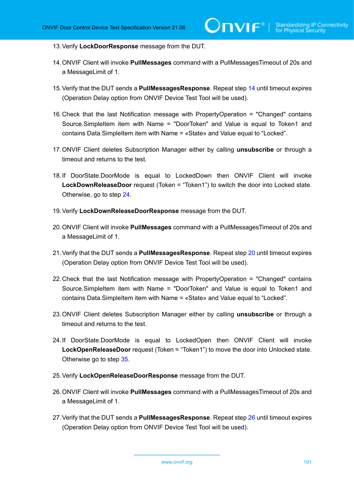- 13.Verify **LockDoorResponse** message from the DUT.
- <span id="page-190-1"></span>14.ONVIF Client will invoke **PullMessages** command with a PullMessagesTimeout of 20s and a MessageLimit of 1.
- <span id="page-190-5"></span>15.Verify that the DUT sends a **PullMessagesResponse**. Repeat step [14](#page-190-1) until timeout expires (Operation Delay option from ONVIF Device Test Tool will be used).
- 16.Check that the last Notification message with PropertyOperation = "Changed" contains Source.SimpleItem item with Name = "DoorToken" and Value is equal to Token1 and contains Data.SimpleItem item with Name = «State» and Value equal to "Locked".
- 17.ONVIF Client deletes Subscription Manager either by calling **unsubscribe** or through a timeout and returns to the test.
- <span id="page-190-0"></span>18.If DoorState.DoorMode is equal to LockedDown then ONVIF Client will invoke **LockDownReleaseDoor** request (Token = "Token1") to switch the door into Locked state. Otherwise, go to step [24](#page-190-2).
- 19.Verify **LockDownReleaseDoorResponse** message from the DUT.
- <span id="page-190-3"></span>20.ONVIF Client will invoke **PullMessages** command with a PullMessagesTimeout of 20s and a MessageLimit of 1.
- <span id="page-190-6"></span>21.Verify that the DUT sends a **PullMessagesResponse**. Repeat step [20](#page-190-3) until timeout expires (Operation Delay option from ONVIF Device Test Tool will be used).
- 22.Check that the last Notification message with PropertyOperation = "Changed" contains Source.SimpleItem item with Name = "DoorToken" and Value is equal to Token1 and contains Data.SimpleItem item with Name = «State» and Value equal to "Locked".
- 23.ONVIF Client deletes Subscription Manager either by calling **unsubscribe** or through a timeout and returns to the test.
- <span id="page-190-2"></span>24.If DoorState.DoorMode is equal to LockedOpen then ONVIF Client will invoke **LockOpenReleaseDoor** request (Token = "Token1") to move the door into Unlocked state. Otherwise go to step [35](#page-191-0).
- 25.Verify **LockOpenReleaseDoorResponse** message from the DUT.
- <span id="page-190-4"></span>26.ONVIF Client will invoke **PullMessages** command with a PullMessagesTimeout of 20s and a MessageLimit of 1.
- <span id="page-190-7"></span>27.Verify that the DUT sends a **PullMessagesResponse**. Repeat step [26](#page-190-4) until timeout expires (Operation Delay option from ONVIF Device Test Tool will be used).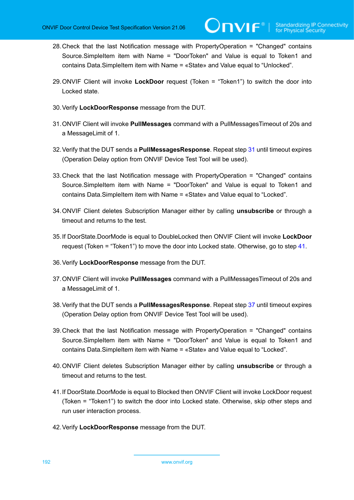- 28.Check that the last Notification message with PropertyOperation = "Changed" contains Source.SimpleItem item with Name = "DoorToken" and Value is equal to Token1 and contains Data.SimpleItem item with Name = «State» and Value equal to "Unlocked".
- 29.ONVIF Client will invoke **LockDoor** request (Token = "Token1") to switch the door into Locked state.
- 30.Verify **LockDoorResponse** message from the DUT.
- <span id="page-191-1"></span>31.ONVIF Client will invoke **PullMessages** command with a PullMessagesTimeout of 20s and a MessageLimit of 1.
- <span id="page-191-4"></span>32.Verify that the DUT sends a **PullMessagesResponse**. Repeat step [31](#page-191-1) until timeout expires (Operation Delay option from ONVIF Device Test Tool will be used).
- 33.Check that the last Notification message with PropertyOperation = "Changed" contains Source.SimpleItem item with Name = "DoorToken" and Value is equal to Token1 and contains Data.SimpleItem item with Name = «State» and Value equal to "Locked".
- 34.ONVIF Client deletes Subscription Manager either by calling **unsubscribe** or through a timeout and returns to the test.
- <span id="page-191-0"></span>35.If DoorState.DoorMode is equal to DoubleLocked then ONVIF Client will invoke **LockDoor** request (Token = "Token1") to move the door into Locked state. Otherwise, go to step [41.](#page-191-2)
- 36.Verify **LockDoorResponse** message from the DUT.
- <span id="page-191-3"></span>37.ONVIF Client will invoke **PullMessages** command with a PullMessagesTimeout of 20s and a MessageLimit of 1.
- <span id="page-191-5"></span>38.Verify that the DUT sends a **PullMessagesResponse**. Repeat step [37](#page-191-3) until timeout expires (Operation Delay option from ONVIF Device Test Tool will be used).
- 39.Check that the last Notification message with PropertyOperation = "Changed" contains Source.SimpleItem item with Name = "DoorToken" and Value is equal to Token1 and contains Data.SimpleItem item with Name = «State» and Value equal to "Locked".
- 40.ONVIF Client deletes Subscription Manager either by calling **unsubscribe** or through a timeout and returns to the test.
- <span id="page-191-2"></span>41.If DoorState.DoorMode is equal to Blocked then ONVIF Client will invoke LockDoor request (Token = "Token1") to switch the door into Locked state. Otherwise, skip other steps and run user interaction process.
- 42.Verify **LockDoorResponse** message from the DUT.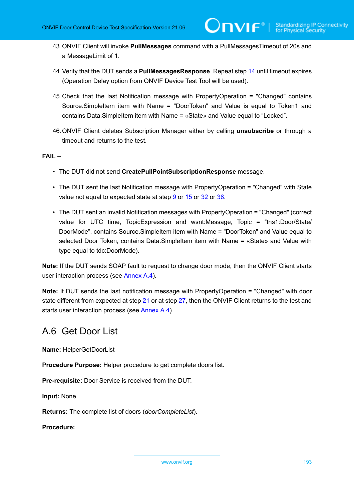- 43.ONVIF Client will invoke **PullMessages** command with a PullMessagesTimeout of 20s and a MessageLimit of 1.
- 44.Verify that the DUT sends a **PullMessagesResponse**. Repeat step [14](#page-190-1) until timeout expires (Operation Delay option from ONVIF Device Test Tool will be used).
- 45.Check that the last Notification message with PropertyOperation = "Changed" contains Source.SimpleItem item with Name = "DoorToken" and Value is equal to Token1 and contains Data.SimpleItem item with Name = «State» and Value equal to "Locked".
- 46.ONVIF Client deletes Subscription Manager either by calling **unsubscribe** or through a timeout and returns to the test.

### **FAIL –**

- The DUT did not send **CreatePullPointSubscriptionResponse** message.
- The DUT sent the last Notification message with PropertyOperation = "Changed" with State value not equal to expected state at step [9](#page-189-2) or [15](#page-190-5) or [32](#page-191-4) or [38.](#page-191-5)
- The DUT sent an invalid Notification messages with PropertyOperation = "Changed" (correct value for UTC time, TopicExpression and wsnt:Message, Topic = "tns1:Door/State/ DoorMode", contains Source.SimpleItem item with Name = "DoorToken" and Value equal to selected Door Token, contains Data.SimpleItem item with Name = «State» and Value with type equal to tdc:DoorMode).

**Note:** If the DUT sends SOAP fault to request to change door mode, then the ONVIF Client starts user interaction process (see [Annex A.4\)](#page-188-2).

**Note:** If DUT sends the last notification message with PropertyOperation = "Changed" with door state different from expected at step [21](#page-190-6) or at step [27](#page-190-7), then the ONVIF Client returns to the test and starts user interaction process (see [Annex A.4](#page-188-2))

## <span id="page-192-0"></span>A.6 Get Door List

**Name:** HelperGetDoorList

**Procedure Purpose:** Helper procedure to get complete doors list.

**Pre-requisite:** Door Service is received from the DUT.

**Input:** None.

**Returns:** The complete list of doors (*doorCompleteList*).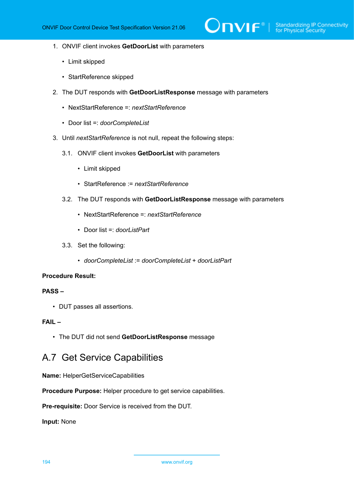- 1. ONVIF client invokes **GetDoorList** with parameters
	- Limit skipped
	- StartReference skipped
- 2. The DUT responds with **GetDoorListResponse** message with parameters
	- NextStartReference =: *nextStartReference*
	- Door list =: *doorCompleteList*
- 3. Until *nextStartReference* is not null, repeat the following steps:
	- 3.1. ONVIF client invokes **GetDoorList** with parameters
		- Limit skipped
		- StartReference := *nextStartReference*
	- 3.2. The DUT responds with **GetDoorListResponse** message with parameters
		- NextStartReference =: *nextStartReference*
		- Door list =: *doorListPart*
	- 3.3. Set the following:
		- *doorCompleteList* := *doorCompleteList* + *doorListPart*

## **PASS –**

• DUT passes all assertions.

## **FAIL –**

• The DUT did not send **GetDoorListResponse** message

## <span id="page-193-0"></span>A.7 Get Service Capabilities

**Name:** HelperGetServiceCapabilities

**Procedure Purpose:** Helper procedure to get service capabilities.

**Pre-requisite:** Door Service is received from the DUT.

**Input:** None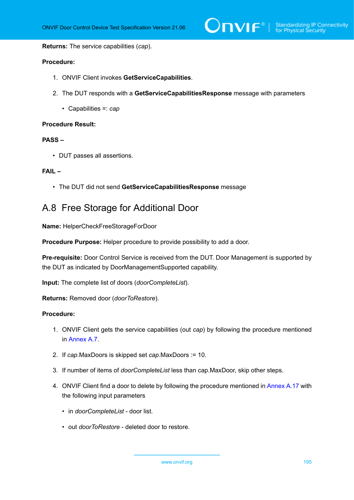$\sum_{\text{IVIF}^{\circ} | \text{Standardizing IP Connectivity}}$ 

**Returns:** The service capabilities (*cap*).

#### **Procedure:**

- 1. ONVIF Client invokes **GetServiceCapabilities**.
- 2. The DUT responds with a **GetServiceCapabilitiesResponse** message with parameters
	- Capabilities =: *cap*

#### **Procedure Result:**

## **PASS –**

• DUT passes all assertions.

#### **FAIL –**

• The DUT did not send **GetServiceCapabilitiesResponse** message

## <span id="page-194-0"></span>A.8 Free Storage for Additional Door

**Name:** HelperCheckFreeStorageForDoor

**Procedure Purpose:** Helper procedure to provide possibility to add a door.

**Pre-requisite:** Door Control Service is received from the DUT. Door Management is supported by the DUT as indicated by DoorManagementSupported capability.

**Input:** The complete list of doors (*doorCompleteList*).

**Returns:** Removed door (*doorToRestore*).

- 1. ONVIF Client gets the service capabilities (out *cap*) by following the procedure mentioned in [Annex A.7.](#page-193-0)
- 2. If *cap*.MaxDoors is skipped set *cap*.MaxDoors := 10.
- 3. If number of items of *doorCompleteList* less than cap.MaxDoor, skip other steps.
- 4. ONVIF Client find a door to delete by following the procedure mentioned in [Annex A.17](#page-202-0) with the following input parameters
	- in *doorCompleteList* door list.
	- out *doorToRestore* deleted door to restore.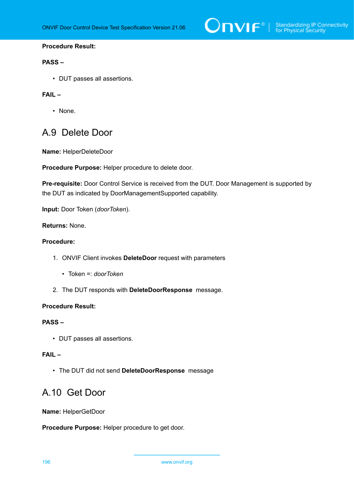

## **PASS –**

• DUT passes all assertions.

## **FAIL –**

• None.

## <span id="page-195-1"></span>A.9 Delete Door

**Name:** HelperDeleteDoor

**Procedure Purpose:** Helper procedure to delete door.

**Pre-requisite:** Door Control Service is received from the DUT. Door Management is supported by the DUT as indicated by DoorManagementSupported capability.

**Input:** Door Token (*doorToken*).

## **Returns:** None.

## **Procedure:**

- 1. ONVIF Client invokes **DeleteDoor** request with parameters
	- Token =: *doorToken*
- 2. The DUT responds with **DeleteDoorResponse** message.

#### **Procedure Result:**

## **PASS –**

• DUT passes all assertions.

## **FAIL –**

<span id="page-195-0"></span>• The DUT did not send **DeleteDoorResponse** message

## A.10 Get Door

**Name:** HelperGetDoor

**Procedure Purpose:** Helper procedure to get door.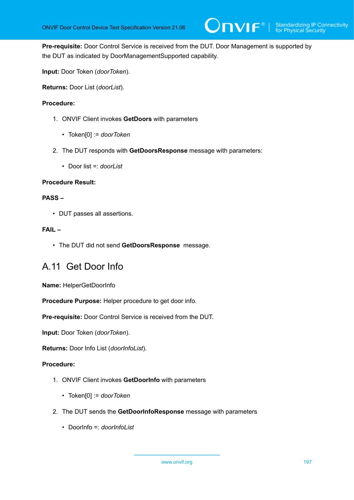

**Pre-requisite:** Door Control Service is received from the DUT. Door Management is supported by the DUT as indicated by DoorManagementSupported capability.

**Input:** Door Token (*doorToken*).

**Returns:** Door List (*doorList*).

### **Procedure:**

- 1. ONVIF Client invokes **GetDoors** with parameters
	- Token[0] := *doorToken*
- 2. The DUT responds with **GetDoorsResponse** message with parameters:
	- Door list =: *doorList*

#### **Procedure Result:**

## **PASS –**

• DUT passes all assertions.

### **FAIL –**

• The DUT did not send **GetDoorsResponse** message.

## <span id="page-196-0"></span>A.11 Get Door Info

**Name:** HelperGetDoorInfo

**Procedure Purpose:** Helper procedure to get door info.

**Pre-requisite:** Door Control Service is received from the DUT.

**Input:** Door Token (*doorToken*).

**Returns:** Door Info List (*doorInfoList*).

- 1. ONVIF Client invokes **GetDoorInfo** with parameters
	- Token[0] := *doorToken*
- 2. The DUT sends the **GetDoorInfoResponse** message with parameters
	- DoorInfo =: *doorInfoList*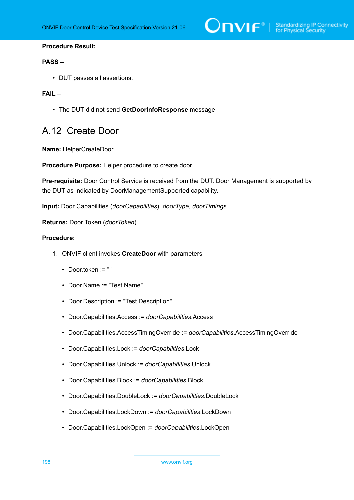

#### **PASS –**

• DUT passes all assertions.

### **FAIL –**

• The DUT did not send **GetDoorInfoResponse** message

## A.12 Create Door

**Name:** HelperCreateDoor

**Procedure Purpose:** Helper procedure to create door.

**Pre-requisite:** Door Control Service is received from the DUT. Door Management is supported by the DUT as indicated by DoorManagementSupported capability.

**Input:** Door Capabilities (*doorCapabilities*), *doorType*, *doorTimings*.

**Returns:** Door Token (*doorToken*).

- 1. ONVIF client invokes **CreateDoor** with parameters
	- Door.token := ""
	- Door.Name := "Test Name"
	- Door.Description := "Test Description"
	- Door.Capabilities.Access := *doorCapabilities*.Access
	- Door.Capabilities.AccessTimingOverride := *doorCapabilities*.AccessTimingOverride
	- Door.Capabilities.Lock := *doorCapabilities*.Lock
	- Door.Capabilities.Unlock := *doorCapabilities*.Unlock
	- Door.Capabilities.Block := *doorCapabilities*.Block
	- Door.Capabilities.DoubleLock := *doorCapabilities*.DoubleLock
	- Door.Capabilities.LockDown := *doorCapabilities*.LockDown
	- Door.Capabilities.LockOpen := *doorCapabilities*.LockOpen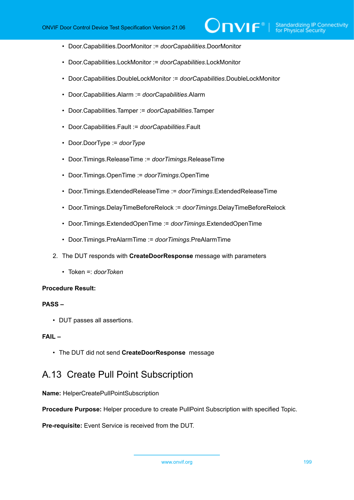- Door.Capabilities.DoorMonitor := *doorCapabilities*.DoorMonitor
- Door.Capabilities.LockMonitor := *doorCapabilities*.LockMonitor
- Door.Capabilities.DoubleLockMonitor := *doorCapabilities*.DoubleLockMonitor
- Door.Capabilities.Alarm := *doorCapabilities*.Alarm
- Door.Capabilities.Tamper := *doorCapabilities*.Tamper
- Door.Capabilities.Fault := *doorCapabilities*.Fault
- Door.DoorType := *doorType*
- Door.Timings.ReleaseTime := *doorTimings*.ReleaseTime
- Door.Timings.OpenTime := *doorTimings*.OpenTime
- Door.Timings.ExtendedReleaseTime := *doorTimings*.ExtendedReleaseTime
- Door.Timings.DelayTimeBeforeRelock := *doorTimings*.DelayTimeBeforeRelock
- Door.Timings.ExtendedOpenTime := *doorTimings*.ExtendedOpenTime
- Door.Timings.PreAlarmTime := *doorTimings*.PreAlarmTime
- 2. The DUT responds with **CreateDoorResponse** message with parameters
	- Token =: *doorToken*

#### **PASS –**

• DUT passes all assertions.

### **FAIL –**

• The DUT did not send **CreateDoorResponse** message

## A.13 Create Pull Point Subscription

**Name:** HelperCreatePullPointSubscription

**Procedure Purpose:** Helper procedure to create PullPoint Subscription with specified Topic.

**Pre-requisite:** Event Service is received from the DUT.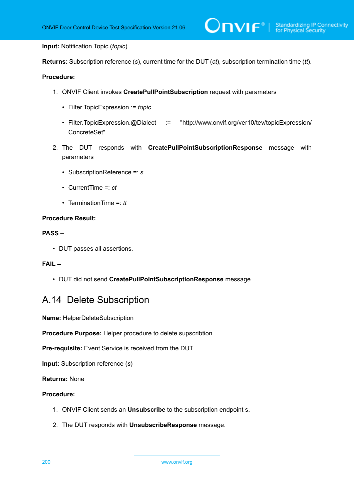**Input:** Notification Topic (*topic*).

**Returns:** Subscription reference (*s*), current time for the DUT (*ct*), subscription termination time (*tt*).

### **Procedure:**

- 1. ONVIF Client invokes **CreatePullPointSubscription** request with parameters
	- Filter.TopicExpression := *topic*
	- Filter.TopicExpression.@Dialect := "http://www.onvif.org/ver10/tev/topicExpression/ ConcreteSet"
- 2. The DUT responds with **CreatePullPointSubscriptionResponse** message with parameters
	- SubscriptionReference =: *s*
	- CurrentTime =: *ct*
	- TerminationTime =: *tt*

#### **Procedure Result:**

#### **PASS –**

• DUT passes all assertions.

## **FAIL –**

• DUT did not send **CreatePullPointSubscriptionResponse** message.

## <span id="page-199-0"></span>A.14 Delete Subscription

**Name:** HelperDeleteSubscription

**Procedure Purpose:** Helper procedure to delete supscribtion.

**Pre-requisite:** Event Service is received from the DUT.

**Input:** Subscription reference (*s*)

**Returns:** None

- 1. ONVIF Client sends an **Unsubscribe** to the subscription endpoint s.
- 2. The DUT responds with **UnsubscribeResponse** message.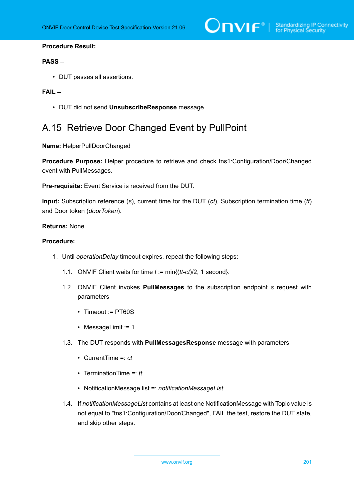#### **PASS –**

• DUT passes all assertions.

### **FAIL –**

• DUT did not send **UnsubscribeResponse** message.

# <span id="page-200-0"></span>A.15 Retrieve Door Changed Event by PullPoint

**Name:** HelperPullDoorChanged

**Procedure Purpose:** Helper procedure to retrieve and check tns1:Configuration/Door/Changed event with PullMessages.

**Pre-requisite:** Event Service is received from the DUT.

**Input:** Subscription reference (*s*), current time for the DUT (*ct*), Subscription termination time (*tt*) and Door token (*doorToken*).

#### **Returns:** None

- <span id="page-200-1"></span>1. Until *operationDelay* timeout expires, repeat the following steps:
	- 1.1. ONVIF Client waits for time *t* := min{(*tt*-*ct*)/2, 1 second}.
	- 1.2. ONVIF Client invokes **PullMessages** to the subscription endpoint *s* request with parameters
		- Timeout := PT60S
		- MessageLimit := 1
	- 1.3. The DUT responds with **PullMessagesResponse** message with parameters
		- CurrentTime =: *ct*
		- TerminationTime =: *tt*
		- NotificationMessage list =: *notificationMessageList*
	- 1.4. If *notificationMessageList* contains at least one NotificationMessage with Topic value is not equal to "tns1:Configuration/Door/Changed", FAIL the test, restore the DUT state, and skip other steps.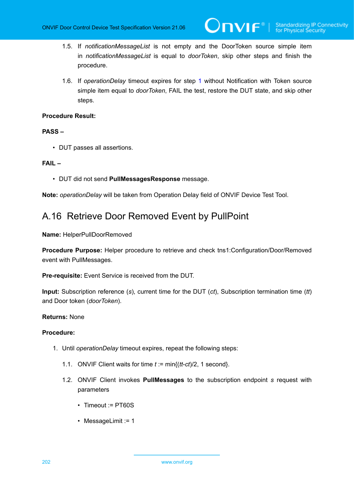- 1.5. If *notificationMessageList* is not empty and the DoorToken source simple item in *notificationMessageList* is equal to *doorToken*, skip other steps and finish the procedure.
- 1.6. If *operationDelay* timeout expires for step [1](#page-200-1) without Notification with Token source simple item equal to *doorToken*, FAIL the test, restore the DUT state, and skip other steps.

#### **PASS –**

• DUT passes all assertions.

#### **FAIL –**

• DUT did not send **PullMessagesResponse** message.

**Note:** *operationDelay* will be taken from Operation Delay field of ONVIF Device Test Tool.

## A.16 Retrieve Door Removed Event by PullPoint

#### **Name:** HelperPullDoorRemoved

**Procedure Purpose:** Helper procedure to retrieve and check tns1:Configuration/Door/Removed event with PullMessages.

**Pre-requisite:** Event Service is received from the DUT.

**Input:** Subscription reference (*s*), current time for the DUT (*ct*), Subscription termination time (*tt*) and Door token (*doorToken*).

#### **Returns:** None

- <span id="page-201-0"></span>1. Until *operationDelay* timeout expires, repeat the following steps:
	- 1.1. ONVIF Client waits for time *t* := min{(*tt*-*ct*)/2, 1 second}.
	- 1.2. ONVIF Client invokes **PullMessages** to the subscription endpoint *s* request with parameters
		- Timeout := PT60S
		- MessageLimit := 1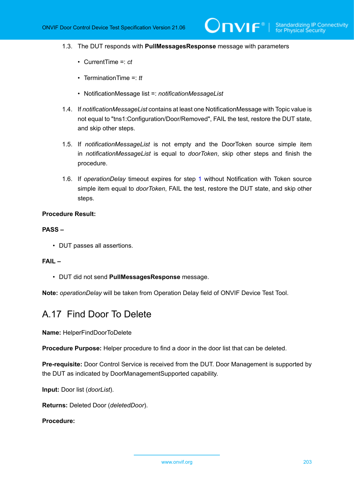- 1.3. The DUT responds with **PullMessagesResponse** message with parameters
	- CurrentTime =: *ct*
	- TerminationTime =: *tt*
	- NotificationMessage list =: *notificationMessageList*
- 1.4. If *notificationMessageList* contains at least one NotificationMessage with Topic value is not equal to "tns1:Configuration/Door/Removed", FAIL the test, restore the DUT state, and skip other steps.
- 1.5. If *notificationMessageList* is not empty and the DoorToken source simple item in *notificationMessageList* is equal to *doorToken*, skip other steps and finish the procedure.
- 1.6. If *operationDelay* timeout expires for step [1](#page-201-0) without Notification with Token source simple item equal to *doorToken*, FAIL the test, restore the DUT state, and skip other steps.

#### **PASS –**

• DUT passes all assertions.

#### **FAIL –**

• DUT did not send **PullMessagesResponse** message.

<span id="page-202-0"></span>**Note:** *operationDelay* will be taken from Operation Delay field of ONVIF Device Test Tool.

## A.17 Find Door To Delete

**Name:** HelperFindDoorToDelete

**Procedure Purpose:** Helper procedure to find a door in the door list that can be deleted.

**Pre-requisite:** Door Control Service is received from the DUT. Door Management is supported by the DUT as indicated by DoorManagementSupported capability.

**Input:** Door list (*doorList*).

**Returns:** Deleted Door (*deletedDoor*).